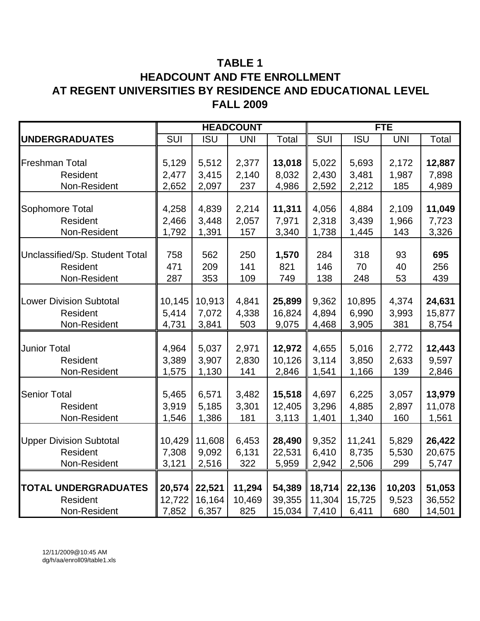# **TABLE 1 HEADCOUNT AND FTE ENROLLMENT AT REGENT UNIVERSITIES BY RESIDENCE AND EDUCATIONAL LEVEL FALL 2009**

|                                |        |            | <b>HEADCOUNT</b> |        |            |            | <b>FTE</b> |        |
|--------------------------------|--------|------------|------------------|--------|------------|------------|------------|--------|
| <b>UNDERGRADUATES</b>          | SUI    | <b>ISU</b> | <b>UNI</b>       | Total  | SUI        | <b>ISU</b> | <b>UNI</b> | Total  |
|                                |        |            |                  |        |            |            |            |        |
| <b>Freshman Total</b>          | 5,129  | 5,512      | 2,377            | 13,018 | 5,022      | 5,693      | 2,172      | 12,887 |
| Resident                       | 2,477  | 3,415      | 2,140            | 8,032  | 2,430      | 3,481      | 1,987      | 7,898  |
| Non-Resident                   | 2,652  | 2,097      | 237              | 4,986  | 2,592      | 2,212      | 185        | 4,989  |
|                                |        |            |                  |        |            |            |            |        |
| Sophomore Total                | 4,258  | 4,839      | 2,214            | 11,311 | 4,056      | 4,884      | 2,109      | 11,049 |
| Resident                       | 2,466  | 3,448      | 2,057            | 7,971  | 2,318      | 3,439      | 1,966      | 7,723  |
| Non-Resident                   | 1,792  | 1,391      | 157              | 3,340  | 1,738      | 1,445      | 143        | 3,326  |
|                                |        |            |                  |        |            |            |            |        |
| Unclassified/Sp. Student Total | 758    | 562        | 250              | 1,570  | 284        | 318        | 93         | 695    |
| <b>Resident</b>                | 471    | 209        | 141              | 821    | 146        | 70         | 40         | 256    |
| Non-Resident                   | 287    | 353        | 109              | 749    | 138        | 248        | 53         | 439    |
|                                |        |            |                  |        |            |            |            |        |
| <b>Lower Division Subtotal</b> | 10,145 | 10,913     | 4,841            | 25,899 | 9,362      | 10,895     | 4,374      | 24,631 |
| Resident                       | 5,414  | 7,072      | 4,338            | 16,824 | 4,894      | 6,990      | 3,993      | 15,877 |
| Non-Resident                   | 4,731  | 3,841      | 503              | 9,075  | 4,468      | 3,905      | 381        | 8,754  |
|                                |        |            |                  |        |            |            |            |        |
| <b>Junior Total</b>            | 4,964  | 5,037      | 2,971            | 12,972 | 4,655      | 5,016      | 2,772      | 12,443 |
| Resident                       | 3,389  | 3,907      | 2,830            | 10,126 | 3,114      | 3,850      | 2,633      | 9,597  |
| Non-Resident                   | 1,575  | 1,130      | 141              | 2,846  | 1,541      | 1,166      | 139        | 2,846  |
|                                |        |            |                  |        |            |            |            |        |
| <b>Senior Total</b>            | 5,465  | 6,571      | 3,482            | 15,518 | 4,697      | 6,225      | 3,057      | 13,979 |
| Resident                       | 3,919  | 5,185      | 3,301            | 12,405 | 3,296      | 4,885      | 2,897      | 11,078 |
| Non-Resident                   | 1,546  | 1,386      | 181              | 3,113  | 1,401      | 1,340      | 160        | 1,561  |
|                                |        |            |                  |        |            |            |            |        |
| <b>Upper Division Subtotal</b> | 10,429 | 11,608     | 6,453            | 28,490 | 9,352      | 11,241     | 5,829      | 26,422 |
| Resident                       | 7,308  | 9,092      | 6,131            | 22,531 | 6,410      | 8,735      | 5,530      | 20,675 |
| Non-Resident                   | 3,121  | 2,516      | 322              | 5,959  | 2,942      | 2,506      | 299        | 5,747  |
|                                |        |            |                  |        |            |            |            |        |
| <b>TOTAL UNDERGRADUATES</b>    | 20,574 | 22,521     | 11,294           | 54,389 | 18,714     | 22,136     | 10,203     | 51,053 |
| <b>Resident</b>                | 12,722 | 16,164     | 10,469           | 39,355 | 11,304     | 15,725     | 9,523      | 36,552 |
| Non-Resident                   | 7,852  | 6,357      | 825              | 15,034 | $\  7,410$ | 6,411      | 680        | 14,501 |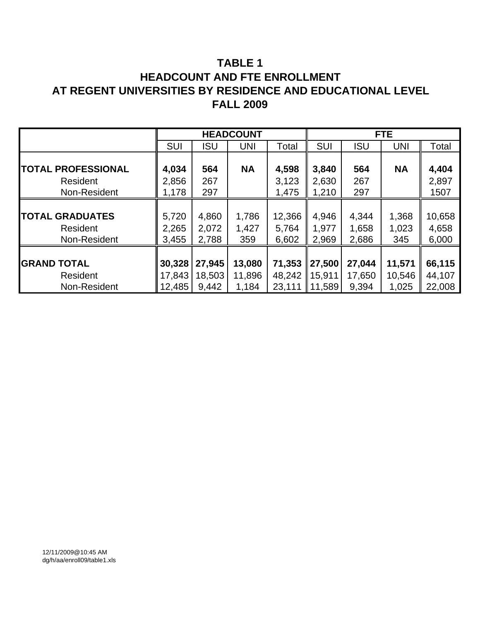# **TABLE 1 HEADCOUNT AND FTE ENROLLMENT AT REGENT UNIVERSITIES BY RESIDENCE AND EDUCATIONAL LEVEL FALL 2009**

|                           |            |            | <b>HEADCOUNT</b> |        |                    |            | FTE.       |        |
|---------------------------|------------|------------|------------------|--------|--------------------|------------|------------|--------|
|                           | <b>SUI</b> | <b>ISU</b> | <b>UNI</b>       | Total  | <b>SUI</b>         | <b>ISU</b> | <b>UNI</b> | Total  |
|                           |            |            |                  |        |                    |            |            |        |
| <b>TOTAL PROFESSIONAL</b> | 4,034      | 564        | <b>NA</b>        | 4,598  | 3,840              | 564        | <b>NA</b>  | 4,404  |
| Resident                  | 2,856      | 267        |                  | 3,123  | 2,630              | 267        |            | 2,897  |
| Non-Resident              | 1,178      | 297        |                  | 1,475  | 1,210              | 297        |            | 1507   |
|                           |            |            |                  |        |                    |            |            |        |
| <b>TOTAL GRADUATES</b>    | 5,720      | 4,860      | 1,786            | 12,366 | 4,946              | 4,344      | 1,368      | 10,658 |
| Resident                  | 2,265      | 2,072      | 1,427            | 5,764  | 1,977              | 1,658      | 1,023      | 4,658  |
| Non-Resident              | 3,455      | 2,788      | 359              | 6,602  | 2,969              | 2,686      | 345        | 6,000  |
|                           |            |            |                  |        |                    |            |            |        |
| <b>GRAND TOTAL</b>        | 30,328     | 27,945     | 13,080           | 71,353 | $\vert$ 27,500     | 27,044     | 11,571     | 66,115 |
| Resident                  | 17,843     | 18,503     | 11,896           | 48,242 | $\parallel$ 15,911 | 17,650     | 10,546     | 44,107 |
| Non-Resident              | 12,485     | 9,442      | 1,184            | 23,111 | 11,589             | 9,394      | 1,025      | 22,008 |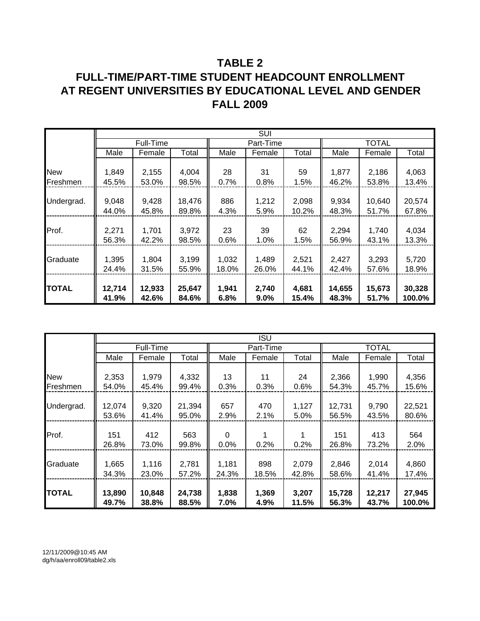# **TABLE 2 FULL-TIME/PART-TIME STUDENT HEADCOUNT ENROLLMENT AT REGENT UNIVERSITIES BY EDUCATIONAL LEVEL AND GENDER FALL 2009**

|              | <b>SUI</b> |           |        |       |           |       |        |              |        |
|--------------|------------|-----------|--------|-------|-----------|-------|--------|--------------|--------|
|              |            | Full-Time |        |       | Part-Time |       |        | <b>TOTAL</b> |        |
|              | Male       | Female    | Total  | Male  | Female    | Total | Male   | Female       | Total  |
|              |            |           |        |       |           |       |        |              |        |
| <b>New</b>   | 1,849      | 2,155     | 4,004  | 28    | 31        | 59    | 1,877  | 2,186        | 4,063  |
| Freshmen     | 45.5%      | 53.0%     | 98.5%  | 0.7%  | 0.8%      | 1.5%  | 46.2%  | 53.8%        | 13.4%  |
|              |            |           |        |       |           |       |        |              |        |
| Undergrad.   | 9,048      | 9,428     | 18,476 | 886   | 1,212     | 2,098 | 9,934  | 10,640       | 20,574 |
|              | 44.0%      | 45.8%     | 89.8%  | 4.3%  | 5.9%      | 10.2% | 48.3%  | 51.7%        | 67.8%  |
|              |            |           |        |       |           |       |        |              |        |
| Prof.        | 2,271      | 1,701     | 3,972  | 23    | 39        | 62    | 2,294  | 1,740        | 4,034  |
|              | 56.3%      | 42.2%     | 98.5%  | 0.6%  | 1.0%      | 1.5%  | 56.9%  | 43.1%        | 13.3%  |
|              |            |           |        |       |           |       |        |              |        |
| Graduate     | 1,395      | 1,804     | 3,199  | 1,032 | 1,489     | 2,521 | 2,427  | 3,293        | 5,720  |
|              | 24.4%      | 31.5%     | 55.9%  | 18.0% | 26.0%     | 44.1% | 42.4%  | 57.6%        | 18.9%  |
|              |            |           |        |       |           |       |        |              |        |
| <b>TOTAL</b> | 12,714     | 12,933    | 25,647 | 1,941 | 2,740     | 4,681 | 14,655 | 15,673       | 30,328 |
|              | 41.9%      | 42.6%     | 84.6%  | 6.8%  | $9.0\%$   | 15.4% | 48.3%  | 51.7%        | 100.0% |

|              |        |           |        |       | ISU       |       |        |        |        |
|--------------|--------|-----------|--------|-------|-----------|-------|--------|--------|--------|
|              |        | Full-Time |        |       | Part-Time |       |        | TOTAL  |        |
|              | Male   | Female    | Total  | Male  | Female    | Total | Male   | Female | Total  |
|              |        |           |        |       |           |       |        |        |        |
| <b>New</b>   | 2,353  | 1,979     | 4,332  | 13    | 11        | 24    | 2,366  | 1,990  | 4,356  |
| Freshmen     | 54.0%  | 45.4%     | 99.4%  | 0.3%  | 0.3%      | 0.6%  | 54.3%  | 45.7%  | 15.6%  |
|              |        |           |        |       |           |       |        |        |        |
| Undergrad.   | 12,074 | 9,320     | 21,394 | 657   | 470       | 1,127 | 12,731 | 9,790  | 22,521 |
|              | 53.6%  | 41.4%     | 95.0%  | 2.9%  | 2.1%      | 5.0%  | 56.5%  | 43.5%  | 80.6%  |
|              |        |           |        |       |           |       |        |        |        |
| Prof.        | 151    | 412       | 563    | 0     |           |       | 151    | 413    | 564    |
|              | 26.8%  | 73.0%     | 99.8%  | 0.0%  | 0.2%      | 0.2%  | 26.8%  | 73.2%  | 2.0%   |
|              |        |           |        |       |           |       |        |        |        |
| Graduate     | 1,665  | 1,116     | 2,781  | 1,181 | 898       | 2,079 | 2,846  | 2,014  | 4,860  |
|              | 34.3%  | 23.0%     | 57.2%  | 24.3% | 18.5%     | 42.8% | 58.6%  | 41.4%  | 17.4%  |
|              |        |           |        |       |           |       |        |        |        |
| <b>TOTAL</b> | 13,890 | 10,848    | 24,738 | 1,838 | 1,369     | 3,207 | 15,728 | 12,217 | 27,945 |
|              | 49.7%  | 38.8%     | 88.5%  | 7.0%  | 4.9%      | 11.5% | 56.3%  | 43.7%  | 100.0% |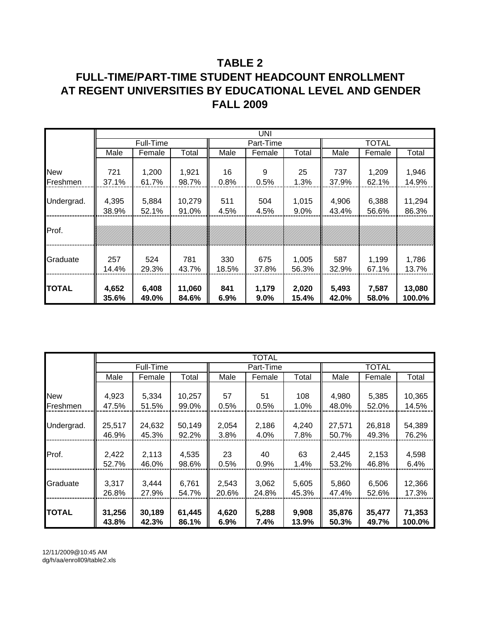# **TABLE 2 FULL-TIME/PART-TIME STUDENT HEADCOUNT ENROLLMENT AT REGENT UNIVERSITIES BY EDUCATIONAL LEVEL AND GENDER FALL 2009**

|            |       |           |        |       | UNI       |       |       |              |        |
|------------|-------|-----------|--------|-------|-----------|-------|-------|--------------|--------|
|            |       | Full-Time |        |       | Part-Time |       |       | <b>TOTAL</b> |        |
|            | Male  | Female    | Total  | Male  | Female    | Total | Male  | Female       | Total  |
|            |       |           |        |       |           |       |       |              |        |
| <b>New</b> | 721   | 1,200     | 1,921  | 16    | 9         | 25    | 737   | 1,209        | 1,946  |
| Freshmen   | 37.1% | 61.7%     | 98.7%  | 0.8%  | 0.5%      | 1.3%  | 37.9% | 62.1%        | 14.9%  |
|            |       |           |        |       |           |       |       |              |        |
| Undergrad. | 4,395 | 5,884     | 10,279 | 511   | 504       | 1,015 | 4,906 | 6,388        | 11,294 |
|            | 38.9% | 52.1%     | 91.0%  | 4.5%  | 4.5%      | 9.0%  | 43.4% | 56.6%        | 86.3%  |
|            |       |           |        |       |           |       |       |              |        |
| Prof.      |       |           |        |       |           |       |       |              |        |
|            |       |           |        |       |           |       |       |              |        |
|            |       |           |        |       |           |       |       |              |        |
| Graduate   | 257   | 524       | 781    | 330   | 675       | 1,005 | 587   | 1,199        | 1,786  |
|            | 14.4% | 29.3%     | 43.7%  | 18.5% | 37.8%     | 56.3% | 32.9% | 67.1%        | 13.7%  |
|            |       |           |        |       |           |       |       |              |        |
| TOTAL      | 4,652 | 6,408     | 11,060 | 841   | 1,179     | 2,020 | 5,493 | 7,587        | 13,080 |
|            | 35.6% | 49.0%     | 84.6%  | 6.9%  | $9.0\%$   | 15.4% | 42.0% | 58.0%        | 100.0% |

|               |        |           |        |         | <b>TOTAL</b> |       |        |              |        |
|---------------|--------|-----------|--------|---------|--------------|-------|--------|--------------|--------|
|               |        | Full-Time |        |         | Part-Time    |       |        | <b>TOTAL</b> |        |
|               | Male   | Female    | Total  | Male    | Female       | Total | Male   | Female       | Total  |
|               |        |           |        |         |              |       |        |              |        |
| <b>New</b>    | 4,923  | 5,334     | 10,257 | 57      | 51           | 108   | 4,980  | 5,385        | 10,365 |
| Freshmen      | 47.5%  | 51.5%     | 99.0%  | 0.5%    | 0.5%         | 1.0%  | 48.0%  | 52.0%        | 14.5%  |
|               |        |           |        |         |              |       |        |              |        |
| Undergrad.    | 25,517 | 24,632    | 50,149 | 2,054   | 2,186        | 4,240 | 27,571 | 26,818       | 54,389 |
|               | 46.9%  | 45.3%     | 92.2%  | 3.8%    | 4.0%         | 7.8%  | 50.7%  | 49.3%        | 76.2%  |
|               |        |           |        |         |              |       |        |              |        |
| Prof.         | 2,422  | 2,113     | 4,535  | 23      | 40           | 63    | 2,445  | 2,153        | 4,598  |
|               | 52.7%  | 46.0%     | 98.6%  | 0.5%    | 0.9%         | 1.4%  | 53.2%  | 46.8%        | 6.4%   |
|               |        |           |        |         |              |       |        |              |        |
| Graduate      | 3,317  | 3,444     | 6,761  | 2,543   | 3,062        | 5,605 | 5,860  | 6,506        | 12,366 |
|               | 26.8%  | 27.9%     | 54.7%  | 20.6%   | 24.8%        | 45.3% | 47.4%  | 52.6%        | 17.3%  |
|               |        |           |        |         |              |       |        |              |        |
| <b>ITOTAL</b> | 31,256 | 30,189    | 61,445 | 4,620   | 5,288        | 9,908 | 35,876 | 35,477       | 71,353 |
|               | 43.8%  | 42.3%     | 86.1%  | $6.9\%$ | 7.4%         | 13.9% | 50.3%  | 49.7%        | 100.0% |

12/11/2009@10:45 AM dg/h/aa/enroll09/table2.xls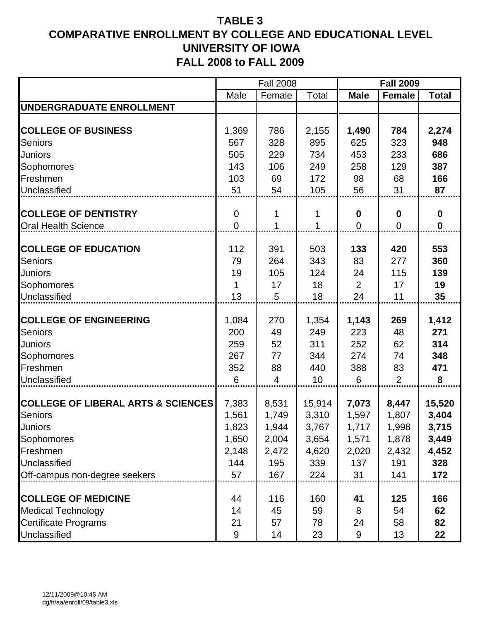|                                               |                | <b>Fall 2008</b> |        |                | <b>Fall 2009</b> |              |
|-----------------------------------------------|----------------|------------------|--------|----------------|------------------|--------------|
|                                               | Male           | Female           | Total  | <b>Male</b>    | <b>Female</b>    | <b>Total</b> |
| UNDERGRADUATE ENROLLMENT                      |                |                  |        |                |                  |              |
|                                               |                |                  |        |                |                  |              |
| <b>COLLEGE OF BUSINESS</b>                    | 1,369          | 786              | 2,155  | 1,490          | 784              | 2,274        |
| <b>Seniors</b>                                | 567            | 328              | 895    | 625            | 323              | 948          |
| <b>Juniors</b>                                | 505            | 229              | 734    | 453            | 233              | 686          |
| Sophomores                                    | 143            | 106              | 249    | 258            | 129              | 387          |
| Freshmen                                      | 103            | 69               | 172    | 98             | 68               | 166          |
| Unclassified                                  | 51             | 54               | 105    | 56             | 31               | 87           |
|                                               |                |                  |        |                |                  |              |
| <b>COLLEGE OF DENTISTRY</b>                   | $\overline{0}$ |                  | 1      | 0              | $\bf{0}$         | $\mathbf 0$  |
| <b>Oral Health Science</b>                    | $\overline{0}$ | 1                | 1      | $\overline{0}$ | $\overline{0}$   | $\mathbf 0$  |
| <b>COLLEGE OF EDUCATION</b>                   | 112            | 391              | 503    | 133            | 420              | 553          |
| <b>Seniors</b>                                | 79             | 264              | 343    | 83             | 277              | 360          |
| Juniors                                       | 19             | 105              | 124    | 24             | 115              | 139          |
| Sophomores                                    |                | 17               | 18     | $\overline{2}$ | 17               | 19           |
| Unclassified                                  | 13             | 5                | 18     | 24             | 11               | 35           |
|                                               |                |                  |        |                |                  |              |
| <b>COLLEGE OF ENGINEERING</b>                 | 1,084          | 270              | 1,354  | 1,143          | 269              | 1,412        |
| <b>Seniors</b>                                | 200            | 49               | 249    | 223            | 48               | 271          |
| <b>Juniors</b>                                | 259            | 52               | 311    | 252            | 62               | 314          |
| Sophomores                                    | 267            | 77               | 344    | 274            | 74               | 348          |
| Freshmen                                      | 352            | 88               | 440    | 388            | 83               | 471          |
| Unclassified                                  | 6              | 4                | 10     | 6              | $\overline{2}$   | 8            |
|                                               |                |                  |        |                |                  |              |
| <b>COLLEGE OF LIBERAL ARTS &amp; SCIENCES</b> | 7,383          | 8,531            | 15,914 | 7,073          | 8,447            | 15,520       |
| <b>Seniors</b>                                | 1,561          | 1,749            | 3,310  | 1,597          | 1,807            | 3,404        |
| Juniors                                       | 1,823          | 1,944            | 3,767  | 1,717          | 1,998            | 3,715        |
| Sophomores                                    | 1,650          | 2,004            | 3,654  | 1,571          | 1,878            | 3,449        |
| Freshmen                                      | 2,148          | 2,472            | 4,620  | 2,020          | 2,432            | 4,452        |
| Unclassified                                  | 144<br>57      | 195              | 339    | 137            | 191              | 328          |
| Off-campus non-degree seekers                 |                | 167              | 224    | 31             | 141              | 172          |
| <b>COLLEGE OF MEDICINE</b>                    | 44             | 116              | 160    | 41             | 125              | 166          |
| <b>Medical Technology</b>                     | 14             | 45               | 59     | 8              | 54               | 62           |
| Certificate Programs                          | 21             | 57               | 78     | 24             | 58               | 82           |
| Unclassified                                  | 9              | 14               | 23     | 9              | 13               | 22           |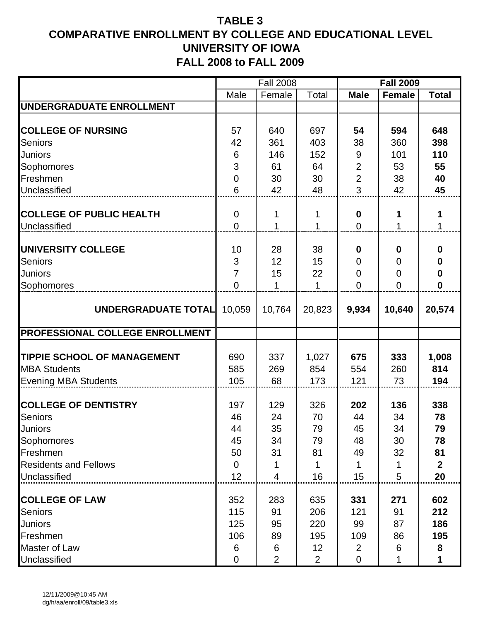|                                        |                | <b>Fall 2008</b> |                 |                  | <b>Fall 2009</b> |              |
|----------------------------------------|----------------|------------------|-----------------|------------------|------------------|--------------|
|                                        | Male           | Female           | Total           | <b>Male</b>      | <b>Female</b>    | <b>Total</b> |
| UNDERGRADUATE ENROLLMENT               |                |                  |                 |                  |                  |              |
|                                        |                |                  |                 |                  |                  |              |
| <b>COLLEGE OF NURSING</b>              | 57             | 640              | 697             | 54               | 594              | 648          |
| <b>Seniors</b>                         | 42             | 361              | 403             | 38               | 360              | 398          |
| <b>Juniors</b>                         | 6              | 146              | 152             | $9\,$            | 101              | 110          |
| Sophomores                             | 3              | 61               | 64              | $\overline{2}$   | 53               | 55           |
| Freshmen                               | $\mathbf 0$    | 30               | 30              | $\overline{2}$   | 38               | 40           |
| Unclassified                           | 6              | 42               | 48              | 3                | 42               | 45           |
|                                        |                |                  |                 |                  |                  |              |
| <b>COLLEGE OF PUBLIC HEALTH</b>        | $\mathbf 0$    | 1                | 1               | $\boldsymbol{0}$ | 1                | 1            |
| Unclassified                           | $\overline{0}$ | 1                | 1               | $\overline{0}$   | 1                | $\mathbf{1}$ |
|                                        |                |                  |                 |                  |                  |              |
| <b>UNIVERSITY COLLEGE</b>              | 10             | 28               | 38              | $\bf{0}$         | $\bf{0}$         | $\mathbf 0$  |
| <b>Seniors</b>                         | 3              | 12               | 15              | $\overline{0}$   | $\mathbf 0$      | $\bf{0}$     |
| <b>Juniors</b>                         | $\overline{7}$ | 15               | 22              | $\overline{0}$   | $\mathbf 0$      | $\bf{0}$     |
| Sophomores                             | $\overline{0}$ | 1                | 1               | $\Omega$         | $\overline{0}$   | $\mathbf 0$  |
|                                        |                |                  |                 |                  |                  |              |
| UNDERGRADUATE TOTAL                    | 10,059         | 10,764           | 20,823          | 9,934            | 10,640           | 20,574       |
|                                        |                |                  |                 |                  |                  |              |
| <b>PROFESSIONAL COLLEGE ENROLLMENT</b> |                |                  |                 |                  |                  |              |
|                                        |                |                  |                 |                  |                  |              |
| <b>TIPPIE SCHOOL OF MANAGEMENT</b>     | 690            | 337              | 1,027           | 675              | 333              | 1,008        |
| <b>MBA Students</b>                    | 585            | 269              | 854             | 554              | 260              | 814          |
| <b>Evening MBA Students</b>            | 105            | 68               | 173             | 121              | 73               | 194          |
|                                        |                |                  |                 |                  |                  |              |
| <b>COLLEGE OF DENTISTRY</b>            | 197            | 129              | 326             | 202              | 136              | 338          |
| <b>Seniors</b>                         | 46             | 24               | 70              | 44               | 34               | 78           |
| <b>Juniors</b>                         | 44             | 35               | 79              | 45               | 34               | 79           |
| Sophomores                             | 45             | 34               | 79              | 48               | 30               | 78           |
| Freshmen                               | 50             | 31               | 81              | 49               | 32               | 81           |
| <b>Residents and Fellows</b>           | 0              | 1                | 1               | 1                | 1                | $\mathbf{2}$ |
| Unclassified                           | 12             | $\overline{4}$   | 16              | 15               | 5                | 20           |
|                                        |                |                  |                 |                  |                  |              |
| <b>COLLEGE OF LAW</b>                  | 352            | 283              | 635             | 331              | 271              | 602          |
| <b>Seniors</b>                         | 115            | 91               | 206             | 121              | 91               | 212          |
| <b>Juniors</b>                         | 125            | 95               | 220             | 99               | 87               | 186          |
| Freshmen                               | 106            | 89               | 195             | 109              | 86               | 195          |
| Master of Law                          | 6              | 6                | 12 <sub>2</sub> | $\overline{2}$   | 6                | 8            |
| Unclassified                           | 0              | $\overline{2}$   | $\overline{2}$  | $\mathbf 0$      | 1                |              |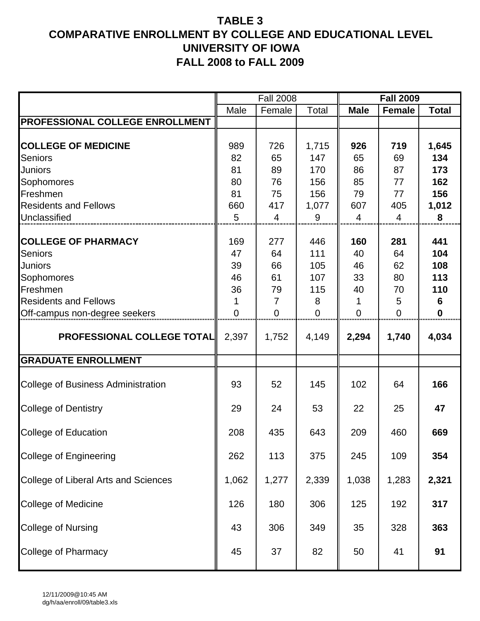|                                           |             | <b>Fall 2008</b> |                |                | <b>Fall 2009</b> |              |
|-------------------------------------------|-------------|------------------|----------------|----------------|------------------|--------------|
|                                           | Male        | Female           | Total          | <b>Male</b>    | <b>Female</b>    | <b>Total</b> |
| PROFESSIONAL COLLEGE ENROLLMENT           |             |                  |                |                |                  |              |
| <b>COLLEGE OF MEDICINE</b>                | 989         | 726              | 1,715          | 926            | 719              | 1,645        |
| Seniors                                   | 82          | 65               | 147            | 65             | 69               | 134          |
| Juniors                                   | 81          | 89               | 170            | 86             | 87               | 173          |
| Sophomores                                | 80          | 76               | 156            | 85             | 77               | 162          |
| Freshmen                                  | 81          | 75               | 156            | 79             | 77               | 156          |
| <b>Residents and Fellows</b>              | 660         | 417              | 1,077          | 607            | 405              | 1,012        |
| Unclassified                              | 5           | 4                | 9              | $\overline{4}$ | 4                | 8            |
| <b>COLLEGE OF PHARMACY</b>                | 169         | 277              | 446            | 160            | 281              | 441          |
| <b>Seniors</b>                            | 47          | 64               | 111            | 40             | 64               | 104          |
| Juniors                                   | 39          | 66               | 105            | 46             | 62               | 108          |
| Sophomores                                | 46          | 61               | 107            | 33             | 80               | 113          |
| Freshmen                                  | 36          | 79               | 115            | 40             | 70               | 110          |
| <b>Residents and Fellows</b>              |             | $\overline{7}$   | 8              | 1              | 5                | 6            |
| Off-campus non-degree seekers             | $\mathbf 0$ | $\mathbf 0$      | $\overline{0}$ | $\overline{0}$ | $\mathbf 0$      | $\mathbf 0$  |
| <b>PROFESSIONAL COLLEGE TOTAL</b>         | 2,397       | 1,752            | 4,149          | 2,294          | 1,740            | 4,034        |
| <b>GRADUATE ENROLLMENT</b>                |             |                  |                |                |                  |              |
| <b>College of Business Administration</b> | 93          | 52               | 145            | 102            | 64               | 166          |
| <b>College of Dentistry</b>               | 29          | 24               | 53             | 22             | 25               | 47           |
| <b>College of Education</b>               | 208         | 435              | 643            | 209            | 460              | 669          |
| College of Engineering                    | 262         | 113              | 375            | 245            | 109              | 354          |
| College of Liberal Arts and Sciences      | 1,062       | 1,277            | 2,339          | 1,038          | 1,283            | 2,321        |
| <b>College of Medicine</b>                | 126         | 180              | 306            | 125            | 192              | 317          |
| <b>College of Nursing</b>                 | 43          | 306              | 349            | 35             | 328              | 363          |
| College of Pharmacy                       | 45          | 37               | 82             | 50             | 41               | 91           |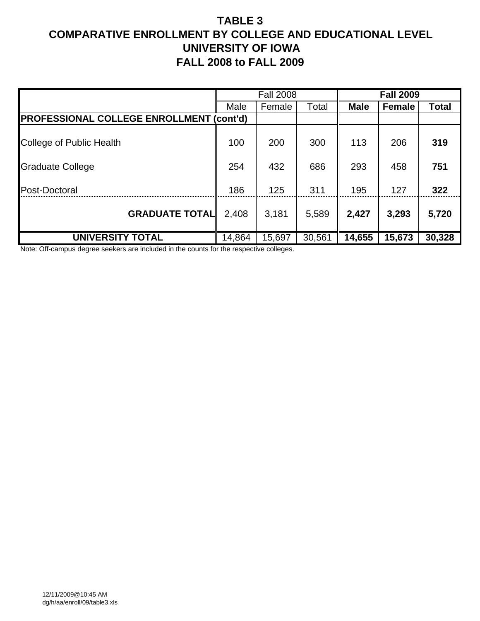|                                                 |        | <b>Fall 2008</b> |        |             | <b>Fall 2009</b> |        |
|-------------------------------------------------|--------|------------------|--------|-------------|------------------|--------|
|                                                 | Male   | Female           | Total  | <b>Male</b> | <b>Female</b>    | Total  |
| <b>PROFESSIONAL COLLEGE ENROLLMENT (cont'd)</b> |        |                  |        |             |                  |        |
| College of Public Health                        | 100    | 200              | 300    | 113         | 206              | 319    |
| <b>Graduate College</b>                         | 254    | 432              | 686    | 293         | 458              | 751    |
| Post-Doctoral                                   | 186    | 125              | 311    | 195         | 127              | 322    |
| <b>GRADUATE TOTAL</b>                           | 2,408  | 3,181            | 5,589  | 2,427       | 3,293            | 5,720  |
| <b>UNIVERSITY TOTAL</b>                         | 14,864 | 15,697           | 30,561 | 14,655      | 15,673           | 30,328 |

Note: Off-campus degree seekers are included in the counts for the respective colleges.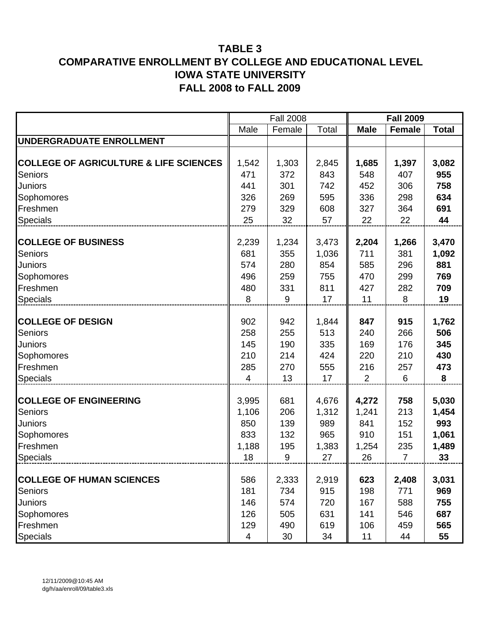|                                                   |                | <b>Fall 2008</b> |       |                | <b>Fall 2009</b> |              |
|---------------------------------------------------|----------------|------------------|-------|----------------|------------------|--------------|
|                                                   | Male           | Female           | Total | <b>Male</b>    | <b>Female</b>    | <b>Total</b> |
| UNDERGRADUATE ENROLLMENT                          |                |                  |       |                |                  |              |
|                                                   |                |                  |       |                |                  |              |
| <b>COLLEGE OF AGRICULTURE &amp; LIFE SCIENCES</b> | 1,542          | 1,303            | 2,845 | 1,685          | 1,397            | 3,082        |
| <b>Seniors</b>                                    | 471            | 372              | 843   | 548            | 407              | 955          |
| Juniors                                           | 441            | 301              | 742   | 452            | 306              | 758          |
| Sophomores                                        | 326            | 269              | 595   | 336            | 298              | 634          |
| Freshmen                                          | 279            | 329              | 608   | 327            | 364              | 691          |
| Specials                                          | 25             | 32               | 57    | 22             | 22               | 44           |
|                                                   |                |                  |       |                |                  |              |
| <b>COLLEGE OF BUSINESS</b>                        | 2,239          | 1,234            | 3,473 | 2,204          | 1,266            | 3,470        |
| <b>Seniors</b>                                    | 681            | 355              | 1,036 | 711            | 381              | 1,092        |
| Juniors                                           | 574            | 280              | 854   | 585            | 296              | 881          |
| Sophomores                                        | 496            | 259              | 755   | 470            | 299              | 769          |
| Freshmen                                          | 480            | 331              | 811   | 427            | 282              | 709          |
| Specials                                          | 8              | 9                | 17    | 11             | 8                | 19           |
|                                                   |                |                  |       |                |                  |              |
| <b>COLLEGE OF DESIGN</b>                          | 902            | 942              | 1,844 | 847            | 915              | 1,762        |
| Seniors                                           | 258            | 255              | 513   | 240            | 266              | 506          |
| Juniors                                           | 145            | 190              | 335   | 169            | 176              | 345          |
| Sophomores                                        | 210            | 214              | 424   | 220            | 210              | 430          |
| Freshmen                                          | 285            | 270              | 555   | 216            | 257              | 473          |
| <b>Specials</b>                                   | 4              | 13               | 17    | $\overline{2}$ | 6                | 8            |
| <b>COLLEGE OF ENGINEERING</b>                     | 3,995          | 681              | 4,676 | 4,272          | 758              | 5,030        |
| <b>Seniors</b>                                    | 1,106          | 206              | 1,312 | 1,241          | 213              | 1,454        |
| Juniors                                           | 850            | 139              | 989   | 841            | 152              | 993          |
| Sophomores                                        | 833            | 132              | 965   | 910            | 151              | 1,061        |
| Freshmen                                          | 1,188          | 195              | 1,383 | 1,254          | 235              | 1,489        |
| <b>Specials</b>                                   | 18             | $\boldsymbol{9}$ | 27    | 26             | $\overline{7}$   | 33           |
|                                                   |                |                  |       |                |                  |              |
| <b>COLLEGE OF HUMAN SCIENCES</b>                  | 586            | 2,333            | 2,919 | 623            | 2,408            | 3,031        |
| <b>Seniors</b>                                    | 181            | 734              | 915   | 198            | 771              | 969          |
| Juniors                                           | 146            | 574              | 720   | 167            | 588              | 755          |
| Sophomores                                        | 126            | 505              | 631   | 141            | 546              | 687          |
| Freshmen                                          | 129            | 490              | 619   | 106            | 459              | 565          |
| Specials                                          | $\overline{4}$ | 30               | 34    | 11             | 44               | 55           |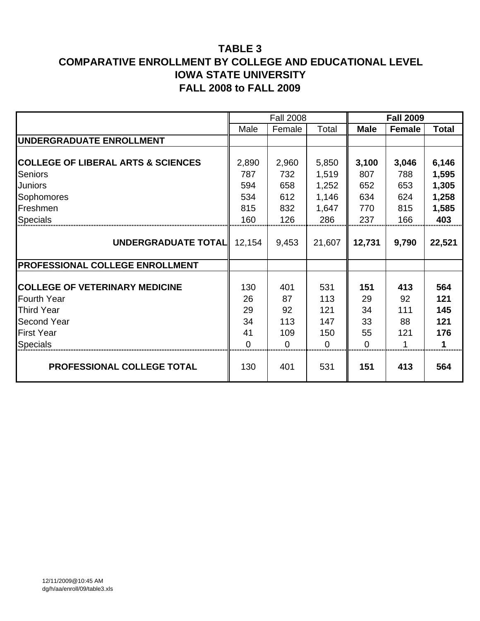|                                               |          | <b>Fall 2008</b> |          |             | <b>Fall 2009</b> |              |
|-----------------------------------------------|----------|------------------|----------|-------------|------------------|--------------|
|                                               | Male     | Female           | Total    | <b>Male</b> | Female           | <b>Total</b> |
| <b>IUNDERGRADUATE ENROLLMENT</b>              |          |                  |          |             |                  |              |
|                                               |          |                  |          |             |                  |              |
| <b>COLLEGE OF LIBERAL ARTS &amp; SCIENCES</b> | 2,890    | 2,960            | 5,850    | 3,100       | 3,046            | 6,146        |
| Seniors                                       | 787      | 732              | 1,519    | 807         | 788              | 1,595        |
| <b>Juniors</b>                                | 594      | 658              | 1,252    | 652         | 653              | 1,305        |
| Sophomores                                    | 534      | 612              | 1,146    | 634         | 624              | 1,258        |
| Freshmen                                      | 815      | 832              | 1,647    | 770         | 815              | 1,585        |
| <b>Specials</b>                               | 160      | 126              | 286      | 237         | 166              | 403          |
|                                               |          |                  |          |             |                  |              |
| UNDERGRADUATE TOTAL                           | 12,154   | 9,453            | 21,607   | 12,731      | 9,790            | 22,521       |
|                                               |          |                  |          |             |                  |              |
| <b>PROFESSIONAL COLLEGE ENROLLMENT</b>        |          |                  |          |             |                  |              |
|                                               |          |                  |          |             |                  |              |
| <b>COLLEGE OF VETERINARY MEDICINE</b>         | 130      | 401              | 531      | 151         | 413              | 564          |
| <b>Fourth Year</b>                            | 26       | 87               | 113      | 29          | 92               | 121          |
| <b>Third Year</b>                             | 29       | 92               | 121      | 34          | 111              | 145          |
| <b>Second Year</b>                            | 34       | 113              | 147      | 33          | 88               | 121          |
| <b>First Year</b>                             | 41       | 109              | 150      | 55          | 121              | 176          |
| <b>Specials</b>                               | $\Omega$ | 0                | $\Omega$ | 0           | 1                | 1            |
| PROFESSIONAL COLLEGE TOTAL                    | 130      | 401              | 531      | 151         | 413              | 564          |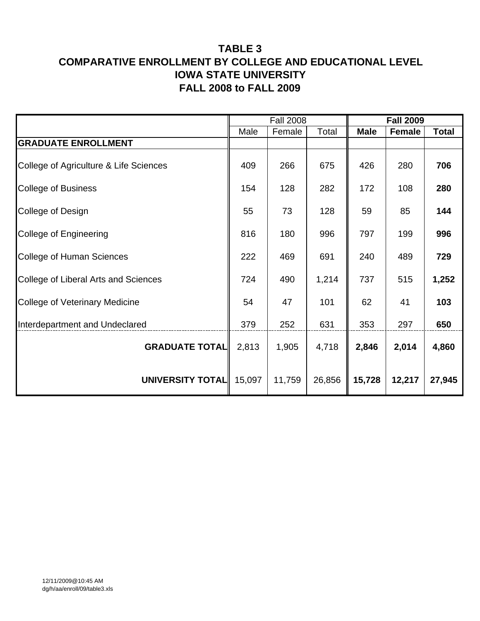|                                        |        | <b>Fall 2008</b> |        |             | <b>Fall 2009</b> |              |
|----------------------------------------|--------|------------------|--------|-------------|------------------|--------------|
|                                        | Male   | Female           | Total  | <b>Male</b> | <b>Female</b>    | <b>Total</b> |
| <b>GRADUATE ENROLLMENT</b>             |        |                  |        |             |                  |              |
| College of Agriculture & Life Sciences | 409    | 266              | 675    | 426         | 280              | 706          |
| <b>College of Business</b>             | 154    | 128              | 282    | 172         | 108              | 280          |
| College of Design                      | 55     | 73               | 128    | 59          | 85               | 144          |
| College of Engineering                 | 816    | 180              | 996    | 797         | 199              | 996          |
| College of Human Sciences              | 222    | 469              | 691    | 240         | 489              | 729          |
| College of Liberal Arts and Sciences   | 724    | 490              | 1,214  | 737         | 515              | 1,252        |
| <b>College of Veterinary Medicine</b>  | 54     | 47               | 101    | 62          | 41               | 103          |
| Interdepartment and Undeclared         | 379    | 252              | 631    | 353         | 297              | 650          |
| <b>GRADUATE TOTAL</b>                  | 2,813  | 1,905            | 4,718  | 2,846       | 2,014            | 4,860        |
| UNIVERSITY TOTAL                       | 15,097 | 11,759           | 26,856 | 15,728      | 12,217           | 27,945       |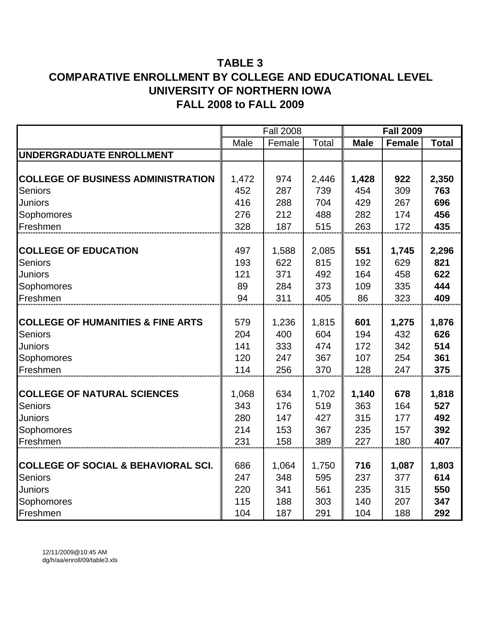|                                                |       | <b>Fall 2008</b> |       |             | <b>Fall 2009</b> |              |
|------------------------------------------------|-------|------------------|-------|-------------|------------------|--------------|
|                                                | Male  | Female           | Total | <b>Male</b> | <b>Female</b>    | <b>Total</b> |
| UNDERGRADUATE ENROLLMENT                       |       |                  |       |             |                  |              |
|                                                |       |                  |       |             |                  |              |
| <b>COLLEGE OF BUSINESS ADMINISTRATION</b>      | 1,472 | 974              | 2,446 | 1,428       | 922              | 2,350        |
| Seniors                                        | 452   | 287              | 739   | 454         | 309              | 763          |
| Juniors                                        | 416   | 288              | 704   | 429         | 267              | 696          |
| Sophomores                                     | 276   | 212              | 488   | 282         | 174              | 456          |
| Freshmen                                       | 328   | 187              | 515   | 263         | 172              | 435          |
|                                                |       |                  |       |             |                  |              |
| <b>COLLEGE OF EDUCATION</b>                    | 497   | 1,588            | 2,085 | 551         | 1,745            | 2,296        |
| <b>Seniors</b>                                 | 193   | 622              | 815   | 192         | 629              | 821          |
| Juniors                                        | 121   | 371              | 492   | 164         | 458              | 622          |
| Sophomores                                     | 89    | 284              | 373   | 109         | 335              | 444          |
| Freshmen                                       | 94    | 311              | 405   | 86          | 323              | 409          |
|                                                |       |                  |       |             |                  |              |
| <b>COLLEGE OF HUMANITIES &amp; FINE ARTS</b>   | 579   | 1,236            | 1,815 | 601         | 1,275            | 1,876        |
| <b>Seniors</b>                                 | 204   | 400              | 604   | 194         | 432              | 626          |
| Juniors                                        | 141   | 333              | 474   | 172         | 342              | 514          |
| Sophomores                                     | 120   | 247              | 367   | 107         | 254              | 361          |
| Freshmen                                       | 114   | 256              | 370   | 128         | 247              | 375          |
|                                                |       |                  |       |             |                  |              |
| <b>COLLEGE OF NATURAL SCIENCES</b>             | 1,068 | 634              | 1,702 | 1,140       | 678              | 1,818        |
| <b>Seniors</b>                                 | 343   | 176              | 519   | 363         | 164              | 527          |
| Juniors                                        | 280   | 147              | 427   | 315         | 177              | 492          |
| Sophomores                                     | 214   | 153              | 367   | 235         | 157              | 392          |
| Freshmen                                       | 231   | 158              | 389   | 227         | 180              | 407          |
|                                                |       |                  |       |             |                  |              |
| <b>COLLEGE OF SOCIAL &amp; BEHAVIORAL SCI.</b> | 686   | 1,064            | 1,750 | 716         | 1,087            | 1,803        |
| Seniors                                        | 247   | 348              | 595   | 237         | 377              | 614          |
| Juniors                                        | 220   | 341              | 561   | 235         | 315              | 550          |
| Sophomores                                     | 115   | 188              | 303   | 140         | 207              | 347          |
| Freshmen                                       | 104   | 187              | 291   | 104         | 188              | 292          |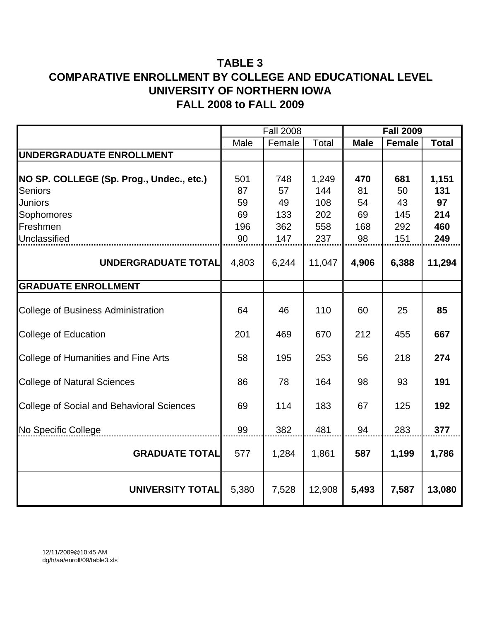|                                                  |          | <b>Fall 2008</b> |            | <b>Fall 2009</b> |               |              |  |  |
|--------------------------------------------------|----------|------------------|------------|------------------|---------------|--------------|--|--|
|                                                  | Male     | Female           | Total      | <b>Male</b>      | <b>Female</b> | <b>Total</b> |  |  |
| UNDERGRADUATE ENROLLMENT                         |          |                  |            |                  |               |              |  |  |
| NO SP. COLLEGE (Sp. Prog., Undec., etc.)         | 501      | 748              | 1,249      | 470              | 681           | 1,151        |  |  |
| <b>Seniors</b>                                   | 87       | 57               | 144        | 81               | 50            | 131          |  |  |
| <b>Juniors</b>                                   | 59<br>69 | 49               | 108<br>202 | 54               | 43            | 97<br>214    |  |  |
| Sophomores<br>Freshmen                           | 196      | 133<br>362       | 558        | 69<br>168        | 145<br>292    | 460          |  |  |
| Unclassified                                     | 90       | 147              | 237        | 98               | 151           | 249          |  |  |
|                                                  |          |                  |            |                  |               |              |  |  |
| UNDERGRADUATE TOTAL                              | 4,803    | 6,244            | 11,047     | 4,906            | 6,388         | 11,294       |  |  |
| <b>GRADUATE ENROLLMENT</b>                       |          |                  |            |                  |               |              |  |  |
| <b>College of Business Administration</b>        | 64       | 46               | 110        | 60               | 25            | 85           |  |  |
| <b>College of Education</b>                      | 201      | 469              | 670        | 212              | 455           | 667          |  |  |
| <b>College of Humanities and Fine Arts</b>       | 58       | 195              | 253        | 56               | 218           | 274          |  |  |
| <b>College of Natural Sciences</b>               | 86       | 78               | 164        | 98               | 93            | 191          |  |  |
| <b>College of Social and Behavioral Sciences</b> | 69       | 114              | 183        | 67               | 125           | 192          |  |  |
| No Specific College                              | 99       | 382              | 481        | 94               | 283           | 377          |  |  |
| <b>GRADUATE TOTAL</b>                            | 577      | 1,284            | 1,861      | 587              | 1,199         | 1,786        |  |  |
| <b>UNIVERSITY TOTAL</b>                          | 5,380    | 7,528            | 12,908     | 5,493            | 7,587         | 13,080       |  |  |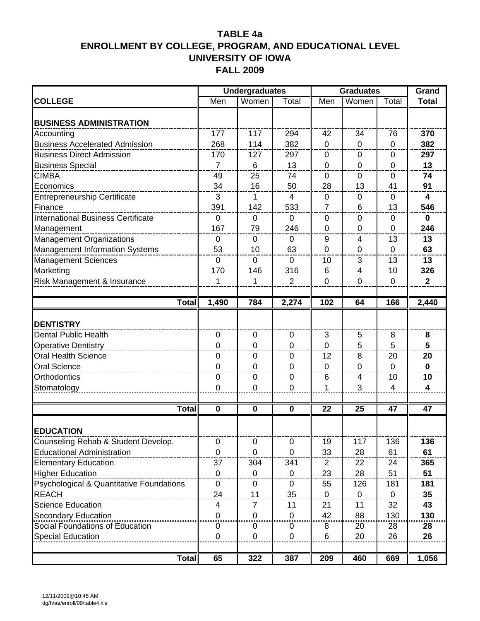|                                           |                | <b>Undergraduates</b> |              | <b>Graduates</b> | Grand          |                |                         |
|-------------------------------------------|----------------|-----------------------|--------------|------------------|----------------|----------------|-------------------------|
| <b>COLLEGE</b>                            | Men            | Women                 | Total        | Men              | Women          | Total          | <b>Total</b>            |
| <b>BUSINESS ADMINISTRATION</b>            |                |                       |              |                  |                |                |                         |
| Accounting                                | 177            | 117                   | 294          | 42               | 34             | 76             | 370                     |
| <b>Business Accelerated Admission</b>     | 268            | 114                   | 382          | $\mathbf 0$      | $\mathbf 0$    | $\mathbf 0$    | 382                     |
| <b>Business Direct Admission</b>          | 170            | 127                   | 297          | 0                | $\mathbf 0$    | 0              | 297                     |
| <b>Business Special</b>                   | $\overline{7}$ | 6                     | 13           | 0                | $\mathbf 0$    | $\mathbf 0$    | 13                      |
| <b>CIMBA</b>                              | 49             | 25                    | 74           | 0                | 0              | 0              | 74                      |
| Economics                                 | 34             | 16                    | 50           | 28               | 13             | 41             | 91                      |
| <b>Entrepreneurship Certificate</b>       | 3              | 1                     | 4            | 0                | $\mathbf 0$    | 0              | $\overline{\mathbf{4}}$ |
| Finance                                   | 391            | 142                   | 533          | $\overline{7}$   | 6              | 13             | 546                     |
| <b>International Business Certificate</b> | $\mathbf 0$    | 0                     | $\mathbf{0}$ | 0                | $\Omega$       | 0              | $\mathbf 0$             |
| Management                                | 167            | 79                    | 246          | 0                | $\mathbf 0$    | $\mathbf 0$    | 246                     |
| <b>Management Organizations</b>           | $\mathbf 0$    | $\mathbf 0$           | $\mathbf 0$  | 9                | 4              | 13             | 13                      |
| <b>Management Information Systems</b>     | 53             | 10                    | 63           | $\mathbf 0$      | $\mathbf 0$    | $\mathbf 0$    | 63                      |
| <b>Management Sciences</b>                | $\mathbf 0$    | $\Omega$              | $\mathbf{0}$ | 10               | 3              | 13             | 13                      |
| Marketing                                 | 170            | 146                   | 316          | 6                | 4              | 10             | 326                     |
| Risk Management & Insurance               | 1              | 1                     | 2            | $\overline{0}$   | $\mathbf 0$    | $\mathbf 0$    | $\overline{2}$          |
|                                           |                |                       |              |                  |                |                |                         |
| $\overline{\textsf{T}}$ otal              | 1,490          | 784                   | 2,274        | 102              | 64             | 166            | 2,440                   |
| <b>DENTISTRY</b>                          |                |                       |              |                  |                |                |                         |
| Dental Public Health                      | 0              | $\mathbf 0$           | $\mathbf 0$  | 3                | 5              | 8              | 8                       |
| <b>Operative Dentistry</b>                | 0              | 0                     | 0            | $\mathbf 0$      | 5              | 5              | 5                       |
| <b>Oral Health Science</b>                | 0              | 0                     | 0            | 12               | 8              | 20             | 20                      |
| Oral Science                              | $\mathbf 0$    | 0                     | $\mathbf 0$  | 0                | $\mathbf 0$    | $\overline{0}$ | $\bf{0}$                |
| Orthodontics                              | $\mathbf 0$    | $\mathbf 0$           | $\mathbf 0$  | 6                | $\overline{4}$ | 10             | 10                      |
| Stomatology                               | 0              | 0                     | 0            | 1                | 3              | 4              | 4                       |
|                                           |                |                       |              |                  |                |                |                         |
| <b>Total</b>                              | $\mathbf 0$    | 0                     | $\bf{0}$     | 22               | 25             | 47             | 47                      |
| <b>EDUCATION</b>                          |                |                       |              |                  |                |                |                         |
| Counseling Rehab & Student Develop.       | 0              | 0                     | 0            | 19               | 117            | 136            | 136                     |
| <b>Educational Administration</b>         | $\mathbf 0$    | 0                     | $\mathbf 0$  | 33               | 28             | 61             | 61                      |
| <b>Elementary Education</b>               | 37             | 304                   | 341          | 2                | 22             | 24             | 365                     |
| <b>Higher Education</b>                   | $\mathbf 0$    | $\mathbf 0$           | $\mathbf 0$  | 23               | 28             | 51             | 51                      |
| Psychological & Quantitative Foundations  | $\mathbf 0$    | 0                     | $\mathbf 0$  | 55               | 126            | 181            | 181                     |
| <b>REACH</b>                              | 24             | 11                    | 35           | 0                | $\mathbf 0$    | 0              | 35                      |
| <b>Science Education</b>                  | 4              | 7                     | 11           | 21               | 11             | 32             | 43                      |
| <b>Secondary Education</b>                | 0              | $\mathbf 0$           | $\mathbf{0}$ | 42               | 88             | 130            | 130                     |
| Social Foundations of Education           | 0              | 0                     | 0            | 8                | 20             | 28             | 28                      |
| <b>Special Education</b>                  | $\mathbf 0$    | 0                     | 0            | 6                | 20             | 26             | 26                      |
|                                           |                |                       |              |                  |                |                |                         |
| <b>Total</b>                              | 65             | 322                   | 387          | 209              | 460            | 669            | 1,056                   |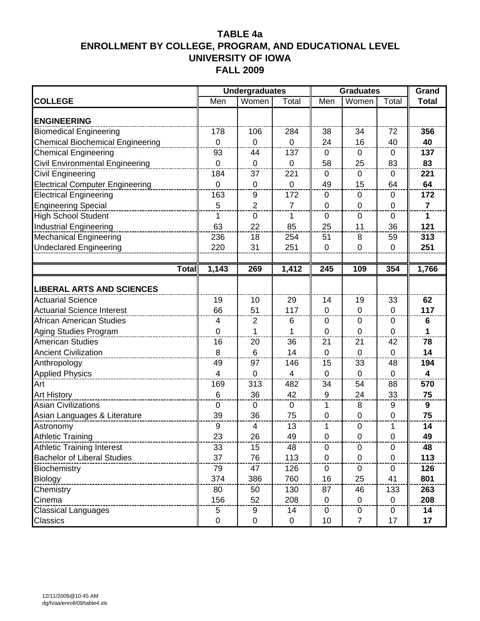|                                                |                 | <b>Undergraduates</b> |                | <b>Graduates</b> | Grand          |                |                |
|------------------------------------------------|-----------------|-----------------------|----------------|------------------|----------------|----------------|----------------|
| <b>COLLEGE</b>                                 | Men             | Women                 | Total          | Men              | Women          | Total          | <b>Total</b>   |
| <b>ENGINEERING</b>                             |                 |                       |                |                  |                |                |                |
| <b>Biomedical Engineering</b>                  | 178             | 106                   | 284            | 38               | 34             | 72             | 356            |
| <b>Chemical Biochemical Engineering</b>        | $\mathbf 0$     | 0                     | 0              | 24               | 16             | 40             | 40             |
| <b>Chemical Engineering</b>                    | 93              | 44                    | 137            | 0                | 0              | 0              | 137            |
| Civil Environmental Engineering                | $\overline{0}$  | $\overline{0}$        | $\mathbf 0$    | 58               | 25             | 83             | 83             |
| <b>Civil Engineering</b>                       | 184             | 37                    | 221            | $\mathbf 0$      | $\mathbf 0$    | $\mathbf 0$    | 221            |
| <b>Electrical Computer Engineering</b>         | $\mathbf 0$     | 0                     | 0              | 49               | 15             | 64             | 64             |
| <b>Electrical Engineering</b>                  | 163             | 9                     | 172            | 0                | $\Omega$       | 0              | 172            |
| <b>Engineering Special</b>                     | 5               | $\overline{2}$        | $\overline{7}$ | $\mathbf 0$      | $\mathbf 0$    | $\mathbf 0$    | $\overline{7}$ |
| <b>High School Student</b>                     | $\mathbf 1$     | $\pmb{0}$             | 1              | $\mathbf 0$      | $\mathbf 0$    | $\mathbf 0$    | $\mathbf{1}$   |
| <b>Industrial Engineering</b>                  | 63              | 22                    | 85             | 25               | 11             | 36             | 121            |
| <b>Mechanical Engineering</b>                  | 236             | 18                    | 254            | 51               | 8              | 59             | 313            |
| <b>Undeclared Engineering</b>                  | 220             | 31                    | 251            | $\mathbf 0$      | $\overline{0}$ | $\mathbf 0$    | 251            |
|                                                |                 |                       |                |                  |                |                |                |
| <b>Total</b>                                   | 1,143           | 269                   | 1,412          | 245              | 109            | 354            | 1,766          |
|                                                |                 |                       |                |                  |                |                |                |
| <b>LIBERAL ARTS AND SCIENCES</b>               |                 |                       |                |                  |                |                |                |
| <b>Actuarial Science</b>                       | 19              | 10                    | 29             | 14               | 19             | 33             | 62             |
| <b>Actuarial Science Interest</b>              | 66              | 51                    | 117            | $\mathbf 0$      | $\mathbf 0$    | $\overline{0}$ | 117            |
| <b>African American Studies</b>                | $\overline{4}$  | $\overline{2}$        | 6              | $\mathbf 0$      | $\mathbf 0$    | $\mathbf 0$    | 6              |
| Aging Studies Program                          | $\mathbf 0$     | 1                     | 1              | $\mathbf 0$      | $\mathbf 0$    | 0              | 1              |
| <b>American Studies</b>                        | 16              | 20                    | 36             | 21               | 21             | 42             | 78             |
| <b>Ancient Civilization</b>                    | 8               | 6                     | 14             | $\overline{0}$   | $\Omega$       | $\Omega$       | 14             |
| Anthropology                                   | 49              | 97                    | 146            | 15               | 33             | 48             | 194            |
| <b>Applied Physics</b>                         | $\overline{4}$  | 0                     | 4              | $\mathbf 0$      | $\mathbf 0$    | $\mathbf 0$    | 4              |
| Art                                            | 169             | 313                   | 482            | 34               | 54             | 88             | 570            |
| <b>Art History</b>                             | $6\phantom{1}6$ | 36                    | 42             | 9                | 24             | 33             | 75             |
| <b>Asian Civilizations</b>                     | $\mathbf 0$     | 0                     | 0              | 1                | 8              | 9              | 9              |
| Asian Languages & Literature                   | 39              | 36                    | 75             | $\mathbf 0$      | $\mathbf 0$    | $\mathbf 0$    | 75             |
| Astronomy                                      | 9               | 4                     | 13             | 1                | $\mathbf 0$    | 1              | 14             |
| Athletic Training                              | 23              | 26                    | 49             | $\Omega$         | <sup>n</sup>   | <sup>n</sup>   | 49             |
| <b>Athletic Training Interest</b>              | 33              | 15                    | 48             | 0                | 0              | $\mathbf 0$    | 48             |
| <b>Bachelor of Liberal Studies</b>             | 37              | 76                    | 113            | $\mathbf 0$      | 0              | 0              | 113            |
| Biochemistry                                   | 79              | 47                    | 126            | 0                | 0              | 0              | 126            |
| <b>Biology</b><br>---------------------------- | 374             | 386                   | 760            | 16               | 25             | 41             | 801            |
| Chemistry                                      | 80              | 50                    | 130            | 87               | 46             | 133            | 263            |
| Cinema                                         | 156             | 52                    | 208            | $\mathbf 0$      | 0              | $\mathbf 0$    | 208            |
| <b>Classical Languages</b>                     | 5               | 9                     | 14             | 0                | 0              | 0              | 14             |
| Classics                                       | $\mathbf 0$     | 0                     | $\mathbf 0$    | 10               | $\overline{7}$ | 17             | 17             |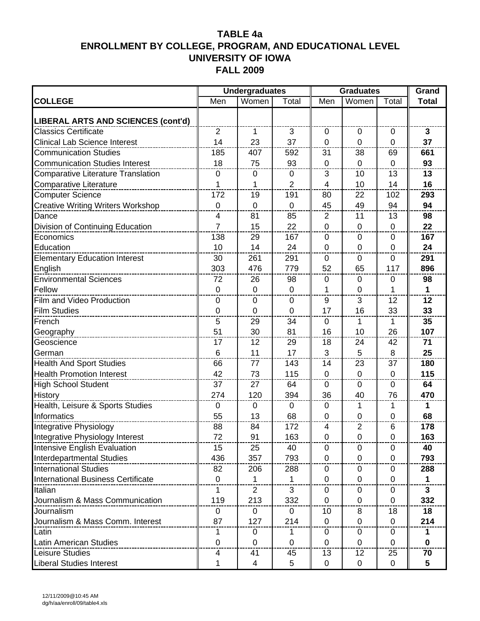|                                           |                | <b>Undergraduates</b> |             | <b>Graduates</b> | Grand          |              |              |
|-------------------------------------------|----------------|-----------------------|-------------|------------------|----------------|--------------|--------------|
| <b>COLLEGE</b>                            | Men            | Women                 | Total       | Men              | Women          | Total        | <b>Total</b> |
| <b>LIBERAL ARTS AND SCIENCES (cont'd)</b> |                |                       |             |                  |                |              |              |
| <b>Classics Certificate</b>               | 2              | $\mathbf{1}$          | 3           | $\mathbf 0$      | 0              | $\mathbf 0$  | $\mathbf{3}$ |
| <b>Clinical Lab Science Interest</b>      | 14             | 23                    | 37          | $\mathbf 0$      | $\mathbf 0$    | $\mathbf 0$  | 37           |
| <b>Communication Studies</b>              | 185            | 407                   | 592         | 31               | 38             | 69           | 661          |
| <b>Communication Studies Interest</b>     | 18             | 75                    | 93          | $\mathbf 0$      | $\mathbf 0$    | $\mathbf 0$  | 93           |
| <b>Comparative Literature Translation</b> | $\mathbf 0$    | $\pmb{0}$             | 0           | 3                | 10             | 13           | 13           |
| <b>Comparative Literature</b>             | 1              | 1                     | 2           | 4                | 10             | 14           | 16           |
| <b>Computer Science</b>                   | 172            | 19                    | 191         | 80               | 22             | 102          | 293          |
| <b>Creative Writing Writers Workshop</b>  | $\mathbf 0$    | $\mathbf 0$           | $\mathbf 0$ | 45               | 49             | 94           | 94           |
| Dance                                     | 4              | 81                    | 85          | 2                | 11             | 13           | 98           |
| Division of Continuing Education          | $\overline{7}$ | 15                    | 22          | $\overline{0}$   | $\mathbf 0$    | 0            | 22           |
| Economics                                 | 138            | 29                    | 167         | 0                | $\Omega$       | 0            | 167          |
| Education                                 | 10             | 14                    | 24          | $\mathbf 0$      | $\mathbf 0$    | 0            | 24           |
| <b>Elementary Education Interest</b>      | 30             | 261                   | 291         | 0                | $\Omega$       | $\Omega$     | 291          |
| English                                   | 303            | 476                   | 779         | 52               | 65             | 117          | 896          |
| <b>Environmental Sciences</b>             | 72             | 26                    | 98          | 0                | $\Omega$       | 0            | 98           |
| Fellow                                    | $\mathbf 0$    | $\boldsymbol{0}$      | $\mathbf 0$ | 1                | $\mathbf 0$    | 1            | $\mathbf 1$  |
| Film and Video Production                 | $\mathbf 0$    | $\pmb{0}$             | 0           | 9                | 3              | 12           | 12           |
| <b>Film Studies</b>                       | $\mathbf 0$    | $\mathbf 0$           | 0           | 17               | 16             | 33           | 33           |
| French                                    | 5              | 29                    | 34          | $\mathbf 0$      | 1              | $\mathbf 1$  | 35           |
| Geography                                 | 51             | 30                    | 81          | 16               | 10             | 26           | 107          |
| Geoscience                                | 17             | 12                    | 29          | 18               | 24             | 42           | 71           |
| German                                    | 6              | 11                    | 17          | 3                | 5              | 8            | 25           |
| <b>Health And Sport Studies</b>           | 66             | 77                    | 143         | 14               | 23             | 37           | 180          |
| <b>Health Promotion Interest</b>          | 42             | 73                    | 115         | $\mathbf 0$      | $\mathbf 0$    | 0            | 115          |
| <b>High School Student</b>                | 37             | 27                    | 64          | 0                | $\mathbf{0}$   | $\mathbf{0}$ | 64           |
| <b>History</b>                            | 274            | 120                   | 394         | 36               | 40             | 76           | 470          |
| Health, Leisure & Sports Studies          | 0              | 0                     | $\mathbf 0$ | 0                | 1              | 1            | 1            |
| Informatics                               | 55             | 13                    | 68          | 0                | 0              | 0            | 68           |
| Integrative Physiology                    | 88             | 84                    | 172         | 4                | $\overline{2}$ | 6            | 178          |
| Integrative Physiology Interest           | 72             | 91                    | 163         | $\Omega$         | $\Omega$       | ∩            | 163          |
| Intensive English Evaluation              | 15             | 25                    | 40          | 0                | 0              | 0            | 40           |
| Interdepartmental Studies                 | 436            | 357                   | 793         | 0                | $\mathbf 0$    | 0            | 793          |
| <b>International Studies</b>              | 82             | 206                   | 288         | 0                | 0              | 0            | 288          |
| International Business Certificate        | $\mathbf 0$    | 1                     | 1           | $\mathbf 0$      | $\mathbf 0$    | $\Omega$     | $\mathbf 1$  |
| Italian                                   | 1              | $\overline{2}$        | 3           | $\mathbf 0$      | 0              | 0            | $\mathbf{3}$ |
| Journalism & Mass Communication           | 119            | 213                   | 332         | 0                | 0              | 0            | 332          |
| Journalism                                | 0              | 0                     | $\mathbf 0$ | 10               | 8              | 18           | 18           |
| Journalism & Mass Comm. Interest          | 87             | 127                   | 214         | $\mathbf 0$      | $\mathbf 0$    | $\Omega$     | 214          |
| Latin                                     | 1              | 0                     | 1           | 0                | 0              | 0            | 1            |
| <b>Latin American Studies</b>             | $\mathbf 0$    | 0                     | $\mathbf 0$ | 0                | $\mathbf 0$    | 0            | 0            |
| Leisure Studies                           | 4              | 41                    | 45          | 13               | 12             | 25           | 70           |
| <b>Liberal Studies Interest</b>           | 1              | $\overline{4}$        | 5           | $\mathbf 0$      | $\mathbf 0$    | $\Omega$     | 5            |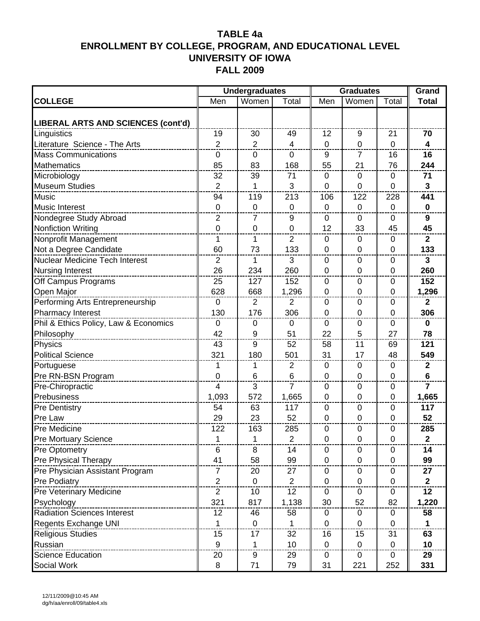|                                       |                | <b>Undergraduates</b> |                | <b>Graduates</b> | Grand          |                |                         |
|---------------------------------------|----------------|-----------------------|----------------|------------------|----------------|----------------|-------------------------|
| <b>COLLEGE</b>                        | Men            | Women                 | Total          | Men              | Women          | Total          | <b>Total</b>            |
| LIBERAL ARTS AND SCIENCES (cont'd)    |                |                       |                |                  |                |                |                         |
| Linguistics                           | 19             | 30                    | 49             | 12               | 9              | 21             | 70                      |
| Literature Science - The Arts         | $\overline{2}$ | $\overline{2}$        | 4              | $\mathbf 0$      | $\mathbf 0$    | $\mathbf 0$    | $\overline{\mathbf{4}}$ |
| <b>Mass Communications</b>            | $\mathbf 0$    | $\boldsymbol{0}$      | $\mathbf 0$    | 9                | $\overline{7}$ | 16             | 16                      |
| <b>Mathematics</b>                    | 85             | 83                    | 168            | 55               | 21             | 76             | 244                     |
| Microbiology                          | 32             | 39                    | 71             | 0                | 0              | 0              | 71                      |
| <b>Museum Studies</b>                 | $\overline{2}$ | 1                     | 3              | $\overline{0}$   | $\mathbf 0$    | $\overline{0}$ | $\mathbf{3}$            |
| <b>Music</b>                          | 94             | 119                   | 213            | 106              | 122            | 228            | 441                     |
| <b>Music Interest</b>                 | $\mathbf 0$    | $\mathbf 0$           | $\mathbf 0$    | $\mathbf 0$      | $\mathbf 0$    | $\mathbf 0$    | $\mathbf 0$             |
| Nondegree Study Abroad                | 2              | 7                     | 9              | 0                | $\Omega$       | 0              | 9                       |
| <b>Nonfiction Writing</b>             | $\mathbf 0$    | $\mathbf 0$           | 0              | 12               | 33             | 45             | 45                      |
| Nonprofit Management                  | 1              | 1                     | $\overline{2}$ | $\mathbf 0$      | $\mathbf 0$    | $\mathbf 0$    | $\mathbf{2}$            |
| Not a Degree Candidate                | 60             | 73                    | 133            | $\overline{0}$   | $\mathbf 0$    | $\mathbf 0$    | 133                     |
| Nuclear Medicine Tech Interest        | 2              | 1                     | 3              | 0                | $\Omega$       | 0              | 3                       |
| <b>Nursing Interest</b>               | 26             | 234                   | 260            | $\mathbf 0$      | $\mathbf 0$    | 0              | 260                     |
| Off Campus Programs                   | 25             | 127                   | 152            | $\mathbf 0$      | $\mathbf 0$    | 0              | 152                     |
| Open Major                            | 628            | 668                   | 1,296          | $\mathbf 0$      | $\mathbf 0$    | $\mathbf 0$    | 1,296                   |
| Performing Arts Entrepreneurship      | $\mathbf 0$    | $\overline{2}$        | $\overline{2}$ | 0                | $\Omega$       | 0              | $\mathbf{2}$            |
| Pharmacy Interest                     | 130            | 176                   | 306            | $\mathbf 0$      | $\mathbf 0$    | 0              | 306                     |
| Phil & Ethics Policy, Law & Economics | $\mathbf 0$    | $\pmb{0}$             | $\mathbf 0$    | 0                | $\mathbf 0$    | 0              | $\mathbf 0$             |
| Philosophy                            | 42             | 9                     | 51             | 22               | 5              | 27             | 78                      |
| Physics                               | 43             | $9\,$                 | 52             | 58               | 11             | 69             | 121                     |
| <b>Political Science</b>              | 321            | 180                   | 501            | 31               | 17             | 48             | 549                     |
| Portuguese                            | 1              | 1                     | $\overline{2}$ | $\boldsymbol{0}$ | $\mathbf 0$    | 0              | $\mathbf{2}$            |
| Pre RN-BSN Program                    | $\overline{0}$ | 6                     | 6              | $\overline{0}$   | $\mathbf 0$    | $\overline{0}$ | 6                       |
| Pre-Chiropractic                      | $\overline{4}$ | 3                     | $\overline{7}$ | $\mathbf 0$      | $\mathbf 0$    | $\mathbf 0$    | $\overline{7}$          |
| Prebusiness                           | 1,093          | 572                   | 1,665          | $\mathbf 0$      | $\mathbf 0$    | $\mathbf 0$    | 1,665                   |
| <b>Pre Dentistry</b>                  | 54             | 63                    | 117            | 0                | $\Omega$       | $\mathbf 0$    | 117                     |
| Pre Law                               | 29             | 23                    | 52             | $\mathbf 0$      | $\mathbf 0$    | $\mathbf 0$    | 52                      |
| <b>Pre Medicine</b>                   | 122            | 163                   | 285            | 0                | $\Omega$       | $\Omega$       | 285                     |
| <b>Pre Mortuary Science</b>           | 1              | 1                     | 2              | O                | $\cup$         | $\cup$         | 2                       |
| Pre Optometry                         | 6              | 8                     | 14             | 0                | 0              | 0              | 14                      |
| Pre Physical Therapy                  | 41             | 58                    | 99             | $\overline{0}$   | $\mathbf 0$    | $\mathbf 0$    | 99                      |
| Pre Physician Assistant Program       | $\overline{7}$ | 20                    | 27             | 0                | $\mathbf 0$    | $\mathbf 0$    | 27                      |
| <b>Pre Podiatry</b>                   | $\overline{c}$ | 0                     | $\overline{2}$ | $\mathbf 0$      | 0              | 0              | $\mathbf{2}$            |
| <b>Pre Veterinary Medicine</b>        | $\overline{2}$ | 10                    | 12             | $\mathbf 0$      | 0              | 0              | 12                      |
| Psychology                            | 321            | 817                   | 1,138          | 30               | 52             | 82             | 1,220                   |
| <b>Radiation Sciences Interest</b>    | 12             | 46                    | 58             | 0                | $\mathbf 0$    | 0              | 58                      |
| Regents Exchange UNI                  | 1              | 0                     | 1              | $\mathbf 0$      | 0              | 0              | $\mathbf 1$             |
| <b>Religious Studies</b>              | 15             | 17                    | 32             | 16               | 15             | 31             | 63                      |
| Russian                               | 9              | 1                     | 10             | $\mathbf 0$      | $\mathbf 0$    | $\mathbf 0$    | 10                      |
| Science Education                     | 20             | 9                     | 29             | 0                | $\mathbf 0$    | $\mathbf 0$    | 29                      |
| Social Work                           | 8              | 71                    | 79             | 31               | 221            | 252            | 331                     |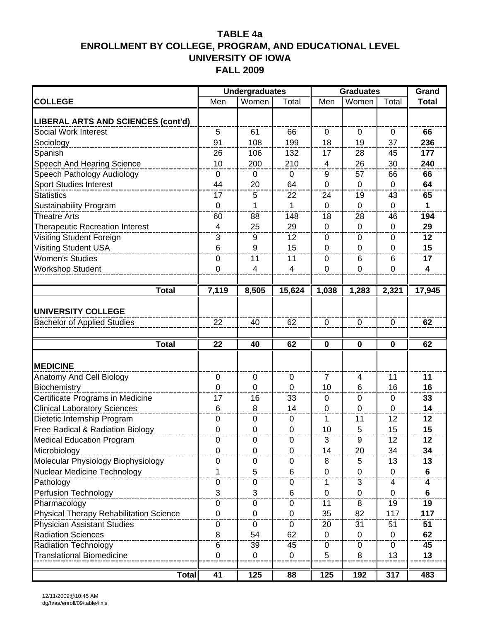|                                         |                          | <b>Undergraduates</b> |             | <b>Graduates</b> | <b>Grand</b>   |             |                 |
|-----------------------------------------|--------------------------|-----------------------|-------------|------------------|----------------|-------------|-----------------|
| <b>COLLEGE</b>                          | Men                      | Women                 | Total       | Men              | Women          | Total       | <b>Total</b>    |
| LIBERAL ARTS AND SCIENCES (cont'd)      |                          |                       |             |                  |                |             |                 |
| Social Work Interest                    | $\overline{5}$           | 61                    | 66          | $\mathbf 0$      | $\mathbf 0$    | $\mathbf 0$ | 66              |
| Sociology                               | 91                       | 108                   | 199         | 18               | 19             | 37          | 236             |
| Spanish                                 | 26                       | 106                   | 132         | 17               | 28             | 45          | 177             |
| Speech And Hearing Science              | 10                       | 200                   | 210         | $\overline{4}$   | 26             | 30          | 240             |
| Speech Pathology Audiology              | $\mathbf 0$              | $\mathbf 0$           | $\mathbf 0$ | 9                | 57             | 66          | 66              |
| <b>Sport Studies Interest</b>           | 44                       | 20                    | 64          | $\mathbf 0$      | 0              | $\mathbf 0$ | 64              |
| <b>Statistics</b>                       | 17                       | 5                     | 22          | 24               | 19             | 43          | 65              |
| Sustainability Program                  | $\mathbf 0$              | 1                     | 1           | $\mathbf 0$      | $\mathbf 0$    | $\mathbf 0$ | $\mathbf 1$     |
| <b>Theatre Arts</b>                     | 60                       | 88                    | 148         | 18               | 28             | 46          | 194             |
| <b>Therapeutic Recreation Interest</b>  | $\overline{\mathcal{L}}$ | 25                    | 29          | $\overline{0}$   | $\mathbf 0$    | $\mathbf 0$ | 29              |
| Visiting Student Foreign                | 3                        | 9                     | 12          | $\Omega$         | $\Omega$       | 0           | 12              |
| <b>Visiting Student USA</b>             | $6\phantom{1}6$          | 9                     | 15          | $\mathbf 0$      | $\mathbf 0$    | $\mathbf 0$ | 15              |
| <b>Women's Studies</b>                  | $\mathbf 0$              | 11                    | 11          | 0                | 6              | 6           | 17              |
| Workshop Student                        | 0                        | 4                     | 4           | $\overline{0}$   | $\mathbf 0$    | $\mathbf 0$ | 4               |
|                                         |                          |                       |             |                  |                |             |                 |
| <b>Total</b>                            | 7,119                    | 8,505                 | 15,624      | 1,038            | 1,283          | 2,321       | 17,945          |
| UNIVERSITY COLLEGE                      |                          |                       |             |                  |                |             |                 |
| <b>Bachelor of Applied Studies</b>      | 22                       | 40                    | 62          | $\mathbf 0$      | 0              | 0           | 62              |
|                                         |                          |                       |             |                  |                |             |                 |
| <b>Total</b>                            | 22                       | 40                    | 62          | $\mathbf 0$      | $\mathbf 0$    | $\bf{0}$    | 62              |
|                                         |                          |                       |             |                  |                |             |                 |
|                                         |                          |                       |             |                  |                |             |                 |
| <b>MEDICINE</b>                         |                          |                       |             |                  |                |             |                 |
| Anatomy And Cell Biology                | $\mathbf 0$              | 0                     | 0           | $\overline{7}$   | $\overline{4}$ | 11          | 11              |
| Biochemistry                            | $\overline{0}$           | 0                     | 0           | 10               | 6              | 16          | 16              |
| Certificate Programs in Medicine        | 17                       | 16                    | 33          | 0                | 0              | 0           | 33              |
| <b>Clinical Laboratory Sciences</b>     | 6                        | 8                     | 14          | $\overline{0}$   | $\Omega$       | $\mathbf 0$ | 14              |
| Dietetic Internship Program             | $\mathbf 0$              | $\mathbf 0$           | $\mathbf 0$ | 1                | 11             | 12          | 12              |
| Free Radical & Radiation Biology        | $\mathbf 0$              | 0                     | 0           | 10               | 5              | 15          | 15              |
| <b>Medical Education Program</b>        | 0                        | 0                     | 0           | З                | 9              | 12          | 12              |
| Microbiology                            | $\mathbf 0$              | $\mathbf 0$           | $\mathbf 0$ | 14               | 20             | 34          | 34              |
| Molecular Physiology Biophysiology      | 0                        | $\boldsymbol{0}$      | $\mathbf 0$ | 8                | 5              | 13          | 13              |
| Nuclear Medicine Technology             | 1                        | 5                     | 6           | $\mathbf 0$      | 0              | 0           | 6               |
| Pathology                               | 0                        | 0                     | 0           | 1                | 3              | 4           | 4               |
| <b>Perfusion Technology</b>             | 3                        | 3                     | 6           | $\mathbf 0$      | $\mathbf 0$    | $\Omega$    | 6               |
| Pharmacology                            | $\pmb{0}$                | $\pmb{0}$             | $\mathbf 0$ | 11               | 8              | 19          | 19              |
| Physical Therapy Rehabilitation Science | $\mathbf 0$              | $\mathbf 0$           | $\mathbf 0$ | 35               | 82             | 117         | 117             |
| <b>Physician Assistant Studies</b>      | 0                        | 0                     | 0           | 20               | 31             | 51          | 51              |
| <b>Radiation Sciences</b>               | 8                        | 54                    | 62          | $\mathbf 0$      | $\mathbf 0$    | $\mathbf 0$ | 62              |
| <b>Radiation Technology</b>             | $\overline{6}$           | 39                    | 45          | 0                | $\mathbf 0$    | $\mathbf 0$ | $\overline{45}$ |
| <b>Translational Biomedicine</b>        | $\pmb{0}$                | $\pmb{0}$             | $\mathbf 0$ | 5                | 8              | 13          | 13              |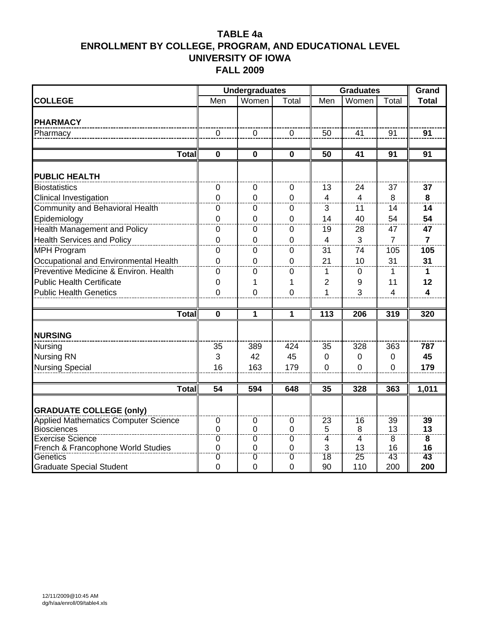|                                                |                               | <b>Undergraduates</b> |                     |                         | <b>Graduates</b> |                 | Grand                   |
|------------------------------------------------|-------------------------------|-----------------------|---------------------|-------------------------|------------------|-----------------|-------------------------|
| <b>COLLEGE</b>                                 | Men                           | Women                 | Total               | Men                     | Women            | Total           | <b>Total</b>            |
|                                                |                               |                       |                     |                         |                  |                 |                         |
| <b>PHARMACY</b>                                |                               |                       |                     |                         |                  |                 |                         |
| Pharmacy                                       | $\Omega$                      | $\overline{0}$        | $\Omega$            | 50                      | 41               | 91              | 91                      |
|                                                |                               |                       |                     |                         |                  |                 |                         |
| <b>Total</b>                                   | $\mathbf 0$                   | 0                     | $\mathbf 0$         | $\overline{50}$         | 41               | 91              | $\overline{91}$         |
| <b>PUBLIC HEALTH</b>                           |                               |                       |                     |                         |                  |                 |                         |
| <b>Biostatistics</b>                           | $\mathbf 0$                   | $\mathbf 0$           | $\mathbf 0$         | 13                      | 24               | 37              | 37                      |
| Clinical Investigation                         | $\mathbf 0$                   | $\mathbf 0$           | $\mathbf 0$         | $\overline{\mathbf{4}}$ | $\overline{4}$   | 8               | 8                       |
| <b>Community and Behavioral Health</b>         | 0                             | 0                     | 0                   | 3                       | 11               | 14              | 14                      |
| Epidemiology                                   | $\Omega$                      | $\mathbf 0$           | 0                   | 14                      | 40               | 54              | 54                      |
| <b>Health Management and Policy</b>            | $\mathbf 0$                   | 0                     | 0                   | 19                      | 28               | 47              | 47                      |
| <b>Health Services and Policy</b>              | $\mathbf 0$                   | $\mathbf 0$           | $\mathbf 0$         | 4                       | 3                | $\overline{7}$  | $\overline{7}$          |
| <b>MPH Program</b>                             | $\mathbf 0$                   | 0                     | 0                   | 31                      | 74               | 105             | 105                     |
| Occupational and Environmental Health          | $\mathbf 0$                   | $\mathbf 0$           | $\mathbf 0$         | 21                      | 10               | 31              | 31                      |
| Preventive Medicine & Environ. Health          | $\mathbf 0$                   | $\mathbf 0$           | 0                   | 1                       | 0                | 1               | 1                       |
| <b>Public Health Certificate</b>               | 0                             | 1                     | 1                   | $\overline{2}$          | 9                | 11              | 12                      |
| <b>Public Health Genetics</b>                  | $\overline{0}$                | $\mathbf 0$           | $\mathbf 0$         | 1                       | 3                | $\overline{4}$  | 4                       |
|                                                |                               |                       |                     |                         |                  |                 |                         |
| Total                                          | $\mathbf 0$                   | $\mathbf{1}$          | 1                   | 113                     | 206              | 319             | 320                     |
| <b>NURSING</b>                                 |                               |                       |                     |                         |                  |                 |                         |
| <b>Nursing</b>                                 | 35                            | 389                   | 424                 | 35                      | 328              | 363             | 787                     |
| <b>Nursing RN</b>                              | 3                             | 42                    | 45                  | 0                       | $\Omega$         | 0               | 45                      |
|                                                | 16                            | 163                   | 179                 | $\overline{0}$          | $\Omega$         | $\Omega$        | 179                     |
| <b>Nursing Special</b>                         |                               |                       |                     |                         |                  |                 |                         |
| <b>Total</b>                                   | $\overline{54}$               | 594                   | 648                 | 35                      | 328              | 363             | 1,011                   |
|                                                |                               |                       |                     |                         |                  |                 |                         |
| <b>GRADUATE COLLEGE (only)</b>                 |                               |                       |                     |                         |                  |                 |                         |
| <b>Applied Mathematics Computer Science</b>    | $\mathbf 0$                   | $\mathbf 0$           | $\mathbf 0$         | $\overline{23}$         | 16               | $\overline{39}$ | 39                      |
| <b>Biosciences</b>                             | $\mathbf 0$                   | $\overline{0}$        | $\mathbf 0$         | 5                       | 8                | 13              | 13                      |
| Exercise Science                               | $\overline{0}$                | $\overline{0}$        | $\overline{0}$      | $\overline{4}$          | $\overline{4}$   | $\overline{8}$  | $\overline{\mathbf{8}}$ |
| French & Francophone World Studies<br>Genetics | $\mathbf 0$<br>$\overline{0}$ | 0<br>$\overline{0}$   | $\overline{0}$<br>ō | 3<br>18                 | 13<br>25         | 16<br>43        | 16<br>43                |
| <b>Graduate Special Student</b>                | $\mathbf 0$                   | 0                     | 0                   | 90                      | 110              | 200             | 200                     |
|                                                |                               |                       |                     |                         |                  |                 |                         |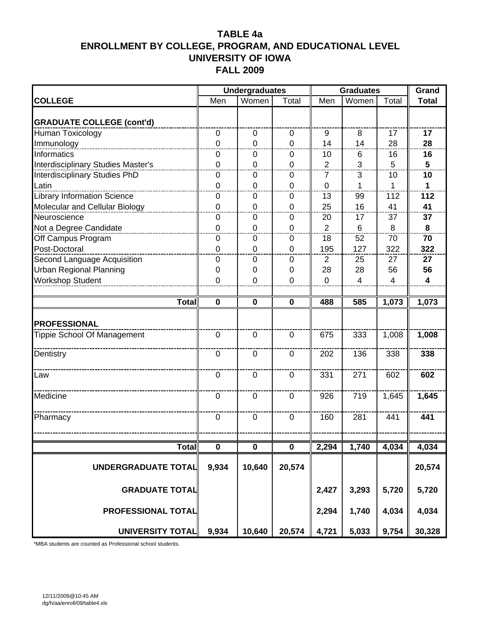|                                    |                | <b>Undergraduates</b> |                | <b>Graduates</b> | Grand          |                |                         |
|------------------------------------|----------------|-----------------------|----------------|------------------|----------------|----------------|-------------------------|
| <b>COLLEGE</b>                     | Men            | Women                 | Total          | Men              | Women          | Total          | <b>Total</b>            |
| <b>GRADUATE COLLEGE (cont'd)</b>   |                |                       |                |                  |                |                |                         |
| Human Toxicology                   | $\mathbf 0$    | $\pmb{0}$             | 0              | 9                | 8              | 17             | 17                      |
| Immunology                         | $\overline{0}$ | $\mathbf 0$           | $\mathbf 0$    | 14               | 14             | 28             | 28                      |
| Informatics                        | 0              | 0                     | $\mathbf 0$    | 10               | 6              | 16             | 16                      |
| Interdisciplinary Studies Master's | 0              | 0                     | $\mathbf 0$    | $\overline{2}$   | 3              | 5              | 5                       |
| Interdisciplinary Studies PhD      | $\mathbf 0$    | $\Omega$              | $\Omega$       | 7                | 3              | 10             | $\overline{10}$         |
| Latin                              | $\mathbf 0$    | $\mathbf 0$           | $\mathbf 0$    | $\mathbf 0$      | 1              | 1              | $\mathbf 1$             |
| <b>Library Information Science</b> | 0              | 0                     | $\mathbf 0$    | 13               | 99             | 112            | 112                     |
| Molecular and Cellular Biology     | $\overline{0}$ | 0                     | $\mathbf 0$    | 25               | 16             | 41             | 41                      |
| Neuroscience                       | 0              | 0                     | $\Omega$       | 20               | 17             | 37             | 37                      |
| Not a Degree Candidate             | $\mathbf 0$    | 0                     | $\mathbf 0$    | $\overline{2}$   | $\,6\,$        | 8              | 8                       |
| Off Campus Program                 | 0              | 0                     | $\mathbf 0$    | 18               | 52             | 70             | 70                      |
| Post-Doctoral                      | 0              | 0                     | $\overline{0}$ | 195              | 127            | 322            | 322                     |
| Second Language Acquisition        | $\mathbf 0$    | $\overline{0}$        | $\Omega$       | $\overline{2}$   | 25             | 27             | 27                      |
| <b>Urban Regional Planning</b>     | 0              | 0                     | 0              | 28               | 28             | 56             | 56                      |
| <b>Workshop Student</b>            | 0              | $\mathbf 0$           | $\mathbf 0$    | $\overline{0}$   | $\overline{4}$ | $\overline{4}$ | $\overline{\mathbf{4}}$ |
|                                    |                |                       |                |                  |                |                |                         |
| <b>Total</b>                       | $\mathbf 0$    | $\mathbf 0$           | $\mathbf 0$    | 488              | 585            | 1,073          | 1,073                   |
|                                    |                |                       |                |                  |                |                |                         |
| <b>PROFESSIONAL</b>                |                |                       |                |                  |                |                |                         |
| Tippie School Of Management        | $\mathbf 0$    | $\mathbf 0$           | $\mathbf 0$    | 675              | 333            | 1,008          | 1,008                   |
|                                    |                |                       |                |                  |                |                |                         |
| Dentistry                          | $\overline{0}$ | $\overline{0}$        | $\mathbf 0$    | 202              | 136            | 338            | 338                     |
|                                    | $\mathbf 0$    | $\mathbf 0$           | $\mathbf 0$    | 331              | 271            | 602            | 602                     |
| Law                                |                |                       |                |                  |                |                |                         |
| Medicine                           | $\mathbf 0$    | $\mathbf 0$           | $\overline{0}$ | 926              | 719            | 1,645          | 1,645                   |
|                                    |                |                       |                |                  |                |                |                         |
| Pharmacy                           | $\mathbf 0$    | $\mathbf 0$           | $\mathbf 0$    | 160              | 281            | 441            | 441                     |
|                                    |                |                       |                |                  |                |                |                         |
|                                    |                |                       |                |                  |                |                |                         |
| <b>Total</b>                       | $\pmb{0}$      | 0                     | $\pmb{0}$      | 2,294            | 1,740          | 4,034          | 4,034                   |
|                                    |                |                       |                |                  |                |                |                         |
| UNDERGRADUATE TOTAL                | 9,934          | 10,640                | 20,574         |                  |                |                | 20,574                  |
|                                    |                |                       |                |                  |                |                |                         |
| <b>GRADUATE TOTAL</b>              |                |                       |                | 2,427            | 3,293          | 5,720          | 5,720                   |
|                                    |                |                       |                |                  |                |                |                         |
| PROFESSIONAL TOTAL                 |                |                       |                | 2,294            | 1,740          | 4,034          | 4,034                   |
|                                    |                |                       |                |                  |                |                |                         |
| <b>UNIVERSITY TOTAL</b>            | 9,934          | 10,640                | 20,574         | 4,721            | 5,033          | 9,754          | 30,328                  |

\*MBA students are counted as Professional school students.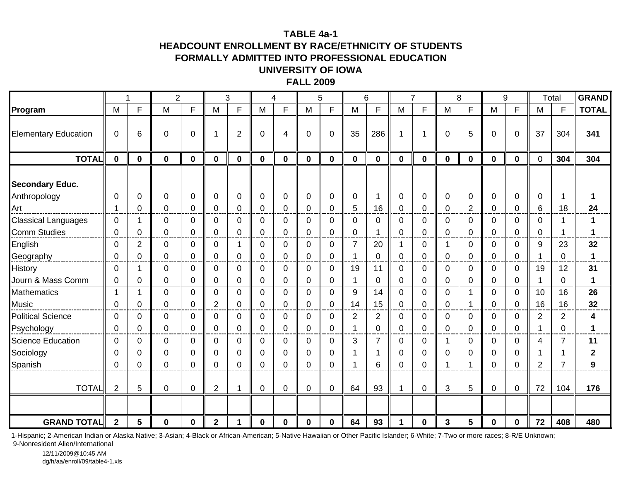#### **TABLE 4a-1**

#### **HEADCOUNT ENROLLMENT BY RACE/ETHNICITY OF STUDENTSFORMALLY ADMITTED INTO PROFESSIONAL EDUCATION UNIVERSITY OF IOWA**

#### **FALL 2009**

|                                                   |                               | 1                             | $\overline{2}$ |                             |                            | 3                          |                         | $\overline{4}$               |                               | 5                                      |                     | 6                             |                           | $\overline{7}$               |                            | 8                       |                              | 9                             |                                        | Total                      | <b>GRAND</b> |
|---------------------------------------------------|-------------------------------|-------------------------------|----------------|-----------------------------|----------------------------|----------------------------|-------------------------|------------------------------|-------------------------------|----------------------------------------|---------------------|-------------------------------|---------------------------|------------------------------|----------------------------|-------------------------|------------------------------|-------------------------------|----------------------------------------|----------------------------|--------------|
| Program                                           | M                             | F                             | M              | F                           | M                          | F                          | M                       | F                            | M                             | F                                      | M                   | F                             | M                         | F                            | M                          | F                       | M                            | F                             | M                                      | F                          | <b>TOTAL</b> |
| <b>Elementary Education</b>                       | $\mathbf 0$                   | 6                             | 0              | $\mathbf{0}$                | 1                          | $\overline{2}$             | 0                       | $\overline{4}$               | $\Omega$                      | $\mathbf 0$                            | 35                  | 286                           | 1                         |                              | 0                          | 5                       | 0                            | $\overline{0}$                | 37                                     | 304                        | 341          |
| <b>TOTAL</b>                                      | $\mathbf 0$                   | $\mathbf 0$                   | $\mathbf 0$    | $\mathbf 0$                 | $\bf{0}$                   | $\mathbf 0$                | $\mathbf 0$             | $\mathbf 0$                  | $\mathbf 0$                   | $\mathbf 0$                            | 0                   | $\mathbf 0$                   | $\mathbf 0$               | $\mathbf 0$                  | $\bf{0}$                   | $\mathbf 0$             | $\mathbf 0$                  | $\mathbf 0$                   | $\mathbf 0$                            | 304                        | 304          |
| <b>Secondary Educ.</b><br>Anthropology<br>Art     | 0<br>1                        | 0<br>0                        | $\Omega$<br>0  | $\Omega$<br>0               | 0<br>0                     | 0<br>0                     | $\Omega$<br>0           | $\mathbf 0$<br>$\mathbf 0$   | 0<br>0                        | 0<br>0                                 | 0<br>5              | 16                            | 0<br>0                    | 0<br>0                       | $\mathbf 0$<br>0           | 0<br>$\overline{c}$     | $\mathbf 0$<br>0             | $\mathbf 0$<br>0              | 0<br>6                                 | 18                         | 24           |
| <b>Classical Languages</b><br><b>Comm Studies</b> | 0<br>$\mathbf 0$              | $\mathbf{1}$<br>$\mathbf 0$   | 0<br>0         | $\mathbf 0$<br>0            | 0<br>$\mathbf 0$           | $\mathbf 0$<br>$\mathbf 0$ | 0<br>$\mathbf 0$        | $\mathbf 0$<br>$\mathbf 0$   | $\mathbf 0$<br>$\mathbf 0$    | $\mathbf 0$<br>$\mathbf 0$             | $\Omega$<br>0       | 0                             | 0<br>0                    | $\mathbf 0$<br>0             | 0<br>$\mathbf 0$           | 0<br>$\mathbf 0$        | 0<br>$\mathbf 0$             | $\mathbf 0$<br>$\mathbf 0$    | $\mathbf 0$<br>$\mathbf 0$             |                            |              |
| English<br>Geography                              | $\mathbf 0$<br>$\mathbf 0$    | $\overline{2}$<br>$\mathbf 0$ | 0<br>0         | 0<br>0                      | 0<br>$\mathbf 0$           | 1<br>$\mathbf 0$           | $\Omega$<br>0           | $\mathbf 0$<br>$\mathbf 0$   | $\overline{0}$<br>$\mathbf 0$ | $\mathbf 0$<br>$\mathbf 0$             | $\overline{7}$<br>1 | 20<br>$\mathbf 0$             | -1<br>$\mathbf 0$         | $\mathbf 0$<br>$\mathbf 0$   | -1<br>0                    | 0<br>$\mathbf 0$        | $\mathbf 0$<br>$\mathbf 0$   | $\overline{0}$<br>$\mathbf 0$ | 9<br>$\overline{1}$                    | 23<br>$\Omega$             | 32<br>1      |
| History<br>Journ & Mass Comm                      | $\Omega$<br>$\mathbf 0$       | 1<br>$\mathbf 0$              | $\Omega$<br>0  | $\Omega$<br>0               | 0<br>$\mathbf 0$           | 0<br>$\mathbf 0$           | $\Omega$<br>0           | 0<br>$\mathbf 0$             | 0<br>0                        | 0<br>$\mathbf 0$                       | 19<br>1             | 11<br>$\mathbf 0$             | 0<br>$\mathbf 0$          | $\mathbf 0$<br>$\mathbf 0$   | 0<br>$\mathbf 0$           | 0<br>$\mathbf 0$        | 0<br>0                       | $\Omega$<br>$\mathbf 0$       | 19<br>1                                | 12<br>$\Omega$             | 31<br>1      |
| Mathematics<br><b>Music</b>                       | 1<br>0                        | $\mathbf{1}$<br>$\mathbf 0$   | 0<br>0         | $\Omega$<br>$\Omega$        | $\Omega$<br>$\overline{2}$ | $\mathbf 0$<br>$\mathbf 0$ | $\Omega$<br>$\mathbf 0$ | $\mathbf 0$<br>$\mathbf 0$   | $\Omega$<br>$\mathbf 0$       | $\mathbf 0$<br>$\mathbf 0$             | 9<br>14             | 14<br>15                      | $\Omega$<br>0             | $\mathbf 0$<br>$\mathbf 0$   | 0<br>$\mathbf 0$           | 1                       | $\mathbf 0$<br>$\mathbf 0$   | $\mathbf 0$<br>$\mathbf 0$    | 10<br>16                               | 16<br>16                   | 26<br>32     |
| <b>Political Science</b><br>Psychology            | $\overline{0}$<br>$\mathbf 0$ | $\mathbf 0$<br>$\mathbf 0$    | 0<br>$\Omega$  | $\mathbf 0$<br>$\mathbf{0}$ | $\mathbf 0$<br>$\mathbf 0$ | $\mathbf 0$<br>$\Omega$    | $\mathbf 0$<br>$\Omega$ | $\mathbf 0$<br>$\mathbf 0$   | $\mathbf 0$<br>$\Omega$       | $\mathbf 0$<br>$\mathbf 0$             | $\overline{2}$<br>1 | $\overline{2}$<br>$\mathbf 0$ | 0<br>$\Omega$             | $\mathbf 0$<br>$\mathbf 0$   | $\overline{0}$<br>$\Omega$ | $\mathbf 0$<br>$\Omega$ | $\pmb{0}$<br>$\mathbf 0$     | $\mathbf 0$<br>$\mathbf 0$    | $\overline{2}$<br>$\blacktriangleleft$ | $\overline{2}$<br>$\Omega$ | 4<br>1       |
| <b>Science Education</b><br>Sociology<br>Spanish  | 0<br>0<br>$\Omega$            | $\mathbf 0$<br>0<br>$\Omega$  | 0<br>0<br>0    | 0<br>0<br>$\Omega$          | 0<br>0<br>$\Omega$         | 0<br>0<br>$\Omega$         | 0<br>0<br>$\Omega$      | 0<br>$\mathbf 0$<br>$\Omega$ | 0<br>0<br>$\Omega$            | $\mathbf 0$<br>$\mathbf 0$<br>$\Omega$ | 3<br>1<br>1         | 7<br>6                        | 0<br>$\Omega$<br>$\Omega$ | $\mathbf 0$<br>0<br>$\Omega$ | 0<br>1                     | 0<br>0<br>1             | $\mathbf 0$<br>0<br>$\Omega$ | $\mathbf 0$<br>0<br>$\Omega$  | 4<br>1<br>2                            | 7<br>$\overline{7}$        | 11<br>2<br>9 |
| <b>TOTAL</b>                                      | $\overline{2}$                | 5                             | 0              | $\mathbf 0$                 | $\overline{2}$             | 1                          | $\mathbf 0$             | $\mathbf 0$                  | 0                             | $\pmb{0}$                              | 64                  | 93                            | 1                         | $\mathbf 0$                  | 3                          | 5                       | $\mathbf 0$                  | $\mathbf 0$                   | 72                                     | 104                        | 176          |
|                                                   |                               |                               |                |                             |                            | 4                          |                         |                              |                               |                                        |                     |                               |                           |                              |                            |                         |                              |                               |                                        |                            |              |
| <b>GRAND TOTAL</b>                                | $\mathbf 2$                   | 5                             | 0              | 0                           | $\mathbf{2}$               |                            | 0                       | 0                            | 0                             | 0                                      | 64                  | 93                            | 1                         | $\mathbf 0$                  | 3                          | 5                       | 0                            | $\mathbf 0$                   | 72                                     | 408                        | 480          |

1-Hispanic; 2-American Indian or Alaska Native; 3-Asian; 4-Black or African-American; 5-Native Hawaiian or Other Pacific Islander; 6-White; 7-Two or more races; 8-R/E Unknown;

9-Nonresident Alien/International

12/11/2009@10:45 AMdg/h/aa/enroll/09/table4-1.xls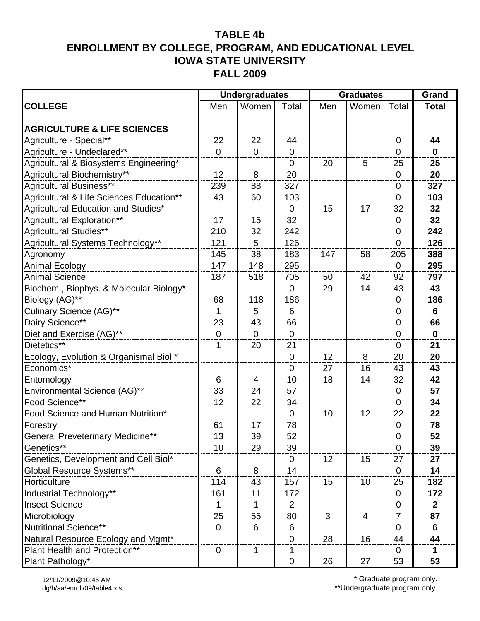|                                          |                  | <b>Undergraduates</b> |                | <b>Graduates</b> | Grand          |                  |              |
|------------------------------------------|------------------|-----------------------|----------------|------------------|----------------|------------------|--------------|
| <b>COLLEGE</b>                           | Men              | Women                 | Total          | Men              | Women          | Total            | <b>Total</b> |
|                                          |                  |                       |                |                  |                |                  |              |
| <b>AGRICULTURE &amp; LIFE SCIENCES</b>   |                  |                       |                |                  |                |                  |              |
| Agriculture - Special**                  | 22               | 22                    | 44             |                  |                | 0                | 44           |
| Agriculture - Undeclared**               | $\overline{0}$   | $\overline{0}$        | $\mathbf 0$    |                  |                | 0                | $\mathbf 0$  |
| Agricultural & Biosystems Engineering*   |                  |                       | $\mathbf 0$    | 20               | 5              | 25               | 25           |
| Agricultural Biochemistry**              | 12               | 8                     | 20             |                  |                | $\boldsymbol{0}$ | 20           |
| Agricultural Business**                  | 239              | 88                    | 327            |                  |                | $\mathbf 0$      | 327          |
| Agricultural & Life Sciences Education** | 43               | 60                    | 103            |                  |                | $\mathbf 0$      | 103          |
| Agricultural Education and Studies*      |                  |                       | $\mathbf 0$    | 15               | 17             | 32               | 32           |
| Agricultural Exploration**               | 17               | 15                    | 32             |                  |                | $\boldsymbol{0}$ | 32           |
| Agricultural Studies**                   | 210              | 32                    | 242            |                  |                | $\mathbf 0$      | 242          |
| Agricultural Systems Technology**        | 121              | 5                     | 126            |                  |                | $\overline{0}$   | 126          |
| Agronomy                                 | 145              | 38                    | 183            | 147              | 58             | 205              | 388          |
| Animal Ecology                           | 147              | 148                   | 295            |                  |                | $\mathbf 0$      | 295          |
| <b>Animal Science</b>                    | 187              | 518                   | 705            | 50               | 42             | 92               | 797          |
| Biochem., Biophys. & Molecular Biology*  |                  |                       | 0              | 29               | 14             | 43               | 43           |
| Biology (AG)**                           | 68               | 118                   | 186            |                  |                | $\boldsymbol{0}$ | 186          |
| Culinary Science (AG)**                  | 1                | 5                     | 6              |                  |                | 0                | 6            |
| Dairy Science**                          | 23               | 43                    | 66             |                  |                | 0                | 66           |
| Diet and Exercise (AG)**                 | $\mathbf 0$      | $\mathbf 0$           | $\mathbf 0$    |                  |                | $\mathbf 0$      | $\mathbf 0$  |
| Dietetics**                              | 1                | 20                    | 21             |                  |                | 0                | 21           |
| Ecology, Evolution & Organismal Biol.*   |                  |                       | 0              | 12               | 8              | 20               | 20           |
| Economics*                               |                  |                       | $\overline{0}$ | 27               | 16             | 43               | 43           |
| Entomology                               | 6                | 4                     | 10             | 18               | 14             | 32               | 42           |
| Environmental Science (AG)**             | 33               | 24                    | 57             |                  |                | $\boldsymbol{0}$ | 57           |
| Food Science**                           | 12               | 22                    | 34             |                  |                | $\overline{0}$   | 34           |
| Food Science and Human Nutrition*        |                  |                       | $\mathbf 0$    | 10               | 12             | 22               | 22           |
| Forestry                                 | 61               | 17                    | 78             |                  |                | $\pmb{0}$        | 78           |
| <b>General Preveterinary Medicine**</b>  | 13               | 39                    | 52             |                  |                | $\pmb{0}$        | 52           |
| Genetics**                               | 10               | 29                    | 39             |                  |                | $\mathbf 0$      | 39           |
| Genetics, Development and Cell Biol*     |                  |                       | 0              | 12               | 15             | 27               | 27           |
| Global Resource Systems**                | 6                | 8                     | 14             |                  |                | 0                | 14           |
| Horticulture                             | 114              | 43                    | 157            | 15               | 10             | 25               | 182          |
| Industrial Technology**                  | 161              | 11                    | 172            |                  |                | $\mathbf 0$      | 172          |
| <b>Insect Science</b>                    | 1                | 1                     | 2              |                  |                | 0                | $\mathbf{2}$ |
| Microbiology                             | 25               | 55                    | 80             | 3                | $\overline{4}$ | $\overline{7}$   | 87           |
| Nutritional Science**                    | $\mathbf 0$      | 6                     | 6              |                  |                | $\boldsymbol{0}$ | 6            |
| Natural Resource Ecology and Mgmt*       |                  |                       | 0              | 28               | 16             | 44               | 44           |
| Plant Health and Protection**            | $\boldsymbol{0}$ | 1                     | 1              |                  |                | 0                | 1            |
| Plant Pathology*                         |                  |                       | 0              | 26               | 27             | 53               | 53           |

\* Graduate program only.

\*\*Undergraduate program only.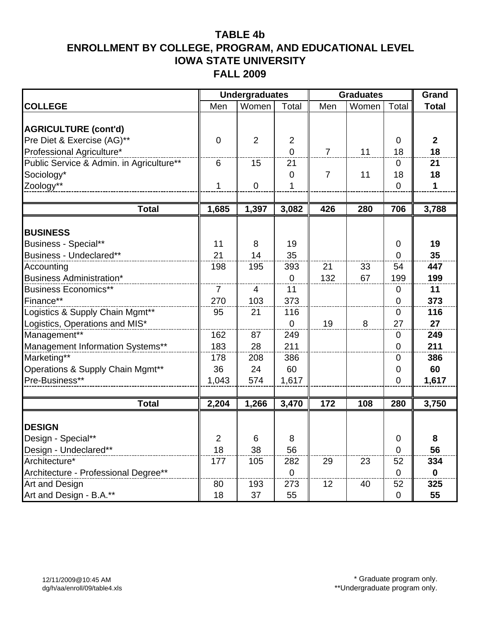|                                          |                | <b>Undergraduates</b> |                  |                | <b>Graduates</b> |                | Grand        |
|------------------------------------------|----------------|-----------------------|------------------|----------------|------------------|----------------|--------------|
| <b>COLLEGE</b>                           | Men            | Women                 | Total            | Men            | Women            | Total          | <b>Total</b> |
|                                          |                |                       |                  |                |                  |                |              |
| <b>AGRICULTURE (cont'd)</b>              |                |                       |                  |                |                  |                |              |
| Pre Diet & Exercise (AG)**               | $\mathbf 0$    | $\overline{2}$        | $\overline{2}$   |                |                  | $\mathbf 0$    | $\mathbf{2}$ |
| Professional Agriculture*                |                |                       | $\overline{0}$   | $\overline{7}$ | 11               | 18             | 18           |
| Public Service & Admin. in Agriculture** | 6              | 15                    | 21               |                |                  | 0              | 21           |
| Sociology*                               |                |                       | $\mathbf 0$      | 7              | 11               | 18             | 18           |
| Zoology**                                | $\mathbf{1}$   | $\mathbf 0$           | 1                |                |                  | $\overline{0}$ | 1            |
|                                          |                |                       |                  |                |                  |                |              |
| <b>Total</b>                             | 1,685          | 1,397                 | 3,082            | 426            | 280              | 706            | 3,788        |
|                                          |                |                       |                  |                |                  |                |              |
| <b>BUSINESS</b>                          |                |                       |                  |                |                  |                |              |
| <b>Business - Special**</b>              | 11             | 8                     | 19               |                |                  | $\mathbf 0$    | 19           |
| Business - Undeclared**                  | 21             | 14                    | 35               |                |                  | $\overline{0}$ | 35           |
| Accounting                               | 198            | 195                   | 393              | 21             | 33               | 54             | 447          |
| <b>Business Administration*</b>          |                |                       | $\boldsymbol{0}$ | 132            | 67               | 199            | 199          |
| <b>Business Economics**</b>              | $\overline{7}$ | $\overline{4}$        | 11               |                |                  | $\mathbf 0$    | 11           |
| Finance**                                | 270            | 103                   | 373              |                |                  | 0              | 373          |
| Logistics & Supply Chain Mgmt**          | 95             | 21                    | 116              |                |                  | 0              | 116          |
| Logistics, Operations and MIS*           |                |                       | $\boldsymbol{0}$ | 19             | 8                | 27             | 27           |
| Management**                             | 162            | 87                    | 249              |                |                  | 0              | 249          |
| Management Information Systems**         | 183            | 28                    | 211              |                |                  | $\mathbf 0$    | 211          |
| Marketing**                              | 178            | 208                   | 386              |                |                  | 0              | 386          |
| Operations & Supply Chain Mgmt**         | 36             | 24                    | 60               |                |                  | 0              | 60           |
| Pre-Business**                           | 1,043          | 574                   | 1,617            |                |                  | $\mathbf 0$    | 1,617        |
|                                          |                |                       |                  |                |                  |                |              |
| <b>Total</b>                             | 2,204          | 1,266                 | 3,470            | 172            | 108              | 280            | 3,750        |
|                                          |                |                       |                  |                |                  |                |              |
| <b>DESIGN</b>                            |                |                       |                  |                |                  |                |              |
| Design - Special**                       | $\overline{2}$ | 6                     | 8                |                |                  | $\Omega$       | 8            |
| Design - Undeclared**                    | 18             | 38                    | 56               |                |                  | $\mathbf 0$    | 56           |
| Architecture*                            | 177            | 105                   | 282              | 29             | 23               | 52             | 334          |
| Architecture - Professional Degree**     |                |                       | $\overline{0}$   |                |                  | $\Omega$       | $\mathbf 0$  |
| Art and Design                           | 80             | 193                   | 273              | 12             | 40               | 52             | 325          |
| Art and Design - B.A.**                  | 18             | 37                    | 55               |                |                  | 0              | 55           |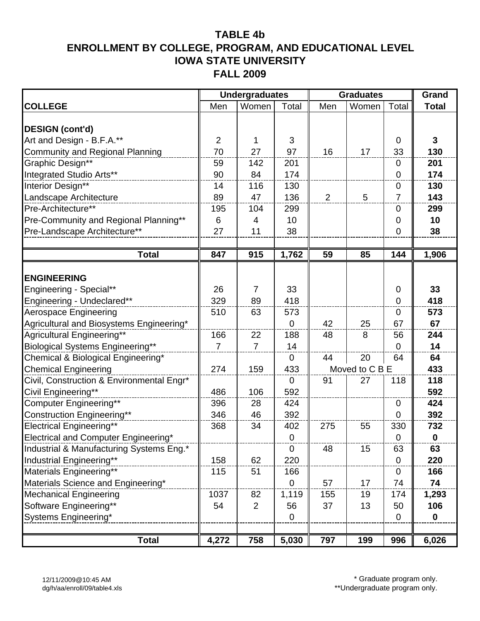|                                           |                | <b>Undergraduates</b> |             |                | <b>Graduates</b> |                | Grand        |
|-------------------------------------------|----------------|-----------------------|-------------|----------------|------------------|----------------|--------------|
| <b>COLLEGE</b>                            | Men            | Women                 | Total       | Men            | Women            | Total          | <b>Total</b> |
|                                           |                |                       |             |                |                  |                |              |
| <b>DESIGN (cont'd)</b>                    |                |                       |             |                |                  |                |              |
| Art and Design - B.F.A.**                 | $\overline{2}$ | 1                     | 3           |                |                  | $\mathbf 0$    | $\mathbf{3}$ |
| Community and Regional Planning           | 70             | 27                    | 97          | 16             | 17               | 33             | 130          |
| Graphic Design**                          | 59             | 142                   | 201         |                |                  | $\mathbf 0$    | 201          |
| Integrated Studio Arts**                  | 90             | 84                    | 174         |                |                  | $\mathbf 0$    | 174          |
| Interior Design**                         | 14             | 116                   | 130         |                |                  | $\mathbf 0$    | 130          |
| Landscape Architecture                    | 89             | 47                    | 136         | $\overline{2}$ | 5                | $\overline{7}$ | 143          |
| Pre-Architecture**                        | 195            | 104                   | 299         |                |                  | $\mathbf 0$    | 299          |
| Pre-Community and Regional Planning**     | 6              | 4                     | 10          |                |                  | $\mathbf 0$    | 10           |
| Pre-Landscape Architecture**              | 27             | 11                    | 38          |                |                  | $\mathbf 0$    | 38           |
|                                           |                |                       |             |                |                  |                |              |
| <b>Total</b>                              | 847            | 915                   | 1,762       | 59             | 85               | 144            | 1,906        |
|                                           |                |                       |             |                |                  |                |              |
| <b>ENGINEERING</b>                        |                |                       |             |                |                  |                |              |
| Engineering - Special**                   | 26             | $\overline{7}$        | 33          |                |                  | 0              | 33           |
| Engineering - Undeclared**                | 329            | 89                    | 418         |                |                  | $\mathbf 0$    | 418          |
| Aerospace Engineering                     | 510            | 63                    | 573         |                |                  | 0              | 573          |
| Agricultural and Biosystems Engineering*  |                |                       | $\mathbf 0$ | 42             | 25               | 67             | 67           |
| Agricultural Engineering**                | 166            | 22                    | 188         | 48             | 8                | 56             | 244          |
| Biological Systems Engineering**          | $\overline{7}$ | $\overline{7}$        | 14          |                |                  | $\Omega$       | 14           |
| Chemical & Biological Engineering*        |                |                       | $\mathbf 0$ | 44             | 20               | 64             | 64           |
| Chemical Engineering                      | 274            | 159                   | 433         |                | Moved to C B E   |                | 433          |
| Civil, Construction & Environmental Engr* |                |                       | $\mathbf 0$ | 91             | 27               | 118            | 118          |
| Civil Engineering**                       | 486            | 106                   | 592         |                |                  |                | 592          |
| Computer Engineering**                    | 396            | 28                    | 424         |                |                  | $\mathbf 0$    | 424          |
| Construction Engineering**                | 346            | 46                    | 392         |                |                  | 0              | 392          |
| <b>Electrical Engineering**</b>           | 368            | 34                    | 402         | 275            | 55               | 330            | 732          |
| Electrical and Computer Engineering*      |                |                       | 0           |                |                  | 0              | $\pmb{0}$    |
| Industrial & Manufacturing Systems Eng.*  |                |                       | $\mathbf 0$ | 48             | 15               | 63             | 63           |
| Industrial Engineering**                  | 158            | 62                    | 220         |                |                  | $\mathbf 0$    | 220          |
| Materials Engineering**                   | 115            | 51                    | 166         |                |                  | $\mathbf 0$    | 166          |
| Materials Science and Engineering*        |                |                       | $\mathbf 0$ | 57             | 17               | 74             | 74           |
| <b>Mechanical Engineering</b>             | 1037           | 82                    | 1,119       | 155            | 19               | 174            | 1,293        |
| Software Engineering**                    | 54             | $\overline{2}$        | 56          | 37             | 13               | 50             | 106          |
| Systems Engineering*                      |                |                       | 0           |                |                  | $\mathbf 0$    | $\mathbf 0$  |
|                                           |                |                       |             |                |                  |                |              |
| <b>Total</b>                              | 4,272          | 758                   | 5,030       | 797            | 199              | 996            | 6,026        |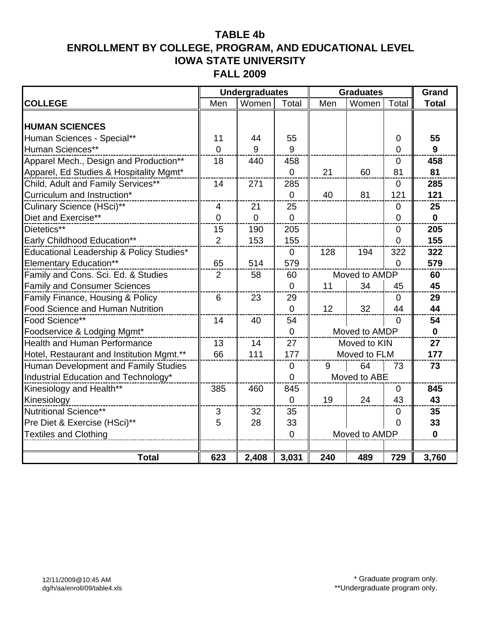|                                           |                 | <b>Undergraduates</b> |                |     | <b>Graduates</b> | Grand          |              |
|-------------------------------------------|-----------------|-----------------------|----------------|-----|------------------|----------------|--------------|
| <b>COLLEGE</b>                            | Men             | Women                 | Total          | Men | Women            | Total          | <b>Total</b> |
|                                           |                 |                       |                |     |                  |                |              |
| <b>HUMAN SCIENCES</b>                     |                 |                       |                |     |                  |                |              |
| Human Sciences - Special**                | 11              | 44                    | 55             |     |                  | $\mathbf 0$    | 55           |
| Human Sciences**                          | $\Omega$        | 9                     | 9              |     |                  | $\Omega$       | 9            |
| Apparel Mech., Design and Production**    | 18              | 440                   | 458            |     |                  | $\mathbf 0$    | 458          |
| Apparel, Ed Studies & Hospitality Mgmt*   |                 |                       | 0              | 21  | 60               | 81             | 81           |
| Child, Adult and Family Services**        | 14              | 271                   | 285            |     |                  | $\Omega$       | 285          |
| Curriculum and Instruction*               |                 |                       | $\overline{0}$ | 40  | 81               | 121            | 121          |
| Culinary Science (HSci)**                 | $\overline{4}$  | 21                    | 25             |     |                  | $\mathbf 0$    | 25           |
| Diet and Exercise**                       | $\mathbf 0$     | $\overline{0}$        | 0              |     |                  | $\overline{0}$ | $\mathbf 0$  |
| Dietetics**                               | 15              | 190                   | 205            |     |                  | $\mathbf 0$    | 205          |
| Early Childhood Education**               | $\overline{2}$  | 153                   | 155            |     |                  | $\overline{0}$ | 155          |
| Educational Leadership & Policy Studies*  |                 |                       | $\mathbf 0$    | 128 | 194              | 322            | 322          |
| <b>Elementary Education**</b>             | 65              | 514                   | 579            |     |                  | $\Omega$       | 579          |
| Family and Cons. Sci. Ed. & Studies       | $\overline{2}$  | 58                    | 60             |     | Moved to AMDP    |                | 60           |
| <b>Family and Consumer Sciences</b>       |                 |                       | $\overline{0}$ | 11  | 34               | 45             | 45           |
| Family Finance, Housing & Policy          | $6\phantom{1}6$ | 23                    | 29             |     |                  | $\mathbf 0$    | 29           |
| <b>Food Science and Human Nutrition</b>   |                 |                       | $\overline{0}$ | 12  | 32               | 44             | 44           |
| Food Science**                            | 14              | 40                    | 54             |     |                  | $\mathbf{0}$   | 54           |
| Foodservice & Lodging Mgmt*               |                 |                       | $\overline{0}$ |     | Moved to AMDP    |                | $\mathbf 0$  |
| <b>Health and Human Performance</b>       | 13              | 14                    | 27             |     | Moved to KIN     |                | 27           |
| Hotel, Restaurant and Institution Mgmt.** | 66              | 111                   | 177            |     | Moved to FLM     |                | 177          |
| Human Development and Family Studies      |                 |                       | $\mathbf 0$    | 9   | 64               | 73             | 73           |
| Industrial Education and Technology*      |                 |                       | $\overline{0}$ |     | Moved to ABE     |                |              |
| Kinesiology and Health**                  | 385             | 460                   | 845            |     |                  | $\overline{0}$ | 845          |
| Kinesiology                               |                 |                       | $\overline{0}$ | 19  | 24               | 43             | 43           |
| Nutritional Science**                     | 3               | 32                    | 35             |     |                  | $\Omega$       | 35           |
| Pre Diet & Exercise (HSci)**              | 5               | 28                    | 33             |     |                  | $\overline{0}$ | 33           |
| <b>Textiles and Clothing</b>              |                 |                       | $\overline{0}$ |     | Moved to AMDP    |                | $\mathbf{0}$ |
|                                           |                 |                       |                |     |                  |                |              |
| <b>Total</b>                              | 623             | 2,408                 | 3,031          | 240 | 489              | 729            | 3,760        |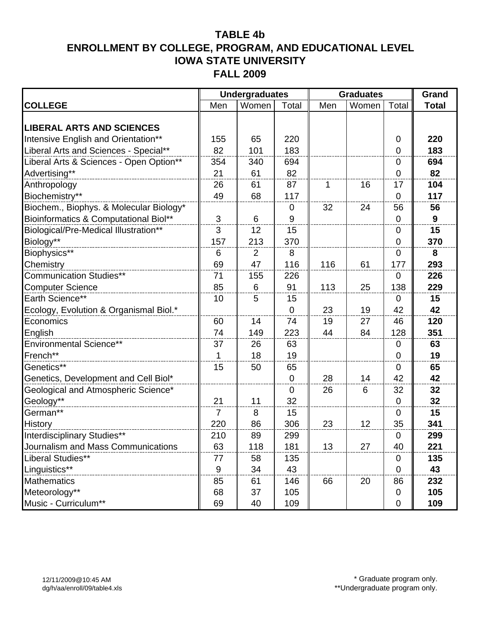|                                         |                  | <b>Undergraduates</b> |             |     | <b>Graduates</b> |                | Grand        |
|-----------------------------------------|------------------|-----------------------|-------------|-----|------------------|----------------|--------------|
| <b>COLLEGE</b>                          | Men              | Women                 | Total       | Men | Women            | Total          | <b>Total</b> |
|                                         |                  |                       |             |     |                  |                |              |
| <b>LIBERAL ARTS AND SCIENCES</b>        |                  |                       |             |     |                  |                |              |
| Intensive English and Orientation**     | 155              | 65                    | 220         |     |                  | $\mathbf 0$    | 220          |
| Liberal Arts and Sciences - Special**   | 82               | 101                   | 183         |     |                  | $\mathbf 0$    | 183          |
| Liberal Arts & Sciences - Open Option** | 354              | 340                   | 694         |     |                  | $\mathbf 0$    | 694          |
| Advertising**                           | 21               | 61                    | 82          |     |                  | $\mathbf 0$    | 82           |
| Anthropology                            | 26               | 61                    | 87          | 1   | 16               | 17             | 104          |
| Biochemistry**                          | 49               | 68                    | 117         |     |                  | $\mathbf 0$    | 117          |
| Biochem., Biophys. & Molecular Biology* |                  |                       | 0           | 32  | 24               | 56             | 56           |
| Bioinformatics & Computational Biol**   | 3                | 6                     | 9           |     |                  | $\mathbf 0$    | 9            |
| Biological/Pre-Medical Illustration**   | 3                | 12                    | 15          |     |                  | $\mathbf 0$    | 15           |
| Biology**                               | 157              | 213                   | 370         |     |                  | $\overline{0}$ | 370          |
| Biophysics**                            | 6                | $\overline{2}$        | 8           |     |                  | $\overline{0}$ | 8            |
| Chemistry                               | 69               | 47                    | 116         | 116 | 61               | 177            | 293          |
| Communication Studies**                 | 71               | 155                   | 226         |     |                  | $\mathbf 0$    | 226          |
| <b>Computer Science</b>                 | 85               | 6                     | 91          | 113 | 25               | 138            | 229          |
| Earth Science**                         | 10               | 5                     | 15          |     |                  | $\mathbf 0$    | 15           |
| Ecology, Evolution & Organismal Biol.*  |                  |                       | $\mathbf 0$ | 23  | 19               | 42             | 42           |
| Economics                               | 60               | 14                    | 74          | 19  | 27               | 46             | 120          |
| English                                 | 74               | 149                   | 223         | 44  | 84               | 128            | 351          |
| <b>Environmental Science**</b>          | 37               | 26                    | 63          |     |                  | $\mathbf 0$    | 63           |
| French**                                | $\mathbf 1$      | 18                    | 19          |     |                  | $\mathbf 0$    | 19           |
| Genetics**                              | 15               | 50                    | 65          |     |                  | 0              | 65           |
| Genetics, Development and Cell Biol*    |                  |                       | $\mathbf 0$ | 28  | 14               | 42             | 42           |
| Geological and Atmospheric Science*     |                  |                       | 0           | 26  | 6                | 32             | 32           |
| Geology**                               | 21               | 11                    | 32          |     |                  | $\mathbf 0$    | 32           |
| German**                                | $\overline{7}$   | 8                     | 15          |     |                  | $\mathbf 0$    | 15           |
| History                                 | 220              | 86                    | 306         | 23  | 12               | 35             | 341          |
| Interdisciplinary Studies**             | 210              | 89                    | 299         |     |                  | $\mathbf 0$    | 299          |
| Journalism and Mass Communications      | 63               | 118                   | 181         | 13  | 27               | 40             | 221          |
| Liberal Studies**                       | 77               | 58                    | 135         |     |                  | $\mathbf 0$    | 135          |
| Linguistics**                           | $\boldsymbol{9}$ | 34                    | 43          |     |                  | $\mathbf 0$    | 43           |
| <b>Mathematics</b>                      | 85               | 61                    | 146         | 66  | 20               | 86             | 232          |
| Meteorology**                           | 68               | 37                    | 105         |     |                  | $\mathbf 0$    | 105          |
| Music - Curriculum**                    | 69               | 40                    | 109         |     |                  | $\mathbf 0$    | 109          |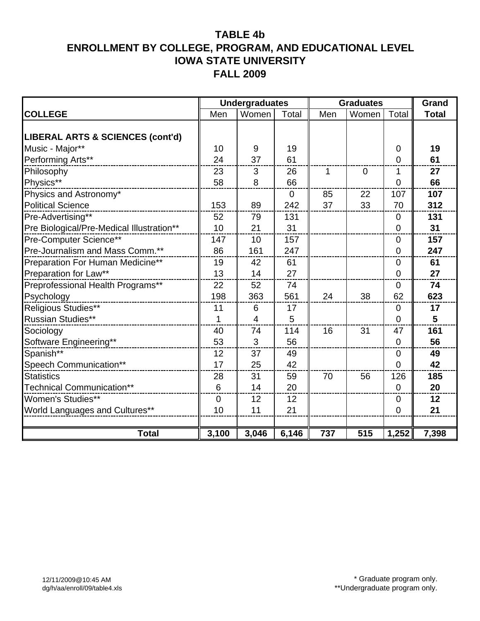|                                           |                | <b>Undergraduates</b> |                |     | <b>Graduates</b> |                | Grand        |
|-------------------------------------------|----------------|-----------------------|----------------|-----|------------------|----------------|--------------|
| <b>COLLEGE</b>                            | Men            | Women                 | Total          | Men | Women            | Total          | <b>Total</b> |
|                                           |                |                       |                |     |                  |                |              |
| LIBERAL ARTS & SCIENCES (cont'd)          |                |                       |                |     |                  |                |              |
| Music - Major**                           | 10             | 9                     | 19             |     |                  | 0              | 19           |
| Performing Arts**                         | 24             | 37                    | 61             |     |                  | $\overline{0}$ | 61           |
| Philosophy                                | 23             | 3                     | 26             | 1   | $\overline{0}$   | 1              | 27           |
| Physics**                                 | 58             | 8                     | 66             |     |                  | $\mathbf 0$    | 66           |
| Physics and Astronomy*                    |                |                       | $\overline{0}$ | 85  | 22               | 107            | 107          |
| <b>Political Science</b>                  | 153            | 89                    | 242            | 37  | 33               | 70             | 312          |
| Pre-Advertising**                         | 52             | 79                    | 131            |     |                  | 0              | 131          |
| Pre Biological/Pre-Medical Illustration** | 10             | 21                    | 31             |     |                  | 0              | 31           |
| Pre-Computer Science**                    | 147            | 10                    | 157            |     |                  | $\overline{0}$ | 157          |
| Pre-Journalism and Mass Comm.**           | 86             | 161                   | 247            |     |                  | $\overline{0}$ | 247          |
| Preparation For Human Medicine**          | 19             | 42                    | 61             |     |                  | 0              | 61           |
| Preparation for Law**                     | 13             | 14                    | 27             |     |                  | 0              | 27           |
| Preprofessional Health Programs**         | 22             | 52                    | 74             |     |                  | $\overline{0}$ | 74           |
| Psychology                                | 198            | 363                   | 561            | 24  | 38               | 62             | 623          |
| Religious Studies**                       | 11             | 6                     | 17             |     |                  | $\mathbf 0$    | 17           |
| <b>Russian Studies**</b>                  | 1              | $\overline{4}$        | 5              |     |                  | 0              | 5            |
| Sociology                                 | 40             | 74                    | 114            | 16  | 31               | 47             | 161          |
| Software Engineering**                    | 53             | 3                     | 56             |     |                  | $\mathbf 0$    | 56           |
| Spanish**                                 | 12             | 37                    | 49             |     |                  | 0              | 49           |
| Speech Communication**                    | 17             | 25                    | 42             |     |                  | 0              | 42           |
| <b>Statistics</b>                         | 28             | 31                    | 59             | 70  | 56               | 126            | 185          |
| Technical Communication**                 | 6              | 14                    | 20             |     |                  | $\mathbf 0$    | 20           |
| <b>Women's Studies**</b>                  | $\overline{0}$ | 12                    | 12             |     |                  | 0              | 12           |
| World Languages and Cultures**            | 10             | 11                    | 21             |     |                  | 0              | 21           |
|                                           |                |                       |                |     |                  |                |              |
| <b>Total</b>                              | 3,100          | 3,046                 | 6,146          | 737 | 515              | 1,252          | 7,398        |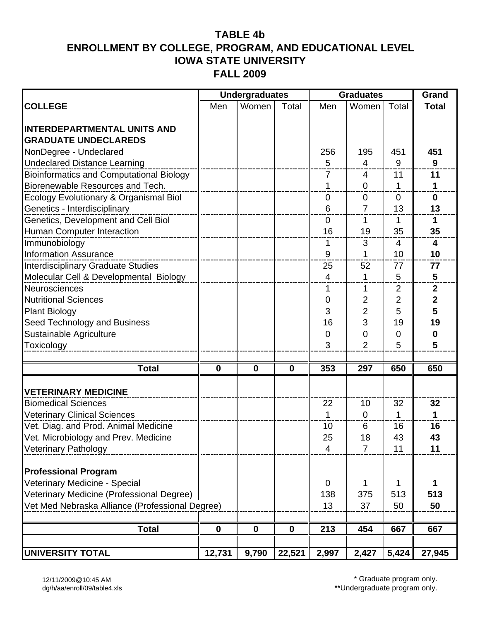|                                                 |             | <b>Undergraduates</b> |              |                | <b>Graduates</b> |                | Grand                   |
|-------------------------------------------------|-------------|-----------------------|--------------|----------------|------------------|----------------|-------------------------|
| <b>COLLEGE</b>                                  | Men         | Women                 | Total        | Men            | Women            | Total          | <b>Total</b>            |
|                                                 |             |                       |              |                |                  |                |                         |
| <b>INTERDEPARTMENTAL UNITS AND</b>              |             |                       |              |                |                  |                |                         |
| <b>GRADUATE UNDECLAREDS</b>                     |             |                       |              |                |                  |                |                         |
| NonDegree - Undeclared                          |             |                       |              | 256            | 195              | 451            | 451                     |
| <b>Undeclared Distance Learning</b>             |             |                       |              | 5              | 4                | 9              | 9                       |
| <b>Bioinformatics and Computational Biology</b> |             |                       |              | 7              | 4                | 11             | 11                      |
| Biorenewable Resources and Tech.                |             |                       |              | 1              | $\overline{0}$   | 1              |                         |
| Ecology Evolutionary & Organismal Biol          |             |                       |              | $\mathbf 0$    | $\overline{0}$   | $\mathbf 0$    | $\bf{0}$                |
| Genetics - Interdisciplinary                    |             |                       |              | 6              | $\overline{7}$   | 13             | 13                      |
| Genetics, Development and Cell Biol             |             |                       |              | $\overline{0}$ | 1                | 1              | 1                       |
| Human Computer Interaction                      |             |                       |              | 16             | 19               | 35             | 35                      |
| Immunobiology                                   |             |                       |              | 1              | 3                | $\overline{4}$ | $\overline{\mathbf{4}}$ |
| <b>Information Assurance</b>                    |             |                       |              | 9              | 1                | 10             | 10                      |
| <b>Interdisciplinary Graduate Studies</b>       |             |                       |              | 25             | 52               | 77             | 77                      |
| Molecular Cell & Developmental Biology          |             |                       |              | 4              | $\mathbf{1}$     | 5              | 5                       |
| Neurosciences                                   |             |                       |              | 1              | 1                | $\overline{2}$ | $\boldsymbol{2}$        |
| <b>Nutritional Sciences</b>                     |             |                       |              | 0              | $\overline{2}$   | $\overline{2}$ | $\mathbf{2}$            |
| <b>Plant Biology</b>                            |             |                       |              | 3              | $\overline{2}$   | 5              | 5                       |
| Seed Technology and Business                    |             |                       |              | 16             | 3                | 19             | 19                      |
| Sustainable Agriculture                         |             |                       |              | 0              | 0                | 0              | 0                       |
| Toxicology                                      |             |                       |              | 3              | 2                | 5              | 5                       |
|                                                 |             |                       |              |                |                  |                |                         |
| <b>Total</b>                                    | $\bf{0}$    | $\mathbf 0$           | $\mathbf{0}$ | 353            | 297              | 650            | 650                     |
|                                                 |             |                       |              |                |                  |                |                         |
| <b>VETERINARY MEDICINE</b>                      |             |                       |              |                |                  |                |                         |
| <b>Biomedical Sciences</b>                      |             |                       |              | 22             | 10               | 32             | 32                      |
| <b>Veterinary Clinical Sciences</b>             |             |                       |              | 1              | $\mathbf 0$      | 1              | $\mathbf 1$             |
| Vet. Diag. and Prod. Animal Medicine            |             |                       |              | 10             | 6                | 16             | 16                      |
| Vet. Microbiology and Prev. Medicine            |             |                       |              | 25             | 18               | 43             | 43                      |
| <b>Veterinary Pathology</b>                     |             |                       |              | $\overline{4}$ | $\overline{7}$   | 11             | 11                      |
| <b>Professional Program</b>                     |             |                       |              |                |                  |                |                         |
| Veterinary Medicine - Special                   |             |                       |              | $\mathbf 0$    |                  | 1              |                         |
| Veterinary Medicine (Professional Degree)       |             |                       |              | 138            | 375              | 513            | 513                     |
| Vet Med Nebraska Alliance (Professional Degree) |             |                       |              | 13             | 37               | 50             | 50                      |
|                                                 |             |                       |              |                |                  |                |                         |
| <b>Total</b>                                    | $\mathbf 0$ | $\mathbf 0$           | $\mathbf 0$  | 213            | 454              | 667            | 667                     |
|                                                 |             |                       |              |                |                  |                |                         |
| <b>UNIVERSITY TOTAL</b>                         | 12,731      | 9,790                 | 22,521       | 2,997          | 2,427            | 5,424          | 27,945                  |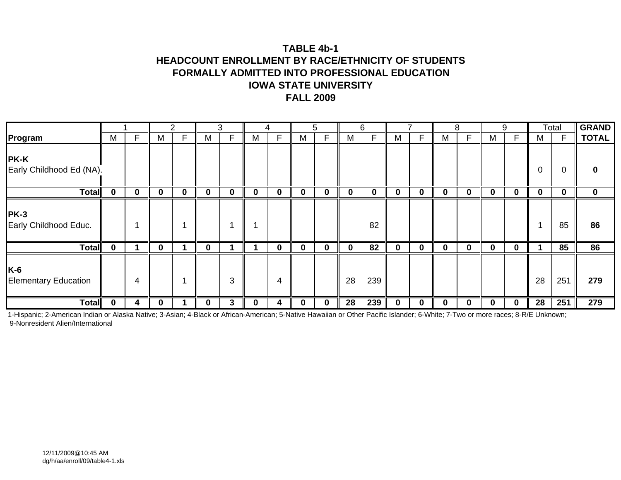### **TABLE 4b-1HEADCOUNT ENROLLMENT BY RACE/ETHNICITY OF STUDENTS FORMALLY ADMITTED INTO PROFESSIONAL EDUCATIONIOWA STATE UNIVERSITYFALL 2009**

|                                         |   |    |   | っ        |          | 3 |   | 4        |             | 5 |             | 6   |             |          |   | 8  | 9 |          |          | Total        | <b>GRAND</b> |
|-----------------------------------------|---|----|---|----------|----------|---|---|----------|-------------|---|-------------|-----|-------------|----------|---|----|---|----------|----------|--------------|--------------|
| Program                                 | M | F. | м | F        | M        | F | M | F        | M           | F | M           | F   | М           | ⊏        | M | F. | M | F.       | м        | $\mathsf{F}$ | <b>TOTAL</b> |
| <b>PK-K</b><br>Early Childhood Ed (NA). |   |    |   |          |          |   |   |          |             |   |             |     |             |          |   |    |   |          | 0        | 0            | 0            |
| Total                                   | 0 | 0  | 0 | $\bf{0}$ | $\bf{0}$ | 0 | 0 | $\bf{0}$ | $\mathbf 0$ | 0 | $\mathbf 0$ | 0   | $\mathbf 0$ | 0        | 0 | 0  |   | 0        | $\bf{0}$ | 0            | $\mathbf 0$  |
| <b>PK-3</b><br>Early Childhood Educ.    |   |    |   |          |          |   | ٠ |          |             |   |             | 82  |             |          |   |    |   |          |          | 85           | 86           |
| <b>Total</b>                            | 0 |    | 0 |          | 0        |   |   | $\bf{0}$ | $\mathbf 0$ | 0 | $\mathbf 0$ | 82  | $\mathbf 0$ | $\bf{0}$ | 0 | 0  | 0 | 0        |          | 85           | 86           |
| K-6<br><b>Elementary Education</b>      |   | 4  |   |          |          | 3 |   | 4        |             |   | 28          | 239 |             |          |   |    |   |          | 28       | 251          | 279          |
| <b>Total</b>                            | 0 | 4  | 0 |          | $\bf{0}$ | 3 | 0 | 4        | $\mathbf 0$ | 0 | 28          | 239 | $\bf{0}$    | 0        | 0 | 0  | 0 | $\bf{0}$ | 28       | 251          | 279          |

1-Hispanic; 2-American Indian or Alaska Native; 3-Asian; 4-Black or African-American; 5-Native Hawaiian or Other Pacific Islander; 6-White; 7-Two or more races; 8-R/E Unknown; 9-Nonresident Alien/International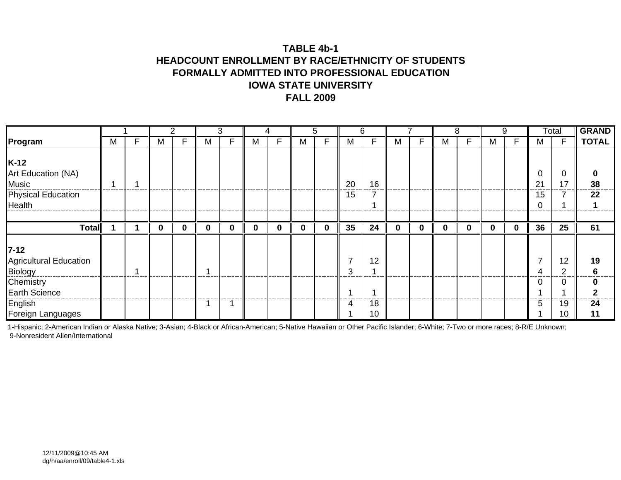### **TABLE 4b-1HEADCOUNT ENROLLMENT BY RACE/ETHNICITY OF STUDENTS FORMALLY ADMITTED INTO PROFESSIONAL EDUCATIONIOWA STATE UNIVERSITYFALL 2009**

|                                                                              |   |   |          |              |             | 3        |   | 4 |          | 5 |          | 6                     |             |   |   | 8 |   | 9        |                        | Total    | <b>GRAND</b> |
|------------------------------------------------------------------------------|---|---|----------|--------------|-------------|----------|---|---|----------|---|----------|-----------------------|-------------|---|---|---|---|----------|------------------------|----------|--------------|
| Program                                                                      | м | F | м        |              | M           | F        | м | F | M        | F | м        | F                     | М           | F | М | F | м | F        | м                      | F        | <b>TOTAL</b> |
| $K-12$<br>Art Education (NA)<br>Music<br><b>Physical Education</b><br>Health |   |   |          |              |             |          |   |   |          |   | 20<br>15 | 16                    |             |   |   |   |   |          | 0<br>$2^{\circ}$<br>15 | ſ<br>17  | 38<br>22     |
| Total                                                                        |   |   | $\bf{0}$ | $\mathbf{0}$ | $\mathbf 0$ | $\bf{0}$ | O | 0 | $\bf{0}$ | 0 | 35       | 24                    | $\mathbf 0$ | 0 | 0 | 0 |   | $\bf{0}$ | 36                     | 25       | 61           |
| $7 - 12$<br><b>Agricultural Education</b>                                    |   |   |          |              |             |          |   |   |          |   | 7        | 12                    |             |   |   |   |   |          |                        | 12       | 19           |
| <b>Biology</b>                                                               |   |   |          |              |             |          |   |   |          |   | 3        |                       |             |   |   |   |   |          |                        | ◠        |              |
| Chemistry<br><b>Earth Science</b>                                            |   |   |          |              |             |          |   |   |          |   | A        |                       |             |   |   |   |   |          | ∩                      | ſ        | <sup>0</sup> |
| English<br>Foreign Languages                                                 |   |   |          |              |             |          |   |   |          |   | 4        | 18<br>10 <sup>°</sup> |             |   |   |   |   |          | 5                      | 19<br>10 | 24<br>11     |

1-Hispanic; 2-American Indian or Alaska Native; 3-Asian; 4-Black or African-American; 5-Native Hawaiian or Other Pacific Islander; 6-White; 7-Two or more races; 8-R/E Unknown; 9-Nonresident Alien/International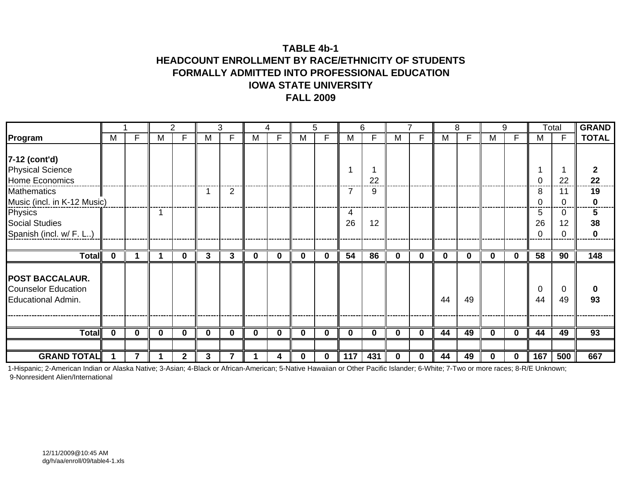### **TABLE 4b-1HEADCOUNT ENROLLMENT BY RACE/ETHNICITY OF STUDENTS FORMALLY ADMITTED INTO PROFESSIONAL EDUCATIONIOWA STATE UNIVERSITYFALL 2009**

|                                                                            |              |             |          | 2              |                | 3              |             | 4           |             | 5            |          | 6        |             |              |          | 8           |   | 9            |                 | Total          | <b>GRAND</b> |
|----------------------------------------------------------------------------|--------------|-------------|----------|----------------|----------------|----------------|-------------|-------------|-------------|--------------|----------|----------|-------------|--------------|----------|-------------|---|--------------|-----------------|----------------|--------------|
| Program                                                                    | М            | F           | М        | F              | M              | F              | M           | F           | М           | F            | M        | F        | М           | F            | M        | F           | M | F            | М               | F              | <b>TOTAL</b> |
|                                                                            |              |             |          |                |                |                |             |             |             |              |          |          |             |              |          |             |   |              |                 |                |              |
| 7-12 (cont'd)                                                              |              |             |          |                |                |                |             |             |             |              |          |          |             |              |          |             |   |              |                 |                |              |
| <b>Physical Science</b>                                                    |              |             |          |                |                |                |             |             |             |              |          |          |             |              |          |             |   |              |                 |                |              |
| Home Economics                                                             |              |             |          |                |                |                |             |             |             |              |          | 22       |             |              |          |             |   |              |                 | 22             | 22           |
| <b>Mathematics</b>                                                         |              |             |          |                |                | $\overline{2}$ |             |             |             |              | 7        | 9        |             |              |          |             |   |              | 8               | 11             | 19           |
| Music (incl. in K-12 Music)                                                |              |             |          |                |                |                |             |             |             |              |          |          |             |              |          |             |   |              |                 | ∩              | 0            |
| Physics                                                                    |              |             |          |                |                |                |             |             |             |              | 4        |          |             |              |          |             |   |              | 5               | 0              | 5            |
| <b>Social Studies</b>                                                      |              |             |          |                |                |                |             |             |             |              | 26       | 12       |             |              |          |             |   |              | 26              | 12             | 38           |
| Spanish (incl. w/ F. L)                                                    |              |             |          |                |                |                |             |             |             |              |          |          |             |              |          |             |   |              |                 | $\Omega$       | 0            |
|                                                                            |              |             |          |                |                |                |             |             |             |              |          |          |             |              |          |             |   |              |                 |                |              |
| Total                                                                      | $\mathbf{0}$ |             |          | $\mathbf 0$    | $3\phantom{a}$ | $\mathbf{3}$   | $\mathbf 0$ | $\mathbf 0$ | $\mathbf 0$ | $\mathbf 0$  | 54       | 86       | $\mathbf 0$ | $\mathbf{0}$ | $\bf{0}$ | $\mathbf 0$ | 0 | $\mathbf 0$  | $\overline{58}$ | 90             | 148          |
| <b>POST BACCALAUR.</b><br><b>Counselor Education</b><br>Educational Admin. |              |             |          |                |                |                |             |             |             |              |          |          |             |              | 44       | 49          |   |              | 0<br>44         | $\Omega$<br>49 | 0<br>93      |
|                                                                            |              |             |          |                |                |                |             |             |             |              |          |          |             |              |          |             |   |              |                 |                |              |
| <b>Total</b>                                                               | $\mathbf{0}$ | $\mathbf 0$ | $\bf{0}$ | $\bf{0}$       | $\mathbf 0$    | $\mathbf 0$    | $\bf{0}$    | $\bf{0}$    | $\mathbf 0$ | $\bf{0}$     | $\bf{0}$ | $\bf{0}$ | $\mathbf 0$ | 0            | 44       | 49          | 0 | $\bf{0}$     | 44              | 49             | 93           |
|                                                                            |              |             |          |                |                |                |             |             |             |              |          |          |             |              |          |             |   |              |                 |                |              |
| <b>GRAND TOTAL</b>                                                         |              |             |          | $\overline{2}$ | 3              |                |             |             | U           | <sup>0</sup> | 117      | 431      | $\bf{0}$    | U            | 44       | 49          |   | <sup>0</sup> | 167             | 500            | 667          |

1-Hispanic; 2-American Indian or Alaska Native; 3-Asian; 4-Black or African-American; 5-Native Hawaiian or Other Pacific Islander; 6-White; 7-Two or more races; 8-R/E Unknown; 9-Nonresident Alien/International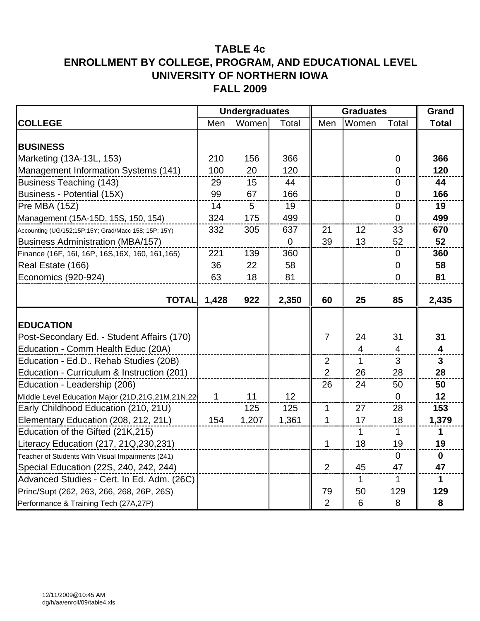|                                                      |       | <b>Undergraduates</b> |             |                | <b>Graduates</b> |                | Grand        |
|------------------------------------------------------|-------|-----------------------|-------------|----------------|------------------|----------------|--------------|
| <b>COLLEGE</b>                                       | Men   | Women                 | Total       | Men            | Women            | Total          | <b>Total</b> |
|                                                      |       |                       |             |                |                  |                |              |
| <b>BUSINESS</b>                                      |       |                       |             |                |                  |                |              |
| Marketing (13A-13L, 153)                             | 210   | 156                   | 366         |                |                  | $\mathbf 0$    | 366          |
| Management Information Systems (141)                 | 100   | 20                    | 120         |                |                  | $\mathbf 0$    | 120          |
| <b>Business Teaching (143)</b>                       | 29    | 15                    | 44          |                |                  | $\mathbf 0$    | 44           |
| Business - Potential (15X)                           | 99    | 67                    | 166         |                |                  | $\overline{0}$ | 166          |
| Pre MBA (15Z)                                        | 14    | 5                     | 19          |                |                  | $\pmb{0}$      | 19           |
| Management (15A-15D, 15S, 150, 154)                  | 324   | 175                   | 499         |                |                  | $\Omega$       | 499          |
| Accounting (UG/152;15P;15Y; Grad/Macc 158; 15P; 15Y) | 332   | 305                   | 637         | 21             | 12               | 33             | 670          |
| <b>Business Administration (MBA/157)</b>             |       |                       | $\mathbf 0$ | 39             | 13               | 52             | 52           |
| Finance (16F, 16I, 16P, 16S, 16X, 160, 161, 165)     | 221   | 139                   | 360         |                |                  | $\mathbf 0$    | 360          |
| Real Estate (166)                                    | 36    | 22                    | 58          |                |                  | 0              | 58           |
| Economics (920-924)                                  | 63    | 18                    | 81          |                |                  | $\overline{0}$ | 81           |
|                                                      |       |                       |             |                |                  |                |              |
| <b>TOTAL</b>                                         | 1,428 | 922                   | 2,350       | 60             | 25               | 85             | 2,435        |
|                                                      |       |                       |             |                |                  |                |              |
| <b>EDUCATION</b>                                     |       |                       |             |                |                  |                |              |
| Post-Secondary Ed. - Student Affairs (170)           |       |                       |             | $\overline{7}$ | 24               | 31             | 31           |
| Education - Comm Health Educ (20A)                   |       |                       |             |                | $\overline{4}$   | $\overline{4}$ | 4            |
| Education - Ed.D Rehab Studies (20B)                 |       |                       |             | $\overline{2}$ | 1                | 3              | $\mathbf{3}$ |
| Education - Curriculum & Instruction (201)           |       |                       |             | $\overline{2}$ | 26               | 28             | 28           |
| Education - Leadership (206)                         |       |                       |             | 26             | 24               | 50             | 50           |
| Middle Level Education Major (21D,21G,21M,21N,22     | 1     | 11                    | 12          |                |                  | $\overline{0}$ | 12           |
| Early Childhood Education (210, 21U)                 |       | 125                   | 125         | $\mathbf{1}$   | 27               | 28             | 153          |
| Elementary Education (208, 212, 21L)                 | 154   | 1,207                 | 1,361       | $\mathbf 1$    | 17               | 18             | 1,379        |
| Education of the Gifted (21K,215)                    |       |                       |             |                | 1                | 1              | $\mathbf 1$  |
| Literacy Education (217, 21Q, 230, 231)              |       |                       |             | 1              | 18               | 19             | 19           |
| Teacher of Students With Visual Impairments (241)    |       |                       |             |                |                  | $\mathbf 0$    | $\mathbf 0$  |
| Special Education (22S, 240, 242, 244)               |       |                       |             | $\overline{2}$ | 45               | 47             | 47           |
| Advanced Studies - Cert. In Ed. Adm. (26C)           |       |                       |             |                | 1                | 1              | 1            |
| Princ/Supt (262, 263, 266, 268, 26P, 26S)            |       |                       |             | 79             | 50               | 129            | 129          |
| Performance & Training Tech (27A,27P)                |       |                       |             | $\overline{2}$ | $6\phantom{1}$   | 8              | 8            |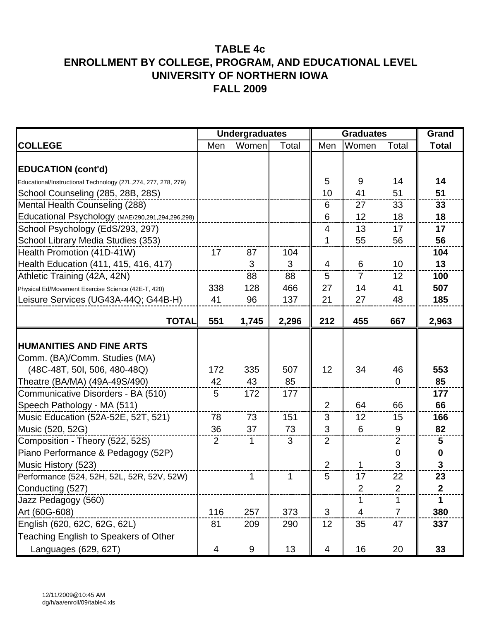|                                                               |     | <b>Undergraduates</b> |       |                | <b>Graduates</b> |                | Grand           |
|---------------------------------------------------------------|-----|-----------------------|-------|----------------|------------------|----------------|-----------------|
| <b>COLLEGE</b>                                                | Men | Women                 | Total | Men            | Women            | Total          | <b>Total</b>    |
|                                                               |     |                       |       |                |                  |                |                 |
| <b>EDUCATION (cont'd)</b>                                     |     |                       |       |                |                  |                |                 |
| Educational/Instructional Technology (27L,274, 277, 278, 279) |     |                       |       | 5              | 9                | 14             | 14              |
| School Counseling (285, 28B, 28S)                             |     |                       |       | 10             | 41               | 51             | 51              |
| Mental Health Counseling (288)                                |     |                       |       | 6              | 27               | 33             | 33              |
| Educational Psychology (MAE/290,291,294,296,298)              |     |                       |       | 6              | 12               | 18             | 18              |
| School Psychology (EdS/293, 297)                              |     |                       |       | $\overline{4}$ | 13               | 17             | 17              |
| School Library Media Studies (353)                            |     |                       |       | 1              | 55               | 56             | 56              |
| Health Promotion (41D-41W)                                    | 17  | 87                    | 104   |                |                  |                | 104             |
| Health Education (411, 415, 416, 417)                         |     | 3                     | 3     | $\overline{4}$ | 6                | 10             | 13              |
| Athletic Training (42A, 42N)                                  |     | 88                    | 88    | 5              | $\overline{7}$   | 12             | 100             |
| Physical Ed/Movement Exercise Science (42E-T, 420)            | 338 | 128                   | 466   | 27             | 14               | 41             | 507             |
| Leisure Services (UG43A-44Q; G44B-H)                          | 41  | 96                    | 137   | 21             | 27               | 48             | 185             |
|                                                               |     |                       |       |                |                  |                |                 |
| <b>TOTAL</b>                                                  | 551 | 1,745                 | 2,296 | 212            | 455              | 667            | 2,963           |
|                                                               |     |                       |       |                |                  |                |                 |
| <b>HUMANITIES AND FINE ARTS</b>                               |     |                       |       |                |                  |                |                 |
| Comm. (BA)/Comm. Studies (MA)                                 |     |                       |       |                |                  |                |                 |
| (48C-48T, 50I, 506, 480-48Q)                                  | 172 | 335                   | 507   | 12             | 34               | 46             | 553             |
| Theatre (BA/MA) (49A-49S/490)                                 | 42  | 43                    | 85    |                |                  | $\mathbf 0$    | 85              |
| Communicative Disorders - BA (510)                            | 5   | 172                   | 177   |                |                  |                | 177             |
| Speech Pathology - MA (511)                                   |     |                       |       | 2              | 64               | 66             | 66              |
| Music Education (52A-52E, 52T, 521)                           | 78  | 73                    | 151   | 3              | 12               | 15             | 166             |
| Music (520, 52G)                                              | 36  | 37                    | 73    | 3              | 6                | 9              | 82              |
| Composition - Theory (522, 52S)                               | 2   | 1                     | 3     | $\overline{2}$ |                  | $\overline{2}$ | 5               |
| Piano Performance & Pedagogy (52P)                            |     |                       |       |                |                  | 0              | 0               |
| Music History (523)                                           |     |                       |       | $\overline{2}$ | 1                | 3              | 3               |
| Performance (524, 52H, 52L, 52R, 52V, 52W)                    |     | 1                     | 1     | 5              | 17               | 22             | 23              |
| Conducting (527)                                              |     |                       |       |                | $\overline{2}$   | $\overline{2}$ | $\mathbf{2}$    |
| Jazz Pedagogy (560)                                           |     |                       |       |                | 1                | 1              | 1               |
| Art (60G-608)                                                 | 116 | 257                   | 373   | 3              | 4                | $\overline{7}$ | 380             |
| English (620, 62C, 62G, 62L)                                  | 81  | 209                   | 290   | 12             | 35               | 47             | 337             |
| Teaching English to Speakers of Other                         |     |                       |       |                |                  |                |                 |
| Languages (629, 62T)                                          | 4   | 9                     | 13    | $\overline{4}$ | 16               | 20             | 33 <sub>°</sub> |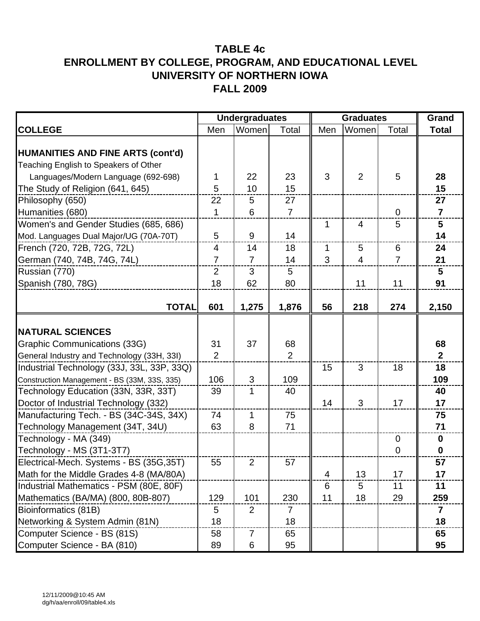|                                                                                   |                | <b>Undergraduates</b> |                |                | <b>Graduates</b> |                | Grand                   |
|-----------------------------------------------------------------------------------|----------------|-----------------------|----------------|----------------|------------------|----------------|-------------------------|
| <b>COLLEGE</b>                                                                    | Men            | Women                 | Total          | Men            | Women            | Total          | <b>Total</b>            |
| <b>HUMANITIES AND FINE ARTS (cont'd)</b><br>Teaching English to Speakers of Other |                |                       |                |                |                  |                |                         |
| Languages/Modern Language (692-698)                                               | 1              | 22                    | 23             | 3              | $\overline{2}$   | 5              | 28                      |
| The Study of Religion (641, 645)                                                  | 5              | 10                    | 15             |                |                  |                | 15                      |
| Philosophy (650)                                                                  | 22             | 5                     | 27             |                |                  |                | 27                      |
| Humanities (680)                                                                  | $\mathbf{1}$   | 6                     | $\overline{7}$ |                |                  | $\Omega$       | $\overline{7}$          |
| Women's and Gender Studies (685, 686)                                             |                |                       |                | 1              | $\overline{4}$   | 5              | $5\phantom{1}$          |
| Mod. Languages Dual Major/UG (70A-70T)                                            | 5              | 9                     | 14             |                |                  |                | 14                      |
| French (720, 72B, 72G, 72L)                                                       | 4              | 14                    | 18             | 1              | 5                | 6              | 24                      |
| German (740, 74B, 74G, 74L)                                                       | $\overline{7}$ | $\overline{7}$        | 14             | 3              | $\overline{4}$   | $\overline{7}$ | 21                      |
| Russian (770)                                                                     | $\overline{2}$ | 3                     | 5              |                |                  |                | 5                       |
| Spanish (780, 78G)                                                                | 18             | 62                    | 80             |                | 11               | 11             | 91                      |
| <b>TOTAL</b>                                                                      | 601            | 1,275                 | 1,876          | 56             | 218              | 274            | 2,150                   |
| <b>NATURAL SCIENCES</b>                                                           |                |                       |                |                |                  |                |                         |
| <b>Graphic Communications (33G)</b>                                               | 31             | 37                    | 68             |                |                  |                | 68                      |
| General Industry and Technology (33H, 33I)                                        | $\overline{2}$ |                       | $\overline{2}$ |                |                  |                | $\mathbf{2}$            |
| Industrial Technology (33J, 33L, 33P, 33Q)                                        |                |                       |                | 15             | 3                | 18             | 18                      |
| Construction Management - BS (33M, 33S, 335)                                      | 106            | 3                     | 109            |                |                  |                | 109                     |
| Technology Education (33N, 33R, 33T)                                              | 39             | 1                     | 40             |                |                  |                | 40                      |
| Doctor of Industrial Technology (332)                                             |                |                       |                | 14             | 3                | 17             | 17                      |
| Manufacturing Tech. - BS (34C-34S, 34X)                                           | 74             | $\mathbf{1}$          | 75             |                |                  |                | 75                      |
| Technology Management (34T, 34U)                                                  | 63             | 8                     | 71             |                |                  |                | 71                      |
| Technology - MA (349)                                                             |                |                       |                |                |                  | $\mathbf 0$    | $\mathbf 0$             |
| Technology - MS (3T1-3T7)                                                         |                |                       |                |                |                  | $\mathbf 0$    | $\bf{0}$                |
| Electrical-Mech. Systems - BS (35G,35T)                                           | 55             | $\overline{2}$        | 57             |                |                  |                | 57                      |
| Math for the Middle Grades 4-8 (MA/80A)                                           |                |                       |                | $\overline{4}$ | 13               | 17             | 17                      |
| Industrial Mathematics - PSM (80E, 80F)                                           |                |                       |                | 6              | 5                | 11             | 11                      |
| Mathematics (BA/MA) (800, 80B-807)                                                | 129            | 101                   | 230            | 11             | 18               | 29             | 259                     |
| Bioinformatics (81B)                                                              | 5              | $\overline{2}$        | 7              |                |                  |                | $\overline{\mathbf{7}}$ |
| Networking & System Admin (81N)                                                   | 18             |                       | 18             |                |                  |                | 18                      |
| Computer Science - BS (81S)                                                       | 58             | $\overline{7}$        | 65             |                |                  |                | 65                      |
| Computer Science - BA (810)                                                       | 89             | 6                     | 95             |                |                  |                | 95                      |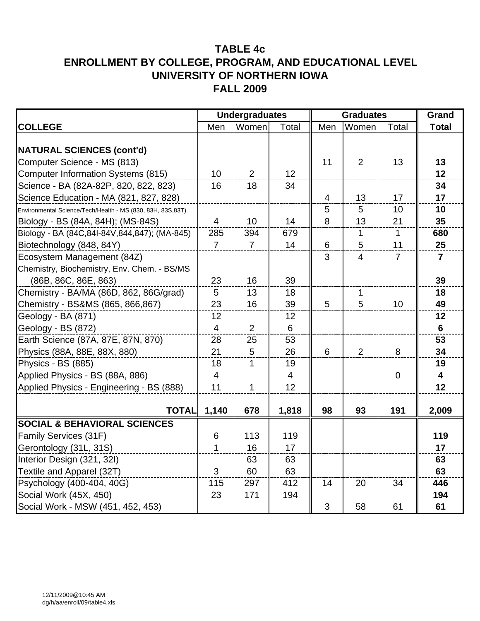|                                                            | <b>Undergraduates</b> |                |                | <b>Graduates</b> |                |                | Grand                   |
|------------------------------------------------------------|-----------------------|----------------|----------------|------------------|----------------|----------------|-------------------------|
| <b>COLLEGE</b>                                             | Men                   | Women          | Total          | Men              | Women          | Total          | <b>Total</b>            |
| <b>NATURAL SCIENCES (cont'd)</b>                           |                       |                |                |                  |                |                |                         |
| Computer Science - MS (813)                                |                       |                |                | 11               | $\overline{2}$ | 13             | 13                      |
| <b>Computer Information Systems (815)</b>                  | 10                    | $\overline{2}$ | 12             |                  |                |                | 12                      |
| Science - BA (82A-82P, 820, 822, 823)                      | 16                    | 18             | 34             |                  |                |                | 34                      |
| Science Education - MA (821, 827, 828)                     |                       |                |                | $\overline{4}$   | 13             | 17             | 17                      |
| Environmental Science/Tech/Health - MS (830, 83H, 83S,83T) |                       |                |                | 5                | 5              | 10             | 10                      |
| Biology - BS (84A, 84H); (MS-84S)                          | $\overline{4}$        | 10             | 14             | 8                | 13             | 21             | 35                      |
| Biology - BA (84C, 84I-84V, 844, 847); (MA-845)            | 285                   | 394            | 679            |                  | $\mathbf{1}$   | $\mathbf{1}$   | 680                     |
| Biotechnology (848, 84Y)                                   | $\overline{7}$        | $\overline{7}$ | 14             | $6\phantom{1}6$  | 5              | 11             | 25                      |
| Ecosystem Management (84Z)                                 |                       |                |                | 3                | $\overline{4}$ | $\overline{7}$ | $\overline{7}$          |
| Chemistry, Biochemistry, Env. Chem. - BS/MS                |                       |                |                |                  |                |                |                         |
| (86B, 86C, 86E, 863)                                       | 23                    | 16             | 39             |                  |                |                | 39                      |
| Chemistry - BA/MA (86D, 862, 86G/grad)                     | 5                     | 13             | 18             |                  | $\mathbf{1}$   |                | 18                      |
| Chemistry - BS&MS (865, 866,867)                           | 23                    | 16             | 39             | 5                | 5              | 10             | 49                      |
| Geology - BA (871)                                         | 12                    |                | 12             |                  |                |                | 12                      |
| Geology - BS (872)                                         | $\overline{4}$        | $\overline{2}$ | $6\,$          |                  |                |                | $6\phantom{1}$          |
| Earth Science (87A, 87E, 87N, 870)                         | 28                    | 25             | 53             |                  |                |                | 53                      |
| Physics (88A, 88E, 88X, 880)                               | 21                    | 5              | 26             | 6                | $\overline{2}$ | 8              | 34                      |
| Physics - BS (885)                                         | 18                    | $\mathbf{1}$   | 19             |                  |                |                | 19                      |
| Applied Physics - BS (88A, 886)                            | $\overline{4}$        |                | $\overline{4}$ |                  |                | $\overline{0}$ | $\overline{\mathbf{4}}$ |
| Applied Physics - Engineering - BS (888)                   | 11                    | $\mathbf{1}$   | 12             |                  |                |                | 12                      |
| <b>TOTAL</b>                                               | 1,140                 | 678            | 1,818          | 98               | 93             | 191            | 2,009                   |
| <b>SOCIAL &amp; BEHAVIORAL SCIENCES</b>                    |                       |                |                |                  |                |                |                         |
| Family Services (31F)                                      | 6                     | 113            | 119            |                  |                |                | 119                     |
| Gerontology (31L, 31S)                                     | 1                     | 16             | 17             |                  |                |                | 17                      |
| Interior Design (321, 32I)                                 |                       | 63             | 63             |                  |                |                | 63                      |
| Textile and Apparel (32T)                                  | 3                     | 60             | 63             |                  |                |                | 63                      |
| Psychology (400-404, 40G)                                  | 115                   | 297            | 412            | 14               | 20             | 34             | 446                     |
| Social Work (45X, 450)                                     | 23                    | 171            | 194            |                  |                |                | 194                     |
| Social Work - MSW (451, 452, 453)                          |                       |                |                | 3                | 58             | 61             | 61                      |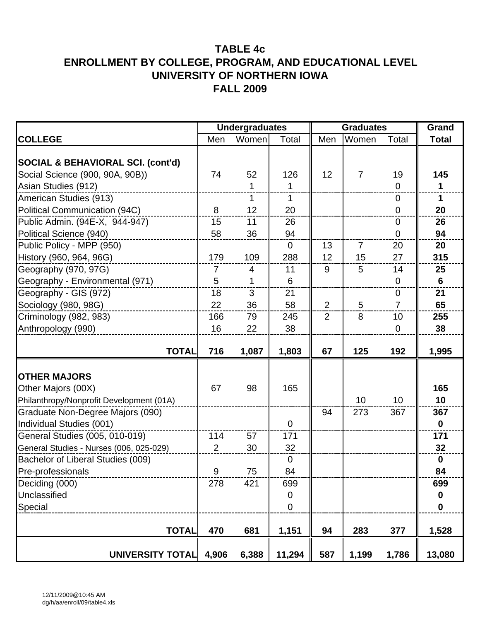|                                              |                | <b>Undergraduates</b> |                | <b>Graduates</b> |                |                  | Grand            |
|----------------------------------------------|----------------|-----------------------|----------------|------------------|----------------|------------------|------------------|
| <b>COLLEGE</b>                               | Men            | Women                 | Total          | Men              | Women          | Total            | <b>Total</b>     |
|                                              |                |                       |                |                  |                |                  |                  |
| <b>SOCIAL &amp; BEHAVIORAL SCI. (cont'd)</b> |                |                       |                |                  |                |                  |                  |
| Social Science (900, 90A, 90B))              | 74             | 52                    | 126            | 12               | $\overline{7}$ | 19               | 145              |
| Asian Studies (912)                          |                | $\mathbf{1}$          | 1              |                  |                | $\overline{0}$   | $\mathbf{1}$     |
| American Studies (913)                       |                | 1                     | 1              |                  |                | $\overline{0}$   | $\mathbf 1$      |
| Political Communication (94C)                | 8              | 12                    | 20             |                  |                | 0                | 20               |
| Public Admin. (94E-X, 944-947)               | 15             | 11                    | 26             |                  |                | $\overline{0}$   | 26               |
| Political Science (940)                      | 58             | 36                    | 94             |                  |                | $\overline{0}$   | 94               |
| Public Policy - MPP (950)                    |                |                       | $\mathbf 0$    | 13               | $\overline{7}$ | 20               | 20               |
| History (960, 964, 96G)                      | 179            | 109                   | 288            | 12               | 15             | 27               | 315              |
| Geography (970, 97G)                         | $\overline{7}$ | 4                     | 11             | 9                | 5              | 14               | 25               |
| Geography - Environmental (971)              | 5              | 1                     | 6              |                  |                | $\mathbf 0$      | 6                |
| Geography - GIS (972)                        | 18             | 3                     | 21             |                  |                | $\boldsymbol{0}$ | 21               |
| Sociology (980, 98G)                         | 22             | 36                    | 58             | 2                | 5              | $\overline{7}$   | 65               |
| Criminology (982, 983)                       | 166            | 79                    | 245            | $\overline{2}$   | 8              | 10               | 255              |
| Anthropology (990)                           | 16             | 22                    | 38             |                  |                | $\overline{0}$   | 38               |
|                                              |                |                       |                |                  |                |                  |                  |
| <b>TOTAL</b>                                 | 716            | 1,087                 | 1,803          | 67               | 125            | 192              | 1,995            |
|                                              |                |                       |                |                  |                |                  |                  |
| <b>OTHER MAJORS</b>                          |                |                       |                |                  |                |                  |                  |
| Other Majors (00X)                           | 67             | 98                    | 165            |                  |                |                  | 165              |
| Philanthropy/Nonprofit Development (01A)     |                |                       |                |                  | 10             | 10               | 10               |
| Graduate Non-Degree Majors (090)             |                |                       |                | 94               | 273            | 367              | 367              |
| Individual Studies (001)                     |                |                       | $\overline{0}$ |                  |                |                  | $\mathbf{0}$     |
| General Studies (005, 010-019)               | 114            | 57                    | 171            |                  |                |                  | 171              |
| General Studies - Nurses (006, 025-029)      | 2              | 30                    | 32             |                  |                |                  | 32               |
| Bachelor of Liberal Studies (009)            |                |                       | $\mathbf 0$    |                  |                |                  | $\bf{0}$         |
| Pre-professionals                            | Q              | 75                    | 84             |                  |                |                  | 84               |
| Deciding (000)                               | 278            | 421                   | 699            |                  |                |                  | 699              |
| Unclassified                                 |                |                       | $\pmb{0}$      |                  |                |                  | $\boldsymbol{0}$ |
| Special                                      |                |                       | $\mathbf 0$    |                  |                |                  | $\mathbf 0$      |
|                                              |                |                       |                |                  |                |                  |                  |
| <b>TOTAL</b>                                 | 470            | 681                   | 1,151          | 94               | 283            | 377              | 1,528            |
| UNIVERSITY TOTAL                             | 4,906          | 6,388                 | 11,294         | 587              | 1,199          | 1,786            | 13,080           |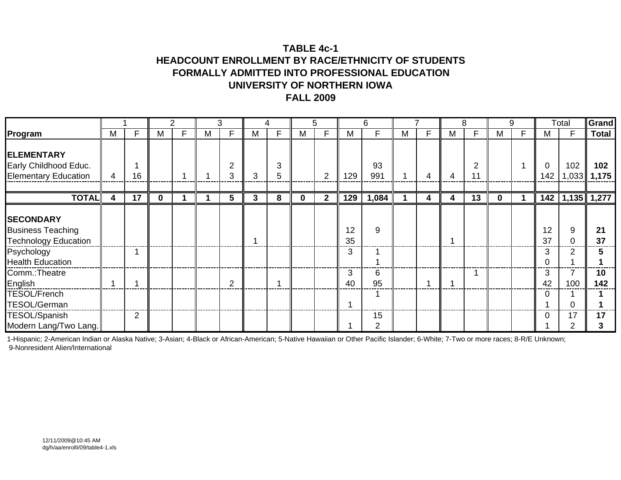## **TABLE 4c-1HEADCOUNT ENROLLMENT BY RACE/ETHNICITY OF STUDENTS FORMALLY ADMITTED INTO PROFESSIONAL EDUCATIONUNIVERSITY OF NORTHERN IOWAFALL 2009**

|                                                                                                               |   |                 |   |   |   | 3              |   | 4      |          | 5              |               | 6         |   |    |   | 8           |          | 9 |                    | Total        | Grand         |
|---------------------------------------------------------------------------------------------------------------|---|-----------------|---|---|---|----------------|---|--------|----------|----------------|---------------|-----------|---|----|---|-------------|----------|---|--------------------|--------------|---------------|
| Program                                                                                                       | M | F               | м | F | м | F              | м | F      | м        | F              | М             | F         | М | F. | M | F           | M        | F | M                  | F            | <b>Total</b>  |
| <b>ELEMENTARY</b><br>Early Childhood Educ.<br><b>Elementary Education</b>                                     | 4 | 16              |   |   |   | 2<br>3         | 3 | 3<br>5 |          | $\overline{2}$ | 129           | 93<br>991 |   | 4  | 4 | 2<br>1<br>1 |          |   | $\mathbf 0$<br>142 | 102<br>1,033 | 102<br>1,175  |
| <b>TOTAL</b>                                                                                                  | 4 | $\overline{17}$ | 0 |   |   | 5              | 3 | 8      | $\bf{0}$ | $\mathbf{2}$   | 129           | 1,084     |   | 4  | 4 | 13          | $\bf{0}$ |   | 142                |              | $1,135$ 1,277 |
| <b>SECONDARY</b><br><b>Business Teaching</b><br>Technology Education<br>Psychology<br><b>Health Education</b> |   |                 |   |   |   |                |   |        |          |                | 12<br>35<br>3 | 9         |   |    |   |             |          |   | 12<br>37<br>3      | 9<br>0<br>2  | 21<br>37      |
| Comm.: Theatre<br>English<br><b>TESOL/French</b><br><b>TESOL/German</b>                                       |   |                 |   |   |   | $\overline{2}$ |   |        |          |                | 3<br>40       | 6<br>95   |   |    |   |             |          |   | 3<br>42<br>0       | 100          | 10<br>142     |
| <b>TESOL/Spanish</b><br>Modern Lang/Two Lang.                                                                 |   | $\overline{2}$  |   |   |   |                |   |        |          |                |               | 15<br>2   |   |    |   |             |          |   | $\Omega$           | 17<br>2      | 17            |

1-Hispanic; 2-American Indian or Alaska Native; 3-Asian; 4-Black or African-American; 5-Native Hawaiian or Other Pacific Islander; 6-White; 7-Two or more races; 8-R/E Unknown; 9-Nonresident Alien/International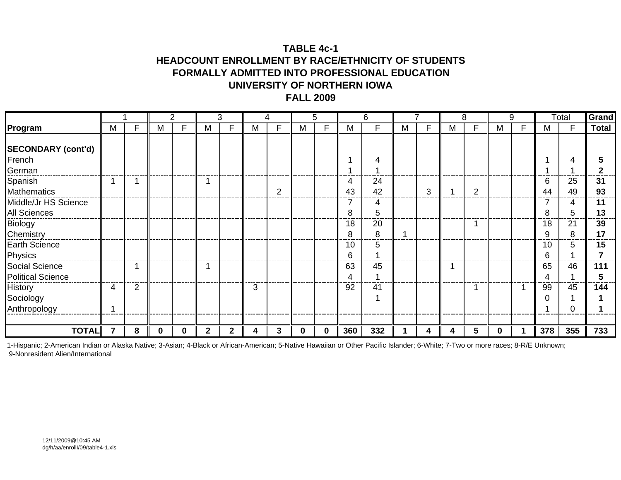### **TABLE 4c-1HEADCOUNT ENROLLMENT BY RACE/ETHNICITY OF STUDENTS FORMALLY ADMITTED INTO PROFESSIONAL EDUCATIONUNIVERSITY OF NORTHERN IOWAFALL 2009**

|                                            |   |                |   | 2 |              | 3 |   | 4 |          | 5. |         | 6        |   |   |   | 8              |          | 9 |         | Total    | Grand        |
|--------------------------------------------|---|----------------|---|---|--------------|---|---|---|----------|----|---------|----------|---|---|---|----------------|----------|---|---------|----------|--------------|
| Program                                    | M | F              | M | F | М            | F | M | F | M        | F  | M       | F        | М | F | M | F              | M        |   | M       | F        | <b>Total</b> |
| <b>SECONDARY (cont'd)</b>                  |   |                |   |   |              |   |   |   |          |    |         |          |   |   |   |                |          |   |         |          |              |
| French                                     |   |                |   |   |              |   |   |   |          |    |         | 4        |   |   |   |                |          |   |         |          |              |
| German                                     |   |                |   |   |              |   |   |   |          |    |         |          |   |   |   |                |          |   |         |          |              |
| Spanish<br><b>Mathematics</b>              |   |                |   |   |              |   |   | 2 |          |    | 4<br>43 | 24<br>42 |   | 3 |   | $\overline{2}$ |          |   | 6<br>44 | 25<br>49 | 31<br>93     |
| Middle/Jr HS Science<br>All Sciences       |   |                |   |   |              |   |   |   |          |    | 7<br>8  | 4<br>5   |   |   |   |                |          |   | 8       | 4<br>5   | 11<br>13     |
| <b>Biology</b><br>Chemistry                |   |                |   |   |              |   |   |   |          |    | 18<br>8 | 20<br>8  |   |   |   |                |          |   | 18<br>9 | 21<br>8  | 39<br>17     |
| Earth Science<br>Physics                   |   |                |   |   |              |   |   |   |          |    | 10<br>6 | 5        |   |   |   |                |          |   | 10<br>6 | 5        | 15           |
| Social Science<br><b>Political Science</b> |   |                |   |   |              |   |   |   |          |    | 63<br>4 | 45       |   |   |   |                |          |   | 65<br>4 | 46       | 111          |
| History<br>Sociology<br>Anthropology       | 4 | $\overline{2}$ |   |   |              |   | 3 |   |          |    | 92      | 41       |   |   |   |                |          |   | 99      | 45       | 144          |
|                                            |   |                |   |   |              |   |   |   |          |    |         |          |   |   |   |                |          |   |         |          |              |
| <b>TOTAL</b>                               |   | 8              |   | 0 | $\mathbf{2}$ | 2 | 4 | 3 | $\bf{0}$ | 0  | 360     | 332      |   | 4 | 4 | 5              | $\bf{0}$ |   | 378     | 355      | 733          |

1-Hispanic; 2-American Indian or Alaska Native; 3-Asian; 4-Black or African-American; 5-Native Hawaiian or Other Pacific Islander; 6-White; 7-Two or more races; 8-R/E Unknown; 9-Nonresident Alien/International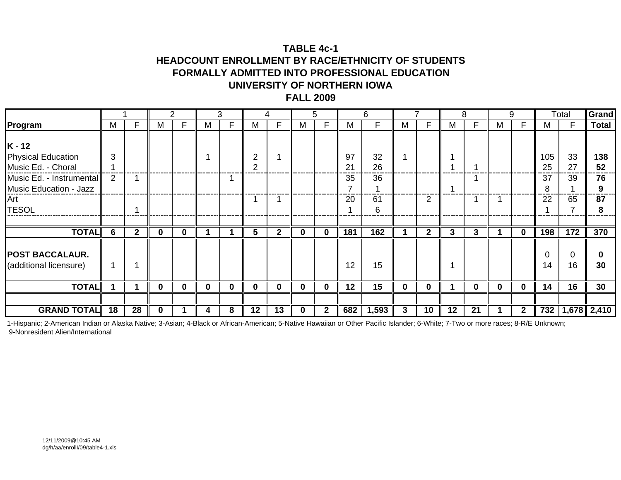### **TABLE 4c-1HEADCOUNT ENROLLMENT BY RACE/ETHNICITY OF STUDENTS FORMALLY ADMITTED INTO PROFESSIONAL EDUCATIONUNIVERSITY OF NORTHERN IOWAFALL 2009**

|                                                                                                                                          |        |                |          | 2        |              | 3  |              | 4        |              | 5            |                      | 6                         |          |                |    | 8            |              | 9            |                       | Total                | Grand                      |
|------------------------------------------------------------------------------------------------------------------------------------------|--------|----------------|----------|----------|--------------|----|--------------|----------|--------------|--------------|----------------------|---------------------------|----------|----------------|----|--------------|--------------|--------------|-----------------------|----------------------|----------------------------|
| Program                                                                                                                                  | M      | F              | М        | F        | м            | F. | M            | F        | M            |              | M                    | F                         | м        | F              | м  | F.           | М            |              | М                     | F.                   | <b>Total</b>               |
| $K - 12$<br><b>Physical Education</b><br>Music Ed. - Choral<br>Music Ed. - Instrumental<br>Music Education - Jazz<br>Art<br><b>TESOL</b> | 3<br>2 |                |          |          |              |    |              |          |              |              | 97<br>21<br>35<br>20 | 32<br>26<br>36<br>61<br>6 |          | 2              |    |              |              |              | 105<br>25<br>37<br>22 | 33<br>27<br>39<br>65 | 138<br>52<br>76<br>87<br>8 |
|                                                                                                                                          |        |                |          |          |              |    |              |          |              |              |                      |                           |          |                |    |              |              |              |                       |                      |                            |
| <b>TOTAL</b>                                                                                                                             | 6      | $\overline{2}$ | $\bf{0}$ | $\bf{0}$ |              |    | 5.           | 2        | $\bf{0}$     | 0            | 181                  | 162                       |          | $\overline{2}$ | 3  | $\mathbf{3}$ |              | 0            | 198                   | 172                  | 370                        |
| <b>POST BACCALAUR.</b><br>(additional licensure)                                                                                         |        |                |          |          |              |    |              |          |              |              | 12                   | 15                        |          |                |    |              |              |              | 14                    | 16                   | 30                         |
| <b>TOTAL</b>                                                                                                                             |        |                | $\bf{0}$ | $\bf{0}$ | $\mathbf{0}$ | 0  | $\mathbf{0}$ | $\Omega$ | $\bf{0}$     | $\mathbf{0}$ | 12                   | 15                        | $\bf{0}$ | $\mathbf 0$    |    | $\bf{0}$     | $\mathbf{0}$ | $\mathbf{0}$ | 14                    | 16                   | 30                         |
|                                                                                                                                          |        |                |          |          |              |    |              |          |              |              |                      |                           |          |                |    |              |              |              |                       |                      |                            |
| <b>GRAND TOTAL</b>                                                                                                                       | 18     | 28             | U        |          |              | 8  | $12 \,$      | 13       | <sup>0</sup> | $\mathbf 2$  | 682                  | 1,593                     | 3        | 10             | 12 | 21           |              | 2            | 732                   | $1,678$ 2,410        |                            |

1-Hispanic; 2-American Indian or Alaska Native; 3-Asian; 4-Black or African-American; 5-Native Hawaiian or Other Pacific Islander; 6-White; 7-Two or more races; 8-R/E Unknown; 9-Nonresident Alien/International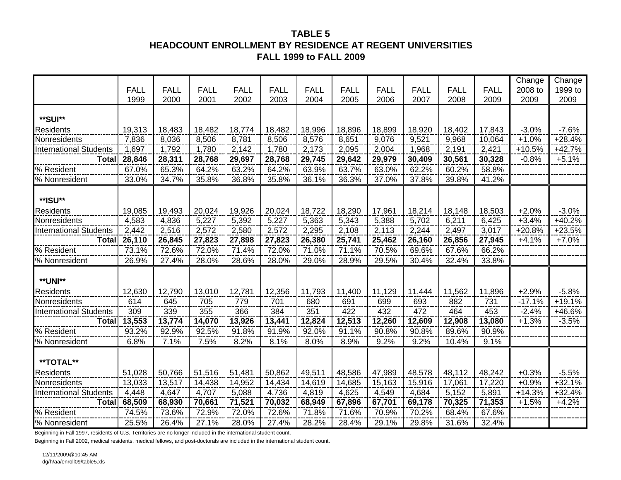## **TABLE 5HEADCOUNT ENROLLMENT BY RESIDENCE AT REGENT UNIVERSITIES FALL 1999 to FALL 2009**

|                               |             |             |             |             |             |             |             |             |             |             |             | Change   | Change   |
|-------------------------------|-------------|-------------|-------------|-------------|-------------|-------------|-------------|-------------|-------------|-------------|-------------|----------|----------|
|                               | <b>FALL</b> | <b>FALL</b> | <b>FALL</b> | <b>FALL</b> | <b>FALL</b> | <b>FALL</b> | <b>FALL</b> | <b>FALL</b> | <b>FALL</b> | <b>FALL</b> | <b>FALL</b> | 2008 to  | 1999 to  |
|                               | 1999        | 2000        | 2001        | 2002        | 2003        | 2004        | 2005        | 2006        | 2007        | 2008        | 2009        | 2009     | 2009     |
|                               |             |             |             |             |             |             |             |             |             |             |             |          |          |
| **SUI**                       |             |             |             |             |             |             |             |             |             |             |             |          |          |
| <b>Residents</b>              | 19,313      | 18,483      | 18,482      | 18,774      | 18,482      | 18,996      | 18,896      | 18,899      | 18,920      | 18,402      | 17,843      | $-3.0%$  | $-7.6%$  |
| Nonresidents                  | 7,836       | 8,036       | 8,506       | 8,781       | 8,506       | 8,576       | 8,651       | 9,076       | 9,521       | 9,968       | 10,064      | $+1.0%$  | $+28.4%$ |
| <b>International Students</b> | 1,697       | 1,792       | 1,780       | 2,142       | 1,780       | 2,173       | 2,095       | 2,004       | 1,968       | 2,191       | 2,421       | $+10.5%$ | $+42.7%$ |
| <b>Total</b>                  | 28,846      | 28,311      | 28,768      | 29,697      | 28,768      | 29,745      | 29,642      | 29,979      | 30,409      | 30,561      | 30,328      | $-0.8%$  | $+5.1%$  |
| % Resident                    | 67.0%       | 65.3%       | 64.2%       | 63.2%       | 64.2%       | 63.9%       | 63.7%       | 63.0%       | 62.2%       | 60.2%       | 58.8%       |          |          |
| % Nonresident                 | 33.0%       | 34.7%       | 35.8%       | 36.8%       | 35.8%       | 36.1%       | 36.3%       | 37.0%       | 37.8%       | 39.8%       | 41.2%       |          |          |
|                               |             |             |             |             |             |             |             |             |             |             |             |          |          |
| **ISU**                       |             |             |             |             |             |             |             |             |             |             |             |          |          |
| <b>Residents</b>              | 19,085      | 19,493      | 20,024      | 19,926      | 20,024      | 18,722      | 18,290      | 17,961      | 18,214      | 18,148      | 18,503      | $+2.0%$  | $-3.0%$  |
| Nonresidents                  | 4,583       | 4,836       | 5,227       | 5,392       | 5,227       | 5,363       | 5,343       | 5,388       | 5,702       | 6,211       | 6,425       | $+3.4%$  | $+40.2%$ |
| <b>International Students</b> | 2,442       | 2,516       | 2,572       | 2,580       | 2,572       | 2,295       | 2,108       | 2,113       | 2,244       | 2,497       | 3,017       | $+20.8%$ | $+23.5%$ |
| <b>Total</b>                  | 26,110      | 26,845      | 27,823      | 27,898      | 27,823      | 26,380      | 25,741      | 25,462      | 26,160      | 26,856      | 27,945      | $+4.1%$  | $+7.0%$  |
| % Resident                    | 73.1%       | 72.6%       | 72.0%       | 71.4%       | 72.0%       | 71.0%       | 71.1%       | 70.5%       | 69.6%       | 67.6%       | 66.2%       |          |          |
| % Nonresident                 | 26.9%       | 27.4%       | 28.0%       | 28.6%       | 28.0%       | 29.0%       | 28.9%       | 29.5%       | 30.4%       | 32.4%       | 33.8%       |          |          |
|                               |             |             |             |             |             |             |             |             |             |             |             |          |          |
| **UNI**                       |             |             |             |             |             |             |             |             |             |             |             |          |          |
| <b>Residents</b>              | 12,630      | 12,790      | 13,010      | 12,781      | 12,356      | 11,793      | 11,400      | 11,129      | 11,444      | 11,562      | 11,896      | $+2.9%$  | $-5.8%$  |
| Nonresidents                  | 614         | 645         | 705         | 779         | 701         | 680         | 691         | 699         | 693         | 882         | 731         | $-17.1%$ | $+19.1%$ |
| <b>International Students</b> | 309         | 339         | 355         | 366         | 384         | 351         | 422         | 432         | 472         | 464         | 453         | $-2.4%$  | +46.6%   |
| <b>Total</b>                  | 13,553      | 13,774      | 14,070      | 13,926      | 13,441      | 12,824      | 12,513      | 12,260      | 12,609      | 12,908      | 13,080      | $+1.3%$  | $-3.5%$  |
| % Resident                    | 93.2%       | 92.9%       | 92.5%       | 91.8%       | 91.9%       | 92.0%       | 91.1%       | 90.8%       | 90.8%       | 89.6%       | 90.9%       |          |          |
| % Nonresident                 | 6.8%        | 7.1%        | 7.5%        | 8.2%        | 8.1%        | 8.0%        | 8.9%        | 9.2%        | 9.2%        | 10.4%       | 9.1%        |          |          |
|                               |             |             |             |             |             |             |             |             |             |             |             |          |          |
| **TOTAL**                     |             |             |             |             |             |             |             |             |             |             |             |          |          |
| <b>Residents</b>              | 51,028      | 50,766      | 51,516      | 51,481      | 50,862      | 49,511      | 48,586      | 47,989      | 48,578      | 48,112      | 48,242      | $+0.3%$  | $-5.5%$  |
| Nonresidents                  | 13,033      | 13,517      | 14,438      | 14,952      | 14,434      | 14,619      | 14,685      | 15,163      | 15,916      | 17,061      | 17,220      | $+0.9%$  | $+32.1%$ |
| <b>International Students</b> | 4,448       | 4,647       | 4,707       | 5,088       | 4,736       | 4,819       | 4,625       | 4,549       | 4,684       | 5,152       | 5,891       | $+14.3%$ | $+32.4%$ |
| <b>Total</b>                  | 68,509      | 68,930      | 70,661      | 71,521      | 70,032      | 68,949      | 67,896      | 67,701      | 69,178      | 70,325      | 71,353      | $+1.5%$  | $+4.2%$  |
| % Resident                    | 74.5%       | 73.6%       | 72.9%       | 72.0%       | 72.6%       | 71.8%       | 71.6%       | 70.9%       | 70.2%       | 68.4%       | 67.6%       |          |          |
| % Nonresident                 | 25.5%       | 26.4%       | 27.1%       | 28.0%       | 27.4%       | 28.2%       | 28.4%       | 29.1%       | 29.8%       | 31.6%       | 32.4%       |          |          |

Beginning in Fall 1997, residents of U.S. Territories are no longer included in the international student count.

Beginning in Fall 2002, medical residents, medical fellows, and post-doctorals are included in the international student count.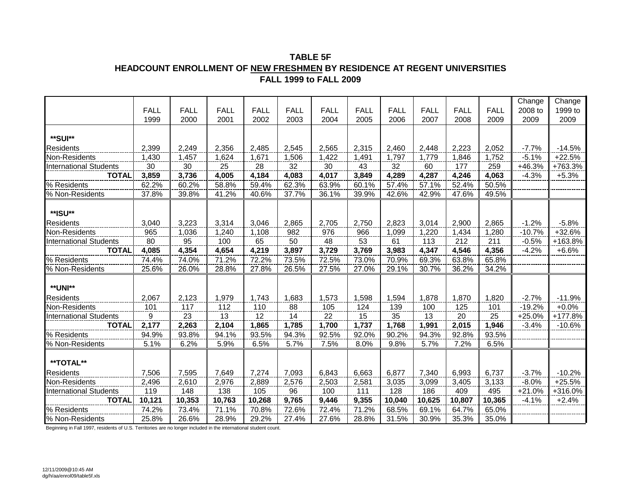#### **TABLE 5F HEADCOUNT ENROLLMENT OF NEW FRESHMEN BY RESIDENCE AT REGENT UNIVERSITIES FALL 1999 to FALL 2009**

|                               |             |             |             |             |             |                 |             |             |             |                 |             | Change   | Change   |
|-------------------------------|-------------|-------------|-------------|-------------|-------------|-----------------|-------------|-------------|-------------|-----------------|-------------|----------|----------|
|                               | <b>FALL</b> | <b>FALL</b> | <b>FALL</b> | <b>FALL</b> | <b>FALL</b> | <b>FALL</b>     | <b>FALL</b> | <b>FALL</b> | <b>FALL</b> | <b>FALL</b>     | <b>FALL</b> | 2008 to  | 1999 to  |
|                               | 1999        | 2000        | 2001        | 2002        | 2003        | 2004            | 2005        | 2006        | 2007        | 2008            | 2009        | 2009     | 2009     |
|                               |             |             |             |             |             |                 |             |             |             |                 |             |          |          |
| **SUI**                       |             |             |             |             |             |                 |             |             |             |                 |             |          |          |
| <b>Residents</b>              | 2,399       | 2,249       | 2,356       | 2,485       | 2,545       | 2,565           | 2,315       | 2,460       | 2,448       | 2,223           | 2,052       | $-7.7%$  | $-14.5%$ |
| Non-Residents                 | 1,430       | 1,457       | 1,624       | 1,671       | 1,506       | 1,422           | 1,491       | 1,797       | 1,779       | 1,846           | 1,752       | $-5.1%$  | $+22.5%$ |
| <b>International Students</b> | 30          | 30          | 25          | 28          | 32          | 30              | 43          | 32          | 60          | 177             | 259         | $+46.3%$ | +763.3%  |
| <b>TOTAL</b>                  | 3,859       | 3,736       | 4,005       | 4,184       | 4,083       | 4,017           | 3,849       | 4,289       | 4,287       | 4,246           | 4,063       | $-4.3%$  | $+5.3%$  |
| % Residents                   | 62.2%       | 60.2%       | 58.8%       | 59.4%       | 62.3%       | 63.9%           | 60.1%       | 57.4%       | 57.1%       | 52.4%           | 50.5%       |          |          |
| % Non-Residents               | 37.8%       | 39.8%       | 41.2%       | 40.6%       | 37.7%       | 36.1%           | 39.9%       | 42.6%       | 42.9%       | 47.6%           | 49.5%       |          |          |
|                               |             |             |             |             |             |                 |             |             |             |                 |             |          |          |
| **ISU**                       |             |             |             |             |             |                 |             |             |             |                 |             |          |          |
| <b>Residents</b>              | 3,040       | 3,223       | 3,314       | 3,046       | 2,865       | 2,705           | 2,750       | 2,823       | 3,014       | 2,900           | 2,865       | $-1.2%$  | $-5.8%$  |
| Non-Residents                 | 965         | 1,036       | 1,240       | 1,108       | 982         | 976             | 966         | 1,099       | 1,220       | 1,434           | 1,280       | $-10.7%$ | $+32.6%$ |
| <b>International Students</b> | 80          | 95          | 100         | 65          | 50          | $\overline{48}$ | 53          | 61          | 113         | 212             | 211         | $-0.5%$  | +163.8%  |
| <b>TOTAL</b>                  | 4,085       | 4,354       | 4,654       | 4,219       | 3,897       | 3,729           | 3,769       | 3,983       | 4,347       | 4,546           | 4,356       | $-4.2%$  | $+6.6%$  |
| % Residents                   | 74.4%       | 74.0%       | 71.2%       | 72.2%       | 73.5%       | 72.5%           | 73.0%       | 70.9%       | 69.3%       | 63.8%           | 65.8%       |          |          |
| % Non-Residents               | 25.6%       | 26.0%       | 28.8%       | 27.8%       | 26.5%       | 27.5%           | 27.0%       | 29.1%       | 30.7%       | 36.2%           | 34.2%       |          |          |
|                               |             |             |             |             |             |                 |             |             |             |                 |             |          |          |
| <b>**UNI**</b>                |             |             |             |             |             |                 |             |             |             |                 |             |          |          |
| <b>Residents</b>              | 2,067       | 2,123       | 1,979       | 1,743       | 1,683       | 1,573           | 1,598       | 1,594       | 1,878       | 1,870           | 1,820       | $-2.7%$  | $-11.9%$ |
| Non-Residents                 | 101         | 117         | 112         | 110         | 88          | 105             | 124         | 139         | 100         | 125             | 101         | $-19.2%$ | $+0.0%$  |
| <b>International Students</b> | 9           | 23          | 13          | 12          | 14          | $\frac{22}{2}$  | 15          | 35          | 13          | $\overline{20}$ | 25          | $+25.0%$ | +177.8%  |
| TOTAL                         | 2,177       | 2,263       | 2,104       | 1,865       | 1,785       | 1,700           | 1,737       | 1,768       | 1,991       | 2,015           | 1,946       | $-3.4%$  | $-10.6%$ |
| % Residents                   | 94.9%       | 93.8%       | 94.1%       | 93.5%       | 94.3%       | 92.5%           | 92.0%       | 90.2%       | 94.3%       | 92.8%           | 93.5%       |          |          |
| % Non-Residents               | 5.1%        | 6.2%        | 5.9%        | 6.5%        | 5.7%        | 7.5%            | 8.0%        | 9.8%        | 5.7%        | 7.2%            | 6.5%        |          |          |
|                               |             |             |             |             |             |                 |             |             |             |                 |             |          |          |
| **TOTAL**                     |             |             |             |             |             |                 |             |             |             |                 |             |          |          |
| <b>Residents</b>              | 7,506       | 7,595       | 7,649       | 7,274       | 7,093       | 6,843           | 6,663       | 6,877       | 7,340       | 6,993           | 6,737       | $-3.7%$  | $-10.2%$ |
| Non-Residents                 | 2,496       | 2,610       | 2,976       | 2,889       | 2,576       | 2,503           | 2,581       | 3,035       | 3,099       | 3,405           | 3,133       | $-8.0%$  | $+25.5%$ |
| <b>International Students</b> | 119         | 148         | 138         | 105         | 96          | 100             | 111         | 128         | 186         | 409             | 495         | $+21.0%$ | +316.0%  |
| <b>TOTAL</b>                  | 10,121      | 10,353      | 10,763      | 10,268      | 9,765       | 9,446           | 9,355       | 10,040      | 10,625      | 10,807          | 10,365      | $-4.1%$  | $+2.4%$  |
| % Residents                   | 74.2%       | 73.4%       | 71.1%       | 70.8%       | 72.6%       | 72.4%           | 71.2%       | 68.5%       | 69.1%       | 64.7%           | 65.0%       |          |          |
| % Non-Residents               | 25.8%       | 26.6%       | 28.9%       | 29.2%       | 27.4%       | 27.6%           | 28.8%       | 31.5%       | 30.9%       | 35.3%           | 35.0%       |          |          |

Beginning in Fall 1997, residents of U.S. Territories are no longer included in the international student count.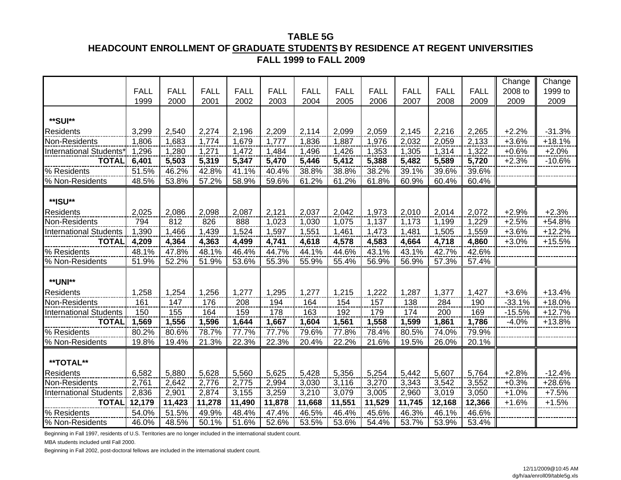## **TABLE 5GHEADCOUNT ENROLLMENT OF GRADUATE STUDENTS BY RESIDENCE AT REGENT UNIVERSITIES FALL 1999 to FALL 2009**

|                               |             |             |             |             |             |             |             |             |             |             |             | Change   | Change   |
|-------------------------------|-------------|-------------|-------------|-------------|-------------|-------------|-------------|-------------|-------------|-------------|-------------|----------|----------|
|                               | <b>FALL</b> | <b>FALL</b> | <b>FALL</b> | <b>FALL</b> | <b>FALL</b> | <b>FALL</b> | <b>FALL</b> | <b>FALL</b> | <b>FALL</b> | <b>FALL</b> | <b>FALL</b> | 2008 to  | 1999 to  |
|                               | 1999        | 2000        | 2001        | 2002        | 2003        | 2004        | 2005        | 2006        | 2007        | 2008        | 2009        | 2009     | 2009     |
| **SUI**                       |             |             |             |             |             |             |             |             |             |             |             |          |          |
| Residents                     | 3,299       | 2,540       | 2,274       | 2,196       | 2,209       | 2,114       | 2,099       | 2,059       | 2,145       | 2,216       | 2,265       | $+2.2%$  | $-31.3%$ |
| Non-Residents                 | 1,806       | 1,683       | 1,774       | 1,679       | 1,777       | 1,836       | 1,887       | 1,976       | 2,032       | 2,059       | 2,133       | $+3.6%$  | $+18.1%$ |
| <b>International Students</b> | 1,296       | 1,280       | 1,271       | 1,472       | 1,484       | 1,496       | 1,426       | 1,353       | 1,305       | 1,314       | 1,322       | $+0.6%$  | $+2.0%$  |
| <b>TOTAL</b>                  | 6,401       | 5,503       | 5,319       | 5,347       | 5,470       | 5,446       | 5,412       | 5,388       | 5,482       | 5,589       | 5,720       | $+2.3%$  | $-10.6%$ |
| % Residents                   | 51.5%       | 46.2%       | 42.8%       | 41.1%       | 40.4%       | 38.8%       | 38.8%       | 38.2%       | 39.1%       | 39.6%       | 39.6%       |          |          |
| % Non-Residents               | 48.5%       | 53.8%       | 57.2%       | 58.9%       | 59.6%       | 61.2%       | 61.2%       | 61.8%       | 60.9%       | 60.4%       | 60.4%       |          |          |
|                               |             |             |             |             |             |             |             |             |             |             |             |          |          |
| **ISU**                       |             |             |             |             |             |             |             |             |             |             |             |          |          |
| <b>Residents</b>              | 2,025       | 2,086       | 2,098       | 2,087       | 2,121       | 2,037       | 2,042       | 1,973       | 2,010       | 2,014       | 2,072       | $+2.9%$  | $+2.3%$  |
| Non-Residents                 | 794         | 812         | 826         | 888         | 1,023       | 1,030       | 1,075       | 1,137       | 1,173       | 1,199       | 1,229       | $+2.5%$  | +54.8%   |
| <b>International Students</b> | 1,390       | 1,466       | 1,439       | 1,524       | 1,597       | 1,551       | 1,461       | 1,473       | 1,481       | 1,505       | 1,559       | $+3.6%$  | $+12.2%$ |
| <b>TOTAL</b>                  | 4,209       | 4,364       | 4,363       | 4,499       | 4,741       | 4,618       | 4,578       | 4,583       | 4,664       | 4,718       | 4,860       | $+3.0%$  | $+15.5%$ |
| % Residents                   | 48.1%       | 47.8%       | 48.1%       | 46.4%       | 44.7%       | 44.1%       | 44.6%       | 43.1%       | 43.1%       | 42.7%       | 42.6%       |          |          |
| % Non-Residents               | 51.9%       | 52.2%       | 51.9%       | 53.6%       | 55.3%       | 55.9%       | 55.4%       | 56.9%       | 56.9%       | 57.3%       | 57.4%       |          |          |
|                               |             |             |             |             |             |             |             |             |             |             |             |          |          |
| <b>**UNI**</b>                |             |             |             |             |             |             |             |             |             |             |             |          |          |
| <b>Residents</b>              | 1,258       | 1,254       | 1,256       | 1,277       | 1,295       | 1,277       | 1,215       | 1,222       | 1,287       | 1,377       | 1,427       | $+3.6%$  | $+13.4%$ |
| Non-Residents                 | 161         | 147         | 176         | 208         | 194         | 164         | 154         | 157         | 138         | 284         | 190         | $-33.1%$ | $+18.0%$ |
| <b>International Students</b> | 150         | 155         | 164         | 159         | 178         | 163         | 192         | 179         | 174         | 200         | 169         | $-15.5%$ | $+12.7%$ |
| <b>TOTAL</b>                  | 1,569       | 1,556       | 1,596       | 1,644       | 1,667       | 1,604       | 1,561       | 1,558       | 1,599       | 1,861       | 1,786       | $-4.0%$  | $+13.8%$ |
| % Residents                   | 80.2%       | 80.6%       | 78.7%       | 77.7%       | 77.7%       | 79.6%       | 77.8%       | 78.4%       | 80.5%       | 74.0%       | 79.9%       |          |          |
| % Non-Residents               | 19.8%       | 19.4%       | 21.3%       | 22.3%       | 22.3%       | 20.4%       | 22.2%       | 21.6%       | 19.5%       | 26.0%       | 20.1%       |          |          |
|                               |             |             |             |             |             |             |             |             |             |             |             |          |          |
| **TOTAL**                     |             |             |             |             |             |             |             |             |             |             |             |          |          |
| <b>Residents</b>              | 6,582       | 5,880       | 5,628       | 5,560       | 5,625       | 5,428       | 5,356       | 5,254       | 5,442       | 5,607       | 5,764       | $+2.8%$  | $-12.4%$ |
| Non-Residents                 | 2,761       | 2,642       | 2,776       | 2,775       | 2,994       | 3,030       | 3,116       | 3,270       | 3,343       | 3,542       | 3,552       | $+0.3%$  | +28.6%   |
| <b>International Students</b> | 2,836       | 2,901       | 2,874       | 3,155       | 3,259       | 3,210       | 3,079       | 3,005       | 2,960       | 3,019       | 3,050       | $+1.0%$  | $+7.5%$  |
| <b>TOTAL</b>                  | 12,179      | 11,423      | 11,278      | 11,490      | 11,878      | 11,668      | 11,551      | 11,529      | 11,745      | 12,168      | 12,366      | $+1.6%$  | $+1.5%$  |
| % Residents                   | 54.0%       | 51.5%       | 49.9%       | 48.4%       | 47.4%       | 46.5%       | 46.4%       | 45.6%       | 46.3%       | 46.1%       | 46.6%       |          |          |
| % Non-Residents               | 46.0%       | 48.5%       | 50.1%       | 51.6%       | 52.6%       | 53.5%       | 53.6%       | 54.4%       | 53.7%       | 53.9%       | 53.4%       |          |          |

Beginning in Fall 1997, residents of U.S. Territories are no longer included in the international student count.

MBA students included until Fall 2000.

Beginning in Fall 2002, post-doctoral fellows are included in the international student count.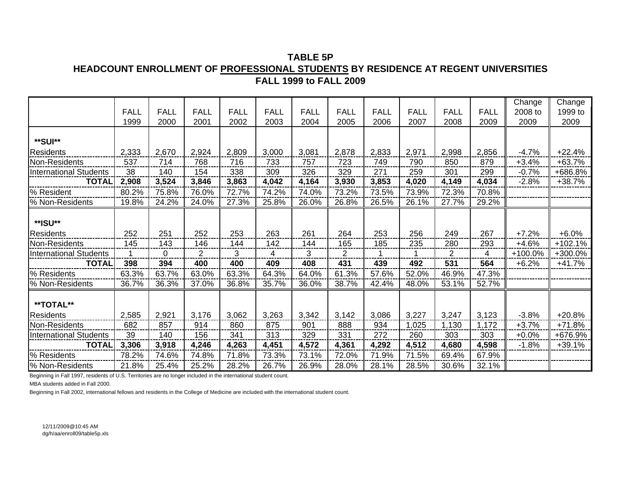### **TABLE 5PHEADCOUNT ENROLLMENT OF PROFESSIONAL STUDENTS BY RESIDENCE AT REGENT UNIVERSITIES FALL 1999 to FALL 2009**

|                               |             |             |             |             |             |             |                |             |             |                |             | Change  | Change    |
|-------------------------------|-------------|-------------|-------------|-------------|-------------|-------------|----------------|-------------|-------------|----------------|-------------|---------|-----------|
|                               | <b>FALL</b> | <b>FALL</b> | <b>FALL</b> | <b>FALL</b> | <b>FALL</b> | <b>FALL</b> | <b>FALL</b>    | <b>FALL</b> | <b>FALL</b> | <b>FALL</b>    | <b>FALL</b> | 2008 to | 1999 to   |
|                               | 1999        | 2000        | 2001        | 2002        | 2003        | 2004        | 2005           | 2006        | 2007        | 2008           | 2009        | 2009    | 2009      |
| **SUI**                       |             |             |             |             |             |             |                |             |             |                |             |         |           |
| <b>Residents</b>              | 2,333       | 2,670       | 2,924       | 2,809       | 3,000       | 3,081       | 2,878          | 2,833       | 2,971       | 2,998          | 2,856       | $-4.7%$ | $+22.4%$  |
| Non-Residents                 | 537         | 714         | 768         | 716         | 733         | 757         | 723            | 749         | 790         | 850            | 879         | $+3.4%$ | $+63.7%$  |
| <b>International Students</b> | 38          | 140         | 154         | 338         | 309         | 326         | 329            | 271         | 259         | 301            | 299         | $-0.7%$ | +686.8%   |
| <b>TOTAL</b>                  | 2,908       | 3,524       | 3,846       | 3,863       | 4,042       | 4,164       | 3,930          | 3,853       | 4,020       | 4,149          | 4,034       | $-2.8%$ | $+38.7%$  |
| % Resident                    | 80.2%       | 75.8%       | 76.0%       | 72.7%       | 74.2%       | 74.0%       | 73.2%          | 73.5%       | 73.9%       | 72.3%          | 70.8%       |         |           |
| % Non-Residents               | 19.8%       | 24.2%       | 24.0%       | 27.3%       | 25.8%       | 26.0%       | 26.8%          | 26.5%       | 26.1%       | 27.7%          | 29.2%       |         |           |
| **ISU**                       |             |             |             |             |             |             |                |             |             |                |             |         |           |
| <b>Residents</b>              | 252         | 251         | 252         | 253         | 263         | 261         | 264            | 253         | 256         | 249            | 267         | $+7.2%$ | $+6.0%$   |
| Non-Residents                 | 145         | 143         | 146         | 144         | 142         | 144         | 165            | 185         | 235         | 280            | 293         | $+4.6%$ | $+102.1%$ |
| <b>International Students</b> |             | 0           | 2           | 3           | 4           | 3           | $\overline{2}$ |             |             | $\overline{2}$ | 4           | +100.0% | +300.0%   |
| <b>TOTAL</b>                  | 398         | 394         | 400         | 400         | 409         | 408         | 431            | 439         | 492         | 531            | 564         | $+6.2%$ | $+41.7%$  |
| % Residents                   | 63.3%       | 63.7%       | 63.0%       | 63.3%       | 64.3%       | 64.0%       | 61.3%          | 57.6%       | 52.0%       | 46.9%          | 47.3%       |         |           |
| % Non-Residents               | 36.7%       | 36.3%       | 37.0%       | 36.8%       | 35.7%       | 36.0%       | 38.7%          | 42.4%       | 48.0%       | 53.1%          | 52.7%       |         |           |
| **TOTAL**                     |             |             |             |             |             |             |                |             |             |                |             |         |           |
| <b>Residents</b>              | 2,585       | 2,921       | 3,176       | 3,062       | 3,263       | 3,342       | 3,142          | 3,086       | 3,227       | 3,247          | 3,123       | $-3.8%$ | $+20.8%$  |
| Non-Residents                 | 682         | 857         | 914         | 860         | 875         | 901         | 888            | 934         | ,025        | 1,130          | 1,172       | $+3.7%$ | $+71.8%$  |
| <b>International Students</b> | 39          | 140         | 156         | 341         | 313         | 329         | 331            | 272         | 260         | 303            | 303         | $+0.0%$ | +676.9%   |
| <b>TOTAL</b>                  | 3,306       | 3,918       | 4,246       | 4,263       | 4,451       | 4,572       | 4,361          | 4,292       | 4,512       | 4,680          | 4,598       | $-1.8%$ | $+39.1%$  |
| % Residents                   | 78.2%       | 74.6%       | 74.8%       | 71.8%       | 73.3%       | 73.1%       | 72.0%          | 71.9%       | 71.5%       | 69.4%          | 67.9%       |         |           |
| % Non-Residents               | 21.8%       | 25.4%       | 25.2%       | 28.2%       | 26.7%       | 26.9%       | 28.0%          | 28.1%       | 28.5%       | 30.6%          | 32.1%       |         |           |

Beginning in Fall 1997, residents of U.S. Territories are no longer included in the international student count.

MBA students added in Fall 2000.

Beginning in Fall 2002, international fellows and residents in the College of Medicine are included with the international student count.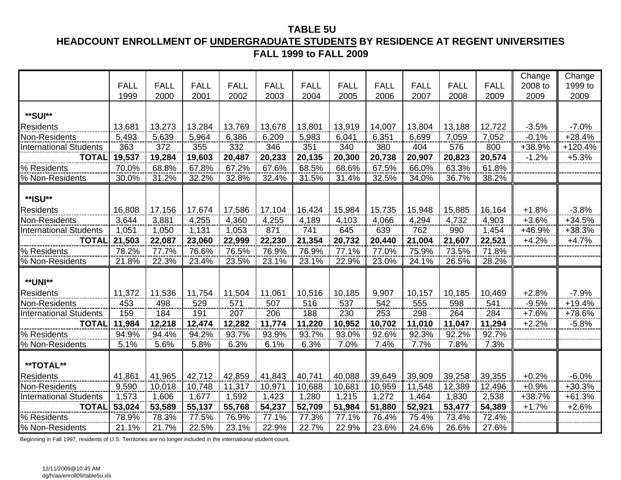#### **TABLE 5U HEADCOUNT ENROLLMENT OF UNDERGRADUATE STUDENTS BY RESIDENCE AT REGENT UNIVERSITIES FALL 1999 to FALL 2009**

|                                               | <b>FALL</b><br>1999 | <b>FALL</b><br>2000 | <b>FALL</b><br>2001 | <b>FALL</b><br>2002 | <b>FALL</b><br>2003 | <b>FALL</b><br>2004 | <b>FALL</b><br>2005 | <b>FALL</b><br>2006 | <b>FALL</b><br>2007 | <b>FALL</b><br>2008 | <b>FALL</b><br>2009 | Change<br>2008 to<br>2009 | Change<br>1999 to<br>2009 |
|-----------------------------------------------|---------------------|---------------------|---------------------|---------------------|---------------------|---------------------|---------------------|---------------------|---------------------|---------------------|---------------------|---------------------------|---------------------------|
| **SUI**                                       |                     |                     |                     |                     |                     |                     |                     |                     |                     |                     |                     |                           |                           |
|                                               |                     |                     |                     |                     |                     |                     |                     |                     |                     |                     |                     |                           |                           |
| <b>Residents</b>                              | 13,681              | 13,273              | 13,284              | 13,769              | 13,678              | 13,801              | 13,919              | 14,007              | 13,804              | 13,188              | 12,722              | $-3.5%$                   | $-7.0%$                   |
| Non-Residents                                 | 5,493               | 5,639               | 5,964               | 6,386               | 6,209               | 5,983               | 6,041               | 6,351               | 6,699               | 7,059               | 7,052               | $-0.1%$                   | $+28.4%$                  |
| <b>International Students</b><br><b>TOTAL</b> | 363<br>19,537       | 372                 | 355                 | 332                 | 346                 | 351                 | 340<br>20,300       | 380                 | 404                 | 576                 | 800                 | +38.9%                    | $+120.4%$                 |
|                                               |                     | 19,284              | 19,603              | 20,487              | 20,233              | 20,135              |                     | 20,738              | 20,907              | 20,823              | 20,574              | $-1.2%$                   | $+5.3%$                   |
| % Residents                                   | 70.0%               | 68.8%               | 67.8%               | 67.2%               | 67.6%               | 68.5%               | 68.6%               | 67.5%               | 66.0%               | 63.3%               | 61.8%               |                           |                           |
| % Non-Residents                               | 30.0%               | 31.2%               | 32.2%               | 32.8%               | 32.4%               | 31.5%               | 31.4%               | 32.5%               | 34.0%               | 36.7%               | 38.2%               |                           |                           |
| **ISU**                                       |                     |                     |                     |                     |                     |                     |                     |                     |                     |                     |                     |                           |                           |
| <b>Residents</b>                              | 16,808              | 17,156              | 17,674              | 17,586              | 17,104              | 16,424              | 15,984              | 15,735              | 15,948              | 15,885              | 16,164              | $+1.8%$                   | $-3.8%$                   |
| Non-Residents                                 | 3,644               | 3,881               | 4,255               | 4,360               | 4,255               | 4,189               | 4,103               | 4,066               | 4,294               | 4,732               | 4,903               | $+3.6%$                   | $+34.5%$                  |
| <b>International Students</b>                 | 1,051               | 1,050               | 1,131               | 1,053               | 871                 | 741                 | 645                 | 639                 | 762                 | 990                 | 1,454               | +46.9%                    | +38.3%                    |
| <b>TOTAL</b>                                  | 21,503              | 22,087              | 23,060              | 22,999              | 22,230              | 21,354              | 20,732              | 20,440              | 21,004              | 21,607              | 22,521              | $+4.2%$                   | $+4.7%$                   |
| % Residents                                   | 78.2%               | 77.7%               | 76.6%               | 76.5%               | 76.9%               | 76.9%               | 77.1%               | 77.0%               | 75.9%               | 73.5%               | 71.8%               |                           |                           |
| % Non-Residents                               | 21.8%               | 22.3%               | 23.4%               | 23.5%               | 23.1%               | 23.1%               | 22.9%               | 23.0%               | 24.1%               | 26.5%               | 28.2%               |                           |                           |
|                                               |                     |                     |                     |                     |                     |                     |                     |                     |                     |                     |                     |                           |                           |
| <b>**UNI**</b>                                |                     |                     |                     |                     |                     |                     |                     |                     |                     |                     |                     |                           |                           |
| <b>Residents</b>                              | 11,372              | 11,536              | 11,754              | 11,504              | 11,061              | 10,516              | 10,185              | 9,907               | 10,157              | 10,185              | 10,469              | $+2.8%$                   | $-7.9%$                   |
| Non-Residents                                 | 453                 | 498                 | 529                 | 571                 | 507                 | 516                 | 537                 | 542                 | 555                 | 598                 | 541                 | $-9.5%$                   | $+19.4%$                  |
| <b>International Students</b>                 | 159                 | 184                 | 191                 | 207                 | 206                 | 188                 | 230                 | 253                 | 298                 | 264                 | 284                 | $+7.6%$                   | +78.6%                    |
| <b>TOTAL</b>                                  | 11,984              | 12,218              | 12,474              | 12,282              | 11,774              | 11,220              | 10,952              | 10,702              | 11,010              | 11,047              | 11,294              | $+2.2%$                   | $-5.8%$                   |
| % Residents                                   | 94.9%               | 94.4%               | 94.2%               | 93.7%               | 93.9%               | 93.7%               | 93.0%               | 92.6%               | 92.3%               | 92.2%               | 92.7%               |                           |                           |
| % Non-Residents                               | 5.1%                | 5.6%                | 5.8%                | 6.3%                | 6.1%                | 6.3%                | 7.0%                | 7.4%                | 7.7%                | 7.8%                | 7.3%                |                           |                           |
| **TOTAL**                                     |                     |                     |                     |                     |                     |                     |                     |                     |                     |                     |                     |                           |                           |
| <b>Residents</b>                              | 41,861              | 41,965              | 42,712              | 42,859              | 41,843              | 40,741              | 40,088              | 39,649              | 39,909              | 39,258              | 39,355              | $+0.2%$                   | $-6.0%$                   |
| Non-Residents                                 | 9,590               | 10,018              | 10,748              | 11,317              | 10,971              | 10,688              | 10,681              | 10,959              | 11,548              | 12,389              | 12,496              | $+0.9%$                   | $+30.3%$                  |
| <b>International Students</b>                 | 1,573               | 1,606               | 1,677               | 1,592               | 1,423               | 1,280               | 1,215               | 1,272               | 1,464               | 1,830               | 2,538               | +38.7%                    | $+61.3%$                  |
| <b>TOTAL</b>                                  | 53,024              | 53,589              | 55,137              | 55,768              | 54,237              | 52,709              | 51,984              | 51,880              | 52,921              | 53,477              | 54,389              | $+1.7%$                   | $+2.6%$                   |
| % Residents                                   | 78.9%               | 78.3%               | 77.5%               | 76.9%               | 77.1%               | 77.3%               | 77.1%               | 76.4%               | 75.4%               | 73.4%               | 72.4%               |                           |                           |
| % Non-Residents                               | 21.1%               | 21.7%               | 22.5%               | 23.1%               | 22.9%               | 22.7%               | 22.9%               | 23.6%               | 24.6%               | 26.6%               | 27.6%               |                           |                           |

Beginning in Fall 1997, residents of U.S. Territories are no longer included in the international student count.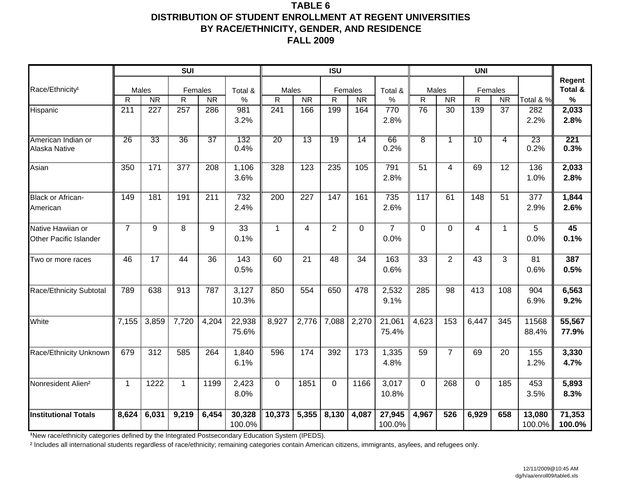### **TABLE 6 DISTRIBUTION OF STUDENT ENROLLMENT AT REGENT UNIVERSITIES BY RACE/ETHNICITY, GENDER, AND RESIDENCE FALL 2009**

|                                             |                |           | <b>SUI</b>   |           |                  |          |           | <b>ISU</b>   |           |                        |                |                | <b>UNI</b>   |                |                  |                   |
|---------------------------------------------|----------------|-----------|--------------|-----------|------------------|----------|-----------|--------------|-----------|------------------------|----------------|----------------|--------------|----------------|------------------|-------------------|
| Race/Ethnicity <sup>1</sup>                 |                | Males     | Females      |           | Total &          | Males    |           |              | Females   | Total &                | Males          |                | Females      |                |                  | Regent<br>Total & |
|                                             | $\mathsf{R}$   | <b>NR</b> | $\mathsf R$  | <b>NR</b> | $\%$             | R        | <b>NR</b> | $\mathsf{R}$ | <b>NR</b> | $\%$                   | $\mathsf{R}$   | <b>NR</b>      | $\mathsf{R}$ | <b>NR</b>      | Total & %        | %                 |
| Hispanic                                    | 211            | 227       | 257          | 286       | 981<br>3.2%      | 241      | 166       | 199          | 164       | 770<br>2.8%            | 76             | 30             | 139          | 37             | 282<br>2.2%      | 2,033<br>2.8%     |
| American Indian or<br>Alaska Native         | 26             | 33        | 36           | 37        | 132<br>0.4%      | 20       | 13        | 19           | 14        | 66<br>0.2%             | $\overline{8}$ |                | '10          | $\overline{4}$ | 23<br>0.2%       | 221<br>0.3%       |
| Asian                                       | 350            | 171       | 377          | 208       | 1,106<br>3.6%    | 328      | 123       | 235          | 105       | 791<br>2.8%            | 51             | 4              | 69           | 12             | 136<br>1.0%      | 2,033<br>2.8%     |
| <b>Black or African-</b><br>American        | 149            | 181       | 191          | 211       | 732<br>2.4%      | 200      | 227       | 147          | 161       | 735<br>2.6%            | 117            | 61             | 148          | 51             | 377<br>2.9%      | 1,844<br>2.6%     |
| Native Hawiian or<br>Other Pacific Islander | $\overline{7}$ | 9         | 8            | 9         | 33<br>0.1%       | 1        | 4         | 2            | $\Omega$  | $\overline{7}$<br>0.0% | $\mathbf{0}$   | $\Omega$       | 4            | 1.             | 5<br>0.0%        | 45<br>0.1%        |
| Two or more races                           | 46             | 17        | 44           | 36        | 143<br>0.5%      | 60       | 21        | 48           | 34        | 163<br>0.6%            | 33             | $\overline{2}$ | 43           | 3              | 81<br>0.6%       | 387<br>0.5%       |
| Race/Ethnicity Subtotal                     | 789            | 638       | 913          | 787       | 3,127<br>10.3%   | 850      | 554       | 650          | 478       | 2,532<br>9.1%          | 285            | 98             | 413          | 108            | 904<br>6.9%      | 6,563<br>9.2%     |
| White                                       | 7,155          | 3,859     | 7,720        | 4,204     | 22,938<br>75.6%  | 8,927    | 2,776     | 7,088        | 2,270     | 21,061<br>75.4%        | 4,623          | 153            | 6,447        | 345            | 11568<br>88.4%   | 55,567<br>77.9%   |
| Race/Ethnicity Unknown                      | 679            | 312       | 585          | 264       | 1,840<br>6.1%    | 596      | 174       | 392          | 173       | 1,335<br>4.8%          | 59             | $\overline{7}$ | 69           | 20             | 155<br>1.2%      | 3,330<br>4.7%     |
| Nonresident Alien <sup>2</sup>              | 1              | 1222      | $\mathbf{1}$ | 1199      | 2,423<br>8.0%    | $\Omega$ | 1851      | $\Omega$     | 1166      | 3,017<br>10.8%         | $\Omega$       | 268            | $\Omega$     | 185            | 453<br>3.5%      | 5,893<br>8.3%     |
| <b>Institutional Totals</b>                 | 8,624          | 6,031     | 9,219        | 6,454     | 30,328<br>100.0% | 10,373   | 5,355     | 8,130        | 4,087     | 27,945<br>100.0%       | 4,967          | 526            | 6,929        | 658            | 13,080<br>100.0% | 71,353<br>100.0%  |

**1New race/ethnicity categories defined by the Integrated Postsecondary Education System (IPEDS).**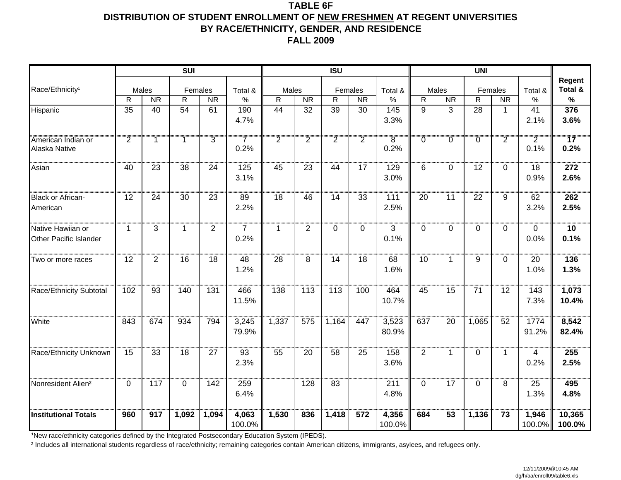#### **TABLE 6F DISTRIBUTION OF STUDENT ENROLLMENT OF NEW FRESHMEN AT REGENT UNIVERSITIES BY RACE/ETHNICITY, GENDER, AND RESIDENCE FALL 2009**

|                                |                 |                    | <b>SUI</b>      |                |                 |                       |                | <b>ISU</b>      |                |                 |                |                    | <b>UNI</b>     |                      |                |                 |
|--------------------------------|-----------------|--------------------|-----------------|----------------|-----------------|-----------------------|----------------|-----------------|----------------|-----------------|----------------|--------------------|----------------|----------------------|----------------|-----------------|
|                                |                 |                    |                 |                |                 |                       |                |                 |                |                 |                |                    |                |                      |                | Regent          |
| Race/Ethnicity <sup>1</sup>    | R               | Males<br><b>NR</b> | Females<br>R    | <b>NR</b>      | Total &<br>$\%$ | Males<br>$\mathsf{R}$ | <b>NR</b>      | Females<br>R    | <b>NR</b>      | Total &<br>$\%$ | R              | Males<br><b>NR</b> | $\mathsf{R}$   | Females<br><b>NR</b> | Total &<br>%   | Total &<br>$\%$ |
| Hispanic                       | $\overline{35}$ | 40                 | $\overline{54}$ | 61             | 190             | 44                    | 32             | $\overline{39}$ | 30             | 145             | 9              | 3                  | 28             | $\mathbf{1}$         | 41             | 376             |
|                                |                 |                    |                 |                | 4.7%            |                       |                |                 |                | 3.3%            |                |                    |                |                      | 2.1%           | 3.6%            |
|                                |                 |                    |                 |                |                 |                       |                |                 |                |                 |                |                    |                |                      |                |                 |
| American Indian or             | $\overline{2}$  | 1                  | $\overline{1}$  | $\overline{3}$ | $\overline{7}$  | $\overline{2}$        | $\overline{2}$ | $\overline{2}$  | $\overline{2}$ | $\overline{8}$  | $\overline{0}$ | $\overline{0}$     | $\overline{0}$ | $\overline{2}$       | $\overline{2}$ | 17              |
| Alaska Native                  |                 |                    |                 |                | 0.2%            |                       |                |                 |                | 0.2%            |                |                    |                |                      | 0.1%           | 0.2%            |
| Asian                          | 40              | 23                 | 38              | 24             | 125             | 45                    | 23             | 44              | 17             | 129             | 6              | $\Omega$           | 12             | 0                    | 18             | 272             |
|                                |                 |                    |                 |                | 3.1%            |                       |                |                 |                | 3.0%            |                |                    |                |                      | 0.9%           | 2.6%            |
| <b>Black or African-</b>       | 12              | 24                 | 30              | 23             | 89              | 18                    | 46             | 14              | 33             | 111             | 20             | 11                 | 22             | 9                    | 62             | 262             |
| American                       |                 |                    |                 |                | 2.2%            |                       |                |                 |                | 2.5%            |                |                    |                |                      | 3.2%           | 2.5%            |
|                                |                 |                    |                 |                |                 |                       |                |                 |                |                 |                |                    |                |                      |                |                 |
| Native Hawiian or              | $\mathbf{1}$    | 3                  | $\mathbf{1}$    | $\overline{2}$ | $\overline{7}$  | 1                     | $\overline{2}$ | $\Omega$        | $\mathbf 0$    | 3               | $\mathbf 0$    | $\Omega$           | $\mathbf{0}$   | $\Omega$             | $\mathbf{0}$   | 10              |
| Other Pacific Islander         |                 |                    |                 |                | 0.2%            |                       |                |                 |                | 0.1%            |                |                    |                |                      | 0.0%           | 0.1%            |
| Two or more races              | 12              | 2                  | 16              | 18             | 48              | 28                    | 8              | 14              | 18             | 68              | 10             | $\mathbf{1}$       | 9              | $\Omega$             | 20             | 136             |
|                                |                 |                    |                 |                | 1.2%            |                       |                |                 |                | 1.6%            |                |                    |                |                      | 1.0%           | 1.3%            |
| Race/Ethnicity Subtotal        | 102             | 93                 | 140             | 131            | 466             | 138                   | 113            | 113             | 100            | 464             | 45             | 15                 | 71             | 12                   | 143            | 1,073           |
|                                |                 |                    |                 |                | 11.5%           |                       |                |                 |                | 10.7%           |                |                    |                |                      | 7.3%           | 10.4%           |
| White                          | 843             | 674                | 934             | 794            | 3,245           | 1,337                 | 575            | 1,164           | 447            | 3,523           | 637            | 20                 | 1,065          | 52                   | 1774           | 8,542           |
|                                |                 |                    |                 |                | 79.9%           |                       |                |                 |                | 80.9%           |                |                    |                |                      | 91.2%          | 82.4%           |
|                                |                 |                    |                 |                |                 |                       |                |                 |                |                 |                |                    |                |                      |                |                 |
| Race/Ethnicity Unknown         | 15              | 33                 | 18              | 27             | 93              | 55                    | 20             | 58              | 25             | 158             | 2              | $\mathbf{1}$       | $\Omega$       | $\mathbf{1}$         | 4              | 255             |
|                                |                 |                    |                 |                | 2.3%            |                       |                |                 |                | 3.6%            |                |                    |                |                      | 0.2%           | 2.5%            |
|                                |                 |                    |                 |                |                 |                       |                |                 |                |                 |                |                    |                |                      |                |                 |
| Nonresident Alien <sup>2</sup> | $\Omega$        | 117                | $\Omega$        | 142            | 259<br>6.4%     |                       | 128            | 83              |                | 211<br>4.8%     | $\mathbf 0$    | 17                 | $\Omega$       | 8                    | 25<br>1.3%     | 495<br>4.8%     |
|                                |                 |                    |                 |                |                 |                       |                |                 |                |                 |                |                    |                |                      |                |                 |
| <b>Institutional Totals</b>    | 960             | 917                | 1,092           | 1,094          | 4,063           | 1,530                 | 836            | 1,418           | 572            | 4,356           | 684            | 53                 | 1,136          | 73                   | 1,946          | 10,365          |
|                                |                 |                    |                 |                | 100.0%          |                       |                |                 |                | 100.0%          |                |                    |                |                      | 100.0%         | 100.0%          |

**1New race/ethnicity categories defined by the Integrated Postsecondary Education System (IPEDS).**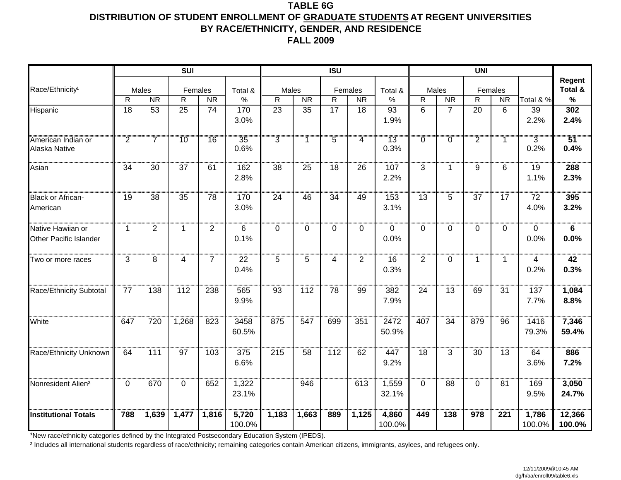### **TABLE 6GDISTRIBUTION OF STUDENT ENROLLMENT OF GRADUATE STUDENTS AT REGENT UNIVERSITIES BY RACE/ETHNICITY, GENDER, AND RESIDENCE FALL 2009**

|                                             |                |                | <b>SUI</b>      |                |                 |                |           | <b>ISU</b>      |                |                          |                |                | <b>UNI</b>     |           |                        |                   |
|---------------------------------------------|----------------|----------------|-----------------|----------------|-----------------|----------------|-----------|-----------------|----------------|--------------------------|----------------|----------------|----------------|-----------|------------------------|-------------------|
| Race/Ethnicity <sup>1</sup>                 |                | Males          | Females         |                | Total &         | Males          |           |                 | Females        | Total &                  | Males          |                | Females        |           |                        | Regent<br>Total & |
|                                             | $\mathsf{R}$   | <b>NR</b>      | $\mathsf{R}$    | <b>NR</b>      | $\%$            | $\mathsf{R}$   | <b>NR</b> | $\mathsf{R}$    | <b>NR</b>      | $\%$                     | $\mathsf{R}$   | <b>NR</b>      | $\mathsf R$    | <b>NR</b> | Total & %              | $\%$              |
| Hispanic                                    | 18             | 53             | 25              | 74             | 170<br>3.0%     | 23             | 35        | 17              | 18             | 93<br>1.9%               | $6\phantom{1}$ | $\overline{7}$ | 20             | 6         | 39<br>2.2%             | 302<br>2.4%       |
| American Indian or<br>Alaska Native         | $\overline{2}$ |                | 10              | 16             | 35<br>0.6%      | $\overline{3}$ |           | $\overline{5}$  | $\overline{4}$ | 13<br>0.3%               | $\overline{0}$ | $\overline{0}$ | $\overline{2}$ | 1         | $\overline{3}$<br>0.2% | 51<br>0.4%        |
| Asian                                       | 34             | 30             | 37              | 61             | 162<br>2.8%     | 38             | 25        | 18              | 26             | 107<br>2.2%              | 3              | $\mathbf 1$    | 9              | 6         | 19<br>1.1%             | 288<br>2.3%       |
| <b>Black or African-</b><br>American        | 19             | 38             | $\overline{35}$ | 78             | 170<br>3.0%     | 24             | 46        | $\overline{34}$ | 49             | 153<br>3.1%              | 13             | 5              | 37             | 17        | 72<br>4.0%             | 395<br>3.2%       |
| Native Hawiian or<br>Other Pacific Islander | $\mathbf{1}$   | $\overline{2}$ | $\mathbf{1}$    | $\overline{2}$ | 6<br>0.1%       | 0              | $\Omega$  | $\mathbf 0$     | $\mathbf 0$    | $\mathbf 0$<br>0.0%      | $\overline{0}$ | $\mathbf 0$    | $\Omega$       | 0         | $\Omega$<br>0.0%       | 6<br>0.0%         |
| Two or more races                           | 3              | 8              | $\overline{4}$  | $\overline{7}$ | 22<br>0.4%      | 5              | 5         | 4               | $\overline{2}$ | 16<br>0.3%               | $\overline{2}$ | $\mathbf{0}$   | $\mathbf{1}$   | 1         | 4<br>0.2%              | 42<br>0.3%        |
| Race/Ethnicity Subtotal                     | 77             | 138            | 112             | 238            | 565<br>9.9%     | 93             | 112       | 78              | 99             | $\overline{382}$<br>7.9% | 24             | 13             | 69             | 31        | 137<br>7.7%            | 1,084<br>8.8%     |
| White                                       | 647            | 720            | 1,268           | 823            | 3458<br>60.5%   | 875            | 547       | 699             | 351            | 2472<br>50.9%            | 407            | 34             | 879            | 96        | 1416<br>79.3%          | 7,346<br>59.4%    |
| Race/Ethnicity Unknown                      | 64             | 111            | $\overline{97}$ | 103            | 375<br>6.6%     | 215            | 58        | 112             | 62             | 447<br>9.2%              | 18             | 3              | 30             | 13        | 64<br>3.6%             | 886<br>7.2%       |
| Nonresident Alien <sup>2</sup>              | $\Omega$       | 670            | $\Omega$        | 652            | 1,322<br>23.1%  |                | 946       |                 | 613            | 1,559<br>32.1%           | $\Omega$       | 88             | $\Omega$       | 81        | 169<br>9.5%            | 3,050<br>24.7%    |
| <b>Institutional Totals</b>                 | 788            | 1,639          | 1,477           | 1,816          | 5,720<br>100.0% | 1,183          | 1,663     | 889             | 1,125          | 4,860<br>100.0%          | 449            | 138            | 978            | 221       | 1,786<br>100.0%        | 12,366<br>100.0%  |

**1New race/ethnicity categories defined by the Integrated Postsecondary Education System (IPEDS).**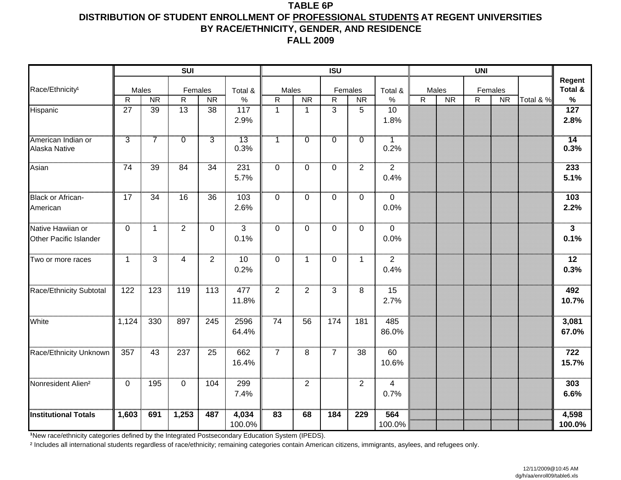### **TABLE 6PDISTRIBUTION OF STUDENT ENROLLMENT OF PROFESSIONAL STUDENTS AT REGENT UNIVERSITIES BY RACE/ETHNICITY, GENDER, AND RESIDENCE FALL 2009**

|                                             |                |                | SUI             |                 |                        |                |                | <b>ISU</b>     |                |                         |              |           | <b>UNI</b>  |           |           |                                 |
|---------------------------------------------|----------------|----------------|-----------------|-----------------|------------------------|----------------|----------------|----------------|----------------|-------------------------|--------------|-----------|-------------|-----------|-----------|---------------------------------|
| Race/Ethnicity <sup>1</sup>                 | Males          |                | Females         |                 | Total &                | Males          |                |                | Females        | Total &                 |              | Males     |             | Females   |           | Regent<br>Total &               |
|                                             | $\mathsf{R}$   | <b>NR</b>      | R               | <b>NR</b>       | $\%$                   | R              | <b>NR</b>      | $\mathsf R$    | <b>NR</b>      | $\%$                    | $\mathsf{R}$ | <b>NR</b> | $\mathsf R$ | <b>NR</b> | Total & % | $\%$                            |
| Hispanic                                    | 27             | 39             | $\overline{13}$ | 38              | 117<br>2.9%            | $\mathbf{1}$   | $\mathbf{1}$   | 3              | 5              | 10<br>1.8%              |              |           |             |           |           | $\overline{127}$<br>2.8%        |
| American Indian or<br>Alaska Native         | $\overline{3}$ | $\overline{7}$ | $\overline{0}$  | $\overline{3}$  | 13<br>0.3%             | 1.             | Ö              | Ö.             | $\overline{0}$ | $\overline{1}$<br>0.2%  |              |           |             |           |           | $\overline{14}$<br>0.3%         |
| Asian                                       | 74             | 39             | 84              | $\overline{34}$ | 231<br>5.7%            | $\Omega$       | $\Omega$       | 0              | $\overline{2}$ | $\overline{2}$<br>0.4%  |              |           |             |           |           | 233<br>5.1%                     |
| <b>Black or African-</b><br>American        | 17             | 34             | 16              | $\overline{36}$ | 103<br>2.6%            | $\mathbf 0$    | 0              | $\mathbf 0$    | $\mathbf 0$    | $\mathbf 0$<br>0.0%     |              |           |             |           |           | $\frac{1}{103}$<br>2.2%         |
| Native Hawiian or<br>Other Pacific Islander | $\mathbf 0$    | $\mathbf{1}$   | $\overline{2}$  | $\mathbf 0$     | $\overline{3}$<br>0.1% | $\mathbf 0$    | $\Omega$       | $\mathbf 0$    | $\overline{0}$ | $\mathbf 0$<br>0.0%     |              |           |             |           |           | $\overline{\mathbf{3}}$<br>0.1% |
| Two or more races                           | $\mathbf 1$    | 3              | $\overline{4}$  | $\overline{2}$  | 10<br>0.2%             | 0              | $\mathbf 1$    | $\mathbf 0$    | $\mathbf{1}$   | $\overline{2}$<br>0.4%  |              |           |             |           |           | 12<br>0.3%                      |
| Race/Ethnicity Subtotal                     | 122            | 123            | 119             | 113             | 477<br>11.8%           | $\overline{2}$ | $\overline{2}$ | 3              | 8              | $\overline{15}$<br>2.7% |              |           |             |           |           | $\overline{492}$<br>10.7%       |
| White                                       | 1,124          | 330            | 897             | 245             | 2596<br>64.4%          | 74             | 56             | 174            | 181            | 485<br>86.0%            |              |           |             |           |           | 3,081<br>67.0%                  |
| Race/Ethnicity Unknown                      | 357            | 43             | 237             | 25              | 662<br>16.4%           | $\overline{7}$ | 8              | $\overline{7}$ | 38             | 60<br>10.6%             |              |           |             |           |           | 722<br>15.7%                    |
| Nonresident Alien <sup>2</sup>              | 0              | 195            | $\mathbf 0$     | 104             | 299<br>7.4%            |                | $\overline{2}$ |                | $\overline{2}$ | 4<br>0.7%               |              |           |             |           |           | 303<br>6.6%                     |
| <b>Institutional Totals</b>                 | 1,603          | 691            | 1,253           | 487             | 4,034<br>100.0%        | 83             | 68             | 184            | 229            | 564<br>100.0%           |              |           |             |           |           | 4,598<br>100.0%                 |

**1New race/ethnicity categories defined by the Integrated Postsecondary Education System (IPEDS).**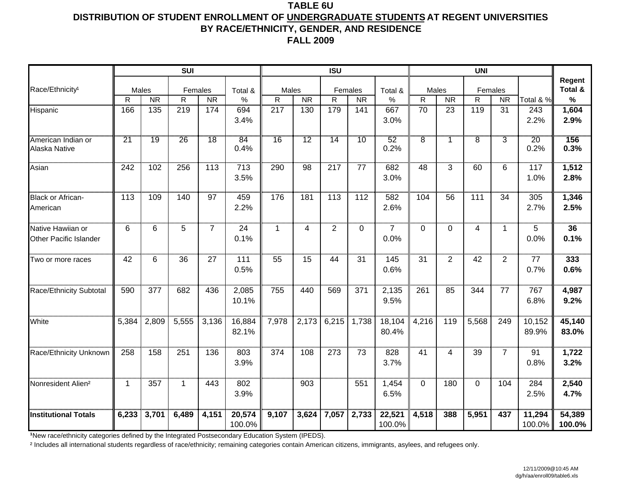### **TABLE 6UDISTRIBUTION OF STUDENT ENROLLMENT OF UNDERGRADUATE STUDENTS AT REGENT UNIVERSITIES BY RACE/ETHNICITY, GENDER, AND RESIDENCE FALL 2009**

|                                |       |                    | <b>SUI</b>              |                |                 |                       |           | <b>ISU</b>     |                      |                 |                       |                 | <b>UNI</b>              |                |           |                   |
|--------------------------------|-------|--------------------|-------------------------|----------------|-----------------|-----------------------|-----------|----------------|----------------------|-----------------|-----------------------|-----------------|-------------------------|----------------|-----------|-------------------|
|                                |       |                    |                         |                |                 |                       |           |                |                      |                 |                       |                 |                         |                |           | Regent<br>Total & |
| Race/Ethnicity <sup>1</sup>    | R     | Males<br><b>NR</b> | Females<br>$\mathsf{R}$ | <b>NR</b>      | Total &<br>$\%$ | Males<br>$\mathsf{R}$ | <b>NR</b> | $\mathsf{R}$   | Females<br><b>NR</b> | Total &<br>$\%$ | Males<br>$\mathsf{R}$ | <b>NR</b>       | Females<br>$\mathsf{R}$ | <b>NR</b>      | Total & % | %                 |
| Hispanic                       | 166   | 135                | 219                     | 174            | 694             | 217                   | 130       | 179            | 141                  | 667             | 70                    | 23              | 119                     | 31             | 243       | 1,604             |
|                                |       |                    |                         |                | 3.4%            |                       |           |                |                      | 3.0%            |                       |                 |                         |                | 2.2%      | 2.9%              |
|                                |       |                    |                         |                |                 |                       |           |                |                      |                 |                       |                 |                         |                |           |                   |
| American Indian or             | 21    | 19                 | 26                      | 18             | 84              | 16                    | 12        | 14             | 10                   | 52              | $\overline{8}$        |                 | $\overline{8}$          | $\overline{3}$ | 20        | 156               |
| Alaska Native                  |       |                    |                         |                | 0.4%            |                       |           |                |                      | 0.2%            |                       |                 |                         |                | 0.2%      | 0.3%              |
| Asian                          | 242   | 102                | 256                     | 113            | 713             | 290                   | 98        | 217            | 77                   | 682             | 48                    | 3               | 60                      | 6              | 117       | 1,512             |
|                                |       |                    |                         |                | 3.5%            |                       |           |                |                      | 3.0%            |                       |                 |                         |                | 1.0%      | 2.8%              |
|                                |       |                    |                         |                |                 |                       |           |                |                      |                 |                       |                 |                         |                |           |                   |
| <b>Black or African-</b>       | 113   | 109                | 140                     | 97             | 459             | 176                   | 181       | 113            | 112                  | 582             | 104                   | 56              | 111                     | 34             | 305       | 1,346             |
| American                       |       |                    |                         |                | 2.2%            |                       |           |                |                      | 2.6%            |                       |                 |                         |                | 2.7%      | 2.5%              |
| Native Hawiian or              | 6     | 6                  | 5                       | $\overline{7}$ | 24              | $\mathbf 1$           | 4         | $\overline{2}$ | $\overline{0}$       | $\overline{7}$  | $\mathbf 0$           | $\Omega$        | 4                       | 1              | 5         | 36                |
| Other Pacific Islander         |       |                    |                         |                | 0.1%            |                       |           |                |                      | 0.0%            |                       |                 |                         |                | 0.0%      | 0.1%              |
|                                |       |                    |                         |                |                 |                       |           |                |                      |                 |                       |                 |                         |                |           |                   |
| Two or more races              | 42    | 6                  | 36                      | 27             | 111             | 55                    | 15        | 44             | 31                   | 145             | 31                    | $\overline{2}$  | 42                      | $\overline{2}$ | 77        | 333               |
|                                |       |                    |                         |                | 0.5%            |                       |           |                |                      | 0.6%            |                       |                 |                         |                | 0.7%      | 0.6%              |
|                                |       |                    |                         |                |                 |                       |           |                |                      |                 |                       |                 |                         |                |           |                   |
| Race/Ethnicity Subtotal        | 590   | 377                | 682                     | 436            | 2,085           | 755                   | 440       | 569            | 371                  | 2,135           | 261                   | $\overline{85}$ | 344                     | 77             | 767       | 4,987             |
|                                |       |                    |                         |                | 10.1%           |                       |           |                |                      | 9.5%            |                       |                 |                         |                | 6.8%      | 9.2%              |
| White                          | 5,384 | 2,809              | 5,555                   | 3,136          | 16,884          | 7,978                 | 2,173     | 6,215          | 1,738                | 18,104          | 4,216                 | 119             | 5,568                   | 249            | 10,152    | 45,140            |
|                                |       |                    |                         |                | 82.1%           |                       |           |                |                      | 80.4%           |                       |                 |                         |                | 89.9%     | 83.0%             |
|                                |       |                    |                         |                |                 |                       |           |                |                      |                 |                       |                 |                         |                |           |                   |
| Race/Ethnicity Unknown         | 258   | 158                | 251                     | 136            | 803             | 374                   | 108       | 273            | 73                   | 828             | 41                    | 4               | 39                      | $\overline{7}$ | 91        | 1,722             |
|                                |       |                    |                         |                | 3.9%            |                       |           |                |                      | 3.7%            |                       |                 |                         |                | 0.8%      | 3.2%              |
|                                |       |                    |                         |                |                 |                       |           |                |                      |                 |                       |                 |                         |                |           |                   |
| Nonresident Alien <sup>2</sup> | 1.    | 357                | $\mathbf{1}$            | 443            | 802             |                       | 903       |                | 551                  | 1,454           | $\mathbf{0}$          | 180             | $\Omega$                | 104            | 284       | 2,540             |
|                                |       |                    |                         |                | 3.9%            |                       |           |                |                      | 6.5%            |                       |                 |                         |                | 2.5%      | 4.7%              |
| <b>Institutional Totals</b>    | 6,233 | 3,701              | 6,489                   | 4,151          | 20,574          | 9,107                 | 3,624     | 7,057          | 2,733                | 22,521          | 4,518                 | 388             | 5,951                   | 437            | 11,294    | 54,389            |
|                                |       |                    |                         |                | 100.0%          |                       |           |                |                      | 100.0%          |                       |                 |                         |                | 100.0%    | 100.0%            |

**1New race/ethnicity categories defined by the Integrated Postsecondary Education System (IPEDS).**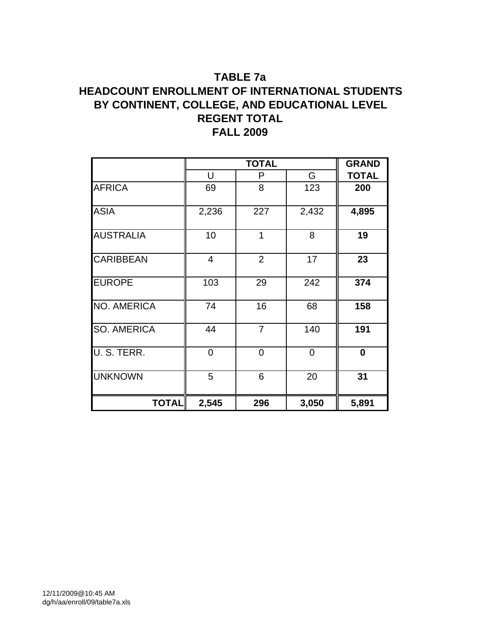## **TABLE 7a HEADCOUNT ENROLLMENT OF INTERNATIONAL STUDENTS BY CONTINENT, COLLEGE, AND EDUCATIONAL LEVEL REGENT TOTAL FALL 2009**

|                    |                | <b>TOTAL</b>   |                | <b>GRAND</b> |
|--------------------|----------------|----------------|----------------|--------------|
|                    | U              | P              | G              | <b>TOTAL</b> |
| <b>AFRICA</b>      | 69             | 8              | 123            | 200          |
| <b>ASIA</b>        | 2,236          | 227            | 2,432          | 4,895        |
| <b>AUSTRALIA</b>   | 10             | 1              | 8              | 19           |
| <b>CARIBBEAN</b>   | 4              | $\overline{2}$ | 17             | 23           |
| <b>EUROPE</b>      | 103            | 29             | 242            | 374          |
| <b>NO. AMERICA</b> | 74             | 16             | 68             | 158          |
| <b>SO. AMERICA</b> | 44             | $\overline{7}$ | 140            | 191          |
| U. S. TERR.        | $\overline{0}$ | $\overline{0}$ | $\overline{0}$ | $\bf{0}$     |
| <b>UNKNOWN</b>     | 5              | 6              | 20             | 31           |
| <b>TOTAL</b>       | 2,545          | 296            | 3,050          | 5,891        |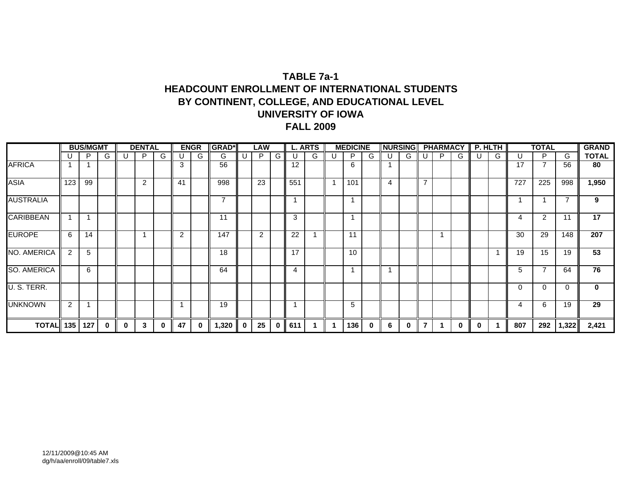## **TABLE 7a-1HEADCOUNT ENROLLMENT OF INTERNATIONAL STUDENTS BY CONTINENT, COLLEGE, AND EDUCATIONAL LEVEL UNIVERSITY OF IOWAFALL 2009**

|                    |     | <b>BUS/MGMT</b> |   |   | <b>DENTAL</b> |   |                | <b>ENGR</b> | <b>GRAD*</b> |    | LAW |          |     | <b>L. ARTS</b> | <b>MEDICINE</b> |          | <b>NURSING</b> |   |   | <b>PHARMACY</b> |   |   | P. HLTH                 |     | <b>TOTAL</b> |          | <b>GRAND</b> |
|--------------------|-----|-----------------|---|---|---------------|---|----------------|-------------|--------------|----|-----|----------|-----|----------------|-----------------|----------|----------------|---|---|-----------------|---|---|-------------------------|-----|--------------|----------|--------------|
|                    |     | P               | G |   | P             | G |                | G           | G            | υ. | P   | G        |     | G              | P               | G        | U              | G |   | P               | G |   | G                       | U   | P            | G        | <b>TOTAL</b> |
| <b>AFRICA</b>      |     |                 |   |   |               |   | 3              |             | 56           |    |     |          | 12  |                | 6               |          |                |   |   |                 |   |   |                         | 17  | 7            | 56       | 80           |
| <b>ASIA</b>        | 123 | 99              |   |   | 2             |   | 41             |             | 998          |    | 23  |          | 551 |                | 101             |          | 4              |   | ⇁ |                 |   |   |                         | 727 | 225          | 998      | 1,950        |
| <b>AUSTRALIA</b>   |     |                 |   |   |               |   |                |             | ⇁            |    |     |          |     |                |                 |          |                |   |   |                 |   |   |                         |     |              | 7        | 9            |
| <b>CARIBBEAN</b>   |     |                 |   |   |               |   |                |             | 11           |    |     |          | 3   |                |                 |          |                |   |   |                 |   |   |                         | 4   | 2            | 11       | 17           |
| <b>EUROPE</b>      | 6   | 14              |   |   |               |   | $\overline{2}$ |             | 147          |    | 2   |          | 22  |                | 11              |          |                |   |   |                 |   |   |                         | 30  | 29           | 148      | 207          |
| <b>NO. AMERICA</b> | 2   | 5               |   |   |               |   |                |             | 18           |    |     |          | 17  |                | 10              |          |                |   |   |                 |   |   | $\overline{\mathbf{A}}$ | 19  | 15           | 19       | 53           |
| <b>SO. AMERICA</b> |     | 6               |   |   |               |   |                |             | 64           |    |     |          | 4   |                |                 |          |                |   |   |                 |   |   |                         | 5   | 7            | 64       | 76           |
| U. S. TERR.        |     |                 |   |   |               |   |                |             |              |    |     |          |     |                |                 |          |                |   |   |                 |   |   |                         |     | 0            | $\Omega$ | $\mathbf{0}$ |
| <b>UNKNOWN</b>     | 2   |                 |   |   |               |   |                |             | 19           |    |     |          |     |                | 5               |          |                |   |   |                 |   |   |                         | 4   | 6            | 19       | 29           |
| <b>TOTAL</b>       | 135 | 127             | 0 | 0 | 3             | 0 | 47             | 0           | 1,320        | 0  | 25  | $\bf{0}$ | 611 |                | 136             | $\bf{0}$ | 6              | 0 | 7 |                 | 0 | 0 |                         | 807 | 292          | 1,322    | 2,421        |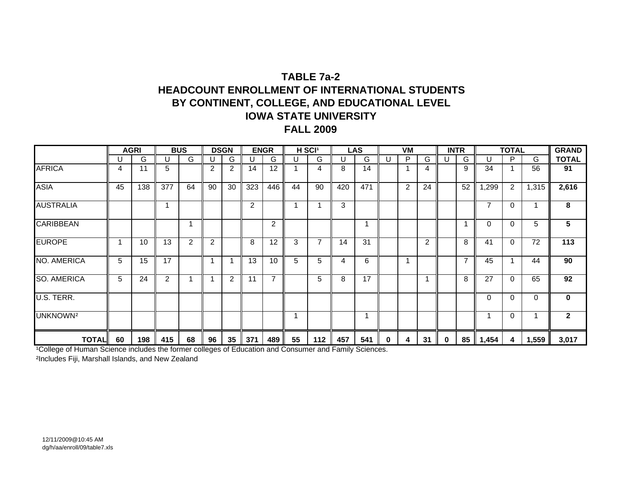## **TABLE 7a-2HEADCOUNT ENROLLMENT OF INTERNATIONAL STUDENTSBY CONTINENT, COLLEGE, AND EDUCATIONAL LEVEL IOWA STATE UNIVERSITYFALL 2009**

|                      |    | <b>AGRI</b> |                | <b>BUS</b> |                | <b>DSGN</b>    |                | <b>ENGR</b>    |    | H SCI <sup>1</sup> |     | <b>LAS</b> |          | VM |    |          | <b>INTR</b>    |                | <b>TOTAL</b> |       | <b>GRAND</b> |
|----------------------|----|-------------|----------------|------------|----------------|----------------|----------------|----------------|----|--------------------|-----|------------|----------|----|----|----------|----------------|----------------|--------------|-------|--------------|
|                      |    | G           | U              | G          | U              | G.             | U              | G              | U  | G                  |     | G          | U        | P  | G  | U        | G              | U              | P            | G     | <b>TOTAL</b> |
| <b>AFRICA</b>        | 4  | 11          | 5              |            | $\overline{2}$ | $\overline{2}$ | 14             | 12             |    | 4                  | 8   | 14         |          |    | 4  |          | 9              | 34             | $\mathbf 1$  | 56    | 91           |
| <b>ASIA</b>          | 45 | 138         | 377            | 64         | 90             | 30             | 323            | 446            | 44 | 90                 | 420 | 471        |          | 2  | 24 |          | 52             | 1,299          | 2            | 1,315 | 2,616        |
| <b>AUSTRALIA</b>     |    |             |                |            |                |                | $\overline{2}$ |                |    |                    | 3   |            |          |    |    |          |                | $\overline{ }$ | $\Omega$     |       | 8            |
| <b>CARIBBEAN</b>     |    |             |                |            |                |                |                | 2              |    |                    |     |            |          |    |    |          |                | 0              | $\Omega$     | 5     | 5            |
| <b>EUROPE</b>        |    | 10          | 13             | 2          | 2              |                | 8              | 12             | 3  | $\overline{7}$     | 14  | 31         |          |    | 2  |          | 8              | 41             | $\Omega$     | 72    | 113          |
| NO. AMERICA          | 5  | 15          | 17             |            | 1              |                | 13             | 10             | 5  | 5                  | 4   | 6          |          |    |    |          | $\overline{7}$ | 45             | 1            | 44    | 90           |
| <b>SO. AMERICA</b>   | 5  | 24          | $\overline{2}$ |            | 1              | $\overline{2}$ | 11             | $\overline{7}$ |    | 5                  | 8   | 17         |          |    |    |          | 8              | 27             | $\Omega$     | 65    | 92           |
| U.S. TERR.           |    |             |                |            |                |                |                |                |    |                    |     |            |          |    |    |          |                | $\Omega$       | $\Omega$     | 0     | 0            |
| UNKNOWN <sup>2</sup> |    |             |                |            |                |                |                |                |    |                    |     |            |          |    |    |          |                |                | $\mathbf{0}$ |       | $\mathbf{2}$ |
| <b>TOTAL</b>         | 60 | 198         | 415            | 68         | 96             | 35             | 371            | 489            | 55 | 112                | 457 | 541        | $\bf{0}$ | 4  | 31 | $\Omega$ | 85             | 1,454          | 4            | 1,559 | 3,017        |

<sup>1</sup>College of Human Science includes the former colleges of Education and Consumer and Family Sciences.

²Includes Fiji, Marshall Islands, and New Zealand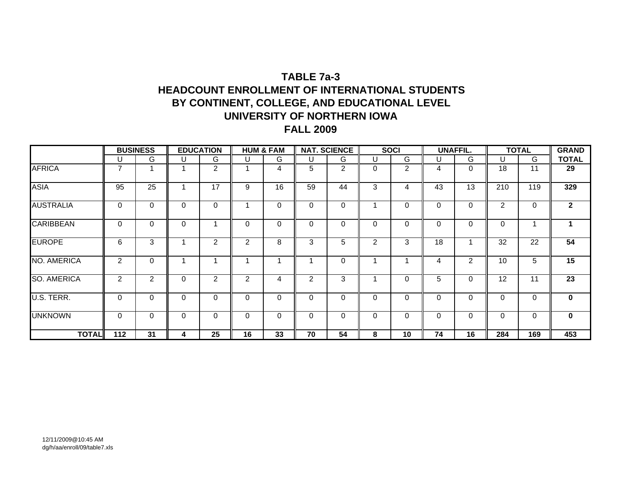## **TABLE 7a-3HEADCOUNT ENROLLMENT OF INTERNATIONAL STUDENTSBY CONTINENT, COLLEGE, AND EDUCATIONAL LEVEL UNIVERSITY OF NORTHERN IOWA FALL 2009**

|                    |                | <b>BUSINESS</b> |          | <b>EDUCATION</b> |    | <b>HUM &amp; FAM</b> |          | <b>NAT. SCIENCE</b> |                | <b>SOCI</b> |          | <b>UNAFFIL.</b> |                | <b>TOTAL</b> | <b>GRAND</b> |
|--------------------|----------------|-----------------|----------|------------------|----|----------------------|----------|---------------------|----------------|-------------|----------|-----------------|----------------|--------------|--------------|
|                    | U              | G               | U        | G                | U  | G                    | U        | G                   |                | G           | U        | G               | U              | G            | <b>TOTAL</b> |
| <b>AFRICA</b>      | $\overline{7}$ |                 |          | $\overline{2}$   |    | 4                    | 5        | $\overline{2}$      | 0              | 2           | 4        | $\Omega$        | 18             | 11           | 29           |
| <b>ASIA</b>        | 95             | 25              | 1        | 17               | 9  | 16                   | 59       | 44                  | 3              | 4           | 43       | 13              | 210            | 119          | 329          |
| <b>AUSTRALIA</b>   | 0              | $\mathbf 0$     | 0        | $\Omega$         |    | 0                    | 0        | 0                   |                | 0           | $\Omega$ | 0               | $\overline{2}$ | 0            | $\mathbf{2}$ |
| <b>CARIBBEAN</b>   | 0              | $\Omega$        | $\Omega$ | 4                | 0  | $\Omega$             | 0        | $\Omega$            | 0              | $\Omega$    | $\Omega$ | $\Omega$        | 0              |              |              |
| <b>EUROPE</b>      | 6              | 3               |          | $\overline{2}$   | 2  | 8                    | 3        | 5                   | $\overline{2}$ | 3           | 18       |                 | 32             | 22           | 54           |
| NO. AMERICA        | 2              | $\Omega$        | и        | ٠                |    |                      |          | $\mathbf 0$         |                |             | 4        | 2               | 10             | 5            | 15           |
| <b>SO. AMERICA</b> | 2              | $\overline{2}$  | $\Omega$ | $\overline{2}$   | 2  | 4                    | 2        | 3                   |                | 0           | 5        | 0               | 12             | 11           | 23           |
| U.S. TERR.         | 0              | $\Omega$        | 0        | 0                | 0  | $\Omega$             | 0        | 0                   | $\Omega$       | $\Omega$    | $\Omega$ | 0               | 0              | 0            | $\mathbf{0}$ |
| <b>UNKNOWN</b>     | 0              | $\mathbf 0$     | $\Omega$ | $\Omega$         | 0  | $\mathbf 0$          | $\Omega$ | $\Omega$            | $\Omega$       | 0           | $\Omega$ | $\Omega$        | $\Omega$       | 0            | $\mathbf 0$  |
| <b>TOTAL</b>       | 112            | 31              | 4        | 25               | 16 | 33                   | 70       | 54                  | 8              | 10          | 74       | 16              | 284            | 169          | 453          |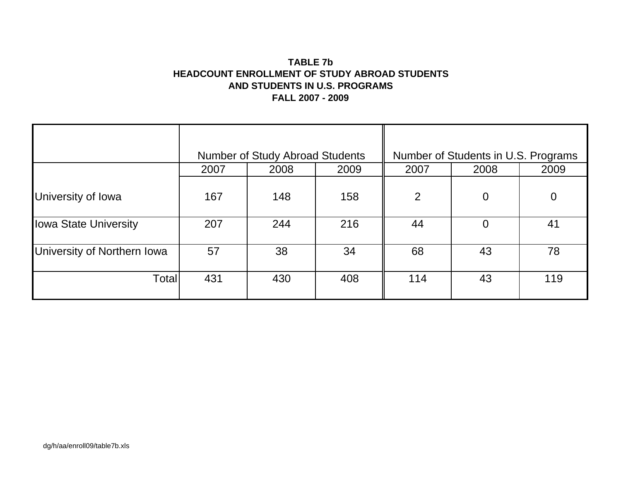## **TABLE 7bHEADCOUNT ENROLLMENT OF STUDY ABROAD STUDENTS AND STUDENTS IN U.S. PROGRAMS FALL 2007 - 2009**

|                             |      | <b>Number of Study Abroad Students</b> |      |                | Number of Students in U.S. Programs |                |
|-----------------------------|------|----------------------------------------|------|----------------|-------------------------------------|----------------|
|                             | 2007 | 2008                                   | 2009 | 2007           | 2008                                | 2009           |
| University of Iowa          | 167  | 148                                    | 158  | $\overline{2}$ | $\overline{0}$                      | $\overline{0}$ |
| Iowa State University       | 207  | 244                                    | 216  | 44             | $\overline{0}$                      | 41             |
| University of Northern Iowa | 57   | 38                                     | 34   | 68             | 43                                  | 78             |
| Total                       | 431  | 430                                    | 408  | 114            | 43                                  | 119            |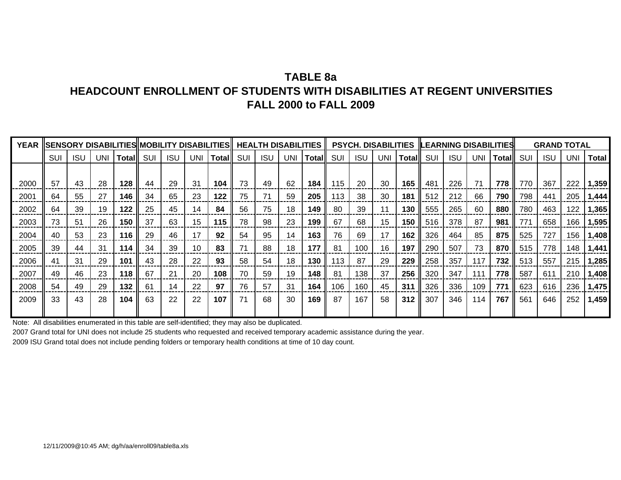# **TABLE 8aHEADCOUNT ENROLLMENT OF STUDENTS WITH DISABILITIES AT REGENT UNIVERSITIESFALL 2000 to FALL 2009**

| <b>YEAR</b> |     |            |     | SENSORY DISABILITIES MOBILITY DISABILITIES    HEALTH DISABILITIES    PSYCH. DISABILITIES   LEARNING DISABILITIES |     |            |     |              |     |            |            |       |                 |            |       |              |     |            |            |              |     | <b>GRAND TOTAL</b> |     |              |
|-------------|-----|------------|-----|------------------------------------------------------------------------------------------------------------------|-----|------------|-----|--------------|-----|------------|------------|-------|-----------------|------------|-------|--------------|-----|------------|------------|--------------|-----|--------------------|-----|--------------|
|             | SUI | <b>ISU</b> | UNI | Totalll                                                                                                          | SUI | <b>ISU</b> | UNI | <b>Total</b> | SUI | <b>ISU</b> | <b>UNI</b> | Total | SUI             | <b>ISU</b> | UNI I | <b>Total</b> | SUI | <b>ISU</b> | <b>UNI</b> | <b>Total</b> | SUI | <b>ISU</b>         | UNI | <b>Total</b> |
|             |     |            |     |                                                                                                                  |     |            |     |              |     |            |            |       |                 |            |       |              |     |            |            |              |     |                    |     |              |
| 2000        | 57  | 43         | 28  | 128                                                                                                              | 44  | 29         | 31  | 104          | 73  | 49         | 62         | 184   | $\parallel$ 115 | 20         | 30    | 165 II       | 481 | 226        | 71         | 778          | 770 | 367                | 222 | 1,359        |
| 2001        | 64  | 55         | 27  | 146                                                                                                              | 34  | 65         | 23  | 122          | 75  | 71         | 59         | 205   | 113             | 38         | 30    | 181          | 512 | 212        | 66         | 790          | 798 | 441                | 205 | 1,444        |
| 2002        | 64  | 39         | 19  | 122                                                                                                              | 25  | 45         | 14  | 84           | 56  | 75         | 18         | 149   | 80              | 39         | 11    | 130          | 555 | 265        | 60         | 880          | 780 | 463                | 122 | 1,365        |
| 2003        | 73  | 51         | 26  | 150                                                                                                              | 37  | 63         | 15  | 115          | 78  | 98         | 23         | 199   | 67              | 68         | 15    | 150 l        | 516 | 378        | 87         | 981          | 771 | 658                | 166 | 1,595        |
| 2004        | 40  | 53         | 23  | 116                                                                                                              | 29  | 46         | 17  | 92           | 54  | 95         | 14         | 163   | 76              | 69         | 17    | 162 l        | 326 | 464        | 85         | 875          | 525 | 727                | 156 | 1,408        |
| 2005        | 39  | 44         | 31  | 114                                                                                                              | 34  | 39         | 10  | 83           | 71  | 88         | 18         | 177   | 81              | 100        | 16    | 197          | 290 | 507        | 73         | 870          | 515 | 778                | 148 | 1,441        |
| 2006        | 41  | 31         | 29  | 101                                                                                                              | 43  | 28         | 22  | 93           | 58  | 54         | 18         | 130   | 113             | 87         | 29    | 229          | 258 | 357        | 117        | 732          | 513 | 557                | 215 | 1,285        |
| 2007        | 49  | 46         | 23  | 118                                                                                                              | 67  | 21         | 20  | 108          | 70  | 59         | 19         | 148   | 81              | 138        | 37    | 256          | 320 | 347        | 111        | 778          | 587 | 611                | 210 | 1,408        |
| 2008        | 54  | 49         | 29  | 132                                                                                                              | 61  | 14         | 22  | 97           | 76  | 57         | 31         | 164   | 106             | 160        | 45    | 311          | 326 | 336        | 109        | 771          | 623 | 616                | 236 | 1,475        |
| 2009        | 33  | 43         | 28  | 104                                                                                                              | 63  | 22         | 22  | 107          | 71  | 68         | 30         | 169   | 87              | 167        | 58    | $312$        | 307 | 346        | 114        | 767          | 561 | 646                | 252 | 1,459        |
|             |     |            |     |                                                                                                                  |     |            |     |              |     |            |            |       |                 |            |       |              |     |            |            |              |     |                    |     |              |

Note: All disabilities enumerated in this table are self-identified; they may also be duplicated.

2007 Grand total for UNI does not include 25 students who requested and received temporary academic assistance during the year.

2009 ISU Grand total does not include pending folders or temporary health conditions at time of 10 day count.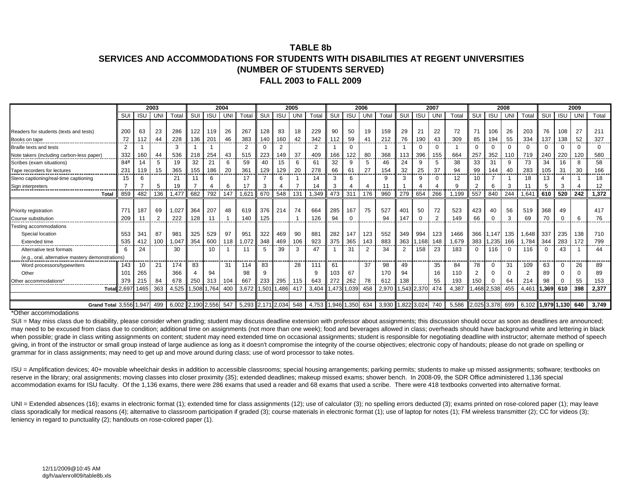#### **TABLE 8bSERVICES AND ACCOMMODATIONS FOR STUDENTS WITH DISABILITIES AT REGENT UNIVERSITIES(NUMBER OF STUDENTS SERVED) FALL 2003 to FALL 2009**

|                                                  |                    |            | 2003           |                   |      |            | 2004 |                   |              |                | 2005 |                   |       |             | 2006           |       |                |             | 2007     |       |                 |            | 2008      |                |          |             | 2009 |          |
|--------------------------------------------------|--------------------|------------|----------------|-------------------|------|------------|------|-------------------|--------------|----------------|------|-------------------|-------|-------------|----------------|-------|----------------|-------------|----------|-------|-----------------|------------|-----------|----------------|----------|-------------|------|----------|
|                                                  | SUI                | <b>ISL</b> | UN             | Total             | SUI  | <b>ISU</b> | UNI  | Total             | SUI          | <b>ISU</b>     | UN   | Total             | SUI   | <b>ISU</b>  | UNI            | Total | SUI            | <b>ISU</b>  | UNI      | Total | SUI             | <b>ISU</b> | <b>UN</b> | Total          | SUI      | <b>ISU</b>  | UNI  | Total    |
|                                                  |                    |            |                |                   |      |            |      |                   |              |                |      |                   |       |             |                |       |                |             |          |       |                 |            |           |                |          |             |      |          |
| Readers for students (texts and tests)           | 200                | 63         | 23             | 286               | 122  | 119        | 26   | 267               | 128          | 83             | 18   | 229               | 90    | 50          | 19             | 159   | 29             | 21          | 22       | 72    | 71              | 106        | 26        | 203            | 76       | 108         | 27   | 211      |
| Books on tape                                    | 72                 | 112        | 44             | 228               | 136  | 201        | 46   | 383               | 140          | 160            | 42   | 342               | 112   | 59          | 41             | 212   | 76             | 190         | 43       | 309   | 85              | 194        | 55        | 334            | 137      | 138         | 52   | 327      |
| Braille texts and tests                          | 2                  |            |                | 3                 |      |            |      | $\overline{2}$    | $\Omega$     | $\overline{2}$ |      | $\overline{2}$    |       | $\mathbf 0$ |                |       |                | U           | $\Omega$ |       | <sup>0</sup>    | $\Omega$   | $\Omega$  | $\Omega$       | $\Omega$ | $\Omega$    | ∩    | $\Omega$ |
| Note takers (including carbon-less paper)        | 332                | 160        | 44             | 536               | 218  | 254        | 43   | 515               | 223          | 49             | 37   | 409               | 166   | 122         | 80             | 368   | 113            | 396         | 155      | 664   | 257             | 352        | 110       | 719            | 240      | 220         | 120  | 580      |
| Scribes (exam situations)                        | 84 <sup>a</sup>    | 14         | 5              | 19                | 32   | 21         | 6    | 59                | 40           | 15             | 6    | 61                | 32    | 9           | 5              | 46    | 24             | 9           | 5        | 38    | 33              | 31         | 9         | 73             | 34       | 16          |      | 58       |
| Tape recorders for lectures                      | 231                | 119        | 15             | 365               | 155  | 186        | 20   | 361               | 129          | 129            | 20   | 278               | 66    | 61          | 27             | 154   | 32             | 25          | 37       | 94    | 99              | 144        | 40        | 283            | 105      | 31          | 30   | 166      |
| Steno captioning/real-time captioning            | 15                 |            |                | 21                |      | 6          |      | 17                |              | 6              |      | 14                | 3     | 6           |                | q     | 3              | q           | $\Omega$ | 12    | 10              |            |           | 18             | 13       |             |      | 18       |
| Sign interpreters                                |                    |            | 5              | 19                |      |            | 6    | 17                | 3            |                |      | 14                | 3     |             | 4              |       |                |             |          |       | 2               | 6          | 3         | 11             | 5        |             |      | 12       |
| Total                                            | 859                | 482        | 136            | 1,477             | 682  | 792        | 147  | 1,621             | 670          | 548            | 131  | 1,349             | 473   | 311         | 176            | 960   | 279            | 654         | 266      | 1,199 | 557             | 840        | 244       | ,641           | 610      | 520         | 242  | 1,372    |
|                                                  |                    |            |                |                   |      |            |      |                   |              |                |      |                   |       |             |                |       |                |             |          |       |                 |            |           |                |          |             |      |          |
| Priority registration                            | 771                | 187        | 69             | 1,02              | 364  | 207        | 48   | 619               | 376          | 214            | 74   | 664               | 285   | 167         | 75             | 527   | 401            | 50          | 72       | 523   | 423             | 40         | 56        | 519            | 368      | 49          |      | 417      |
| Course substitution                              | 209<br>-----       |            | $\overline{2}$ | 222               | 128  | 11         |      | 140<br>----       | 125          |                |      | 126               | 94    | $\mathbf 0$ |                | 94    | 147            |             | 2        | 149   | 66              |            | 3         | 69             | 70       | $\Omega$    | 6    | 76       |
| Testing accommodations                           |                    |            |                |                   |      |            |      |                   |              |                |      |                   |       |             |                |       |                |             |          |       |                 |            |           |                |          |             |      |          |
| Special location                                 | 553                | 341        | 87             | 981               | 325  | 529        | 97   | 951               | 322          | 469            | 90   | 881               | 282   | 147         | 123            | 552   | 349            | 994         | 123      | 1466  |                 | 366 1.147  | 135       | 1.648          | 337      | 235         | 138  | 710      |
| <b>Extended time</b>                             | 535                | 412        | 100            | .047              | 354  | 600        | ∣18  | 1.072             | 348          | 469            | 106  | 923               | 375   | 365         | 143            | 883   | 363            | .168        | 148      | 1.679 | 383             | ,235       | 166       | .784           | 344      | 283         | 172  | 799      |
| Alternative test formats                         | 6                  | 24         |                | 30                |      | 10         |      |                   | 5            | 39             | 3    | 47                |       | 31          | $\overline{2}$ | 34    | $\overline{2}$ | 158         | 23       | 183   |                 | 116        | $\Omega$  | 116            | $\Omega$ | 43          |      | 44       |
| (e.g., oral, alternative mastery demonstrations) |                    |            |                |                   |      |            |      |                   |              |                |      |                   |       |             |                |       |                |             |          |       |                 |            |           |                |          |             |      |          |
| Word processors/typewriters                      | 143                | 10         | 21             | 174               | 83   |            | 31   | 114               | 83           |                | 28   | 111               | 61    |             | 37             | 98    | 49             |             | 35       | 84    | 78              | $\Omega$   | 31        | 109            | 63       |             | 26   | 89       |
| Other                                            | 101                | 265        |                | 366               |      | 94         |      | 98                | q            |                |      | q                 | 103   | 67          |                | 170   | 94             |             | 16       | 110   |                 | $\Omega$   | $\Omega$  | $\overline{2}$ | 89       |             |      | 89       |
| Other accommodations'                            | 379                | 215        | 84             | 678               | 250  | 313        | 104  | 667               | 233          | 295            | 115  | 643               |       | 262         | 78             | 612   | 138            |             | 55       | 193   | 150             |            | 64        | 214            | 98       |             | 55   | 153      |
|                                                  | <b>Total 2,697</b> | 1465       | 363            | 4,525             | .508 | 1,764      | 400  | 3,672             | 1,501 $\mid$ | 1,486          | 417  | 3,404             | 1,473 | 1,039       | 458            | 2,970 |                | ,543 2,370  | 474      | 4,387 | .468            | 2,538      | 455       | 4,461          | .369     | 610         | 398  | 2,377    |
|                                                  |                    |            |                |                   |      |            |      |                   |              |                |      |                   |       |             |                |       |                |             |          |       |                 |            |           |                |          |             |      |          |
| Grand Total 3,556 1,947                          |                    |            | 499            | 6,002 2,190 2,556 |      |            | 547  | 5,293 2,171 2,034 |              |                | 548  | 4,753 1,946 1,350 |       |             | 634            | 3,930 |                | 1,822 3,024 | 740      | 5,586 | 2,025 3,378 699 |            |           | 6,102          |          | 1.979 1.130 | 640  | 3.749    |

\*Other accommodations

SUI = May miss class due to disability, please consider when grading; student may discuss deadline extension with professor about assignments; this discussion should occur as soon as deadlines are announced; may need to be excused from class due to condition; additional time on assignments (not more than one week); food and beverages allowed in class; overheads should have background white and lettering in black when possible; grade in class writing assignments on content; student may need extended time on occasional assignments; student is responsible for negotiating deadline with instructor; alternate method of speech giving, in front of the instructor or small group instead of large audience as long as it doesn't compromise the integrity of the course objectives; electronic copy of handouts; please do not grade on spelling or grammar for in class assignments; may need to get up and move around during class; use of word processor to take notes.

ISU = Amplification devices; 40+ movable wheelchair desks in addition to accessible classrooms; special housing arrangements; parking permits; students to make up missed assignments; software; textbooks on reserve in the library; oral assignments; moving classes into closer proximity (35); extended deadlines; makeup missed exams; shower bench. In 2008-09, the SDR Office administered 1,136 special accommodation exams for ISU faculty. Of the 1,136 exams, there were 286 exams that used a reader and 68 exams that used a scribe. There were 418 textbooks converted into alternative format.

UNI = Extended absences (16); exams in electronic format (1); extended time for class assignments (12); use of calculator (3); no spelling errors deducted (3); exams printed on rose-colored paper (1); may leave class sporadically for medical reasons (4); alternative to classroom participation if graded (3); course materials in electronic format (1); use of laptop for notes (1); FM wireless transmitter (2); CC for videos (3); leniency in regard to punctuality (2); handouts on rose-colored paper (1).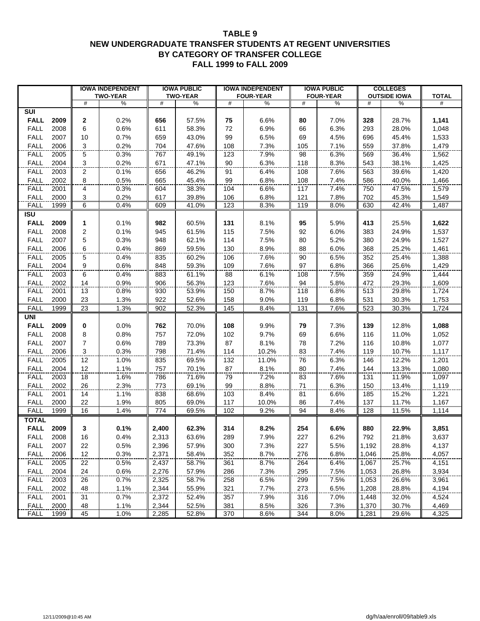#### **TABLE 9 NEW UNDERGRADUATE TRANSFER STUDENTS AT REGENT UNIVERSITIES BY CATEGORY OF TRANSFER COLLEGE FALL 1999 to FALL 2009**

|                                                                                                                                                                                                             |                                                    | <b>IOWA INDEPENDENT</b>                                              |                                                                               | <b>IOWA PUBLIC</b>                                                            |                                                             | <b>IOWA INDEPENDENT</b>                                              |                                                             | <b>IOWA PUBLIC</b>                                                   |                                                                               | <b>COLLEGES</b>                                                               |                                                                               |
|-------------------------------------------------------------------------------------------------------------------------------------------------------------------------------------------------------------|----------------------------------------------------|----------------------------------------------------------------------|-------------------------------------------------------------------------------|-------------------------------------------------------------------------------|-------------------------------------------------------------|----------------------------------------------------------------------|-------------------------------------------------------------|----------------------------------------------------------------------|-------------------------------------------------------------------------------|-------------------------------------------------------------------------------|-------------------------------------------------------------------------------|
|                                                                                                                                                                                                             |                                                    | <b>TWO-YEAR</b>                                                      |                                                                               | <b>TWO-YEAR</b>                                                               |                                                             | <b>FOUR-YEAR</b>                                                     |                                                             | <b>FOUR-YEAR</b>                                                     |                                                                               | <b>OUTSIDE IOWA</b>                                                           | <b>TOTAL</b>                                                                  |
|                                                                                                                                                                                                             | #                                                  | ℅                                                                    | #                                                                             | ℅                                                                             | #                                                           | %                                                                    | #                                                           | %                                                                    | #                                                                             | %                                                                             | #                                                                             |
| SUI                                                                                                                                                                                                         |                                                    |                                                                      |                                                                               |                                                                               |                                                             |                                                                      |                                                             |                                                                      |                                                                               |                                                                               |                                                                               |
| <b>FALL</b><br>2009                                                                                                                                                                                         | 2                                                  | 0.2%                                                                 | 656                                                                           | 57.5%                                                                         | 75                                                          | 6.6%                                                                 | 80                                                          | 7.0%                                                                 | 328                                                                           | 28.7%                                                                         | 1,141                                                                         |
| <b>FALL</b><br>2008                                                                                                                                                                                         | 6                                                  | 0.6%                                                                 | 611                                                                           | 58.3%                                                                         | 72                                                          | 6.9%                                                                 | 66                                                          | 6.3%                                                                 | 293                                                                           | 28.0%                                                                         | 1,048                                                                         |
| <b>FALL</b><br>2007                                                                                                                                                                                         | 10                                                 | 0.7%                                                                 | 659                                                                           | 43.0%                                                                         | 99                                                          | 6.5%                                                                 | 69                                                          | 4.5%                                                                 | 696                                                                           | 45.4%                                                                         | 1,533                                                                         |
| <b>FALL</b><br>2006                                                                                                                                                                                         | 3                                                  | 0.2%                                                                 | 704                                                                           | 47.6%                                                                         | 108                                                         | 7.3%                                                                 | 105                                                         | 7.1%                                                                 | 559                                                                           | 37.8%                                                                         | 1,479                                                                         |
| <b>FALL</b><br>2005                                                                                                                                                                                         | 5                                                  | 0.3%                                                                 | 767                                                                           | 49.1%                                                                         | 123                                                         | 7.9%                                                                 | 98                                                          | 6.3%                                                                 | 569                                                                           | 36.4%                                                                         | 1,562                                                                         |
| <b>FALL</b><br>2004                                                                                                                                                                                         | 3                                                  | 0.2%                                                                 | 671                                                                           | 47.1%                                                                         | 90                                                          | 6.3%                                                                 | 118                                                         | 8.3%                                                                 | 543                                                                           | 38.1%                                                                         | 1,425                                                                         |
| <b>FALL</b><br>2003                                                                                                                                                                                         | $\overline{2}$                                     | 0.1%                                                                 | 656                                                                           | 46.2%                                                                         | 91                                                          | 6.4%                                                                 | 108                                                         | 7.6%                                                                 | 563                                                                           | 39.6%                                                                         | 1,420                                                                         |
| <b>FALL</b><br>2002                                                                                                                                                                                         | 8                                                  | 0.5%                                                                 | 665                                                                           | 45.4%                                                                         | 99                                                          | 6.8%                                                                 | 108                                                         | 7.4%                                                                 | 586                                                                           | 40.0%                                                                         | 1,466                                                                         |
| <b>FALL</b><br>2001                                                                                                                                                                                         | 4                                                  | 0.3%                                                                 | 604                                                                           | 38.3%                                                                         | 104                                                         | 6.6%                                                                 | 117                                                         | 7.4%                                                                 | 750                                                                           | 47.5%                                                                         | 1,579                                                                         |
| <b>FALL</b><br>2000                                                                                                                                                                                         | 3                                                  | 0.2%                                                                 | 617                                                                           | 39.8%                                                                         | 106                                                         | 6.8%                                                                 | 121                                                         | 7.8%                                                                 | 702                                                                           | 45.3%                                                                         | 1,549                                                                         |
| <b>FALL</b><br>1999                                                                                                                                                                                         | 6                                                  | 0.4%                                                                 | 609                                                                           | 41.0%                                                                         | 123                                                         | 8.3%                                                                 | 119                                                         | 8.0%                                                                 | 630                                                                           | 42.4%                                                                         | 1,487                                                                         |
| <b>ISU</b>                                                                                                                                                                                                  |                                                    |                                                                      |                                                                               |                                                                               |                                                             |                                                                      |                                                             |                                                                      |                                                                               |                                                                               |                                                                               |
| <b>FALL</b><br>2009                                                                                                                                                                                         | 1                                                  | 0.1%                                                                 | 982                                                                           | 60.5%                                                                         | 131                                                         | 8.1%                                                                 | 95                                                          | 5.9%                                                                 | 413                                                                           | 25.5%                                                                         | 1,622                                                                         |
| <b>FALL</b><br>2008                                                                                                                                                                                         | 2                                                  | 0.1%                                                                 | 945                                                                           | 61.5%                                                                         | 115                                                         | 7.5%                                                                 | 92                                                          | 6.0%                                                                 | 383                                                                           | 24.9%                                                                         | 1,537                                                                         |
| <b>FALL</b><br>2007                                                                                                                                                                                         | 5                                                  | 0.3%                                                                 | 948                                                                           | 62.1%                                                                         | 114                                                         | 7.5%                                                                 | 80                                                          | 5.2%                                                                 | 380                                                                           | 24.9%                                                                         | 1,527                                                                         |
| <b>FALL</b><br>2006                                                                                                                                                                                         | 6                                                  | 0.4%                                                                 | 869                                                                           | 59.5%                                                                         | 130                                                         | 8.9%                                                                 | 88                                                          | 6.0%                                                                 | 368                                                                           | 25.2%                                                                         | 1,461                                                                         |
| <b>FALL</b><br>2005                                                                                                                                                                                         | 5                                                  | 0.4%                                                                 | 835                                                                           | 60.2%                                                                         | 106                                                         | 7.6%                                                                 | 90                                                          | 6.5%                                                                 | 352                                                                           | 25.4%                                                                         | 1,388                                                                         |
| <b>FALL</b><br>2004                                                                                                                                                                                         | 9                                                  | 0.6%                                                                 | 848                                                                           | 59.3%                                                                         | 109                                                         | 7.6%                                                                 | 97                                                          | 6.8%                                                                 | 366                                                                           | 25.6%                                                                         | 1,429                                                                         |
| <b>FALL</b><br>2003                                                                                                                                                                                         | 6                                                  | 0.4%                                                                 | 883                                                                           | 61.1%                                                                         | 88                                                          | 6.1%                                                                 | 108                                                         | 7.5%                                                                 | 359                                                                           | 24.9%                                                                         | 1,444                                                                         |
| <b>FALL</b><br>2002                                                                                                                                                                                         | 14                                                 | 0.9%                                                                 | 906                                                                           | 56.3%                                                                         | 123                                                         | 7.6%                                                                 | 94                                                          | 5.8%                                                                 | 472                                                                           | 29.3%                                                                         | 1,609                                                                         |
| <b>FALL</b><br>2001                                                                                                                                                                                         | 13                                                 | 0.8%                                                                 | 930                                                                           | 53.9%                                                                         | 150                                                         | 8.7%                                                                 | 118                                                         | 6.8%                                                                 | 513                                                                           | 29.8%                                                                         | 1,724                                                                         |
| <b>FALL</b><br>2000                                                                                                                                                                                         | 23                                                 | 1.3%                                                                 | 922                                                                           | 52.6%                                                                         | 158                                                         | 9.0%                                                                 | 119                                                         | 6.8%                                                                 | 531                                                                           | 30.3%                                                                         | 1,753                                                                         |
| <b>FALL</b><br>1999                                                                                                                                                                                         | 23                                                 | 1.3%                                                                 | 902                                                                           | 52.3%                                                                         | 145                                                         | 8.4%                                                                 | 131                                                         | 7.6%                                                                 | 523                                                                           | 30.3%                                                                         | 1,724                                                                         |
| <b>UNI</b>                                                                                                                                                                                                  |                                                    |                                                                      |                                                                               |                                                                               |                                                             |                                                                      |                                                             |                                                                      |                                                                               |                                                                               |                                                                               |
| <b>FALL</b><br>2009                                                                                                                                                                                         | 0                                                  | 0.0%                                                                 | 762                                                                           | 70.0%                                                                         | 108                                                         | 9.9%                                                                 | 79                                                          | 7.3%                                                                 | 139                                                                           | 12.8%                                                                         | 1,088                                                                         |
| <b>FALL</b><br>2008                                                                                                                                                                                         | 8                                                  | 0.8%                                                                 | 757                                                                           | 72.0%                                                                         | 102                                                         | 9.7%                                                                 | 69                                                          | 6.6%                                                                 | 116                                                                           | 11.0%                                                                         | 1,052                                                                         |
| <b>FALL</b><br>2007                                                                                                                                                                                         | 7                                                  | 0.6%                                                                 | 789                                                                           | 73.3%                                                                         | 87                                                          | 8.1%                                                                 | 78                                                          | 7.2%                                                                 | 116                                                                           | 10.8%                                                                         | 1,077                                                                         |
| <b>FALL</b><br>2006                                                                                                                                                                                         | 3                                                  | 0.3%                                                                 | 798                                                                           | 71.4%                                                                         | 114                                                         | 10.2%                                                                | 83                                                          | 7.4%                                                                 | 119                                                                           | 10.7%                                                                         | 1,117                                                                         |
| <b>FALL</b><br>2005                                                                                                                                                                                         | 12                                                 | 1.0%                                                                 | 835                                                                           | 69.5%                                                                         | 132                                                         | 11.0%                                                                | 76                                                          | 6.3%                                                                 | 146                                                                           | 12.2%                                                                         | 1,201                                                                         |
| <b>FALL</b><br>2004                                                                                                                                                                                         | 12                                                 | 1.1%                                                                 | 757                                                                           | 70.1%                                                                         | 87                                                          | 8.1%                                                                 | 80                                                          | 7.4%                                                                 | 144                                                                           | 13.3%                                                                         | 1,080                                                                         |
| <b>FALL</b><br>2003                                                                                                                                                                                         | 18                                                 | 1.6%                                                                 | 786                                                                           | 71.6%                                                                         | 79                                                          | 7.2%                                                                 | 83                                                          | 7.6%                                                                 | 131                                                                           | 11.9%                                                                         | 1,097                                                                         |
| <b>FALL</b><br>2002                                                                                                                                                                                         | 26                                                 | 2.3%                                                                 | 773                                                                           | 69.1%                                                                         | 99                                                          | 8.8%                                                                 | 71                                                          | 6.3%                                                                 | 150                                                                           | 13.4%                                                                         | 1,119                                                                         |
| <b>FALL</b><br>2001                                                                                                                                                                                         | 14                                                 | 1.1%                                                                 | 838                                                                           | 68.6%                                                                         | 103                                                         | 8.4%                                                                 | 81                                                          | 6.6%                                                                 | 185                                                                           | 15.2%                                                                         | 1,221                                                                         |
| <b>FALL</b><br>2000                                                                                                                                                                                         | 22                                                 | 1.9%                                                                 | 805                                                                           | 69.0%                                                                         | 117                                                         | 10.0%                                                                | 86                                                          | 7.4%                                                                 | 137                                                                           | 11.7%                                                                         | 1,167                                                                         |
| <b>FALL</b><br>1999                                                                                                                                                                                         | 16                                                 | 1.4%                                                                 | 774                                                                           | 69.5%                                                                         | 102                                                         | 9.2%                                                                 | 94                                                          | 8.4%                                                                 | 128                                                                           | 11.5%                                                                         | 1,114                                                                         |
| <b>TOTAL</b>                                                                                                                                                                                                |                                                    |                                                                      |                                                                               |                                                                               |                                                             |                                                                      |                                                             |                                                                      |                                                                               |                                                                               |                                                                               |
| <b>FALL 2009</b>                                                                                                                                                                                            | 3                                                  | 0.1%                                                                 | 2,400                                                                         | 62.3%                                                                         | 314                                                         | 8.2%                                                                 | 254                                                         | 6.6%                                                                 | 880                                                                           | 22.9%                                                                         | 3,851                                                                         |
| FALL<br>2008                                                                                                                                                                                                | 16                                                 | 0.4%                                                                 | 2,313                                                                         | 63.6%                                                                         | 289                                                         | 7.9%                                                                 | 227                                                         | 6.2%                                                                 | 792                                                                           | 21.8%                                                                         | 3,637                                                                         |
|                                                                                                                                                                                                             |                                                    |                                                                      |                                                                               |                                                                               |                                                             |                                                                      |                                                             |                                                                      |                                                                               |                                                                               |                                                                               |
|                                                                                                                                                                                                             |                                                    |                                                                      |                                                                               |                                                                               |                                                             |                                                                      |                                                             |                                                                      |                                                                               |                                                                               |                                                                               |
|                                                                                                                                                                                                             |                                                    |                                                                      |                                                                               |                                                                               |                                                             |                                                                      |                                                             |                                                                      |                                                                               |                                                                               |                                                                               |
|                                                                                                                                                                                                             |                                                    |                                                                      |                                                                               |                                                                               |                                                             |                                                                      |                                                             |                                                                      |                                                                               |                                                                               |                                                                               |
|                                                                                                                                                                                                             |                                                    |                                                                      |                                                                               |                                                                               |                                                             |                                                                      |                                                             |                                                                      |                                                                               |                                                                               |                                                                               |
|                                                                                                                                                                                                             |                                                    |                                                                      |                                                                               |                                                                               |                                                             |                                                                      |                                                             |                                                                      |                                                                               |                                                                               |                                                                               |
|                                                                                                                                                                                                             |                                                    |                                                                      |                                                                               |                                                                               |                                                             |                                                                      |                                                             |                                                                      |                                                                               |                                                                               |                                                                               |
|                                                                                                                                                                                                             |                                                    |                                                                      |                                                                               |                                                                               |                                                             |                                                                      |                                                             |                                                                      |                                                                               |                                                                               |                                                                               |
|                                                                                                                                                                                                             |                                                    |                                                                      |                                                                               |                                                                               |                                                             |                                                                      |                                                             |                                                                      |                                                                               |                                                                               |                                                                               |
| <b>FALL</b><br>2007<br><b>FALL</b><br>2006<br><b>FALL</b><br>2005<br><b>FALL</b><br>2004<br><b>FALL</b><br>2003<br><b>FALL</b><br>2002<br><b>FALL</b><br>2001<br><b>FALL</b><br>2000<br><b>FALL</b><br>1999 | 22<br>12<br>22<br>24<br>26<br>48<br>31<br>48<br>45 | 0.5%<br>0.3%<br>0.5%<br>0.6%<br>0.7%<br>1.1%<br>0.7%<br>1.1%<br>1.0% | 2,396<br>2,371<br>2,437<br>2,276<br>2,325<br>2,344<br>2,372<br>2,344<br>2,285 | 57.9%<br>58.4%<br>58.7%<br>57.9%<br>58.7%<br>55.9%<br>52.4%<br>52.5%<br>52.8% | 300<br>352<br>361<br>286<br>258<br>321<br>357<br>381<br>370 | 7.3%<br>8.7%<br>8.7%<br>7.3%<br>6.5%<br>7.7%<br>7.9%<br>8.5%<br>8.6% | 227<br>276<br>264<br>295<br>299<br>273<br>316<br>326<br>344 | 5.5%<br>6.8%<br>6.4%<br>7.5%<br>7.5%<br>6.5%<br>7.0%<br>7.3%<br>8.0% | 1,192<br>1,046<br>1,067<br>1,053<br>1,053<br>1,208<br>1,448<br>1,370<br>1,281 | 28.8%<br>25.8%<br>25.7%<br>26.8%<br>26.6%<br>28.8%<br>32.0%<br>30.7%<br>29.6% | 4,137<br>4,057<br>4,151<br>3,934<br>3,961<br>4,194<br>4,524<br>4,469<br>4,325 |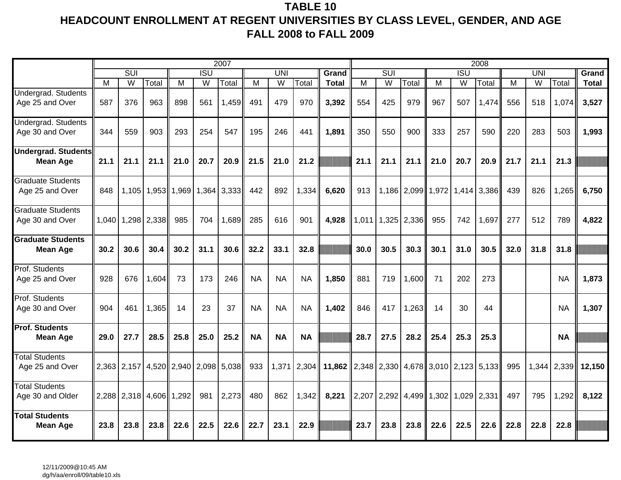## **TABLE 10 HEADCOUNT ENROLLMENT AT REGENT UNIVERSITIES BY CLASS LEVEL, GENDER, AND AGE FALL 2008 to FALL 2009**

|                                               |      |                         |                         |       |            | 2007        |           |           |           |                                            |       |                               |               |                                       |                  | 2008  |      |            |             |              |
|-----------------------------------------------|------|-------------------------|-------------------------|-------|------------|-------------|-----------|-----------|-----------|--------------------------------------------|-------|-------------------------------|---------------|---------------------------------------|------------------|-------|------|------------|-------------|--------------|
|                                               |      | $\overline{\text{SUI}}$ |                         |       | <b>ISU</b> |             |           | UNI       |           | Grand                                      |       | $\overline{\text{SUI}}$       |               |                                       | $\overline{ISU}$ |       |      | <b>UNI</b> |             | Grand        |
|                                               | м    | W                       | Total                   | м     | W          | Total       | м         | W         | Total     | <b>Total</b>                               | M     | W                             | Total         | М                                     | W                | Total | м    | W          | Total       | <b>Total</b> |
| Undergrad. Students<br>Age 25 and Over        | 587  | 376                     | 963                     | 898   | 561        | 1,459       | 491       | 479       | 970       | 3,392                                      | 554   | 425                           | 979           | 967                                   | 507              | 1,474 | 556  | 518        | 1,074       | 3,527        |
| Undergrad. Students<br>Age 30 and Over        | 344  | 559                     | 903                     | 293   | 254        | 547         | 195       | 246       | 441       | 1,891                                      | 350   | 550                           | 900           | 333                                   | 257              | 590   | 220  | 283        | 503         | 1,993        |
| <b>Undergrad. Students</b><br><b>Mean Age</b> | 21.1 | 21.1                    | 21.1                    | 21.0  | 20.7       | 20.9        | 21.5      | 21.0      | 21.2      |                                            | 21.1  | 21.1                          | 21.1          | 21.0                                  | 20.7             | 20.9  | 21.7 | 21.1       | 21.3        |              |
| <b>Graduate Students</b><br>Age 25 and Over   | 848  | 1,105                   | 1,953 1,969             |       | 1,364      | 3,333       | 442       | 892       | 1,334     | 6,620                                      | 913   |                               |               | 1,186   2,099   1,972   1,414   3,386 |                  |       | 439  | 826        | 1,265       | 6,750        |
| <b>Graduate Students</b><br>Age 30 and Over   |      |                         | 1,040 1,298 2,338       | 985   | 704        | 1,689       | 285       | 616       | 901       | 4,928                                      | 1,011 |                               | $1,325$ 2,336 | 955                                   | 742              | 1,697 | 277  | 512        | 789         | 4,822        |
| <b>Graduate Students</b><br><b>Mean Age</b>   | 30.2 | 30.6                    | 30.4                    | 30.2  | 31.1       | 30.6        | 32.2      | 33.1      | 32.8      |                                            | 30.0  | 30.5                          | 30.3          | 30.1                                  | 31.0             | 30.5  | 32.0 | 31.8       | 31.8        |              |
| Prof. Students<br>Age 25 and Over             | 928  | 676                     | 1,604                   | 73    | 173        | 246         | <b>NA</b> | <b>NA</b> | <b>NA</b> | 1,850                                      | 881   | 719                           | 1,600         | 71                                    | 202              | 273   |      |            | <b>NA</b>   | 1,873        |
| Prof. Students<br>Age 30 and Over             | 904  | 461                     | 1,365                   | 14    | 23         | 37          | <b>NA</b> | <b>NA</b> | <b>NA</b> | 1,402                                      | 846   | 417                           | 1,263         | 14                                    | 30               | 44    |      |            | <b>NA</b>   | 1,307        |
| <b>Prof. Students</b><br><b>Mean Age</b>      | 29.0 | 27.7                    | 28.5                    | 25.8  | 25.0       | 25.2        | <b>NA</b> | <b>NA</b> | <b>NA</b> |                                            | 28.7  | 27.5                          | 28.2          | 25.4                                  | 25.3             | 25.3  |      |            | <b>NA</b>   |              |
| <b>Total Students</b><br>Age 25 and Over      |      |                         | 2,363 2,157 4,520 2,940 |       |            | 2,098 5,038 | 933       | 1,371     | 2,304     | 11,862 2,348 2,330 4,678 3,010 2,123 5,133 |       |                               |               |                                       |                  |       | 995  |            | 1,344 2,339 | 12,150       |
| <b>Total Students</b><br>Age 30 and Older     |      | 2,288 2,318 4,606       |                         | 1,292 | 981        | 2,273       | 480       | 862       | 1,342     | 8,221                                      |       | 2,207   2,292   4,499   1,302 |               |                                       | 1,029 2,331      |       | 497  | 795        | 1,292       | 8,122        |
| <b>Total Students</b><br><b>Mean Age</b>      | 23.8 | 23.8                    | 23.8                    | 22.6  | 22.5       | 22.6        | 22.7      | 23.1      | 22.9      |                                            | 23.7  | 23.8                          | 23.8          | 22.6                                  | 22.5             | 22.6  | 22.8 | 22.8       | 22.8        |              |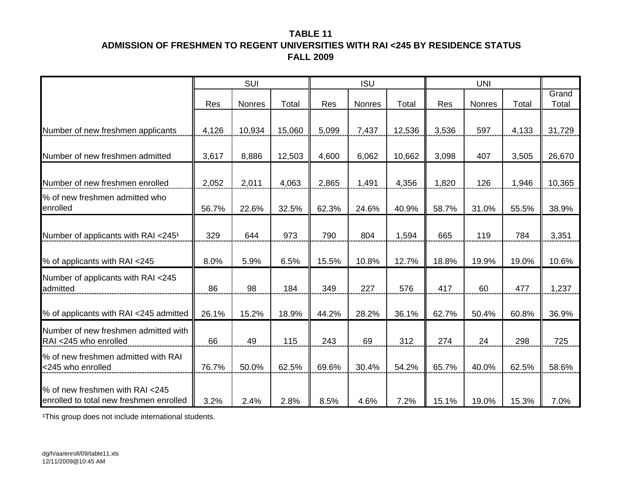## **TABLE 11ADMISSION OF FRESHMEN TO REGENT UNIVERSITIES WITH RAI <245 BY RESIDENCE STATUS FALL 2009**

|                                                                            |       | SUI    |        |       | <b>ISU</b> |        |       | <b>UNI</b>    |       |                |
|----------------------------------------------------------------------------|-------|--------|--------|-------|------------|--------|-------|---------------|-------|----------------|
|                                                                            | Res   | Nonres | Total  | Res   | Nonres     | Total  | Res   | <b>Nonres</b> | Total | Grand<br>Total |
| Number of new freshmen applicants                                          | 4,126 | 10,934 | 15,060 | 5,099 | 7,437      | 12,536 | 3,536 | 597           | 4,133 | 31,729         |
| Number of new freshmen admitted                                            | 3,617 | 8,886  | 12,503 | 4,600 | 6,062      | 10,662 | 3,098 | 407           | 3,505 | 26,670         |
| Number of new freshmen enrolled                                            | 2,052 | 2,011  | 4,063  | 2,865 | 1,491      | 4,356  | 1,820 | 126           | 1,946 | 10,365         |
| % of new freshmen admitted who<br>enrolled                                 | 56.7% | 22.6%  | 32.5%  | 62.3% | 24.6%      | 40.9%  | 58.7% | 31.0%         | 55.5% | 38.9%          |
| Number of applicants with RAI <245 <sup>1</sup>                            | 329   | 644    | 973    | 790   | 804        | 1,594  | 665   | 119           | 784   | 3,351          |
| % of applicants with RAI <245                                              | 8.0%  | 5.9%   | 6.5%   | 15.5% | 10.8%      | 12.7%  | 18.8% | 19.9%         | 19.0% | 10.6%          |
| Number of applicants with RAI <245<br>admitted                             | 86    | 98     | 184    | 349   | 227        | 576    | 417   | 60            | 477   | 1,237          |
| % of applicants with RAI <245 admitted                                     | 26.1% | 15.2%  | 18.9%  | 44.2% | 28.2%      | 36.1%  | 62.7% | 50.4%         | 60.8% | 36.9%          |
| Number of new freshmen admitted with<br>RAI <245 who enrolled              | 66    | 49     | 115    | 243   | 69         | 312    | 274   | 24            | 298   | 725            |
| % of new freshmen admitted with RAI<br><245 who enrolled                   | 76.7% | 50.0%  | 62.5%  | 69.6% | 30.4%      | 54.2%  | 65.7% | 40.0%         | 62.5% | 58.6%          |
| % of new freshmen with RAI <245<br>enrolled to total new freshmen enrolled | 3.2%  | 2.4%   | 2.8%   | 8.5%  | 4.6%       | 7.2%   | 15.1% | 19.0%         | 15.3% | 7.0%           |

1This group does not include international students.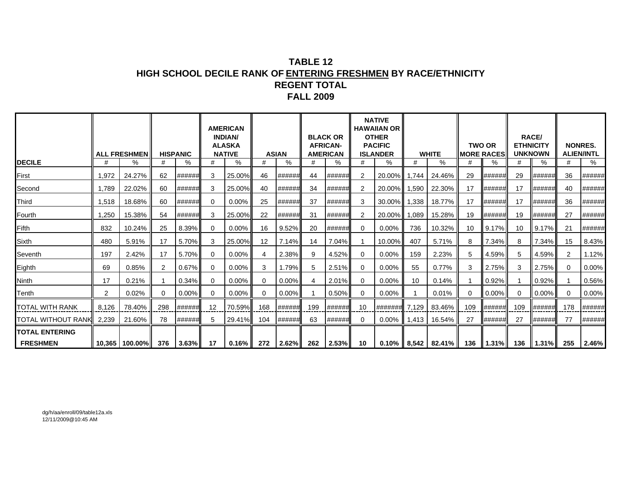## **TABLE 12HIGH SCHOOL DECILE RANK OF ENTERING FRESHMEN BY RACE/ETHNICITY REGENT TOTALFALL 2009**

|                                          |       | <b>ALL FRESHMEN</b>    |               | <b>HISPANIC</b> |    | <b>AMERICAN</b><br><b>INDIAN/</b><br><b>ALASKA</b><br><b>NATIVE</b> |          | <b>ASIAN</b> |     | <b>BLACK OR</b><br><b>AFRICAN-</b><br><b>AMERICAN</b> |          | <b>NATIVE</b><br><b>HAWAIIAN OR</b><br><b>OTHER</b><br><b>PACIFIC</b><br><b>ISLANDER</b> |                 | <b>WHITE</b>                            | <b>MORE RACES</b> | <b>TWO OR</b> | <b>ETHNICITY</b> | <b>RACE/</b><br><b>UNKNOWN</b> |          | <b>NONRES.</b><br><b>ALIEN/INTL</b> |
|------------------------------------------|-------|------------------------|---------------|-----------------|----|---------------------------------------------------------------------|----------|--------------|-----|-------------------------------------------------------|----------|------------------------------------------------------------------------------------------|-----------------|-----------------------------------------|-------------------|---------------|------------------|--------------------------------|----------|-------------------------------------|
| <b>DECILE</b>                            | #     | $\%$                   | #             | %               | #  | %                                                                   | #        | %            | #   | ℅                                                     | #        | ℅                                                                                        | #               | ℅                                       |                   | ℅             | #                | $\%$                           | #        | %                                   |
| First                                    | 1,972 | 24.27%                 | 62            | ######          |    | 25.00%                                                              | 46       | ######       | 44  | ######                                                | 2        | 20.00%                                                                                   | 1.744           | 24.46%                                  | 29                | ######        | 29               | ######                         | 36       | ######                              |
| Second                                   | 1.789 | 22.02%                 | 60            | ######          | 3  | 25.00%                                                              | 40       | ######       | 34  | ######                                                | 2        | 20.00%                                                                                   | 1,590           | 22.30%                                  | 17                | ######        | 17               | ######                         | 40       | ######                              |
| <b>Third</b>                             | 1,518 | 18.68%                 | 60            | ######          | 0  | $0.00\%$                                                            | 25       | ######       | 37  | ######                                                | 3        | 30.00%                                                                                   | 1,338           | 18.77%                                  | 17                | ######        | 17               | ######                         | 36       | ######                              |
| Fourth                                   | 1,250 | 15.38%                 | 54            | ######          | 3  | 25.00%                                                              | 22       | ######       | 31  | ######                                                | 2        | 20.00%                                                                                   | 1,089           | 15.28%                                  | 19                | ######        | 19               | ######                         | 27       | ######                              |
| Fifth                                    | 832   | 10.24%                 | 25            | 8.39%           | 0  | $0.00\%$                                                            | 16       | 9.52%        | 20  | ######                                                | $\Omega$ | $0.00\%$                                                                                 | 736             | 10.32%                                  | 10                | 9.17%         | 10               | 9.17%                          | 21       | ######                              |
| Sixth                                    | 480   | 5.91%                  | 17            | 5.70%           | 3  | 25.00%                                                              | 12       | 7.14%        | 14  | 7.04%                                                 |          | 10.00%                                                                                   | 407             | 5.71%                                   | 8                 | 7.34%         | 8                | 7.34%                          | 15       | 8.43%                               |
| Seventh                                  | 197   | 2.42%                  | 17            | 5.70%           | 0  | $0.00\%$                                                            | 4        | 2.38%        |     | 4.52%                                                 | $\Omega$ | $0.00\%$                                                                                 | 159             | 2.23%                                   | 5                 | 4.59%         | 5                | 4.59%                          | 2        | 1.12%                               |
| Eighth                                   | 69    | 0.85%                  | $\mathcal{P}$ | 0.67%           | 0  | 0.00%                                                               | 3        | 1.79%        | 5   | 2.51%                                                 | $\Omega$ | $0.00\%$                                                                                 | 55              | 0.77%                                   | 3                 | 2.75%         | 3                | 2.75%                          | $\Omega$ | 0.00%                               |
| Ninth                                    | 17    | 0.21%                  |               | 0.34%           | 0  | $0.00\%$                                                            | $\Omega$ | $0.00\%$     |     | 2.01%                                                 | $\Omega$ | $0.00\%$                                                                                 | 10 <sup>°</sup> | 0.14%                                   |                   | 0.92%         |                  | 0.92%                          |          | 0.56%                               |
| Tenth                                    | 2     | 0.02%                  | $\Omega$      | $0.00\%$        | 0  | $0.00\%$                                                            | $\Omega$ | 0.00%        |     | 0.50%                                                 | $\Omega$ | $0.00\%$                                                                                 |                 | 0.01%                                   | $\Omega$          | 0.00%         | $\Omega$         | 0.00%                          | $\Omega$ | 0.00%                               |
| <b>TOTAL WITH RANK</b>                   | 8,126 | 78.40%                 | 298           | ######          | 12 | 70.59%                                                              | 168      | ######       | 199 | ######                                                | 10       | #######                                                                                  | 7,129           | 83.46%                                  | 109               | ######        | 109              | ######                         | 178      | ######                              |
| TOTAL WITHOUT RANK                       | 2,239 | 21.60%                 | 78            | ######          |    | 29.41%                                                              | 104      | ######       | 63  | ######                                                | 0        | $0.00\%$                                                                                 | 1,413           | 16.54%                                  | 27                | ######        | 27               | ######                         | 77       | ######                              |
| <b>TOTAL ENTERING</b><br><b>FRESHMEN</b> |       | 10.365   100.00%   376 |               | $3.63\%$        | 17 | $0.16\%$                                                            |          |              |     | 272 2.62% 262 2.53%                                   | 10       |                                                                                          |                 | $0.10\%$   8,542   82.41%   136   1.31% |                   |               |                  | 136    1.31%                   | 255      | 2.46%                               |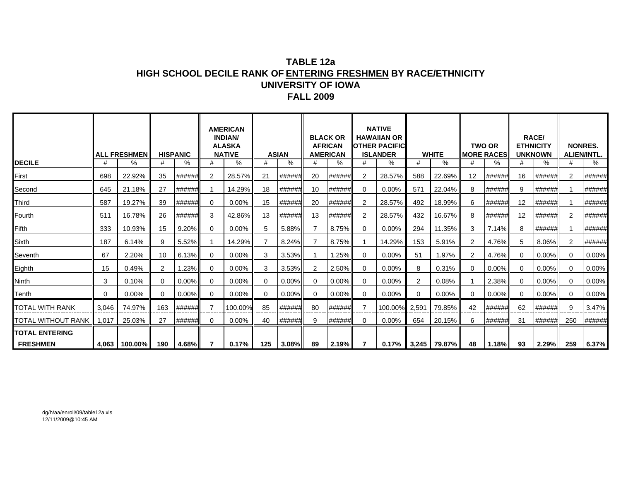### **TABLE 12a HIGH SCHOOL DECILE RANK OF ENTERING FRESHMEN BY RACE/ETHNICITY UNIVERSITY OF IOWAFALL 2009**

|                            |          | <b>ALL FRESHMEN</b>   |          | <b>HISPANIC</b> |          | <b>AMERICAN</b><br><b>INDIAN/</b><br><b>ALASKA</b><br><b>NATIVE</b> |     | <b>ASIAN</b> |          | <b>BLACK OR</b><br><b>AFRICAN</b><br><b>AMERICAN</b> |              | <b>NATIVE</b><br><b>HAWAIIAN OR</b><br><b>IOTHER PACIFICI</b><br><b>ISLANDER</b> |     | <b>WHITE</b>              |          | <b>TWO OR</b><br><b>MORE RACES</b> |    | <b>RACE/</b><br><b>ETHNICITY</b><br><b>UNKNOWN</b> | <b>NONRES.</b> | <b>ALIEN/INTL.</b> |
|----------------------------|----------|-----------------------|----------|-----------------|----------|---------------------------------------------------------------------|-----|--------------|----------|------------------------------------------------------|--------------|----------------------------------------------------------------------------------|-----|---------------------------|----------|------------------------------------|----|----------------------------------------------------|----------------|--------------------|
| <b>DECILE</b>              | #        | %                     | #        | %               | #        | %                                                                   | #   | %            | #        | %                                                    | #            | %                                                                                | #   | %                         |          | %                                  | #  | %                                                  | #              | %                  |
| First                      | 698      | 22.92%                | 35       | ######          |          | 28.57%                                                              | 21  | ######       | 20       | ######                                               | 2            | 28.57%                                                                           | 588 | 22.69%                    | 12       | ######                             | 16 | <b>######</b>                                      | $\overline{2}$ | ######             |
| Second                     | 645      | 21.18%                | 27       | ######          |          | 14.29%                                                              | 18  | ######       | 10       | ######                                               | $\Omega$     | $0.00\%$                                                                         | 571 | 22.04%                    | 8        | ######                             | 9  | ######                                             |                | ######             |
| Third                      | 587      | 19.27%                | 39       | ######          | $\Omega$ | $0.00\%$                                                            | 15  | ######       | 20       | ######                                               | 2            | 28.57%                                                                           | 492 | 18.99%                    | 6        | ######                             | 12 | ######                                             |                | ######             |
| Fourth                     | 511      | 16.78%                | 26       | ######          | 3        | 42.86%                                                              | 13  | ######       | 13       | ######                                               | 2            | 28.57%                                                                           | 432 | 16.67%                    | 8        | ######                             | 12 | ###### <b>#</b>                                    | 2              | ######             |
| Fifth                      | 333      | 10.93%                | 15       | 9.20%           | $\Omega$ | 0.00%                                                               |     | 5.88%        |          | 8.75%                                                | 0            | $0.00\%$                                                                         | 294 | 11.35%                    | 3        | 7.14%                              | 8  | ######                                             |                | ######             |
| Sixth                      | 187      | 6.14%                 | 9        | 5.52%           |          | 14.29%                                                              |     | 8.24%        |          | 8.75%                                                |              | 14.29%                                                                           | 153 | 5.91%                     |          | 4.76%                              | 5  | 8.06%                                              | $\overline{2}$ | ######             |
| Seventh                    | 67       | 2.20%                 | 10       | 6.13%           | $\Omega$ | $0.00\%$                                                            | 3   | 3.53%        |          | 1.25%                                                | $\mathbf{0}$ | $0.00\%$                                                                         | 51  | 1.97%                     | 2        | 4.76%                              |    | 0.00%                                              | 0              | 0.00%              |
| Eighth                     | 15       | 0.49%                 | 2        | 1.23%           | 0        | $0.00\%$                                                            | 3   | 3.53%        |          | 2.50%                                                | $\Omega$     | $0.00\%$                                                                         |     | 0.31%                     |          | $0.00\%$                           |    | $0.00\%$                                           | $\Omega$       | 0.00%              |
| <b>Ninth</b>               | 3        | 0.10%                 | $\Omega$ | 0.00%           | 0        | $0.00\%$                                                            | ∩   | 0.00%        |          | $0.00\%$                                             | $\Omega$     | $0.00\%$                                                                         |     | 0.08%                     |          | 2.38%                              |    | $0.00\%$                                           | $\Omega$       | 0.00%              |
| Tenth                      | $\Omega$ | $0.00\%$              | $\Omega$ | 0.00%           | $\Omega$ | $0.00\%$                                                            | ∩   | 0.00%        | $\Omega$ | $0.00\%$                                             | $\Omega$     | $0.00\%$                                                                         | 0   | 0.00%                     | $\Omega$ | $0.00\%$                           |    | $0.00\%$                                           | $\Omega$       | 0.00%              |
| TOTAL WITH RANK            | 3,046    | 74.97%                | 163      | ######          |          | 100.00%                                                             | 85  | ######       | 80       | ######                                               |              | 100.00% 2,591                                                                    |     | 79.85%                    | 42       | ######                             | 62 | ######                                             | 9              | 3.47%              |
| TOTAL WITHOUT RANK   1,017 |          | 25.03%                | 27       | ##### <b>#</b>  | 0        | $0.00\%$                                                            | 40  | ######       | 9        | ######                                               | $\Omega$     | $0.00\%$                                                                         | 654 | 20.15%                    | 6        | ######                             | 31 | ######                                             | 250            | ######             |
| <b>TOTAL ENTERING</b>      |          |                       |          |                 |          |                                                                     |     |              |          |                                                      |              |                                                                                  |     |                           |          |                                    |    |                                                    |                |                    |
| <b>FRESHMEN</b>            |          | 4,063   100.00%   190 |          | 4.68%           |          | 0.17%                                                               | 125 | $3.08\%$     | 89       | 2.19%                                                | $\mathbf{7}$ |                                                                                  |     | $0.17\%$   3,245   79.87% | 48       | $1.18\%$                           | 93 | $2.29\%$                                           | 259            | 6.37%              |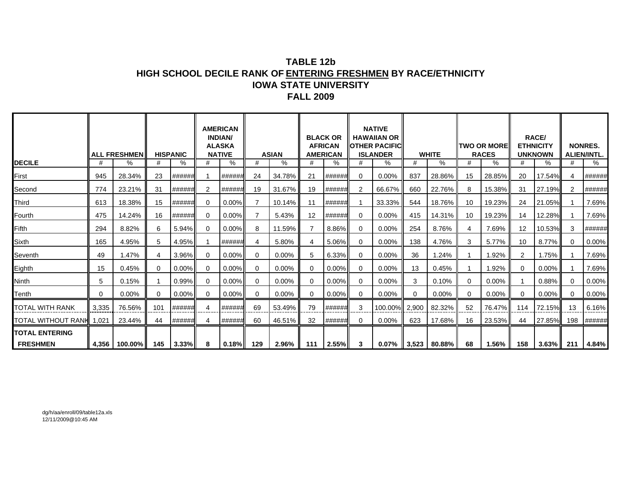### **TABLE 12bHIGH SCHOOL DECILE RANK OF ENTERING FRESHMEN BY RACE/ETHNICITY IOWA STATE UNIVERSITYFALL 2009**

|                                 |          | <b>ALL FRESHMEN</b> |          | <b>HISPANIC</b> |          | <b>AMERICAN</b><br><b>INDIAN/</b><br><b>ALASKA</b><br><b>NATIVE</b> |          | <b>ASIAN</b> |          | <b>BLACK OR</b><br><b>AFRICAN</b><br><b>AMERICAN</b> |          | <b>NATIVE</b><br><b>HAWAIIAN OR</b><br><b>IIOTHER PACIFIC</b><br><b>ISLANDER</b> |          | <b>WHITE</b>              |          | <b>TWO OR MORE</b><br><b>RACES</b> |                | <b>RACE/</b><br><b>ETHNICITY</b><br><b>UNKNOWN</b> |          | <b>NONRES.</b><br><b>ALIEN/INTL.</b> |
|---------------------------------|----------|---------------------|----------|-----------------|----------|---------------------------------------------------------------------|----------|--------------|----------|------------------------------------------------------|----------|----------------------------------------------------------------------------------|----------|---------------------------|----------|------------------------------------|----------------|----------------------------------------------------|----------|--------------------------------------|
| <b>DECILE</b>                   |          | %                   | #        | %               | #        | %                                                                   | #        | ℅            | #        | %                                                    |          | %                                                                                | #        | %                         | #        | %                                  | #              | %                                                  | #        | %                                    |
| First                           | 945      | 28.34%              | 23       | ######          |          | ######                                                              | 24       | 34.78%       | 21       | ######                                               | 0        | 0.00%                                                                            | 837      | 28.86%                    | 15       | 28.85%                             | 20             | 17.54%                                             | 4        | ######                               |
| Second                          | 774      | 23.21%              | 31       | ###### <b> </b> | 2        | ######                                                              | 19       | 31.67%       | 19       | ######                                               |          | 66.67%                                                                           | 660      | 22.76%                    | 8        | 15.38%                             | 31             | 27.19%                                             | 2        | ######                               |
| Third                           | 613      | 18.38%              | 15       | ######          | 0        | $0.00\%$                                                            |          | 10.14%       | 11       | ######                                               |          | 33.33%                                                                           | 544      | 18.76%                    | 10       | 19.23%                             | 24             | 21.05%                                             |          | 7.69%                                |
| Fourth                          | 475      | 14.24%              | 16       | #######         | 0        | $0.00\%$                                                            |          | 5.43%        | 12       | ######                                               | $\Omega$ | $0.00\%$                                                                         | 415      | 14.31%                    | 10       | 19.23%                             | 14             | 12.28%                                             |          | 7.69%                                |
| Fifth                           | 294      | 8.82%               | 6        | $5.94\%$        | $\Omega$ | $0.00\%$                                                            | 8        | 11.59%       |          | 8.86%                                                | 0        | 0.00%                                                                            | 254      | 8.76%                     | 4        | 7.69%                              | 12             | 10.53%                                             | 3        | ######                               |
| Sixth                           | 165      | 4.95%               | 5        | 4.95%           |          | ######                                                              | 4        | 5.80%        | 4        | 5.06%                                                | $\Omega$ | 0.00%                                                                            | 138      | 4.76%                     | 3        | 5.77%                              | 10             | 8.77%                                              | $\Omega$ | 0.00%                                |
| Seventh                         | 49       | 1.47%               | 4        | $3.96\%$        | $\Omega$ | $0.00\%$                                                            | $\Omega$ | 0.00%        | 5        | 6.33%                                                | ∩        | $0.00\%$                                                                         | 36       | 1.24%                     |          | 1.92%                              | $\overline{2}$ | 1.75%                                              |          | 7.69%                                |
| Eighth                          | 15       | 0.45%               | 0        | $0.00\%$        | $\Omega$ | $0.00\%$                                                            | $\Omega$ | 0.00%        | $\Omega$ | $0.00\%$                                             | ∩        | 0.00%                                                                            | 13       | 0.45%                     |          | 1.92%                              | 0              | $0.00\%$                                           |          | 7.69%                                |
| <b>Ninth</b>                    | 5        | 0.15%               |          | $0.99\%$        | $\Omega$ | $0.00\%$                                                            | $\Omega$ | 0.00%        | $\Omega$ | 0.00%                                                | $\Omega$ | 0.00%                                                                            | 3        | 0.10%                     | $\Omega$ | 0.00%                              |                | 0.88%                                              | $\Omega$ | 0.00%                                |
| Tenth                           | $\Omega$ | 0.00%               | $\Omega$ | $0.00\%$        | $\Omega$ | $0.00\%$                                                            | $\Omega$ | 0.00%        | $\Omega$ | $0.00\%$                                             | $\Omega$ | 0.00%                                                                            | $\Omega$ | 0.00%                     | $\Omega$ | 0.00%                              | $\Omega$       | 0.00%                                              | $\Omega$ | 0.00%                                |
| TOTAL WITH RANK                 | 3,335    | 76.56%              | 101      | ######          | 4        | ######                                                              | 69       | 53.49%       | 79       | ######                                               | 3        | 100.00%                                                                          | 2,900    | 82.32%                    | 52       | 76.47%                             | 114            | 72.15%                                             | 13       | 6.16%                                |
| <b>TOTAL WITHOUT RANH 1,021</b> |          | 23.44%              | 44       | ######          |          | ######                                                              | 60       | 46.51%       | 32       | ######                                               |          | 0.00%                                                                            | 623      | 17.68%                    | 16       | 23.53%                             | 44             | 27.85%                                             | 198      | ######                               |
| <b>TOTAL ENTERING</b>           |          |                     |          |                 |          |                                                                     |          |              |          |                                                      |          |                                                                                  |          |                           |          |                                    |                |                                                    |          |                                      |
| <b>FRESHMEN</b>                 |          | 4,356   100.00%     | 145      | $3.33\%$        | 8        | $\mid 0.18\% \mid$ 129                                              |          | $2.96\%$     |          | $111$   2.55%                                        | 3        |                                                                                  |          | $0.07\%$   3,523   80.88% | 68       | 1.56%                              | 158            | 3.63% I                                            | 211      | 4.84%                                |

dg/h/aa/enroll/09/table12a.xls 12/11/2009@10:45 AM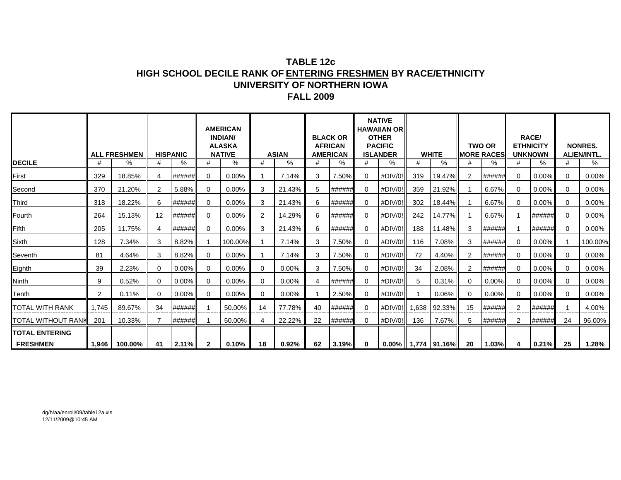### **TABLE 12cHIGH SCHOOL DECILE RANK OF ENTERING FRESHMEN BY RACE/ETHNICITY UNIVERSITY OF NORTHERN IOWAFALL 2009**

|                           |                | <b>ALL FRESHMEN</b> |                | <b>HISPANIC</b> |              | <b>AMERICAN</b><br><b>INDIAN/</b><br><b>ALASKA</b><br><b>NATIVE</b> |          | <b>ASIAN</b> |    | <b>BLACK OR</b><br><b>AFRICAN</b><br><b>AMERICAN</b> |             | <b>NATIVE</b><br><b>HAWAIIAN OR</b><br><b>OTHER</b><br><b>PACIFIC</b><br><b>ISLANDER</b> |       | <b>WHITE</b>              |                | <b>TWO OR</b><br><b>MORE RACES</b> | <b>UNKNOWN</b> | <b>RACE/</b><br><b>ETHNICITY</b> |          | <b>NONRES.</b><br><b>ALIEN/INTL.</b> |
|---------------------------|----------------|---------------------|----------------|-----------------|--------------|---------------------------------------------------------------------|----------|--------------|----|------------------------------------------------------|-------------|------------------------------------------------------------------------------------------|-------|---------------------------|----------------|------------------------------------|----------------|----------------------------------|----------|--------------------------------------|
| <b>DECILE</b>             | #              | $\%$                | #              | %               | #            | ℅                                                                   | #        | %            | #  | %                                                    | #           | %                                                                                        | #     | %                         | #              | %                                  | #              | %                                | #        | %                                    |
| First                     | 329            | 18.85%              | 4              | ######          | $\Omega$     | 0.00%                                                               |          | 7.14%        | 3  | 7.50%                                                | $\Omega$    | #DIV/0!                                                                                  | 319   | 19.47%                    | $\overline{2}$ | ######                             | $\Omega$       | 0.00%                            | 0        | 0.00%                                |
| Second                    | 370            | 21.20%              | $\overline{2}$ | 5.88%           | $\Omega$     | 0.00%                                                               | 3        | 21.43%       | 5  | ###### <b>#</b>                                      | $\Omega$    | #DIV/0!                                                                                  | 359   | 21.92%                    |                | 6.67%                              | $\Omega$       | $0.00\%$                         | 0        | 0.00%                                |
| <b>Third</b>              | 318            | 18.22%              | 6              | ######          | 0            | 0.00%                                                               | 3        | 21.43%       | 6  | ######                                               | 0           | #DIV/0!                                                                                  | 302   | 18.44%                    |                | 6.67%                              | $\Omega$       | $0.00\%$                         | 0        | $0.00\%$                             |
| Fourth                    | 264            | 15.13%              | 12             | ######          | $\Omega$     | 0.00%                                                               | 2        | 14.29%       | 6  | ###### <b> </b>                                      | $\Omega$    | #DIV/0!                                                                                  | 242   | 14.77%                    |                | 6.67%                              |                | ######                           | $\Omega$ | 0.00%                                |
| Fifth                     | 205            | 11.75%              | 4              | ######          | 0            | 0.00%                                                               | 3        | 21.43%       | 6  | ##### <b>#</b>                                       | $\mathbf 0$ | #DIV/0!                                                                                  | 188   | 11.48%                    | 3              | ######                             |                | ##### <b>#</b>                   | $\Omega$ | $0.00\%$                             |
| Sixth                     | 128            | 7.34%               | 3              | 8.82%           |              | 100.00%                                                             |          | 7.14%        | 3  | 7.50%                                                | $\mathbf 0$ | #DIV/0!                                                                                  | 116   | 7.08%                     | 3              | ######                             | $\Omega$       | $0.00\%$                         |          | 100.00%                              |
| Seventh                   | 81             | 4.64%               | 3              | 8.82%           | 0            | 0.00%                                                               |          | 7.14%        | 3  | 7.50%                                                | $\mathbf 0$ | #DIV/0!                                                                                  | 72    | 4.40%                     | 2              | ######                             | $\Omega$       | 0.00%                            | 0        | $0.00\%$                             |
| Eighth                    | 39             | 2.23%               | $\Omega$       | 0.00%           | 0            | 0.00%                                                               | $\Omega$ | 0.00%        | 3  | 7.50%                                                | $\mathbf 0$ | #DIV/0!                                                                                  | 34    | 2.08%                     | $\overline{2}$ | ######                             | $\Omega$       | 0.00%                            | $\Omega$ | $0.00\%$                             |
| <b>Ninth</b>              | 9              | 0.52%               | 0              | 0.00%           | 0            | $0.00\%$                                                            | 0        | $0.00\%$     | 4  | ######                                               | $\mathbf 0$ | #DIV/0!                                                                                  | 5     | 0.31%                     | 0              | $0.00\%$                           | $\Omega$       | 0.00%                            | 0        | $0.00\%$                             |
| Tenth                     | $\overline{2}$ | 0.11%               | 0              | 0.00%           | 0            | 0.00%                                                               | $\Omega$ | 0.00%        |    | 2.50%                                                | $\Omega$    | #DIV/0!                                                                                  |       | 0.06%                     | $\Omega$       | $0.00\%$                           | $\Omega$       | 0.00%                            | $\Omega$ | $0.00\%$                             |
| <b>TOTAL WITH RANK</b>    | 1,745          | 89.67%              | 34             | ######          |              | 50.00%                                                              | 14       | 77.78%       | 40 | ###### <b>#</b>                                      | 0           | $#$ DIV/0!                                                                               | 1,638 | 92.33%                    | 15             | ######                             | $\overline{2}$ | ######                           |          | 4.00%                                |
| <b>TOTAL WITHOUT RANK</b> | 201            | 10.33%              |                | ######          |              | 50.00%                                                              | 4        | 22.22%       | 22 | ######                                               | $\Omega$    | #DIV/0!                                                                                  | 136   | 7.67%                     | 5              | ######                             | 2              | ######                           | 24       | 96.00%                               |
| <b>TOTAL ENTERING</b>     |                |                     |                |                 |              |                                                                     |          |              |    |                                                      |             |                                                                                          |       |                           |                |                                    |                |                                  |          |                                      |
| <b>FRESHMEN</b>           | 1,946 l        | 100.00%             | 41             | $\ 2.11\%$      | $\mathbf{2}$ | 0.10%                                                               | 18       | 0.92%        | 62 | 3.19%                                                | $\bf{0}$    |                                                                                          |       | $0.00\%$   1,774   91.16% | -20            | $1.03\%$                           | 4              | $ 0.21\% $                       | 25       | 1.28%                                |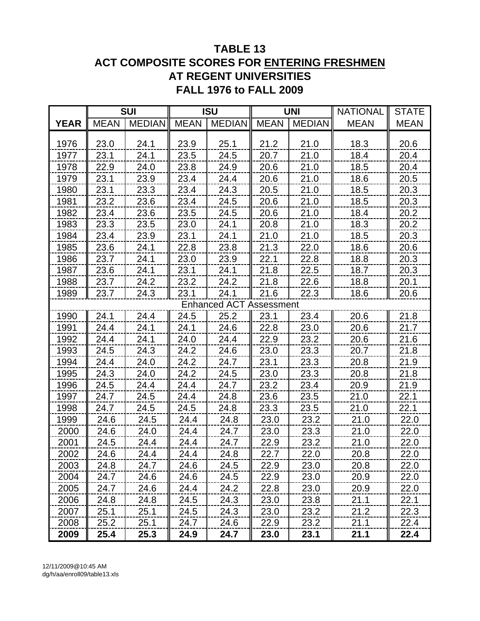## **TABLE 13 ACT COMPOSITE SCORES FOR ENTERING FRESHMEN AT REGENT UNIVERSITIES FALL 1976 to FALL 2009**

|             |             | <b>SUI</b>    |             | <b>ISU</b>                     |             | <b>UNI</b>    | <b>NATIONAL</b> | <b>STATE</b> |
|-------------|-------------|---------------|-------------|--------------------------------|-------------|---------------|-----------------|--------------|
| <b>YEAR</b> | <b>MEAN</b> | <b>MEDIAN</b> | <b>MEAN</b> | <b>MEDIAN</b>                  | <b>MEAN</b> | <b>MEDIAN</b> | <b>MEAN</b>     | <b>MEAN</b>  |
|             |             |               |             |                                |             |               |                 |              |
| 1976        | 23.0        | 24.1          | 23.9        | 25.1                           | 21.2        | 21.0          | 18.3            | 20.6         |
| 1977        | 23.1        | 24.1          | 23.5        | 24.5                           | 20.7        | 21.0          | 18.4            | 20.4         |
| 1978        | 22.9        | 24.0          | 23.8        | 24.9                           | 20.6        | 21.0          | 18.5            | 20.4         |
| 1979        | 23.1        | 23.9          | 23.4        | 24.4                           | 20.6        | 21.0          | 18.6            | 20.5         |
| 1980        | 23.1        | 23.3          | 23.4        | 24.3                           | 20.5        | 21.0          | 18.5            | 20.3         |
| 1981        | 23.2        | 23.6          | 23.4        | 24.5                           | 20.6        | 21.0          | 18.5            | 20.3         |
| 1982        | 23.4        | 23.6          | 23.5        | 24.5                           | 20.6        | 21.0          | 18.4            | 20.2         |
| 1983        | 23.3        | 23.5          | 23.0        | 24.1                           | 20.8        | 21.0          | 18.3            | 20.2         |
| 1984        | 23.4        | 23.9          | 23.1        | 24.1                           | 21.0        | 21.0          | 18.5            | 20.3         |
| 1985        | 23.6        | 24.1          | 22.8        | 23.8                           | 21.3        | 22.0          | 18.6            | 20.6         |
| 1986        | 23.7        | 24.1          | 23.0        | 23.9                           | 22.1        | 22.8          | 18.8            | 20.3         |
| 1987        | 23.6        | 24.1          | 23.1        | 24.1                           | 21.8        | 22.5          | 18.7            | 20.3         |
| 1988        | 23.7        | 24.2          | 23.2        | 24.2                           | 21.8        | 22.6          | 18.8            | 20.1         |
| 1989        | 23.7        | 24.3          | 23.1        | 24.1                           | 21.6        | 22.3          | 18.6            | 20.6         |
|             |             |               |             | <b>Enhanced ACT Assessment</b> |             |               |                 |              |
| 1990        | 24.1        | 24.4          | 24.5        | 25.2                           | 23.1        | 23.4          | 20.6            | 21.8         |
| 1991        | 24.4        | 24.1          | 24.1        | 24.6                           | 22.8        | 23.0          | 20.6            | 21.7         |
| 1992        | 24.4        | 24.1          | 24.0        | 24.4                           | 22.9        | 23.2          | 20.6            | 21.6         |
| 1993        | 24.5        | 24.3          | 24.2        | 24.6                           | 23.0        | 23.3          | 20.7            | 21.8         |
| 1994        | 24.4        | 24.0          | 24.2        | 24.7                           | 23.1        | 23.3          | 20.8            | 21.9         |
| 1995        | 24.3        | 24.0          | 24.2        | 24.5                           | 23.0        | 23.3          | 20.8            | 21.8         |
| 1996        | 24.5        | 24.4          | 24.4        | 24.7                           | 23.2        | 23.4          | 20.9            | 21.9         |
| 1997        | 24.7        | 24.5          | 24.4        | 24.8                           | 23.6        | 23.5          | 21.0            | 22.1         |
| 1998        | 24.7        | 24.5          | 24.5        | 24.8                           | 23.3        | 23.5          | 21.0            | 22.1         |
| 1999        | 24.6        | 24.5          | 24.4        | 24.8                           | 23.0        | 23.2          | 21.0            | 22.0         |
| 2000        | 24.6        | 24.0          | 24.4        | 24.7                           | 23.0        | 23.3          | 21.0            | 22.0         |
| 2001        | 24.5        | 24.4          | 24.4        | 24.7                           | 22.9        | 23.2          | 21.0            | 22.0         |
| 2002        | 24.6        | 24.4          | 24.4        | 24.8                           | 22.7        | 22.O          | 20.8            | 22.O         |
| 2003        | 24.8        | 24.7          | 24.6        | 24.5                           | 22.9        | 23.0          | 20.8            | 22.0         |
| 2004        | 24.7        | 24.6          | 24.6        | 24.5                           | 22.9        | 23.0          | 20.9            | 22.0         |
| 2005        | 24.7        | 24.6          | 24.4        | 24.2                           | 22.8        | 23.0          | 20.9            | 22.0         |
| 2006        | 24.8        | 24.8          | 24.5        | 24.3                           | 23.0        | 23.8          | 21.1            | 22.1         |
| 2007        | 25.1        | 25.1          | 24.5        | 24.3                           | 23.0        | 23.2          | 21.2            | 22.3         |
| 2008        | 25.2        | 25.1          | 24.7        | 24.6                           | 22.9        | 23.2          | 21.1            | 22.4         |
| 2009        | 25.4        | 25.3          | 24.9        | 24.7                           | 23.0        | 23.1          | 21.1            | 22.4         |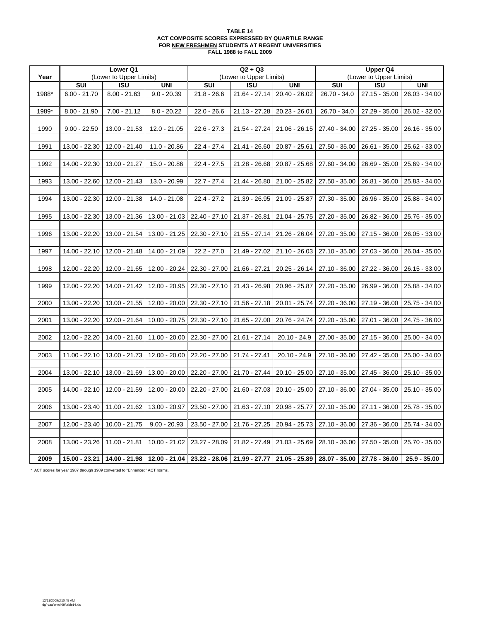#### **TABLE 14 ACT COMPOSITE SCORES EXPRESSED BY QUARTILE RANGE FOR NEW FRESHMEN STUDENTS AT REGENT UNIVERSITIES FALL 1988 to FALL 2009**

|       |                | Lower Q1                |                 |                         | $Q2 + Q3$               |                                                                                                                                |                 | <b>Upper Q4</b>               |                 |
|-------|----------------|-------------------------|-----------------|-------------------------|-------------------------|--------------------------------------------------------------------------------------------------------------------------------|-----------------|-------------------------------|-----------------|
| Year  |                | (Lower to Upper Limits) |                 |                         | (Lower to Upper Limits) |                                                                                                                                |                 | (Lower to Upper Limits)       |                 |
|       | <b>SUI</b>     | <b>ISU</b>              | <b>UNI</b>      | $\overline{\text{SUI}}$ | <b>ISU</b>              | <b>UNI</b>                                                                                                                     | <b>SUI</b>      | <b>ISU</b>                    | <b>UNI</b>      |
| 1988* | $6.00 - 21.70$ | $8.00 - 21.63$          | $9.0 - 20.39$   | $21.8 - 26.6$           | 21.64 - 27.14           | 20.40 - 26.02                                                                                                                  | 26.70 - 34.0    | $27.15 - 35.00$               | 26.03 - 34.00   |
|       |                |                         |                 |                         |                         |                                                                                                                                |                 |                               |                 |
| 1989* | $8.00 - 21.90$ | $7.00 - 21.12$          | $8.0 - 20.22$   | $22.0 - 26.6$           | 21.13 - 27.28           | 20.23 - 26.01                                                                                                                  | 26.70 - 34.0    | 27.29 - 35.00                 | 26.02 - 32.00   |
|       |                |                         |                 |                         |                         |                                                                                                                                |                 |                               |                 |
| 1990  | $9.00 - 22.50$ | 13.00 - 21.53           | $12.0 - 21.05$  | $22.6 - 27.3$           | 21.54 - 27.24           | 21.06 - 26.15                                                                                                                  | 27.40 - 34.00   | 27.25 - 35.00                 | $26.16 - 35.00$ |
|       |                |                         |                 |                         |                         |                                                                                                                                |                 |                               |                 |
| 1991  | 13.00 - 22.30  | 12.00 - 21.40           | $11.0 - 20.86$  | $22.4 - 27.4$           | 21.41 - 26.60           | 20.87 - 25.61                                                                                                                  | 27.50 - 35.00   | 26.61 - 35.00                 | 25.62 - 33.00   |
|       |                |                         |                 |                         |                         |                                                                                                                                |                 |                               |                 |
| 1992  | 14.00 - 22.30  | 13.00 - 21.27           | 15.0 - 20.86    | $22.4 - 27.5$           | 21.28 - 26.68           | 20.87 - 25.68                                                                                                                  | 27.60 - 34.00   | 26.69 - 35.00                 | 25.69 - 34.00   |
|       |                |                         |                 |                         |                         |                                                                                                                                |                 |                               |                 |
| 1993  | 13.00 - 22.60  | 12.00 - 21.43           | 13.0 - 20.99    | $22.7 - 27.4$           | 21.44 - 26.80           | $21.00 - 25.82$                                                                                                                |                 | 27.50 - 35.00   26.81 - 36.00 | 25.83 - 34.00   |
|       |                |                         |                 |                         |                         |                                                                                                                                |                 |                               |                 |
| 1994  | 13.00 - 22.30  | 12.00 - 21.38           | 14.0 - 21.08    | $22.4 - 27.2$           | 21.39 - 26.95           | 21.09 - 25.87                                                                                                                  | 27.30 - 35.00   | 26.96 - 35.00                 | 25.88 - 34.00   |
|       |                |                         |                 |                         |                         |                                                                                                                                |                 |                               |                 |
| 1995  | 13.00 - 22.30  | 13.00 - 21.36           | 13.00 - 21.03   | 22.40 - 27.10           | 21.37 - 26.81           | 21.04 - 25.75                                                                                                                  | 27.20 - 35.00   | 26.82 - 36.00                 | 25.76 - 35.00   |
|       |                |                         |                 |                         |                         |                                                                                                                                |                 |                               |                 |
| 1996  | 13.00 - 22.20  | 13.00 - 21.54           | 13.00 - 21.25   | 22.30 - 27.10           | 21.55 - 27.14           | 21.26 - 26.04                                                                                                                  | 27.20 - 35.00   | 27.15 - 36.00                 | 26.05 - 33.00   |
|       |                |                         |                 |                         |                         |                                                                                                                                |                 |                               |                 |
| 1997  | 14.00 - 22.10  | 12.00 - 21.48           | 14.00 - 21.09   | $22.2 - 27.0$           | 21.49 - 27.02           | $21.10 - 26.03$                                                                                                                |                 | 27.10 - 35.00   27.03 - 36.00 | 26.04 - 35.00   |
|       |                |                         |                 |                         |                         |                                                                                                                                |                 |                               |                 |
| 1998  | 12.00 - 22.20  | 12.00 - 21.65           | 12.00 - 20.24   | 22.30 - 27.00           | 21.66 - 27.21           | $20.25 - 26.14$                                                                                                                | 27.10 - 36.00   | 27.22 - 36.00                 | 26.15 - 33.00   |
|       |                |                         |                 |                         |                         |                                                                                                                                |                 |                               |                 |
| 1999  | 12.00 - 22.20  | 14.00 - 21.42           | 12.00 - 20.95   | 22.30 - 27.10           | 21.43 - 26.98           | 20.96 - 25.87                                                                                                                  | 27.20 - 35.00   | 26.99 - 36.00                 | 25.88 - 34.00   |
|       |                |                         |                 |                         |                         |                                                                                                                                |                 |                               |                 |
| 2000  | 13.00 - 22.20  | 13.00 - 21.55           | 12.00 - 20.00   | 22.30 - 27.10           | 21.56 - 27.18           | 20.01 - 25.74                                                                                                                  | 27.20 - 36.00   | 27.19 - 36.00                 | 25.75 - 34.00   |
| 2001  | 13.00 - 22.20  | 12.00 - 21.64           | $10.00 - 20.75$ | $22.30 - 27.10$         | 21.65 - 27.00           | 20.76 - 24.74                                                                                                                  |                 | 27.20 - 35.00   27.01 - 36.00 | 24.75 - 36.00   |
|       |                |                         |                 |                         |                         |                                                                                                                                |                 |                               |                 |
| 2002  | 12.00 - 22.20  | 14.00 - 21.60           | 11.00 - 20.00   | 22.30 - 27.00           | 21.61 - 27.14           | $20.10 - 24.9$                                                                                                                 | 27.00 - 35.00   | 27.15 - 36.00                 | 25.00 - 34.00   |
|       |                |                         |                 |                         |                         |                                                                                                                                |                 |                               |                 |
| 2003  | 11.00 - 22.10  | 13.00 - 21.73           | 12.00 - 20.00   | $22.20 - 27.00$         | 21.74 - 27.41           | $20.10 - 24.9$                                                                                                                 | 27.10 - 36.00   | 27.42 - 35.00                 | 25.00 - 34.00   |
|       |                |                         |                 |                         |                         |                                                                                                                                |                 |                               |                 |
| 2004  | 13.00 - 22.10  | 13.00 - 21.69           | $13.00 - 20.00$ | $22.20 - 27.00$         | 21.70 - 27.44           | $20.10 - 25.00$                                                                                                                |                 | 27.10 - 35.00   27.45 - 36.00 | 25.10 - 35.00   |
|       |                |                         |                 |                         |                         |                                                                                                                                |                 |                               |                 |
| 2005  | 14.00 - 22.10  | 12.00 - 21.59           | 12.00 - 20.00   | 22.20 - 27.00           | 21.60 - 27.03           | $20.10 - 25.00$                                                                                                                |                 | 27.10 - 36.00   27.04 - 35.00 | $25.10 - 35.00$ |
|       |                |                         |                 |                         |                         |                                                                                                                                |                 |                               |                 |
| 2006  | 13.00 - 23.40  | 11.00 - 21.62           | 13.00 - 20.97   | $23.50 - 27.00$         | $21.63 - 27.10$         | 20.98 - 25.77                                                                                                                  | $27.10 - 35.00$ | 27.11 - 36.00                 | 25.78 - 35.00   |
|       |                |                         |                 |                         |                         |                                                                                                                                |                 |                               |                 |
| 2007  | 12.00 - 23.40  | $10.00 - 21.75$         | $9.00 - 20.93$  | $23.50 - 27.00$         | 21.76 - 27.25           | 20.94 - 25.73                                                                                                                  |                 | 27.10 - 36.00   27.36 - 36.00 | 25.74 - 34.00   |
|       |                |                         |                 |                         |                         |                                                                                                                                |                 |                               |                 |
| 2008  | 13.00 - 23.26  | 11.00 - 21.81           | $10.00 - 21.02$ | 23.27 - 28.09           | 21.82 - 27.49           | $21.03 - 25.69$                                                                                                                | 28.10 - 36.00   | 27.50 - 35.00                 | 25.70 - 35.00   |
|       |                |                         |                 |                         |                         |                                                                                                                                |                 |                               |                 |
| 2009  |                |                         |                 |                         |                         | 15.00 - 23.21   14.00 - 21.98   12.00 - 21.04   23.22 - 28.06   21.99 - 27.77   21.05 - 25.89    28.07 - 35.00   27.78 - 36.00 |                 |                               | $25.9 - 35.00$  |

\* ACT scores for year 1987 through 1989 converted to "Enhanced" ACT norms.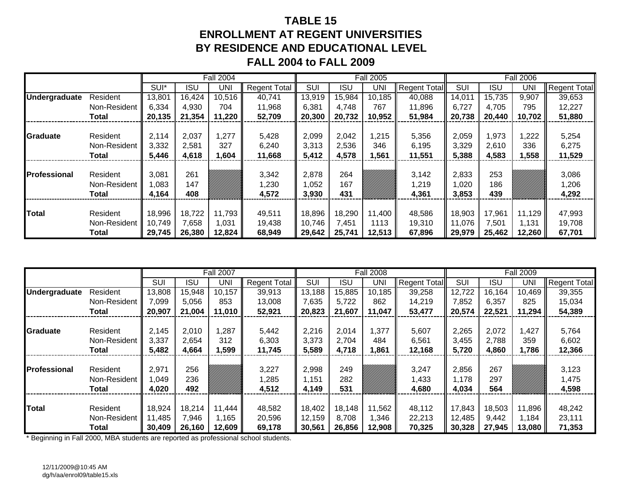# **TABLE 15ENROLLMENT AT REGENT UNIVERSITIESBY RESIDENCE AND EDUCATIONAL LEVEL FALL 2004 to FALL 2009**

|                      |                                          |                         |                   | <b>Fall 2004</b> |                         |                         |                   | <b>Fall 2005</b> |                         |                        |                   | <b>Fall 2006</b> |                         |
|----------------------|------------------------------------------|-------------------------|-------------------|------------------|-------------------------|-------------------------|-------------------|------------------|-------------------------|------------------------|-------------------|------------------|-------------------------|
|                      |                                          | SUI*                    | <b>ISU</b>        | UNI              | <b>Regent Total</b>     | <b>SUI</b>              | ISU               | UNI              | Regent Total            | <b>SUI</b>             | <b>ISU</b>        | UNI              | <b>Regent Total</b>     |
| <b>Undergraduate</b> | Resident                                 | 13,801                  | 16,424            | 10,516           | 40,741                  | 13,919                  | 15,984            | 10,185           | 40,088                  | 14,011                 | 15,735            | 9,907            | 39,653                  |
|                      | Non-Resident                             | 6,334                   | 4,930             | 704              | 11,968                  | 6,381                   | 4.748             | 767              | 11,896                  | 6,727                  | 4,705             | 795              | 12,227                  |
|                      | Total                                    | 20,135                  | 21,354            | 11,220           | 52,709                  | 20,300                  | 20,732            | 10,952           | 51,984                  | 20,738                 | 20.440            | 10,702           | 51,880                  |
|                      |                                          | 2,037<br>1,277<br>2,114 |                   |                  |                         |                         |                   |                  |                         |                        |                   |                  |                         |
| <b>Graduate</b>      | Resident                                 |                         |                   |                  | 5,428                   | 2,099                   | 2,042             | ,215             | 5,356                   | 2,059                  | 1,973             | ,222             | 5,254                   |
|                      | Non-Resident                             | 3,332                   | 2,581             | 327              | 6,240                   | 3,313                   | 2,536             | 346              | 6,195                   | 3,329                  | 2,610             | 336              | 6,275                   |
|                      | Total                                    | 5,446                   | 4,618             | 1,604            | 11,668                  | 5,412                   | 4,578             | ,561             | 11,551                  | 5,388                  | 4,583             | 1,558            | 11,529                  |
| <b>Professional</b>  | Resident<br>Non-Resident<br><b>Total</b> | 3,081<br>1,083<br>4,164 | 261<br>147<br>408 |                  | 3,342<br>1,230<br>4,572 | 2,878<br>0.052<br>3,930 | 264<br>167<br>431 |                  | 3,142<br>1,219<br>4,361 | 2,833<br>,020<br>3,853 | 253<br>186<br>439 |                  | 3,086<br>1,206<br>4,292 |
|                      |                                          |                         |                   |                  |                         |                         |                   |                  |                         |                        |                   |                  |                         |
| <b>Total</b>         | Resident                                 | 18,996                  | 18,722            | 11,793           | 49,511                  | 18,896                  | 18,290            | 11,400           | 48,586                  | 18,903                 | 17,961            | 11,129           | 47,993                  |
|                      | Non-Resident                             | 10,749                  | 7,658             | 1,031            | 19,438                  | 10,746                  | 7,451             | 1113             | 19,310                  | 11,076                 | 7,501             | 1.131            | 19,708                  |
|                      | Total                                    | 29,745                  | 26,380            | 12,824           | 68,949                  | 29,642                  | 25,741            | 12,513           | 67,896                  | 29,979                 | 25,462            | 12,260           | 67,701                  |

|                      |              |            |        | <b>Fall 2007</b> |                     |            |        | <b>Fall 2008</b> |                     |            |        | <b>Fall 2009</b> |                     |
|----------------------|--------------|------------|--------|------------------|---------------------|------------|--------|------------------|---------------------|------------|--------|------------------|---------------------|
|                      |              | <b>SUI</b> | ISU    | UNI              | <b>Regent Total</b> | <b>SUI</b> | ISU    | UNI              | <b>Regent Total</b> | <b>SUI</b> | ISU    | <b>UNI</b>       | <b>Regent Total</b> |
| <b>Undergraduate</b> | Resident     | 13,808     | 15,948 | 10,157           | 39,913              | 13,188     | 15,885 | 10,185           | 39,258              | 12,722     | 16,164 | 10,469           | 39,355              |
|                      | Non-Resident | 7,099      | 5,056  | 853              | 13,008              | 7,635      | 5,722  | 862              | 14,219              | 7,852      | 6,357  | 825              | 15,034              |
|                      | <b>Total</b> | 20,907     | 21,004 | 11,010           | 52,921              | 20,823     | 21,607 | 11,047           | 53,477              | 20,574     | 22,521 | 11,294           | 54,389              |
|                      |              |            |        |                  |                     |            |        |                  |                     |            |        |                  |                     |
| Graduate             | Resident     | 2,145      | 2,010  | 1,287            | 5,442               | 2,216      | 2,014  | 1,377            | 5,607               | 2,265      | 2,072  | ,427             | 5,764               |
|                      | Non-Resident | 3,337      | 2,654  | 312              | 6,303               | 3,373      | 2,704  | 484              | 6,561               | 3,455      | 2,788  | 359              | 6,602               |
|                      | Total        | 5,482      | 4,664  | 1,599            | 11,745              | 5,589      | 4,718  | ,861             | 12,168              | 5,720      | 4,860  | 1,786            | 12,366              |
|                      |              |            |        |                  |                     |            |        |                  |                     |            |        |                  |                     |
| <b>Professional</b>  | Resident     | 2,971      | 256    |                  | 3,227               | 2,998      | 249    |                  | 3,247               | 2,856      | 267    |                  | 3,123               |
|                      | Non-Resident | 1.049      | 236    |                  | 1,285               | 1,151      | 282    |                  | 1,433               | 1,178      | 297    |                  | 1,475               |
|                      | <b>Total</b> | 4,020      | 492    |                  | 4,512               | 4,149      | 531    |                  | 4,680               | 4,034      | 564    |                  | 4,598               |
|                      |              |            |        |                  |                     |            |        |                  |                     |            |        |                  |                     |
| <b>Total</b>         | Resident     | 18,924     | 18,214 | 11,444           | 48,582              | 18,402     | 18,148 | 11,562           | 48,112              | 17,843     | 18,503 | 11,896           | 48,242              |
|                      | Non-Resident | 11,485     | 7,946  | 1,165            | 20,596              | 12,159     | 8,708  | 346, ا           | 22,213              | 12,485     | 9,442  | 1,184            | 23,111              |
|                      | Total        | 30,409     | 26,160 | 12,609           | 69,178              | 30,561     | 26,856 | 12,908           | 70,325              | 30,328     | 27,945 | 13,080           | 71,353              |

\* Beginning in Fall 2000, MBA students are reported as professional school students.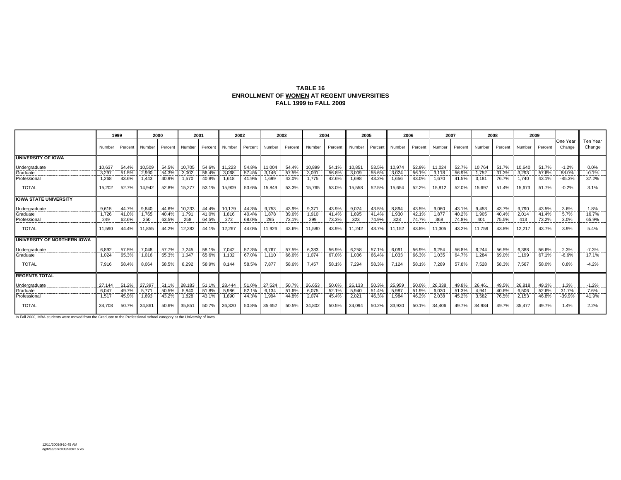## **TABLE 16ENROLLMENT OF WOMEN AT REGENT UNIVERSITIES FALL 1999 to FALL 2009**

|                              |        | 1999    |        | 2000    |        | 2001    |        | 2002    |        | 2003    |        | 2004    | 2005   |       |                | 2006    | 2007   |              |          | 2008    |               | 2009    |                    |                      |
|------------------------------|--------|---------|--------|---------|--------|---------|--------|---------|--------|---------|--------|---------|--------|-------|----------------|---------|--------|--------------|----------|---------|---------------|---------|--------------------|----------------------|
|                              | Number | Percent | Number | Percent | Number | Percent | Number | Percent | Number | Percent | Number | Percent | Number |       | Percent Number | Percent | Number | Percent      | Number I | Percent | <b>Number</b> | Percent | One Year<br>Change | Ten Year<br>Change   |
| <b>UNIVERSITY OF IOWA</b>    |        |         |        |         |        |         |        |         |        |         |        |         |        |       |                |         |        |              |          |         |               |         |                    |                      |
| Undergraduate                | 10.637 | 54.4%   | 10.509 | 54.5%   | 10.705 | 54.6%   | 11.223 | 54.8%   | 11.004 | 54.4%   | 10.899 | 54.1%   | 10.851 | 53.5% | 10.974         | 52.9%   | 11.024 | 52.7%        | 10.764   | 51.7%   | 10.640        | 51.7%   | $-1.2%$            | 0.0%                 |
| Graduate                     | 3,297  | 51.5%   | 2,990  | 54.3%   | 3.002  | 56.4%   | 3.068  | 57.4%   | 3,146  | 57.5%   | 3,091  | 56.8%   | 3,009  | 55.6% | 3,024          | 56.1%   | 3.118  | 56.9%        | 1.752    | 31.3%   | 3,293         | 57.6%   | 88.0%              | ---------<br>$-0.1%$ |
| Professional                 | 1.268  | 43.6%   | 1.443  | 40.9%   | 1.570  | 40.8%   | 1.618  | 41.9%   | 1.699  | 42.0%   | 1.775  | 42.6%   | 1.698  | 43.2% | 1.656          | 43.0%   | 1.670  | 41.5%        | 3.181    | 76.7%   | 1.740         | 43.1%   | $-45.3%$           | 37.2%                |
| <b>TOTAL</b>                 | 15.202 | 52.7%   | 14.942 | 52.8%   | 15.277 | 53.1%   | 15,909 | 53.6%   | 15,849 | 53.3%   | 15,765 | 53.0%   | 15,558 | 52.5% | 15,654         | 52.2%   | 15,812 | 52.0%        | 15.697   | 51.4%   | 15,673        | 51.7%   | $-0.2%$            | 3.1%                 |
| <b>IOWA STATE UNIVERSITY</b> |        |         |        |         |        |         |        |         |        |         |        |         |        |       |                |         |        |              |          |         |               |         |                    |                      |
| Undergraduate                | 9.615  | 44.7%   | 9.840  | 44.6%   | 10.233 | 44.4%   | 10.179 | 44.3%   | 9.753  | 43.9%   | 9.371  | 43.9%   | 9.024  | 43.5% | 8.894          | 43.5%   | 9.060  | 43.1%        | 9.453    | 43.7%   | 9.790         | 43.5%   | 3.6%               | 1.8%                 |
| Graduate                     | 1.726  | 41.0%   | 1.765  | 40.4%   | 1.791  | 41.0%   | 1.816  | 40.4%   | 1.878  | 39.6%   | 1.910  | 41.4%   | 1.895  | 41.4% | 1.930          | 42.1%   | 1.877  | 40.2%        | 1.905    | 40.4%   | 2.014         | 41.4%   | 5.7%               | 16.7%<br>--------    |
| Professional                 | 249    | 62.6%   | 250    | 63.5%   | 258    | 64.5%   | 272    | 68.0%   | 295    | 72.1%   | 299    | 73.3%   | 323    | 74.9% | 328            | 74.7%   | 368    | 74.8%        | 401      | 75.5%   | 413           | 73.2%   | 3.0%               | 65.9%                |
| <b>TOTAL</b>                 | 11.590 | 44.4%   | 11.855 | 44.2%   | 12.282 | 44.1%   | 12.267 | 44.0%   | 11.926 | 43.6%   | 11.580 | 43.9%   | 11.242 | 43.7% | 11.152         | 43.8%   | 11.305 | 43.2%        | 11.759   | 43.8%   | 12.217        | 43.7%   | 3.9%               | 5.4%                 |
| UNIVERSITY OF NORTHERN IOWA  |        |         |        |         |        |         |        |         |        |         |        |         |        |       |                |         |        |              |          |         |               |         |                    |                      |
| Undergraduate                | 6.892  | 57.5%   | 7,048  | 57.7%   | 7,245  | 58.1%   | 7.042  | 57.3%   | 6,767  | 57.5%   | 6,383  | 56.9%   | 6,258  | 57.1% | 6,091          | 56.9%   | 6.254  | 56.8%        | 6.244    | 56.5%   | 6,388         | 56.6%   | 2.3%               | $-7.3%$              |
| Graduate                     | 1.024  | 65.3%   | 1.016  | 65.3%   | 1.047  | 65.6%   | 1.102  | 67.0%   | 1.110  | 66.6%   | 1.074  | 67.0%   | 1.036  | 66.4% | 1.033          | 66.3%   | 1.035  | 64.7%        | 1.284    | 69.0%   | 1.199         | 67.1%   | $-6.6%$            | 17.1%                |
| <b>TOTAL</b>                 | 7.916  | 58.4%   | 8.064  | 58.5%   | 8.292  | 58.9%   | 8.144  | 58.5%   | 7.877  | 58.6%   | 7.457  | 58.1%   | 7.294  | 58.3% | 7.124          | 58.1%   | 7.289  | 57.8%        | 7.528    | 58.3%   | 7.587         | 58.0%   | 0.8%               | $-4.2%$              |
| <b>REGENTS TOTAL</b>         |        |         |        |         |        |         |        |         |        |         |        |         |        |       |                |         |        |              |          |         |               |         |                    |                      |
| Undergraduate                |        | 51.2%   | 27.397 | 51.1%   | 28.183 | 51.1%   | 28,444 | 51.0%   | 27.524 | 50.7%   | 26.653 | 50.6%   | 26.133 | 50.3% | 25,959         | 50.0%   | 26.338 | 49.8% 26.461 |          | 49.5%   | 26,818        | 49.3%   | 1.3%<br>           | $-1.2%$<br>          |
| Graduate<br>-----------      | 6.047  | 49.7%   | 5,771  | 50.5%   | 5.840  | 51.8%   | 5,986  | 52.1%   | 6,134  | 51.6%   | 6.075  | 52.1%   | 5,940  | 51.4% | 5,987          | 51.9%   | 6.030  | 51.3%        | 4.941    | 40.6%   | 6,506         | 52.6%   | 31.7%              | 7.6%<br>---------    |
| Professional                 | 1,517  | 45.9%   | 1.693  | 43.2%   | 1,828  | 43.1%   | 1.890  | 44.3%   | 1,994  | 44.8%   | 2,074  | 45.4%   | 2,021  | 46.3% | 1,984          | 46.2%   | 2.038  | 45.2%        | 3.582    | 76.5%   | 2.153         | 46.8%   | $-39.9%$           | 41.9%                |
| <b>TOTAL</b>                 | 34.708 | 50.7%   | 34,861 | 50.6%   | 35,851 | 50.7%   | 36,320 | 50.8%   | 35,652 | 50.5%   | 34.802 | 50.5%   | 34,094 | 50.2% | 33,930         | 50.1%   | 34.406 | 49.7%        | 34.984   | 49.7%   | 35,477        | 49.7%   | 1.4%               | 2.2%                 |

In Fall 2000, MBA students were moved from the Graduate to the Professional school category at the University of Iowa.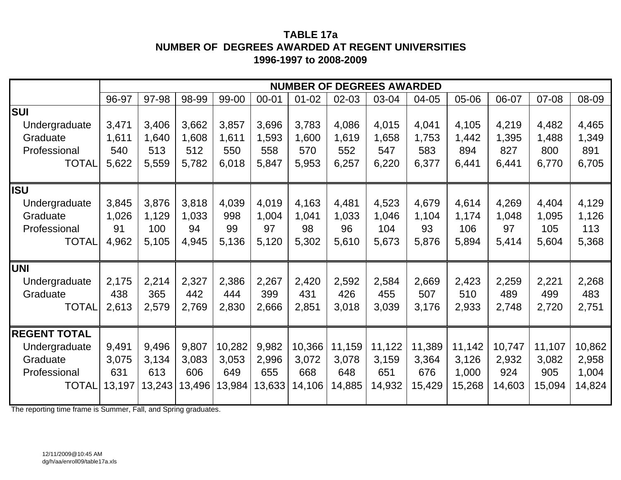## **TABLE 17aNUMBER OF DEGREES AWARDED AT REGENT UNIVERSITIES 1996-1997 to 2008-2009**

|                     |        |        |        |        |           |           |           | <b>NUMBER OF DEGREES AWARDED</b> |        |        |        |        |        |
|---------------------|--------|--------|--------|--------|-----------|-----------|-----------|----------------------------------|--------|--------|--------|--------|--------|
|                     | 96-97  | 97-98  | 98-99  | 99-00  | $00 - 01$ | $01 - 02$ | $02 - 03$ | 03-04                            | 04-05  | 05-06  | 06-07  | 07-08  | 08-09  |
| <b>SUI</b>          |        |        |        |        |           |           |           |                                  |        |        |        |        |        |
| Undergraduate       | 3,471  | 3,406  | 3,662  | 3,857  | 3,696     | 3,783     | 4,086     | 4,015                            | 4,041  | 4,105  | 4,219  | 4,482  | 4,465  |
| Graduate            | 1,611  | 1,640  | 1,608  | 1,611  | 1,593     | 1,600     | 1,619     | 1,658                            | 1,753  | 1,442  | 1,395  | 1,488  | 1,349  |
| Professional        | 540    | 513    | 512    | 550    | 558       | 570       | 552       | 547                              | 583    | 894    | 827    | 800    | 891    |
| <b>TOTAL</b>        | 5,622  | 5,559  | 5,782  | 6,018  | 5,847     | 5,953     | 6,257     | 6,220                            | 6,377  | 6,441  | 6,441  | 6,770  | 6,705  |
|                     |        |        |        |        |           |           |           |                                  |        |        |        |        |        |
| <b>ISU</b>          |        |        |        |        |           |           |           |                                  |        |        |        |        |        |
| Undergraduate       | 3,845  | 3,876  | 3,818  | 4,039  | 4,019     | 4,163     | 4,481     | 4,523                            | 4,679  | 4,614  | 4,269  | 4,404  | 4,129  |
| Graduate            | 1,026  | 1,129  | 1,033  | 998    | 1,004     | 1,041     | 1,033     | 1,046                            | 1,104  | 1,174  | 1,048  | 1,095  | 1,126  |
| Professional        | 91     | 100    | 94     | 99     | 97        | 98        | 96        | 104                              | 93     | 106    | 97     | 105    | 113    |
| <b>TOTAL</b>        | 4,962  | 5,105  | 4,945  | 5,136  | 5,120     | 5,302     | 5,610     | 5,673                            | 5,876  | 5,894  | 5,414  | 5,604  | 5,368  |
| <b>UNI</b>          |        |        |        |        |           |           |           |                                  |        |        |        |        |        |
| Undergraduate       | 2,175  | 2,214  | 2,327  | 2,386  | 2,267     | 2,420     | 2,592     | 2,584                            | 2,669  | 2,423  | 2,259  | 2,221  | 2,268  |
| Graduate            | 438    | 365    | 442    | 444    | 399       | 431       | 426       | 455                              | 507    | 510    | 489    | 499    | 483    |
| <b>TOTAL</b>        | 2,613  | 2,579  | 2,769  | 2,830  | 2,666     | 2,851     | 3,018     | 3,039                            | 3,176  | 2,933  | 2,748  | 2,720  | 2,751  |
|                     |        |        |        |        |           |           |           |                                  |        |        |        |        |        |
| <b>REGENT TOTAL</b> |        |        |        |        |           |           |           |                                  |        |        |        |        |        |
| Undergraduate       | 9,491  | 9,496  | 9,807  | 10,282 | 9,982     | 10,366    | 11,159    | 11,122                           | 11,389 | 11,142 | 10,747 | 11,107 | 10,862 |
| Graduate            | 3,075  | 3,134  | 3,083  | 3,053  | 2,996     | 3,072     | 3,078     | 3,159                            | 3,364  | 3,126  | 2,932  | 3,082  | 2,958  |
| Professional        | 631    | 613    | 606    | 649    | 655       | 668       | 648       | 651                              | 676    | 1,000  | 924    | 905    | 1,004  |
| <b>TOTAL</b>        | 13,197 | 13,243 | 13,496 | 13,984 | 13,633    | 14,106    | 14,885    | 14,932                           | 15,429 | 15,268 | 14,603 | 15,094 | 14,824 |
|                     |        |        |        |        |           |           |           |                                  |        |        |        |        |        |

The reporting time frame is Summer, Fall, and Spring graduates.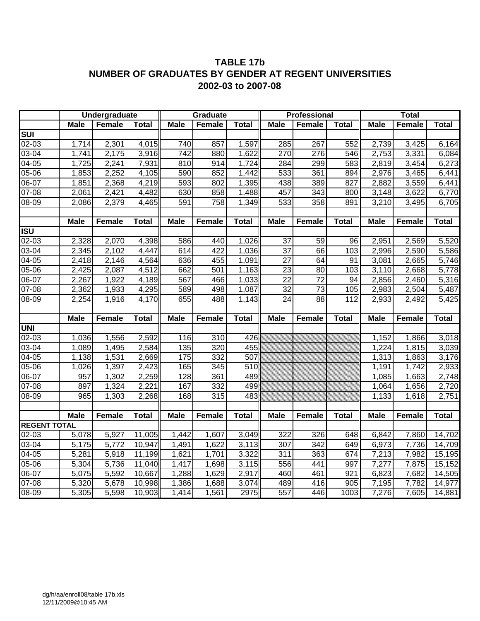## **TABLE 17b NUMBER OF GRADUATES BY GENDER AT REGENT UNIVERSITIES 2002-03 to 2007-08**

|                         |                                            | <b>Undergraduate</b> |                  |                  | <b>Graduate</b>  |               |                 | Professional    |              |                | <b>Total</b>   |                      |
|-------------------------|--------------------------------------------|----------------------|------------------|------------------|------------------|---------------|-----------------|-----------------|--------------|----------------|----------------|----------------------|
|                         | <b>Male</b>                                | Female               | <b>Total</b>     | <b>Male</b>      | Female           | <b>Total</b>  | <b>Male</b>     | Female          | <b>Total</b> | <b>Male</b>    | Female         | <b>Total</b>         |
| $\overline{\text{SUI}}$ |                                            |                      |                  |                  |                  |               |                 |                 |              |                |                |                      |
| 02-03                   | 1,714                                      | 2,301                | 4,015            | 740              | 857              | 1,597         | 285             | 267             | 552          | 2,739          | 3,425          | 6,164                |
| $\overline{0}3-04$      | 1,741                                      | 2,175                | 3,916            | 742              | 880              | 1,622         | 270             | 276             | 546          | 2,753          | 3,331          | 6,084                |
| $04 - 05$               | 1,725                                      | 2,241                | 7,931            | 810              | 914              | 1,724         | 284             | 299             | 583          | 2,819          | 3,454          | 6,273                |
| 05-06                   | 1,853                                      | 2,252                | 4,105            | 590              | 852              | 1,442         | 533             | 361             | 894          | 2,976          | 3,465          | 6,441                |
| 06-07                   | 1,851                                      | 2,368                | 4,219            | 593              | 802              | 1,395         | 438             | 389             | 827          | 2,882          | 3,559          | 6,441                |
| 07-08                   | 2,061                                      | 2,421                | 4,482            | 630              | 858              | 1,488         | 457             | 343             | 800          | 3,148          | 3,622          | 6,770                |
| $08-09$                 | 2,086                                      | 2,379                | 4,465            | 591              | 758              | 1,349         | 533             | 358             | 891          | 3,210          | 3,495          | 6,705                |
|                         |                                            |                      |                  |                  |                  |               |                 |                 |              |                |                |                      |
|                         | <b>Male</b>                                | <b>Female</b>        | <b>Total</b>     | <b>Male</b>      | Female           | <b>Total</b>  | <b>Male</b>     | Female          | <b>Total</b> | <b>Male</b>    | <b>Female</b>  | <b>Total</b>         |
| <b>ISU</b>              |                                            |                      |                  |                  |                  |               |                 |                 |              |                |                |                      |
| 02-03                   | 2,328                                      | 2,070                | 4,398            | 586              | 440              | 1,026         | 37              | 59              | 96           | 2,951          | 2,569          | 5,520                |
| 03-04                   | 2,345                                      | 2,102                | 4,447            | 614              | 422              | 1,036         | $\overline{37}$ | 66              | 103          | 2,996          | 2,590          | 5,586                |
| 04-05                   | 2,418                                      | 2,146                | 4,564            | 636              | 455              | 1,091         | $\overline{27}$ | 64              | 91           | 3,081          | 2,665          | 5,746                |
| $05 - 06$               | 2,425                                      | 2,087                | 4,512            | 662              | 501              | 1,163         | $\overline{23}$ | 80              | 103          | 3,110          | 2,668          | 5,778                |
| $06 - 07$               | 2,267                                      | 1,922                | 4,189            | 567              | 466              | 1,033         | $\overline{22}$ | $\overline{72}$ | 94           | 2,856          | 2,460          | 5,316                |
| $07 - 08$               | 2,362                                      | 1,933                | 4,295            | 589              | 498              | 1,087         | 32              | $\overline{73}$ | 105          | 2,983          | 2,504          | 5,487                |
| 08-09                   | 2,254                                      | 1,916                | 4,170            | 655              | 488              | 1,143         | $\overline{24}$ | $\overline{88}$ | 112          | 2,933          | 2,492          | 5,425                |
|                         |                                            |                      |                  |                  |                  |               |                 |                 |              |                |                |                      |
|                         |                                            |                      |                  |                  |                  |               |                 |                 |              |                |                |                      |
|                         | <b>Male</b>                                | Female               | <b>Total</b>     | <b>Male</b>      | Female           | <b>Total</b>  | <b>Male</b>     | Female          | <b>Total</b> | <b>Male</b>    | Female         | <b>Total</b>         |
| UNI                     |                                            |                      |                  |                  |                  |               |                 |                 |              |                |                |                      |
| $02 - 03$               | 1,036                                      | 1,556                | 2,592            | 116              | $\overline{310}$ | 426           |                 |                 |              | 1,152          | 1,866          | 3,018                |
| $03 - 04$               | 1,089                                      | 1,495                | 2,584            | $\overline{135}$ | 320              | 455           |                 |                 |              | 1,224          | 1,815          | 3,039                |
| $04 - 05$               | 1,138                                      | 1,531                | 2,669            | 175              | 332              | 507           |                 |                 |              | 1,313          | 1,863          | 3,176                |
| 05-06                   | 1,026                                      | 1,397                | 2,423            | 165              | 345              | 510           |                 |                 |              | 1,191          | 1,742          | 2,933                |
| 06-07                   | 957                                        | 1,302                | 2,259            | 128              | 361              | 489           |                 |                 |              | 1,085          | 1,663          | 2,748                |
| 07-08                   | 897                                        | 1,324                | 2,221            | 167              | 332              | 499           |                 |                 |              | 1,064          | 1,656          | 2,720                |
| 08-09                   | 965                                        | 1,303                | 2,268            | 168              | 315              | 483           |                 |                 |              | 1,133          | 1,618          | 2,751                |
|                         |                                            |                      |                  |                  |                  |               |                 |                 |              |                |                |                      |
|                         | <b>Male</b>                                | Female               | <b>Total</b>     | <b>Male</b>      | Female           | <b>Total</b>  | <b>Male</b>     | <b>Female</b>   | <b>Total</b> | <b>Male</b>    | <b>Female</b>  | <b>Total</b>         |
| <b>REGENT TOTAL</b>     |                                            |                      |                  |                  |                  |               |                 |                 |              |                |                |                      |
| 02-03                   | 5,078                                      | 5,927                | 11,005           | 1,442            | 1,607            | 3,049         | 322             | 326             | 648          | 6,842          | 7,860          | 14,702               |
| 03-04                   | $\overline{5}$ , 175                       | 5,772                | 10,947           | 1,491            | 1,622            | 3,113         | 307             | 342             | 649          | 6,973          | 7,736          | 14,709               |
| 04-05                   | 5,281                                      | 5,918                | 11,199           | 1,621            | 1,701            | 3,322         | 311             | 363             | 674          | 7,213          | 7,982          | $\overline{15, 195}$ |
| 05-06                   | 5,304                                      | 5,736                | 11,040           | 1,417            | 1,698            | 3,115         | 556             | 441             | 997          | 7,277          | 7,875          | 15,152               |
| $06-07$                 | 5,075                                      | 5,592                | 10,667           | 1,288            | 1,629            | 2,917         | 460             | 461             | 921          | 6,823          | 7,682          | 14,505               |
| $07 - 08$<br>$08 - 09$  | $\overline{5,}320$<br>$\overline{5}$ , 305 | 5,678<br>5,598       | 10,998<br>10,903 | 1,386<br>1,414   | 1,688<br>1,561   | 3,074<br>2975 | 489<br>557      | 416<br>446      | 905<br>1003  | 7,195<br>7,276 | 7,782<br>7,605 | 14,977<br>14,881     |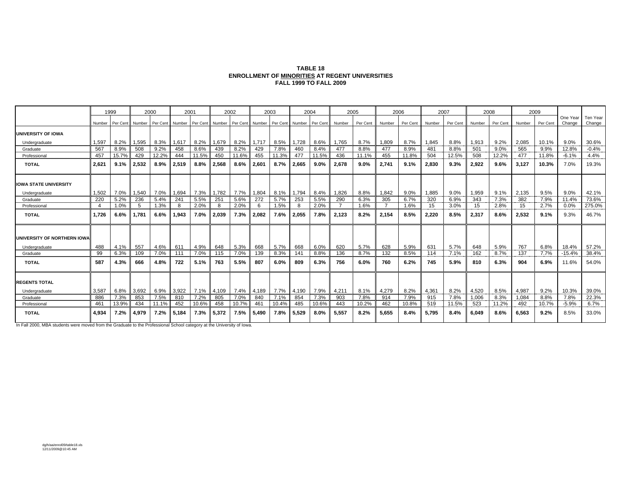| <b>TABLE 18</b>                                 |
|-------------------------------------------------|
| ENROLLMENT OF MINORITIES AT REGENT UNIVERSITIES |
| <b>FALL 1999 TO FALL 2009</b>                   |

|                              | 1999   |          | 2000   |          |            | 2001         |                                                          | 2002  |       | 2003  |            | 2004  |                | 2005         |        | 2006     |            | 2007     |            | 2008         | 2009       |          |                   |                    |
|------------------------------|--------|----------|--------|----------|------------|--------------|----------------------------------------------------------|-------|-------|-------|------------|-------|----------------|--------------|--------|----------|------------|----------|------------|--------------|------------|----------|-------------------|--------------------|
|                              | Number | Per Cent | Number | Per Cent | I Number   |              | Per Cent Number Per Cent Number Per Cent Number Per Cent |       |       |       |            |       | Number         | Per Cent     | Number | Per Cent | Number     | Per Cent | Number     | Per Cent     | Number     | Per Cent | One Yea<br>Change | Ten Year<br>Change |
| UNIVERSITY OF IOWA           |        |          |        |          |            |              |                                                          |       |       |       |            |       |                |              |        |          |            |          |            |              |            |          |                   |                    |
| Undergraduate                | 1,597  | 8.2%     | 1,595  | 8.3%     | 1,617      | 8.2%         | 1,679                                                    | 8.2%  | 1,717 | 8.5%  | 1,728      | 8.6%  | 1,765          | 8.7%         | 1,809  | 8.7%     | 1,845      | 8.8%     | 1,913      | 9.2%         | 2,085      | 10.1%    | 9.0%              | 30.6%              |
| Graduate                     | 567    | 8.9%     | 508    | 9.2%     | 458        | 8.6%         | 439                                                      | 8.2%  | 429   | 7.8%  | 460        | 8.4%  | 477            | 8.8%         | 477    | 8.9%     | 481        | 8.8%     | 501        | 9.0%         | 565        | 9.9%     | 12.8%             | $-0.4%$            |
| Professional                 | 457    | 15.7%    | 429    | 12.2%    | 444        | 11.5%        | 450                                                      | 11.6% | 455   | 11.3% | 477        | 11.5% | 436            | 11.1%        | 455    | 11.8%    | 504        | 12.5%    | 508        | 12.2%        | 477        | 11.8%    | $-6.1%$           | 4.4%               |
| <b>TOTAL</b>                 | 2,621  | 9.1%     | 2,532  | 8.9%     | 2.519      | 8.8%         | 2.568                                                    | 8.6%  | 2.601 | 8.7%  | 2.665      | 9.0%  | 2,678          | 9.0%         | 2.741  | 9.1%     | 2,830      | 9.3%     | 2,922      | 9.6%         | 3,127      | 10.3%    | 7.0%              | 19.3%              |
| <b>IOWA STATE UNIVERSITY</b> |        |          |        |          |            |              |                                                          |       |       |       |            |       |                |              |        |          |            |          |            |              |            |          |                   |                    |
| Undergraduate                | 1,502  | 7.0%     | 1,540  | 7.0%     | 1,694      | 7.3%         | 1.782                                                    | 7.7%  | 1,804 | 8.1%  | 1,794      | 8.4%  | 1,826          | 8.8%         | 1,842  | 9.0%     | 1.885      | 9.0%     | 1.959      | 9.1%         | 2.135      | 9.5%     | 9.0%              | 42.1%              |
| Graduate                     | 220    | 5.2%     | 236    | 5.4%     | 241        | 5.5%         | 251                                                      | 5.6%  | 272   | 5.7%  | 253        | 5.5%  | 290            | 6.3%         | 305    | 6.7%     | 320        | 6.9%     | 343        | 7.3%         | 382        | 7.9%     | 11.4%             | 73.6%              |
| Professional                 |        | 1.0%     | 5      | 1.3%     | 8          | 2.0%         |                                                          | 2.0%  | 6     | 1.5%  |            | 2.0%  | $\overline{7}$ | 1.6%         |        | 1.6%     | 15         | 3.0%     | 15         | 2.8%         | 15         | 2.7%     | 0.0%              | 275.0%             |
| <b>TOTAL</b>                 | 1.726  | 6.6%     | 1.781  | 6.6%     | 1.943      | 7.0%         | 2.039                                                    | 7.3%  | 2.082 | 7.6%  | 2.055      | 7.8%  | 2.123          | 8.2%         | 2.154  | 8.5%     | 2.220      | 8.5%     | 2,317      | 8.6%         | 2,532      | 9.1%     | 9.3%              | 46.7%              |
| UNIVERSITY OF NORTHERN IOWA  |        |          |        |          |            |              |                                                          |       |       |       |            |       |                |              |        |          |            |          |            |              |            |          |                   |                    |
| Undergraduate                | 488    | 4.1%     | 557    | 4.6%     | 611<br>111 | 4.9%<br>7.0% | 648                                                      | 5.3%  | 668   | 5.7%  | 668<br>141 | 6.0%  | 620            | 5.7%<br>8.7% | 628    | 5.9%     | 631<br>114 | 5.7%     | 648<br>162 | 5.9%<br>8.7% | 767<br>137 | 6.8%     | 18.4%             | 57.2%              |
| Graduate                     | 99     | 6.3%     | 109    | 7.0%     |            |              | 115                                                      | 7.0%  | 139   | 8.3%  |            | 8.8%  | 136            |              | 132    | 8.5%     |            | 7.1%     |            |              |            | 7.7%     | $-15.4%$          | 38.4%              |
| <b>TOTAL</b>                 | 587    | 4.3%     | 666    | 4.8%     | 722        | 5.1%         | 763                                                      | 5.5%  | 807   | 6.0%  | 809        | 6.3%  | 756            | 6.0%         | 760    | 6.2%     | 745        | 5.9%     | 810        | 6.3%         | 904        | 6.9%     | 11.6%             | 54.0%              |
| <b>REGENTS TOTAL</b>         |        |          |        |          |            |              |                                                          |       |       |       |            |       |                |              |        |          |            |          |            |              |            |          |                   |                    |
| Undergraduate                | 3,587  | 6.8%     | 3,692  | 6.9%     | 3,922      | 7.1%         | 4,109                                                    | 7.4%  | 4,189 | 7.7%  | 4,190      | 7.9%  | 4,211          | 8.1%         | 4,279  | 8.2%     | 4,361      | 8.2%     | 4,520      | 8.5%         | 4,987      | 9.2%     | 10.3%             | 39.0%              |
| Graduate                     | 886    | 7.3%     | 853    | 7.5%     | 810        | 7.2%         | 805                                                      | 7.0%  | 840   | 7.1%  | 854        | 7.3%  | 903            | 7.8%         | 914    | 7.9%     | 915        | 7.8%     | 1.006      | 8.3%         | 1.084      | 8.8%     | 7.8%              | 22.3%              |
| Professional                 | 461    | 13.9%    | 434    | 11.1%    | 452        | 10.6%        | 458                                                      | 10.7% | 461   | 10.4% | 485        | 10.6% | 443            | 10.2%        | 462    | 10.8%    | 519        | 11.5%    | 523        | 11.2%        | 492        | 10.7%    | $-5.9%$           | 6.7%               |
| <b>TOTAL</b>                 | 4,934  | 7.2%     | 4.979  | 7.2%     | 5.184      | 7.3%         | 5.372                                                    | 7.5%  | 5.490 | 7.8%  | 5.529      | 8.0%  | 5.557          | 8.2%         | 5.655  | 8.4%     | 5.795      | 8.4%     | 6,049      | 8.6%         | 6,563      | 9.2%     | 8.5%              | 33.0%              |

In Fall 2000, MBA students were moved from the Graduate to the Professional School category at the University of Iowa.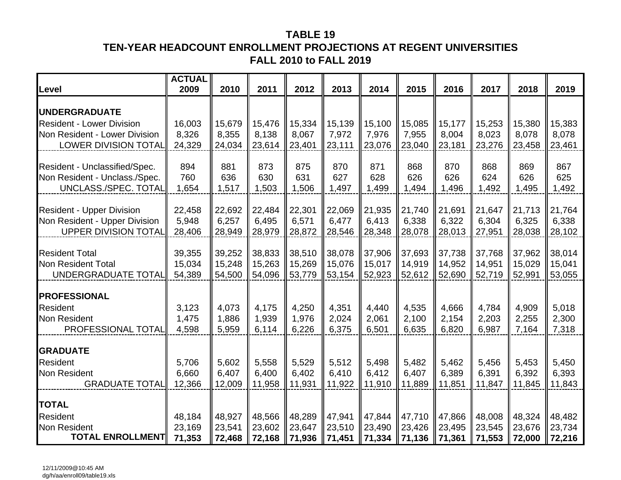## **TABLE 19TEN-YEAR HEADCOUNT ENROLLMENT PROJECTIONS AT REGENT UNIVERSITIES FALL 2010 to FALL 2019**

| Level                                     | <b>ACTUAL</b><br>2009 | 2010             | 2011             | 2012             | 2013             | 2014             | 2015             | 2016             | 2017             | 2018             | 2019             |
|-------------------------------------------|-----------------------|------------------|------------------|------------------|------------------|------------------|------------------|------------------|------------------|------------------|------------------|
| <b>UNDERGRADUATE</b>                      |                       |                  |                  |                  |                  |                  |                  |                  |                  |                  |                  |
| <b>Resident - Lower Division</b>          | 16,003                | 15,679           | 15,476           | 15,334           | 15,139           | 15,100           | 15,085           | 15,177           | 15,253           | 15,380           | 15,383           |
| Non Resident - Lower Division             | 8,326                 | 8,355            | 8,138            | 8,067            | 7,972            | 7,976            | 7,955            | 8,004            | 8,023            | 8,078            | 8,078            |
| <b>LOWER DIVISION TOTAL</b>               | 24,329                | 24,034           | 23,614           | 23,401           | 23,111           | 23,076           | 23,040           | 23,181           | 23,276           | 23,458           | 23,461           |
| Resident - Unclassified/Spec.             | 894                   | 881              | 873              | 875              | 870              | 871              | 868              | 870              | 868              | 869              | 867              |
| Non Resident - Unclass./Spec.             | 760                   | 636              | 630              | 631              | 627              | 628              | 626              | 626              | 624              | 626              | 625              |
| UNCLASS./SPEC. TOTAL                      | 1,654                 | 1,517            | 1,503            | 1,506            | 1,497            | 1,499            | 1,494            | 1,496            | 1,492            | 1,495            | 1,492            |
| <b>Resident - Upper Division</b>          | 22,458                | 22,692           | 22,484           | 22,301           | 22,069           | 21,935           | 21,740           | 21,691           | 21,647           | 21,713           | 21,764           |
| Non Resident - Upper Division             | 5,948                 | 6,257            | 6,495            | 6,571            | 6,477            | 6,413            | 6,338            | 6,322            | 6,304            | 6,325            | 6,338            |
| <b>UPPER DIVISION TOTAL</b>               | 28,406                | 28,949           | 28,979           | 28,872           | 28,546           | 28,348           | 28,078           | 28,013           | 27,951           | 28,038           | 28,102           |
|                                           |                       |                  |                  |                  |                  |                  |                  |                  |                  |                  |                  |
| <b>Resident Total</b>                     | 39,355                | 39,252           | 38,833           | 38,510           | 38,078           | 37,906           | 37,693           | 37,738           | 37,768           | 37,962           | 38,014           |
| Non Resident Total<br>UNDERGRADUATE TOTAL | 15,034<br>54,389      | 15,248<br>54,500 | 15,263<br>54,096 | 15,269<br>53,779 | 15,076<br>53,154 | 15,017<br>52,923 | 14,919<br>52,612 | 14,952<br>52,690 | 14,951<br>52,719 | 15,029<br>52,991 | 15,041<br>53,055 |
|                                           |                       |                  |                  |                  |                  |                  |                  |                  |                  |                  |                  |
| <b>PROFESSIONAL</b>                       |                       |                  |                  |                  |                  |                  |                  |                  |                  |                  |                  |
| Resident                                  | 3,123                 | 4,073            | 4,175            | 4,250            | 4,351            | 4,440            | 4,535            | 4,666            | 4,784            | 4,909            | 5,018            |
| <b>Non Resident</b>                       | 1,475                 | 1,886            | 1,939            | 1,976            | 2,024            | 2,061            | 2,100            | 2,154            | 2,203            | 2,255            | 2,300            |
| PROFESSIONAL TOTAL                        | 4,598                 | 5,959            | 6,114            | 6,226            | 6,375            | 6,501            | 6,635            | 6,820            | 6,987            | 7,164            | 7,318            |
| <b>GRADUATE</b>                           |                       |                  |                  |                  |                  |                  |                  |                  |                  |                  |                  |
| Resident                                  | 5,706                 | 5,602            | 5,558            | 5,529            | 5,512            | 5,498            | 5,482            | 5,462            | 5,456            | 5,453            | 5,450            |
| Non Resident                              | 6,660                 | 6,407            | 6,400            | 6,402            | 6,410            | 6,412            | 6,407            | 6,389            | 6,391            | 6,392            | 6,393            |
| <b>GRADUATE TOTAL</b>                     | 12,366                | 12,009           | 11,958           | 11,931           | 11,922           | 11,910           | 11,889           | 11,851           | 11,847           | 11,845           | 11,843           |
| <b>TOTAL</b>                              |                       |                  |                  |                  |                  |                  |                  |                  |                  |                  |                  |
| Resident                                  | 48,184                | 48,927           | 48,566           | 48,289           | 47,941           | 47,844           | 47,710           | 47,866           | 48,008           | 48,324           | 48,482           |
| Non Resident                              | 23,169                | 23,541           | 23,602           | 23,647           | 23,510           | 23,490           | 23,426           | 23,495           | 23,545           | 23,676           | 23,734           |
| <b>TOTAL ENROLLMENT</b>                   | 71,353                | 72,468           | 72,168           | 71,936           | 71,451           | 71,334           | 71,136           | 71,361           | 71,553           | 72,000           | 72,216           |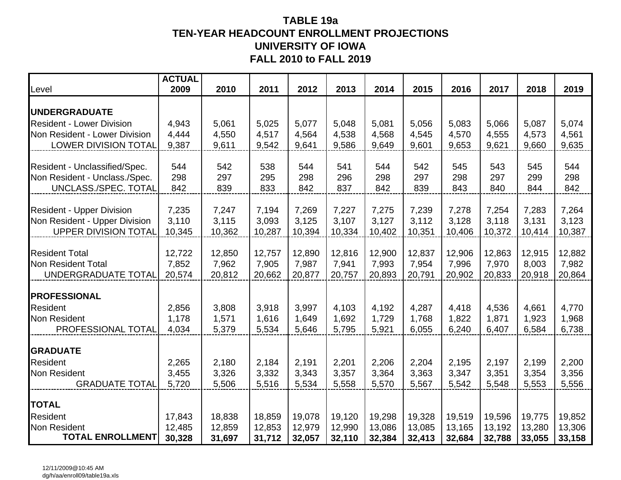## **TABLE 19a TEN-YEAR HEADCOUNT ENROLLMENT PROJECTIONS UNIVERSITY OF IOWAFALL 2010 to FALL 2019**

| Level                                                          | <b>ACTUAL</b><br>2009 | 2010       | 2011       | 2012       | 2013       | 2014       | 2015       | 2016       | 2017       | 2018       | 2019       |
|----------------------------------------------------------------|-----------------------|------------|------------|------------|------------|------------|------------|------------|------------|------------|------------|
| <b> UNDERGRADUATE</b>                                          |                       |            |            |            |            |            |            |            |            |            |            |
| <b>Resident - Lower Division</b>                               | 4,943                 | 5,061      | 5,025      | 5,077      | 5,048      | 5,081      | 5,056      | 5,083      | 5,066      | 5,087      | 5,074      |
| Non Resident - Lower Division                                  | 4,444                 | 4,550      | 4,517      | 4,564      | 4,538      | 4,568      | 4,545      | 4,570      | 4,555      | 4,573      | 4,561      |
| <b>LOWER DIVISION TOTAL</b>                                    | 9,387                 | 9,611      | 9,542      | 9,641      | 9,586      | 9,649      | 9,601      | 9,653      | 9,621      | 9,660      | 9,635      |
|                                                                |                       |            |            |            |            |            |            |            |            |            |            |
| Resident - Unclassified/Spec.<br>Non Resident - Unclass./Spec. | 544<br>298            | 542<br>297 | 538<br>295 | 544<br>298 | 541<br>296 | 544<br>298 | 542<br>297 | 545<br>298 | 543<br>297 | 545<br>299 | 544<br>298 |
| UNCLASS./SPEC. TOTAL                                           | 842                   | 839        | 833        | 842        | 837        | 842        | 839        | 843        | 840        | 844        | 842        |
|                                                                |                       |            |            |            |            |            |            |            |            |            |            |
| <b>Resident - Upper Division</b>                               | 7,235                 | 7,247      | 7,194      | 7,269      | 7,227      | 7,275      | 7,239      | 7,278      | 7,254      | 7,283      | 7,264      |
| Non Resident - Upper Division                                  | 3,110                 | 3,115      | 3,093      | 3,125      | 3,107      | 3,127      | 3,112      | 3,128      | 3,118      | 3,131      | 3,123      |
| <b>UPPER DIVISION TOTAL</b>                                    | 10,345                | 10,362     | 10,287     | 10,394     | 10,334     | 10,402     | 10,351     | 10,406     | 10,372     | 10,414     | 10,387     |
| <b>Resident Total</b>                                          | 12,722                | 12,850     | 12,757     | 12,890     | 12,816     | 12,900     | 12,837     | 12,906     | 12,863     | 12,915     | 12,882     |
| Non Resident Total                                             | 7,852                 | 7,962      | 7,905      | 7,987      | 7,941      | 7,993      | 7,954      | 7,996      | 7,970      | 8,003      | 7,982      |
| UNDERGRADUATE TOTAL                                            | 20,574                | 20,812     | 20,662     | 20,877     | 20,757     | 20,893     | 20,791     | 20,902     | 20,833     | 20,918     | 20,864     |
|                                                                |                       |            |            |            |            |            |            |            |            |            |            |
| <b>PROFESSIONAL</b>                                            |                       |            |            |            |            |            |            |            |            |            |            |
| <b>Resident</b>                                                | 2,856                 | 3,808      | 3,918      | 3,997      | 4,103      | 4,192      | 4,287      | 4,418      | 4,536      | 4,661      | 4,770      |
| Non Resident                                                   | 1,178                 | 1,571      | 1,616      | 1,649      | 1,692      | 1,729      | 1,768      | 1,822      | 1,871      | 1,923      | 1,968      |
| PROFESSIONAL TOTAL                                             | 4,034                 | 5,379      | 5,534      | 5,646      | 5,795      | 5,921      | 6,055      | 6,240      | 6,407      | 6,584      | 6,738      |
| <b>GRADUATE</b>                                                |                       |            |            |            |            |            |            |            |            |            |            |
| <b>Resident</b>                                                | 2,265                 | 2,180      | 2,184      | 2,191      | 2,201      | 2,206      | 2,204      | 2,195      | 2,197      | 2,199      | 2,200      |
| <b>Non Resident</b>                                            | 3,455                 | 3,326      | 3,332      | 3,343      | 3,357      | 3,364      | 3,363      | 3,347      | 3,351      | 3,354      | 3,356      |
| <b>GRADUATE TOTAL</b>                                          | 5,720                 | 5,506      | 5,516      | 5,534      | 5,558      | 5,570      | 5,567      | 5,542      | 5,548      | 5,553      | 5,556      |
| <b>TOTAL</b>                                                   |                       |            |            |            |            |            |            |            |            |            |            |
| <b>Resident</b>                                                | 17,843                | 18,838     | 18,859     | 19,078     | 19,120     | 19,298     | 19,328     | 19,519     | 19,596     | 19,775     | 19,852     |
| <b>Non Resident</b>                                            | 12,485                | 12,859     | 12,853     | 12,979     | 12,990     | 13,086     | 13,085     | 13,165     | 13,192     | 13,280     | 13,306     |
| <b>TOTAL ENROLLMENT</b>                                        | 30,328                | 31,697     | 31,712     | 32,057     | 32,110     | 32,384     | 32,413     | 32,684     | 32,788     | 33,055     | 33,158     |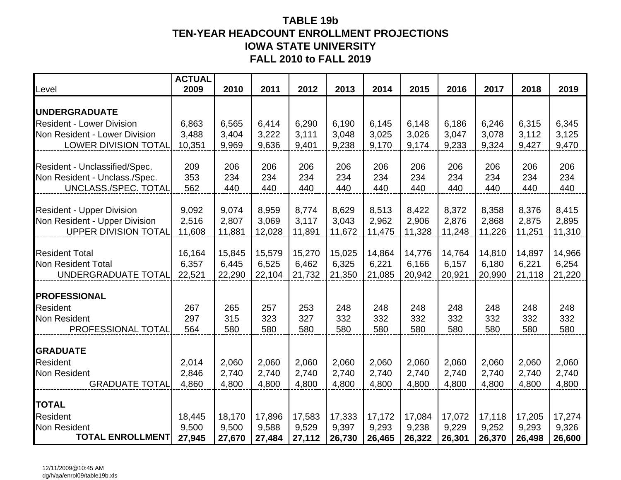## **TABLE 19b TEN-YEAR HEADCOUNT ENROLLMENT PROJECTIONS IOWA STATE UNIVERSITY FALL 2010 to FALL 2019**

| Level                            | <b>ACTUAL</b><br>2009 | 2010   | 2011   | 2012   | 2013   | 2014   | 2015   | 2016   | 2017   | 2018   | 2019   |
|----------------------------------|-----------------------|--------|--------|--------|--------|--------|--------|--------|--------|--------|--------|
| <b>UNDERGRADUATE</b>             |                       |        |        |        |        |        |        |        |        |        |        |
| <b>Resident - Lower Division</b> | 6,863                 | 6,565  | 6,414  | 6,290  | 6,190  | 6,145  | 6,148  | 6,186  | 6,246  | 6,315  | 6,345  |
| Non Resident - Lower Division    | 3,488                 | 3,404  | 3,222  | 3,111  | 3,048  | 3,025  | 3,026  | 3,047  | 3,078  | 3,112  | 3,125  |
| <b>LOWER DIVISION TOTAL</b>      | 10,351                | 9,969  | 9,636  | 9,401  | 9,238  | 9,170  | 9,174  | 9,233  | 9,324  | 9,427  | 9,470  |
| Resident - Unclassified/Spec.    | 209                   | 206    | 206    | 206    | 206    | 206    | 206    | 206    | 206    | 206    | 206    |
| Non Resident - Unclass./Spec.    | 353                   | 234    | 234    | 234    | 234    | 234    | 234    | 234    | 234    | 234    | 234    |
| UNCLASS./SPEC. TOTAL             | 562                   | 440    | 440    | 440    | 440    | 440    | 440    | 440    | 440    | 440    | 440    |
| <b>Resident - Upper Division</b> | 9,092                 | 9,074  | 8,959  | 8,774  | 8,629  | 8,513  | 8,422  | 8,372  | 8,358  | 8,376  | 8,415  |
| Non Resident - Upper Division    | 2,516                 | 2,807  | 3,069  | 3,117  | 3,043  | 2,962  | 2,906  | 2,876  | 2,868  | 2,875  | 2,895  |
| <b>UPPER DIVISION TOTAL</b>      | 11,608                | 11,881 | 12,028 | 11,891 | 11,672 | 11,475 | 11,328 | 11,248 | 11,226 | 11,251 | 11,310 |
| <b>Resident Total</b>            | 16,164                | 15,845 | 15,579 | 15,270 | 15,025 | 14,864 | 14,776 | 14,764 | 14,810 | 14,897 | 14,966 |
| Non Resident Total               | 6,357                 | 6,445  | 6,525  | 6,462  | 6,325  | 6,221  | 6,166  | 6,157  | 6,180  | 6,221  | 6,254  |
| UNDERGRADUATE TOTAL              | 22,521                | 22,290 | 22,104 | 21,732 | 21,350 | 21,085 | 20,942 | 20,921 | 20,990 | 21,118 | 21,220 |
| <b>PROFESSIONAL</b>              |                       |        |        |        |        |        |        |        |        |        |        |
| <b>Resident</b>                  | 267                   | 265    | 257    | 253    | 248    | 248    | 248    | 248    | 248    | 248    | 248    |
| Non Resident                     | 297                   | 315    | 323    | 327    | 332    | 332    | 332    | 332    | 332    | 332    | 332    |
| PROFESSIONAL TOTAL               | 564                   | 580    | 580    | 580    | 580    | 580    | 580    | 580    | 580    | 580    | 580    |
| <b>GRADUATE</b>                  |                       |        |        |        |        |        |        |        |        |        |        |
| <b>Resident</b>                  | 2,014                 | 2,060  | 2,060  | 2,060  | 2,060  | 2,060  | 2,060  | 2,060  | 2,060  | 2,060  | 2,060  |
| Non Resident                     | 2,846                 | 2,740  | 2,740  | 2,740  | 2,740  | 2,740  | 2,740  | 2,740  | 2,740  | 2,740  | 2,740  |
| <b>GRADUATE TOTAL</b>            | 4,860                 | 4,800  | 4,800  | 4,800  | 4,800  | 4,800  | 4,800  | 4,800  | 4,800  | 4,800  | 4,800  |
| <b>TOTAL</b>                     |                       |        |        |        |        |        |        |        |        |        |        |
| Resident                         | 18,445                | 18,170 | 17,896 | 17,583 | 17,333 | 17,172 | 17,084 | 17,072 | 17,118 | 17,205 | 17,274 |
| <b>Non Resident</b>              | 9,500                 | 9,500  | 9,588  | 9,529  | 9,397  | 9,293  | 9,238  | 9,229  | 9,252  | 9,293  | 9,326  |
| <b>TOTAL ENROLLMENT</b>          | 27,945                | 27,670 | 27,484 | 27,112 | 26,730 | 26,465 | 26,322 | 26,301 | 26,370 | 26,498 | 26,600 |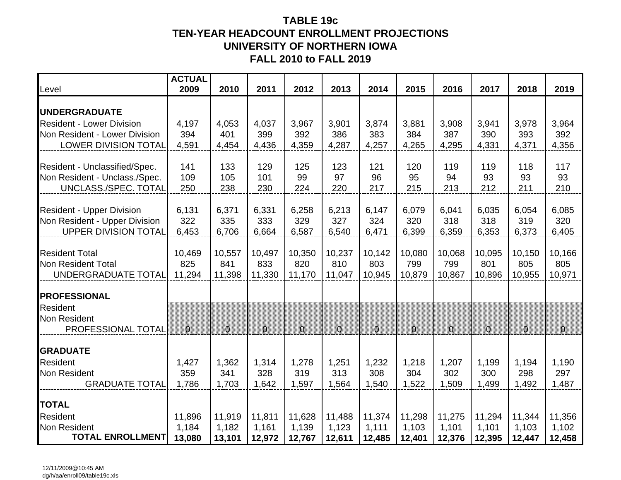## **TABLE 19c TEN-YEAR HEADCOUNT ENROLLMENT PROJECTIONS UNIVERSITY OF NORTHERN IOWAFALL 2010 to FALL 2019**

| Level                                        | <b>ACTUAL</b><br>2009 | 2010         | 2011         | 2012           | 2013         | 2014         | 2015           | 2016         | 2017         | 2018           | 2019         |
|----------------------------------------------|-----------------------|--------------|--------------|----------------|--------------|--------------|----------------|--------------|--------------|----------------|--------------|
| <b>UNDERGRADUATE</b>                         |                       |              |              |                |              |              |                |              |              |                |              |
| <b>Resident - Lower Division</b>             | 4,197                 | 4,053        | 4,037        | 3,967          | 3,901        | 3,874        | 3,881          | 3,908        | 3,941        | 3,978          | 3,964        |
| Non Resident - Lower Division                | 394                   | 401          | 399          | 392            | 386          | 383          | 384            | 387          | 390          | 393            | 392          |
| <b>LOWER DIVISION TOTAL</b>                  | 4,591                 | 4,454        | 4,436        | 4,359          | 4,287        | 4,257        | 4,265          | 4,295        | 4,331        | 4,371          | 4,356        |
| Resident - Unclassified/Spec.                | 141                   | 133          | 129          | 125            | 123          | 121          | 120            | 119          | 119          | 118            | 117          |
| Non Resident - Unclass./Spec.                | 109                   | 105          | 101          | 99             | 97           | 96           | 95             | 94           | 93           | 93             | 93           |
| UNCLASS./SPEC. TOTAL                         | 250                   | 238          | 230          | 224            | 220          | 217          | 215            | 213          | 212          | 211            | 210          |
|                                              |                       |              |              |                |              |              |                |              |              |                |              |
| <b>Resident - Upper Division</b>             | 6,131                 | 6,371        | 6,331        | 6,258          | 6,213        | 6,147        | 6,079          | 6,041        | 6,035        | 6,054          | 6,085        |
| Non Resident - Upper Division                | 322                   | 335          | 333          | 329            | 327          | 324          | 320            | 318          | 318          | 319            | 320          |
| <b>UPPER DIVISION TOTAL</b>                  | 6,453                 | 6,706        | 6,664        | 6,587          | 6,540        | 6,471        | 6,399          | 6,359        | 6,353        | 6,373          | 6,405        |
| <b>Resident Total</b>                        | 10,469                | 10,557       | 10,497       | 10,350         | 10,237       | 10,142       | 10,080         | 10,068       | 10,095       | 10,150         | 10,166       |
| <b>Non Resident Total</b>                    | 825                   | 841          | 833          | 820            | 810          | 803          | 799            | 799          | 801          | 805            | 805          |
| UNDERGRADUATE TOTAL                          | 11,294                | 11,398       | 11,330       | 11,170         | 11,047       | 10,945       | 10,879         | 10,867       | 10,896       | 10,955         | 10,971       |
|                                              |                       |              |              |                |              |              |                |              |              |                |              |
| <b>PROFESSIONAL</b><br>Resident              |                       |              |              |                |              |              |                |              |              |                |              |
| Non Resident                                 |                       |              |              |                |              |              |                |              |              |                |              |
| PROFESSIONAL TOTAL                           | $\overline{O}$        | $\mathbf 0$  | $\mathbf 0$  | $\overline{0}$ | $\mathbf 0$  | $\mathbf 0$  | $\overline{0}$ | $\mathbf 0$  | $\mathbf 0$  | $\overline{0}$ | $\mathbf 0$  |
|                                              |                       |              |              |                |              |              |                |              |              |                |              |
| <b>GRADUATE</b>                              |                       |              |              |                |              |              |                |              |              |                |              |
| Resident                                     | 1,427                 | 1,362        | 1,314        | 1,278          | 1,251        | 1,232        | 1,218          | 1,207        | 1,199        | 1,194          | 1,190        |
| <b>Non Resident</b><br><b>GRADUATE TOTAL</b> | 359<br>1,786          | 341<br>1,703 | 328<br>1,642 | 319<br>1,597   | 313<br>1,564 | 308<br>1,540 | 304<br>1,522   | 302<br>1,509 | 300<br>1,499 | 298<br>1,492   | 297<br>1,487 |
|                                              |                       |              |              |                |              |              |                |              |              |                |              |
| <b>TOTAL</b>                                 |                       |              |              |                |              |              |                |              |              |                |              |
| <b>Resident</b>                              | 11,896                | 11,919       | 11,811       | 11,628         | 11,488       | 11,374       | 11,298         | 11,275       | 11,294       | 11,344         | 11,356       |
| Non Resident                                 | 1,184                 | 1,182        | 1,161        | 1,139          | 1,123        | 1,111        | 1,103          | 1,101        | 1,101        | 1,103          | 1,102        |
| <b>TOTAL ENROLLMENT</b>                      | 13,080                | 13,101       | 12,972       | 12,767         | 12,611       | 12,485       | 12,401         | 12,376       | 12,395       | 12,447         | 12,458       |